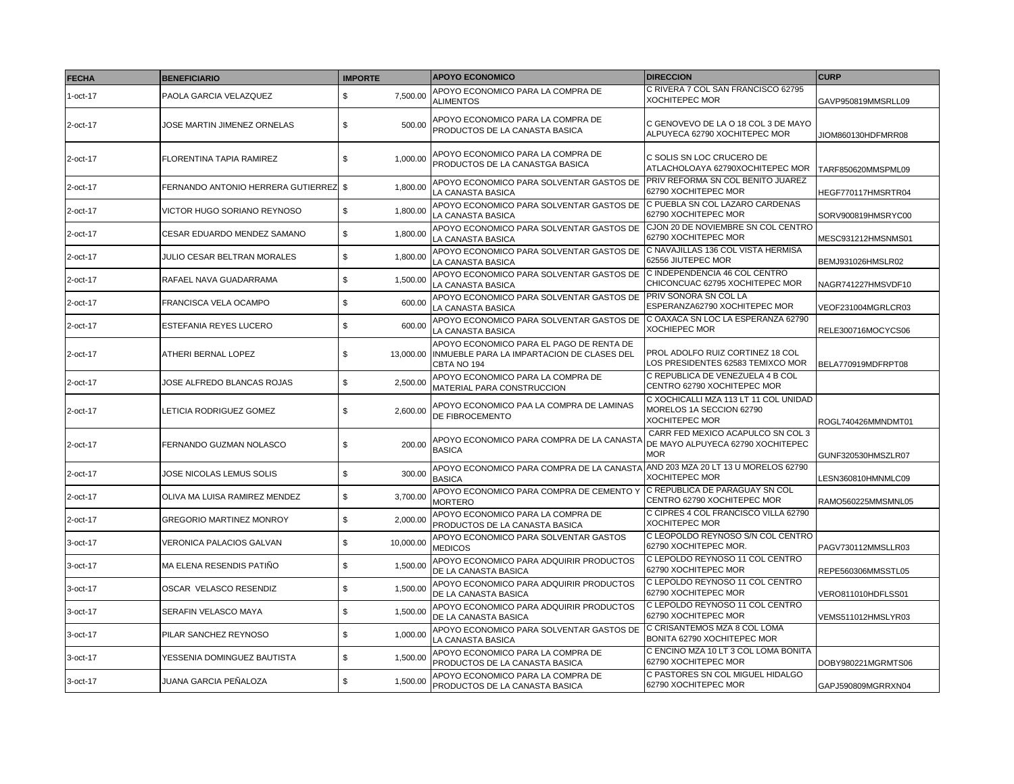| <b>FECHA</b> | <b>BENEFICIARIO</b>                   | <b>IMPORTE</b>  | <b>APOYO ECONOMICO</b>                                                                                | <b>DIRECCION</b>                                                                           | <b>CURP</b>        |
|--------------|---------------------------------------|-----------------|-------------------------------------------------------------------------------------------------------|--------------------------------------------------------------------------------------------|--------------------|
| $1$ -oct-17  | PAOLA GARCIA VELAZQUEZ                | \$<br>7,500.00  | APOYO ECONOMICO PARA LA COMPRA DE<br><b>ALIMENTOS</b>                                                 | C RIVERA 7 COL SAN FRANCISCO 62795<br><b>XOCHITEPEC MOR</b>                                | GAVP950819MMSRLL09 |
| 2-oct-17     | JOSE MARTIN JIMENEZ ORNELAS           | 500.00<br>\$    | APOYO ECONOMICO PARA LA COMPRA DE<br>PRODUCTOS DE LA CANASTA BASICA                                   | C GENOVEVO DE LA O 18 COL 3 DE MAYO<br>ALPUYECA 62790 XOCHITEPEC MOR                       | JIOM860130HDFMRR08 |
| 2-oct-17     | FLORENTINA TAPIA RAMIREZ              | \$<br>1,000.00  | APOYO ECONOMICO PARA LA COMPRA DE<br>PRODUCTOS DE LA CANASTGA BASICA                                  | C SOLIS SN LOC CRUCERO DE<br>ATLACHOLOAYA 62790XOCHITEPEC MOR                              | TARF850620MMSPML09 |
| 2-oct-17     | FERNANDO ANTONIO HERRERA GUTIERREZ \$ | 1,800.00        | APOYO ECONOMICO PARA SOLVENTAR GASTOS DE<br>LA CANASTA BASICA                                         | PRIV REFORMA SN COL BENITO JUAREZ<br>62790 XOCHITEPEC MOR                                  | HEGF770117HMSRTR04 |
| 2-oct-17     | VICTOR HUGO SORIANO REYNOSO           | \$<br>1,800.00  | APOYO ECONOMICO PARA SOLVENTAR GASTOS DE<br>LA CANASTA BASICA                                         | C PUEBLA SN COL LAZARO CARDENAS<br>62790 XOCHITEPEC MOR                                    | SORV900819HMSRYC00 |
| 2-oct-17     | CESAR EDUARDO MENDEZ SAMANO           | \$<br>1,800.00  | APOYO ECONOMICO PARA SOLVENTAR GASTOS DE<br>LA CANASTA BASICA                                         | CJON 20 DE NOVIEMBRE SN COL CENTRO<br>62790 XOCHITEPEC MOR                                 | MESC931212HMSNMS01 |
| 2-oct-17     | JULIO CESAR BELTRAN MORALES           | \$<br>1,800.00  | APOYO ECONOMICO PARA SOLVENTAR GASTOS DE<br>LA CANASTA BASICA                                         | C NAVAJILLAS 136 COL VISTA HERMISA<br>62556 JIUTEPEC MOR                                   | BEMJ931026HMSLR02  |
| 2-oct-17     | RAFAEL NAVA GUADARRAMA                | \$<br>1,500.00  | APOYO ECONOMICO PARA SOLVENTAR GASTOS DE<br>LA CANASTA BASICA                                         | C INDEPENDENCIA 46 COL CENTRO<br>CHICONCUAC 62795 XOCHITEPEC MOR                           | NAGR741227HMSVDF10 |
| 2-oct-17     | FRANCISCA VELA OCAMPO                 | \$<br>600.00    | APOYO ECONOMICO PARA SOLVENTAR GASTOS DE<br>LA CANASTA BASICA                                         | PRIV SONORA SN COL LA<br>ESPERANZA62790 XOCHITEPEC MOR                                     | VEOF231004MGRLCR03 |
| 2-oct-17     | ESTEFANIA REYES LUCERO                | \$<br>600.00    | APOYO ECONOMICO PARA SOLVENTAR GASTOS DE<br>LA CANASTA BASICA                                         | C OAXACA SN LOC LA ESPERANZA 62790<br><b>XOCHIEPEC MOR</b>                                 | RELE300716MOCYCS06 |
| 2-oct-17     | ATHERI BERNAL LOPEZ                   | \$<br>13,000.00 | APOYO ECONOMICO PARA EL PAGO DE RENTA DE<br>INMUEBLE PARA LA IMPARTACION DE CLASES DEL<br>CBTA NO 194 | PROL ADOLFO RUIZ CORTINEZ 18 COL<br>LOS PRESIDENTES 62583 TEMIXCO MOR                      | BELA770919MDFRPT08 |
| 2-oct-17     | JOSE ALFREDO BLANCAS ROJAS            | \$<br>2.500.00  | APOYO ECONOMICO PARA LA COMPRA DE<br>MATERIAL PARA CONSTRUCCION                                       | C REPUBLICA DE VENEZUELA 4 B COL<br>CENTRO 62790 XOCHITEPEC MOR                            |                    |
| 2-oct-17     | LETICIA RODRIGUEZ GOMEZ               | 2,600.00<br>\$  | APOYO ECONOMICO PAA LA COMPRA DE LAMINAS<br>DE FIBROCEMENTO                                           | C XOCHICALLI MZA 113 LT 11 COL UNIDAD<br>MORELOS 1A SECCION 62790<br><b>XOCHITEPEC MOR</b> | ROGL740426MMNDMT01 |
| 2-oct-17     | FERNANDO GUZMAN NOLASCO               | 200.00<br>\$    | APOYO ECONOMICO PARA COMPRA DE LA CANASTA<br><b>BASICA</b>                                            | CARR FED MEXICO ACAPULCO SN COL 3<br>DE MAYO ALPUYECA 62790 XOCHITEPEC<br><b>MOR</b>       | GUNF320530HMSZLR07 |
| 2-oct-17     | JOSE NICOLAS LEMUS SOLIS              | \$<br>300.00    | APOYO ECONOMICO PARA COMPRA DE LA CANASTA<br><b>BASICA</b>                                            | AND 203 MZA 20 LT 13 U MORELOS 62790<br><b>XOCHITEPEC MOR</b>                              | LESN360810HMNMLC09 |
| 2-oct-17     | OLIVA MA LUISA RAMIREZ MENDEZ         | 3.700.00<br>\$  | APOYO ECONOMICO PARA COMPRA DE CEMENTO Y<br><b>MORTERO</b>                                            | C REPUBLICA DE PARAGUAY SN COL<br>CENTRO 62790 XOCHITEPEC MOR                              | RAMO560225MMSMNL05 |
| 2-oct-17     | <b>GREGORIO MARTINEZ MONROY</b>       | \$<br>2,000.00  | APOYO ECONOMICO PARA LA COMPRA DE<br>PRODUCTOS DE LA CANASTA BASICA                                   | C CIPRES 4 COL FRANCISCO VILLA 62790<br><b>XOCHITEPEC MOR</b>                              |                    |
| 3-oct-17     | VERONICA PALACIOS GALVAN              | \$<br>10,000.00 | APOYO ECONOMICO PARA SOLVENTAR GASTOS<br><b>MEDICOS</b>                                               | C LEOPOLDO REYNOSO S/N COL CENTRO<br>62790 XOCHITEPEC MOR.                                 | PAGV730112MMSLLR03 |
| 3-oct-17     | MA ELENA RESENDIS PATIÑO              | \$<br>1,500.00  | APOYO ECONOMICO PARA ADQUIRIR PRODUCTOS<br>DE LA CANASTA BASICA                                       | C LEPOLDO REYNOSO 11 COL CENTRO<br>62790 XOCHITEPEC MOR                                    | REPE560306MMSSTL05 |
| 3-oct-17     | OSCAR VELASCO RESENDIZ                | \$<br>1,500.00  | APOYO ECONOMICO PARA ADQUIRIR PRODUCTOS<br>DE LA CANASTA BASICA                                       | C LEPOLDO REYNOSO 11 COL CENTRO<br>62790 XOCHITEPEC MOR                                    | VERO811010HDFLSS01 |
| 3-oct-17     | SERAFIN VELASCO MAYA                  | \$<br>1,500.00  | APOYO ECONOMICO PARA ADQUIRIR PRODUCTOS<br>DE LA CANASTA BASICA                                       | C LEPOLDO REYNOSO 11 COL CENTRO<br>62790 XOCHITEPEC MOR                                    | VEMS511012HMSLYR03 |
| 3-oct-17     | PILAR SANCHEZ REYNOSO                 | \$<br>1,000.00  | APOYO ECONOMICO PARA SOLVENTAR GASTOS DE<br>LA CANASTA BASICA                                         | C CRISANTEMOS MZA 8 COL LOMA<br>BONITA 62790 XOCHITEPEC MOR                                |                    |
| 3-oct-17     | YESSENIA DOMINGUEZ BAUTISTA           | \$<br>1,500.00  | APOYO ECONOMICO PARA LA COMPRA DE<br>PRODUCTOS DE LA CANASTA BASICA                                   | C ENCINO MZA 10 LT 3 COL LOMA BONITA<br>62790 XOCHITEPEC MOR                               | DOBY980221MGRMTS06 |
| 3-oct-17     | JUANA GARCIA PEÑALOZA                 | \$<br>1,500.00  | APOYO ECONOMICO PARA LA COMPRA DE<br>PRODUCTOS DE LA CANASTA BASICA                                   | C PASTORES SN COL MIGUEL HIDALGO<br>62790 XOCHITEPEC MOR                                   | GAPJ590809MGRRXN04 |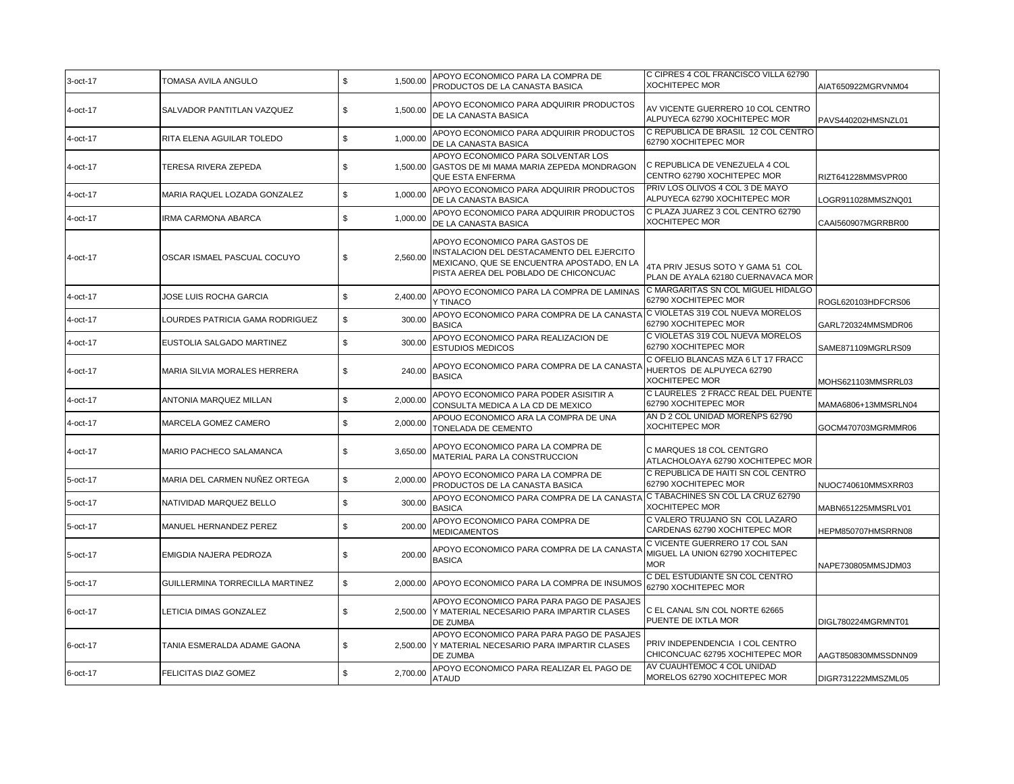| 3-oct-17 | TOMASA AVILA ANGULO             | \$<br>1,500.00 | APOYO ECONOMICO PARA LA COMPRA DE<br>PRODUCTOS DE LA CANASTA BASICA                                                                                                | C CIPRES 4 COL FRANCISCO VILLA 62790<br><b>XOCHITEPEC MOR</b>                            | AIAT650922MGRVNM04  |
|----------|---------------------------------|----------------|--------------------------------------------------------------------------------------------------------------------------------------------------------------------|------------------------------------------------------------------------------------------|---------------------|
| 4-oct-17 | SALVADOR PANTITLAN VAZQUEZ      | \$<br>1,500.00 | APOYO ECONOMICO PARA ADQUIRIR PRODUCTOS<br>DE LA CANASTA BASICA                                                                                                    | AV VICENTE GUERRERO 10 COL CENTRO<br>ALPUYECA 62790 XOCHITEPEC MOR                       | PAVS440202HMSNZL01  |
| 4-oct-17 | RITA ELENA AGUILAR TOLEDO       | \$<br>1.000.00 | APOYO ECONOMICO PARA ADQUIRIR PRODUCTOS<br>DE LA CANASTA BASICA                                                                                                    | C REPUBLICA DE BRASIL 12 COL CENTRO<br>62790 XOCHITEPEC MOR                              |                     |
| 4-oct-17 | TERESA RIVERA ZEPEDA            | \$<br>1.500.00 | APOYO ECONOMICO PARA SOLVENTAR LOS<br>GASTOS DE MI MAMA MARIA ZEPEDA MONDRAGON<br>QUE ESTA ENFERMA                                                                 | C REPUBLICA DE VENEZUELA 4 COL<br>CENTRO 62790 XOCHITEPEC MOR                            | RIZT641228MMSVPR00  |
| 4-oct-17 | MARIA RAQUEL LOZADA GONZALEZ    | \$<br>1,000.00 | APOYO ECONOMICO PARA ADQUIRIR PRODUCTOS<br>DE LA CANASTA BASICA                                                                                                    | PRIV LOS OLIVOS 4 COL 3 DE MAYO<br>ALPUYECA 62790 XOCHITEPEC MOR                         | OGR911028MMSZNQ01   |
| 4-oct-17 | <b>IRMA CARMONA ABARCA</b>      | \$<br>1,000.00 | APOYO ECONOMICO PARA ADQUIRIR PRODUCTOS<br>DE LA CANASTA BASICA                                                                                                    | C PLAZA JUAREZ 3 COL CENTRO 62790<br><b>XOCHITEPEC MOR</b>                               | CAAI560907MGRRBR00  |
| 4-oct-17 | OSCAR ISMAEL PASCUAL COCUYO     | \$<br>2.560.00 | APOYO ECONOMICO PARA GASTOS DE<br>INSTALACION DEL DESTACAMENTO DEL EJERCITO<br>MEXICANO, QUE SE ENCUENTRA APOSTADO, EN LA<br>PISTA AEREA DEL POBLADO DE CHICONCUAC | 4TA PRIV JESUS SOTO Y GAMA 51 COL<br>PLAN DE AYALA 62180 CUERNAVACA MOR                  |                     |
| 4-oct-17 | JOSE LUIS ROCHA GARCIA          | \$<br>2,400.00 | APOYO ECONOMICO PARA LA COMPRA DE LAMINAS<br>Y TINACO                                                                                                              | C MARGARITAS SN COL MIGUEL HIDALGO<br>62790 XOCHITEPEC MOR                               | ROGL620103HDFCRS06  |
| 4-oct-17 | LOURDES PATRICIA GAMA RODRIGUEZ | \$<br>300.00   | APOYO ECONOMICO PARA COMPRA DE LA CANASTA<br><b>BASICA</b>                                                                                                         | C VIOLETAS 319 COL NUEVA MORELOS<br>62790 XOCHITEPEC MOR                                 | GARL720324MMSMDR06  |
| 4-oct-17 | EUSTOLIA SALGADO MARTINEZ       | \$<br>300.00   | APOYO ECONOMICO PARA REALIZACION DE<br><b>ESTUDIOS MEDICOS</b>                                                                                                     | C VIOLETAS 319 COL NUEVA MORELOS<br>62790 XOCHITEPEC MOR                                 | SAME871109MGRLRS09  |
| 4-oct-17 | MARIA SILVIA MORALES HERRERA    | \$<br>240.00   | APOYO ECONOMICO PARA COMPRA DE LA CANASTA<br><b>BASICA</b>                                                                                                         | C OFELIO BLANCAS MZA 6 LT 17 FRACC<br>HUERTOS DE ALPUYECA 62790<br><b>XOCHITEPEC MOR</b> | MOHS621103MMSRRL03  |
| 4-oct-17 | ANTONIA MARQUEZ MILLAN          | \$<br>2,000.00 | APOYO ECONOMICO PARA PODER ASISITIR A<br>CONSULTA MEDICA A LA CD DE MEXICO                                                                                         | C LAURELES 2 FRACC REAL DEL PUENTE<br>62790 XOCHITEPEC MOR                               | MAMA6806+13MMSRLN04 |
| 4-oct-17 | MARCELA GOMEZ CAMERO            | \$<br>2,000.00 | APOUO ECONOMICO ARA LA COMPRA DE UNA<br>TONELADA DE CEMENTO                                                                                                        | AN D 2 COL UNIDAD MOREÑPS 62790<br><b>XOCHITEPEC MOR</b>                                 | GOCM470703MGRMMR06  |
| 4-oct-17 | MARIO PACHECO SALAMANCA         | \$<br>3,650.00 | APOYO ECONOMICO PARA LA COMPRA DE<br>MATERIAL PARA LA CONSTRUCCION                                                                                                 | C MARQUES 18 COL CENTGRO<br>ATLACHOLOAYA 62790 XOCHITEPEC MOR                            |                     |
| 5-oct-17 | MARIA DEL CARMEN NUÑEZ ORTEGA   | \$<br>2,000.00 | APOYO ECONOMICO PARA LA COMPRA DE<br>PRODUCTOS DE LA CANASTA BASICA                                                                                                | C REPUBLICA DE HAITI SN COL CENTRO<br>62790 XOCHITEPEC MOR                               | NUOC740610MMSXRR03  |
| 5-oct-17 | NATIVIDAD MARQUEZ BELLO         | \$<br>300.00   | APOYO ECONOMICO PARA COMPRA DE LA CANASTA C TABACHINES SN COL LA CRUZ 62790<br><b>BASICA</b>                                                                       | <b>XOCHITEPEC MOR</b>                                                                    | MABN651225MMSRLV01  |
| 5-oct-17 | MANUEL HERNANDEZ PEREZ          | \$<br>200.00   | APOYO ECONOMICO PARA COMPRA DE<br><b>MEDICAMENTOS</b>                                                                                                              | C VALERO TRUJANO SN COL LAZARO<br>CARDENAS 62790 XOCHITEPEC MOR                          | HEPM850707HMSRRN08  |
| 5-oct-17 | EMIGDIA NAJERA PEDROZA          | \$<br>200.00   | APOYO ECONOMICO PARA COMPRA DE LA CANASTA<br><b>BASICA</b>                                                                                                         | C VICENTE GUERRERO 17 COL SAN<br>MIGUEL LA UNION 62790 XOCHITEPEC<br><b>MOR</b>          | NAPE730805MMSJDM03  |
| 5-oct-17 | GUILLERMINA TORRECILLA MARTINEZ | \$<br>2.000.00 | APOYO ECONOMICO PARA LA COMPRA DE INSUMOS                                                                                                                          | C DEL ESTUDIANTE SN COL CENTRO<br>62790 XOCHITEPEC MOR                                   |                     |
| 6-oct-17 | <b>LETICIA DIMAS GONZALEZ</b>   | \$             | APOYO ECONOMICO PARA PARA PAGO DE PASAJES<br>2,500.00 Y MATERIAL NECESARIO PARA IMPARTIR CLASES<br>DE ZUMBA                                                        | C EL CANAL S/N COL NORTE 62665<br>PUENTE DE IXTLA MOR                                    | DIGL780224MGRMNT01  |
| 6-oct-17 | TANIA ESMERALDA ADAME GAONA     | \$<br>2,500.00 | APOYO ECONOMICO PARA PARA PAGO DE PASAJES<br>Y MATERIAL NECESARIO PARA IMPARTIR CLASES<br>DE ZUMBA                                                                 | PRIV INDEPENDENCIA I COL CENTRO<br>CHICONCUAC 62795 XOCHITEPEC MOR                       | AAGT850830MMSSDNN09 |
| 6-oct-17 | FELICITAS DIAZ GOMEZ            | \$<br>2.700.00 | APOYO ECONOMICO PARA REALIZAR EL PAGO DE<br><b>ATAUD</b>                                                                                                           | AV CUAUHTEMOC 4 COL UNIDAD<br>MORELOS 62790 XOCHITEPEC MOR                               | DIGR731222MMSZML05  |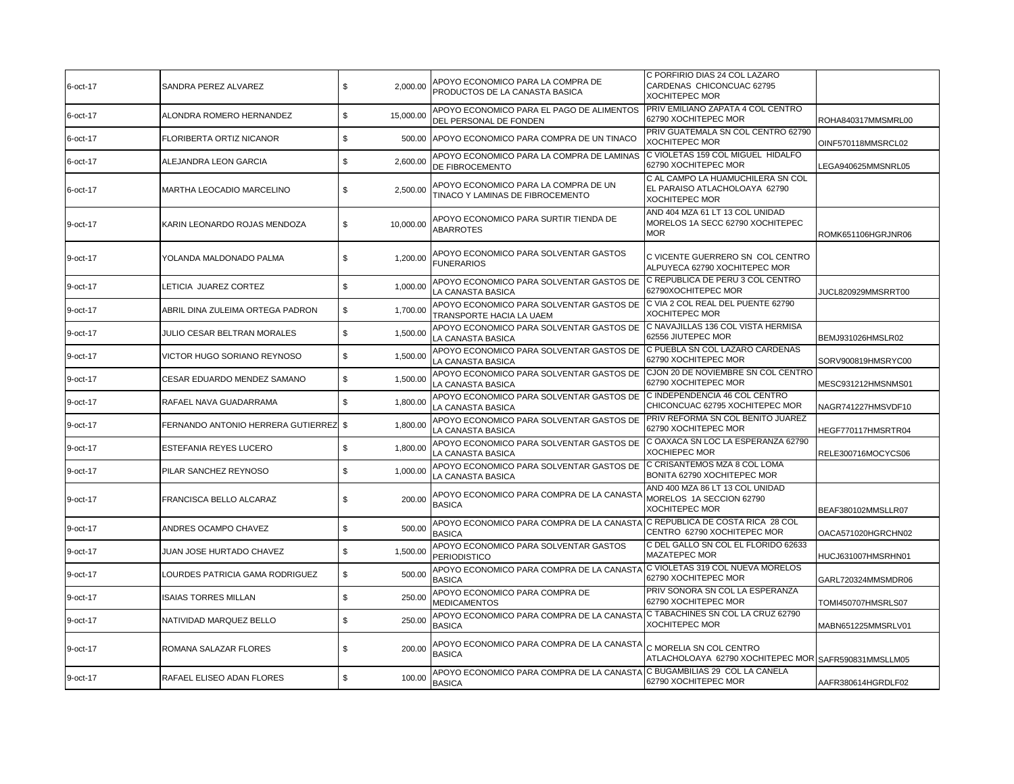| 6-oct-17 | SANDRA PEREZ ALVAREZ               | \$<br>2,000.00  | APOYO ECONOMICO PARA LA COMPRA DE<br>PRODUCTOS DE LA CANASTA BASICA      | C PORFIRIO DIAS 24 COL LAZARO<br>CARDENAS CHICONCUAC 62795<br><b>XOCHITEPEC MOR</b>         |                    |
|----------|------------------------------------|-----------------|--------------------------------------------------------------------------|---------------------------------------------------------------------------------------------|--------------------|
| 6-oct-17 | ALONDRA ROMERO HERNANDEZ           | \$<br>15,000.00 | APOYO ECONOMICO PARA EL PAGO DE ALIMENTOS<br>DEL PERSONAL DE FONDEN      | PRIV EMILIANO ZAPATA 4 COL CENTRO<br>62790 XOCHITEPEC MOR                                   | ROHA840317MMSMRL00 |
| 6-oct-17 | FLORIBERTA ORTIZ NICANOR           | \$<br>500.00    | APOYO ECONOMICO PARA COMPRA DE UN TINACO                                 | PRIV GUATEMALA SN COL CENTRO 62790<br><b>XOCHITEPEC MOR</b>                                 | OINF570118MMSRCL02 |
| 6-oct-17 | ALEJANDRA LEON GARCIA              | \$<br>2,600.00  | APOYO ECONOMICO PARA LA COMPRA DE LAMINAS<br>DE FIBROCEMENTO             | C VIOLETAS 159 COL MIGUEL HIDALFO<br>62790 XOCHITEPEC MOR                                   | LEGA940625MMSNRL05 |
| 6-oct-17 | <b>MARTHA LEOCADIO MARCELINO</b>   | \$<br>2.500.00  | APOYO ECONOMICO PARA LA COMPRA DE UN<br>TINACO Y LAMINAS DE FIBROCEMENTO | C AL CAMPO LA HUAMUCHILERA SN COL<br>EL PARAISO ATLACHOLOAYA 62790<br><b>XOCHITEPEC MOR</b> |                    |
| 9-oct-17 | KARIN LEONARDO ROJAS MENDOZA       | \$<br>10,000.00 | APOYO ECONOMICO PARA SURTIR TIENDA DE<br><b>ABARROTES</b>                | AND 404 MZA 61 LT 13 COL UNIDAD<br>MORELOS 1A SECC 62790 XOCHITEPEC<br><b>MOR</b>           | ROMK651106HGRJNR06 |
| 9-oct-17 | YOLANDA MALDONADO PALMA            | \$<br>1,200.00  | APOYO ECONOMICO PARA SOLVENTAR GASTOS<br><b>FUNERARIOS</b>               | C VICENTE GUERRERO SN COL CENTRO<br>ALPUYECA 62790 XOCHITEPEC MOR                           |                    |
| 9-oct-17 | LETICIA JUAREZ CORTEZ              | \$<br>1.000.00  | APOYO ECONOMICO PARA SOLVENTAR GASTOS DE<br>LA CANASTA BASICA            | C REPUBLICA DE PERU 3 COL CENTRO<br>62790XOCHITEPEC MOR                                     | JUCL820929MMSRRT00 |
| 9-oct-17 | ABRIL DINA ZULEIMA ORTEGA PADRON   | \$<br>1,700.00  | APOYO ECONOMICO PARA SOLVENTAR GASTOS DE<br>TRANSPORTE HACIA LA UAEM     | C VIA 2 COL REAL DEL PUENTE 62790<br><b>XOCHITEPEC MOR</b>                                  |                    |
| 9-oct-17 | JULIO CESAR BELTRAN MORALES        | \$<br>1,500.00  | APOYO ECONOMICO PARA SOLVENTAR GASTOS DE<br>LA CANASTA BASICA            | C NAVAJILLAS 136 COL VISTA HERMISA<br>62556 JIUTEPEC MOR                                    | BEMJ931026HMSLR02  |
| 9-oct-17 | <b>VICTOR HUGO SORIANO REYNOSO</b> | \$<br>1,500.00  | APOYO ECONOMICO PARA SOLVENTAR GASTOS DE<br>LA CANASTA BASICA            | C PUEBLA SN COL LAZARO CARDENAS<br>62790 XOCHITEPEC MOR                                     | SORV900819HMSRYC00 |
| 9-oct-17 | CESAR EDUARDO MENDEZ SAMANO        | \$<br>1,500.00  | APOYO ECONOMICO PARA SOLVENTAR GASTOS DE<br>LA CANASTA BASICA            | CJON 20 DE NOVIEMBRE SN COL CENTRO<br>62790 XOCHITEPEC MOR                                  | MESC931212HMSNMS01 |
| 9-oct-17 | RAFAEL NAVA GUADARRAMA             | \$<br>1,800.00  | APOYO ECONOMICO PARA SOLVENTAR GASTOS DE<br>LA CANASTA BASICA            | C INDEPENDENCIA 46 COL CENTRO<br>CHICONCUAC 62795 XOCHITEPEC MOR                            | NAGR741227HMSVDF10 |
| 9-oct-17 | FERNANDO ANTONIO HERRERA GUTIERREZ | \$<br>1,800.00  | APOYO ECONOMICO PARA SOLVENTAR GASTOS DE<br>LA CANASTA BASICA            | PRIV REFORMA SN COL BENITO JUAREZ<br>62790 XOCHITEPEC MOR                                   | HEGF770117HMSRTR04 |
| 9-oct-17 | <b>ESTEFANIA REYES LUCERO</b>      | \$<br>1,800.00  | APOYO ECONOMICO PARA SOLVENTAR GASTOS DE<br>LA CANASTA BASICA            | C OAXACA SN LOC LA ESPERANZA 62790<br><b>XOCHIEPEC MOR</b>                                  | RELE300716MOCYCS06 |
| 9-oct-17 | PILAR SANCHEZ REYNOSO              | \$<br>1,000.00  | APOYO ECONOMICO PARA SOLVENTAR GASTOS DE<br>LA CANASTA BASICA            | C CRISANTEMOS MZA 8 COL LOMA<br>BONITA 62790 XOCHITEPEC MOR                                 |                    |
| 9-oct-17 | FRANCISCA BELLO ALCARAZ            | \$<br>200.00    | APOYO ECONOMICO PARA COMPRA DE LA CANASTA<br><b>BASICA</b>               | AND 400 MZA 86 LT 13 COL UNIDAD<br>MORELOS 1A SECCION 62790<br>XOCHITEPEC MOR               | BEAF380102MMSLLR07 |
| 9-oct-17 | ANDRES OCAMPO CHAVEZ               | \$<br>500.00    | APOYO ECONOMICO PARA COMPRA DE LA CANASTA<br><b>BASICA</b>               | C REPUBLICA DE COSTA RICA 28 COL<br>CENTRO 62790 XOCHITEPEC MOR                             | OACA571020HGRCHN02 |
| 9-oct-17 | JUAN JOSE HURTADO CHAVEZ           | \$<br>1.500.00  | APOYO ECONOMICO PARA SOLVENTAR GASTOS<br><b>PERIODISTICO</b>             | C DEL GALLO SN COL EL FLORIDO 62633<br>MAZATEPEC MOR                                        | HUCJ631007HMSRHN01 |
| 9-oct-17 | LOURDES PATRICIA GAMA RODRIGUEZ    | \$<br>500.00    | APOYO ECONOMICO PARA COMPRA DE LA CANASTA<br><b>BASICA</b>               | IC VIOLETAS 319 COL NUEVA MORELOS<br>62790 XOCHITEPEC MOR                                   | GARL720324MMSMDR06 |
| 9-oct-17 | <b>ISAIAS TORRES MILLAN</b>        | \$<br>250.00    | APOYO ECONOMICO PARA COMPRA DE<br><b>MEDICAMENTOS</b>                    | PRIV SONORA SN COL LA ESPERANZA<br>62790 XOCHITEPEC MOR                                     | TOMI450707HMSRLS07 |
| 9-oct-17 | NATIVIDAD MARQUEZ BELLO            | \$<br>250.00    | APOYO ECONOMICO PARA COMPRA DE LA CANASTA<br><b>BASICA</b>               | C TABACHINES SN COL LA CRUZ 62790<br><b>XOCHITEPEC MOR</b>                                  | MABN651225MMSRLV01 |
| 9-oct-17 | ROMANA SALAZAR FLORES              | 200.00<br>\$    | APOYO ECONOMICO PARA COMPRA DE LA CANASTA<br><b>BASICA</b>               | C MORELIA SN COL CENTRO<br>ATLACHOLOAYA 62790 XOCHITEPEC MOR SAFR590831MMSLLM05             |                    |
| 9-oct-17 | RAFAEL ELISEO ADAN FLORES          | \$<br>100.00    | APOYO ECONOMICO PARA COMPRA DE LA CANASTA<br><b>BASICA</b>               | C BUGAMBILIAS 29 COL LA CANELA<br>62790 XOCHITEPEC MOR                                      | AAFR380614HGRDLF02 |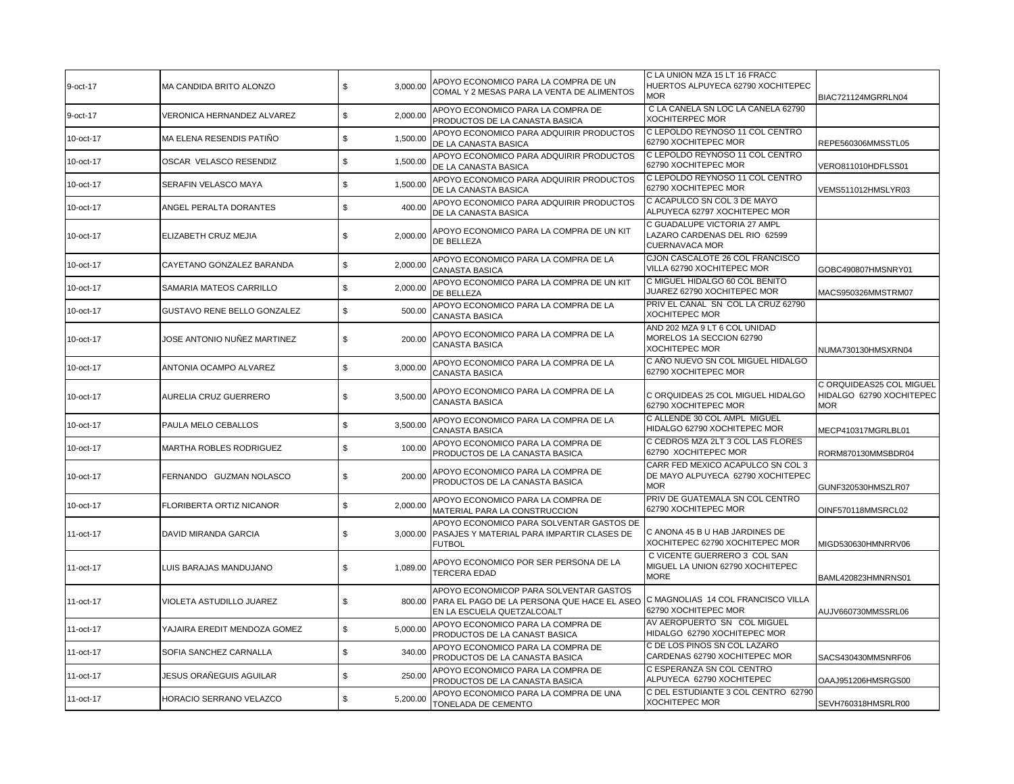| 9-oct-17  | MA CANDIDA BRITO ALONZO      | \$          | 3,000.00 | APOYO ECONOMICO PARA LA COMPRA DE UN<br>COMAL Y 2 MESAS PARA LA VENTA DE ALIMENTOS                                                                            | C LA UNION MZA 15 LT 16 FRACC<br>HUERTOS ALPUYECA 62790 XOCHITEPEC<br><b>MOR</b>       | BIAC721124MGRRLN04                                                 |
|-----------|------------------------------|-------------|----------|---------------------------------------------------------------------------------------------------------------------------------------------------------------|----------------------------------------------------------------------------------------|--------------------------------------------------------------------|
| 9-oct-17  | VERONICA HERNANDEZ ALVAREZ   | \$          | 2,000.00 | APOYO ECONOMICO PARA LA COMPRA DE<br>PRODUCTOS DE LA CANASTA BASICA                                                                                           | C LA CANELA SN LOC LA CANELA 62790<br><b>XOCHITERPEC MOR</b>                           |                                                                    |
| 10-oct-17 | MA ELENA RESENDIS PATIÑO     | \$          | 1,500.00 | APOYO ECONOMICO PARA ADQUIRIR PRODUCTOS<br>DE LA CANASTA BASICA                                                                                               | C LEPOLDO REYNOSO 11 COL CENTRO<br>62790 XOCHITEPEC MOR                                | REPE560306MMSSTL05                                                 |
| 10-oct-17 | OSCAR VELASCO RESENDIZ       | \$          | 1,500.00 | APOYO ECONOMICO PARA ADQUIRIR PRODUCTOS<br>DE LA CANASTA BASICA                                                                                               | C LEPOLDO REYNOSO 11 COL CENTRO<br>62790 XOCHITEPEC MOR                                | VERO811010HDFLSS01                                                 |
| 10-oct-17 | SERAFIN VELASCO MAYA         | \$          | 1,500.00 | APOYO ECONOMICO PARA ADQUIRIR PRODUCTOS<br>DE LA CANASTA BASICA                                                                                               | C LEPOLDO REYNOSO 11 COL CENTRO<br>62790 XOCHITEPEC MOR                                | VEMS511012HMSLYR03                                                 |
| 10-oct-17 | ANGEL PERALTA DORANTES       | \$          | 400.00   | APOYO ECONOMICO PARA ADQUIRIR PRODUCTOS<br>DE LA CANASTA BASICA                                                                                               | C ACAPULCO SN COL 3 DE MAYO<br>ALPUYECA 62797 XOCHITEPEC MOR                           |                                                                    |
| 10-oct-17 | ELIZABETH CRUZ MEJIA         | \$          | 2,000.00 | APOYO ECONOMICO PARA LA COMPRA DE UN KIT<br>DE BELLEZA                                                                                                        | C GUADALUPE VICTORIA 27 AMPL<br>LAZARO CARDENAS DEL RIO 62599<br><b>CUERNAVACA MOR</b> |                                                                    |
| 10-oct-17 | CAYETANO GONZALEZ BARANDA    | \$          | 2,000.00 | APOYO ECONOMICO PARA LA COMPRA DE LA<br><b>CANASTA BASICA</b>                                                                                                 | CJON CASCALOTE 26 COL FRANCISCO<br>VILLA 62790 XOCHITEPEC MOR                          | GOBC490807HMSNRY01                                                 |
| 10-oct-17 | SAMARIA MATEOS CARRILLO      | \$          | 2,000.00 | APOYO ECONOMICO PARA LA COMPRA DE UN KIT<br>DE BELLEZA                                                                                                        | C MIGUEL HIDALGO 60 COL BENITO<br>JUAREZ 62790 XOCHITEPEC MOR                          | MACS950326MMSTRM07                                                 |
| 10-oct-17 | GUSTAVO RENE BELLO GONZALEZ  | \$          | 500.00   | APOYO ECONOMICO PARA LA COMPRA DE LA<br>CANASTA BASICA                                                                                                        | PRIV EL CANAL SN COL LA CRUZ 62790<br><b>XOCHITEPEC MOR</b>                            |                                                                    |
| 10-oct-17 | JOSE ANTONIO NUÑEZ MARTINEZ  | \$          | 200.00   | APOYO ECONOMICO PARA LA COMPRA DE LA<br>CANASTA BASICA                                                                                                        | AND 202 MZA 9 LT 6 COL UNIDAD<br>MORELOS 1A SECCION 62790<br><b>XOCHITEPEC MOR</b>     | NUMA730130HMSXRN04                                                 |
| 10-oct-17 | ANTONIA OCAMPO ALVAREZ       | \$          | 3,000.00 | APOYO ECONOMICO PARA LA COMPRA DE LA<br><b>CANASTA BASICA</b>                                                                                                 | C AÑO NUEVO SN COL MIGUEL HIDALGO<br>62790 XOCHITEPEC MOR                              |                                                                    |
| 10-oct-17 | AURELIA CRUZ GUERRERO        | \$          | 3,500.00 | APOYO ECONOMICO PARA LA COMPRA DE LA<br><b>CANASTA BASICA</b>                                                                                                 | C ORQUIDEAS 25 COL MIGUEL HIDALGO<br>62790 XOCHITEPEC MOR                              | C ORQUIDEAS25 COL MIGUEL<br>HIDALGO 62790 XOCHITEPEC<br><b>MOR</b> |
| 10-oct-17 | PAULA MELO CEBALLOS          | \$          | 3,500.00 | APOYO ECONOMICO PARA LA COMPRA DE LA<br><b>CANASTA BASICA</b>                                                                                                 | C ALLENDE 30 COL AMPL MIGUEL<br>HIDALGO 62790 XOCHITEPEC MOR                           | MECP410317MGRLBL01                                                 |
| 10-oct-17 | MARTHA ROBLES RODRIGUEZ      | $\mathbb S$ | 100.00   | APOYO ECONOMICO PARA LA COMPRA DE<br>PRODUCTOS DE LA CANASTA BASICA                                                                                           | C CEDROS MZA 2LT 3 COL LAS FLORES<br>62790 XOCHITEPEC MOR                              | RORM870130MMSBDR04                                                 |
| 10-oct-17 | FERNANDO GUZMAN NOLASCO      | \$          | 200.00   | APOYO ECONOMICO PARA LA COMPRA DE<br>PRODUCTOS DE LA CANASTA BASICA                                                                                           | CARR FED MEXICO ACAPULCO SN COL 3<br>DE MAYO ALPUYECA 62790 XOCHITEPEC<br><b>MOR</b>   | GUNF320530HMSZLR07                                                 |
| 10-oct-17 | FLORIBERTA ORTIZ NICANOR     | \$          | 2,000.00 | APOYO ECONOMICO PARA LA COMPRA DE<br>MATERIAL PARA LA CONSTRUCCION                                                                                            | PRIV DE GUATEMALA SN COL CENTRO<br>62790 XOCHITEPEC MOR                                | OINF570118MMSRCL02                                                 |
| 11-oct-17 | DAVID MIRANDA GARCIA         | \$          | 3,000.00 | APOYO ECONOMICO PARA SOLVENTAR GASTOS DE<br>PASAJES Y MATERIAL PARA IMPARTIR CLASES DE<br><b>FUTBOL</b>                                                       | C ANONA 45 B U HAB JARDINES DE<br>XOCHITEPEC 62790 XOCHITEPEC MOR                      | MIGD530630HMNRRV06                                                 |
| 11-oct-17 | LUIS BARAJAS MANDUJANO       | \$          | 1,089.00 | APOYO ECONOMICO POR SER PERSONA DE LA<br><b>TERCERA EDAD</b>                                                                                                  | C VICENTE GUERRERO 3 COL SAN<br>MIGUEL LA UNION 62790 XOCHITEPEC<br><b>MORE</b>        | BAML420823HMNRNS01                                                 |
| 11-oct-17 | VIOLETA ASTUDILLO JUAREZ     | \$          |          | APOYO ECONOMICOP PARA SOLVENTAR GASTOS<br>800.00 PARA EL PAGO DE LA PERSONA QUE HACE EL ASEO C MAGNOLIAS 14 COL FRANCISCO VILLA<br>EN LA ESCUELA QUETZALCOALT | 62790 XOCHITEPEC MOR                                                                   | AUJV660730MMSSRL06                                                 |
| 11-oct-17 | YAJAIRA EREDIT MENDOZA GOMEZ | \$          | 5,000.00 | APOYO ECONOMICO PARA LA COMPRA DE<br>PRODUCTOS DE LA CANAST BASICA                                                                                            | AV AEROPUERTO SN COL MIGUEL<br>HIDALGO 62790 XOCHITEPEC MOR                            |                                                                    |
| 11-oct-17 | SOFIA SANCHEZ CARNALLA       | \$          | 340.00   | APOYO ECONOMICO PARA LA COMPRA DE<br>PRODUCTOS DE LA CANASTA BASICA                                                                                           | C DE LOS PINOS SN COL LAZARO<br>CARDENAS 62790 XOCHITEPEC MOR                          | SACS430430MMSNRF06                                                 |
| 11-oct-17 | JESUS ORAÑEGUIS AGUILAR      | \$          | 250.00   | APOYO ECONOMICO PARA LA COMPRA DE<br>PRODUCTOS DE LA CANASTA BASICA                                                                                           | C ESPERANZA SN COL CENTRO<br>ALPUYECA 62790 XOCHITEPEC                                 | OAAJ951206HMSRGS00                                                 |
| 11-oct-17 | HORACIO SERRANO VELAZCO      | \$          | 5,200.00 | APOYO ECONOMICO PARA LA COMPRA DE UNA<br>TONELADA DE CEMENTO                                                                                                  | C DEL ESTUDIANTE 3 COL CENTRO 62790<br><b>XOCHITEPEC MOR</b>                           | SEVH760318HMSRLR00                                                 |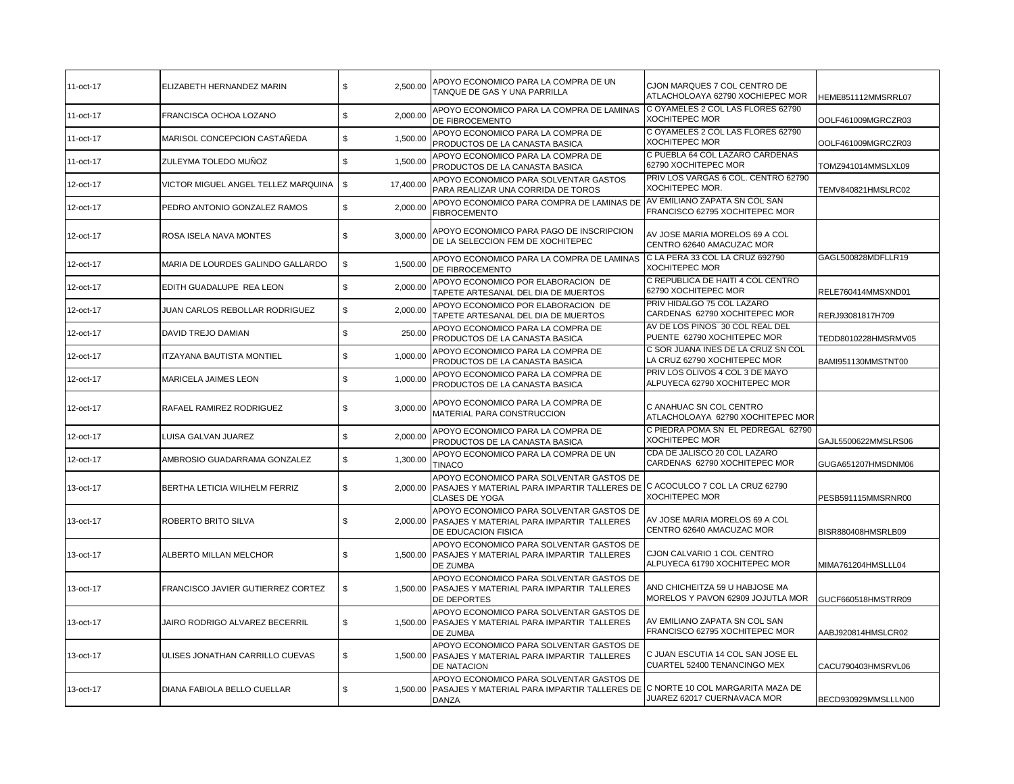| 11-oct-17 | ELIZABETH HERNANDEZ MARIN           | \$<br>2,500.00           | APOYO ECONOMICO PARA LA COMPRA DE UN<br>TANQUE DE GAS Y UNA PARRILLA                                                                             | CJON MARQUES 7 COL CENTRO DE<br>ATLACHOLOAYA 62790 XOCHIEPEC MOR    | HEME851112MMSRRL07  |
|-----------|-------------------------------------|--------------------------|--------------------------------------------------------------------------------------------------------------------------------------------------|---------------------------------------------------------------------|---------------------|
| 11-oct-17 | FRANCISCA OCHOA LOZANO              | \$<br>2,000.00           | APOYO ECONOMICO PARA LA COMPRA DE LAMINAS<br>DE FIBROCEMENTO                                                                                     | C OYAMELES 2 COL LAS FLORES 62790<br><b>XOCHITEPEC MOR</b>          | OOLF461009MGRCZR03  |
| 11-oct-17 | MARISOL CONCEPCION CASTAÑEDA        | \$<br>1,500.00           | APOYO ECONOMICO PARA LA COMPRA DE<br>PRODUCTOS DE LA CANASTA BASICA                                                                              | C OYAMELES 2 COL LAS FLORES 62790<br><b>XOCHITEPEC MOR</b>          | OOLF461009MGRCZR03  |
| 11-oct-17 | ZULEYMA TOLEDO MUÑOZ                | \$<br>1,500.00           | APOYO ECONOMICO PARA LA COMPRA DE<br>PRODUCTOS DE LA CANASTA BASICA                                                                              | C PUEBLA 64 COL LAZARO CARDENAS<br>62790 XOCHITEPEC MOR             | TOMZ941014MMSLXL09  |
| 12-oct-17 | VICTOR MIGUEL ANGEL TELLEZ MARQUINA | $\mathbb S$<br>17,400.00 | APOYO ECONOMICO PARA SOLVENTAR GASTOS<br>PARA REALIZAR UNA CORRIDA DE TOROS                                                                      | PRIV LOS VARGAS 6 COL. CENTRO 62790<br><b>XOCHITEPEC MOR.</b>       | TEMV840821HMSLRC02  |
| 12-oct-17 | PEDRO ANTONIO GONZALEZ RAMOS        | \$<br>2,000.00           | APOYO ECONOMICO PARA COMPRA DE LAMINAS DE<br><b>FIBROCEMENTO</b>                                                                                 | AV EMILIANO ZAPATA SN COL SAN<br>FRANCISCO 62795 XOCHITEPEC MOR     |                     |
| 12-oct-17 | ROSA ISELA NAVA MONTES              | \$<br>3,000.00           | APOYO ECONOMICO PARA PAGO DE INSCRIPCION<br>DE LA SELECCION FEM DE XOCHITEPEC                                                                    | AV JOSE MARIA MORELOS 69 A COL<br>CENTRO 62640 AMACUZAC MOR         |                     |
| 12-oct-17 | MARIA DE LOURDES GALINDO GALLARDO   | \$<br>1,500.00           | APOYO ECONOMICO PARA LA COMPRA DE LAMINAS<br>DE FIBROCEMENTO                                                                                     | C LA PERA 33 COL LA CRUZ 692790<br><b>XOCHITEPEC MOR</b>            | GAGL500828MDFLLR19  |
| 12-oct-17 | EDITH GUADALUPE REA LEON            | \$<br>2,000.00           | APOYO ECONOMICO POR ELABORACION DE<br>TAPETE ARTESANAL DEL DIA DE MUERTOS                                                                        | C REPUBLICA DE HAITI 4 COL CENTRO<br>62790 XOCHITEPEC MOR           | RELE760414MMSXND01  |
| 12-oct-17 | JUAN CARLOS REBOLLAR RODRIGUEZ      | \$<br>2,000.00           | APOYO ECONOMICO POR ELABORACION DE<br>TAPETE ARTESANAL DEL DIA DE MUERTOS                                                                        | PRIV HIDALGO 75 COL LAZARO<br>CARDENAS 62790 XOCHITEPEC MOR         | RERJ93081817H709    |
| 12-oct-17 | DAVID TREJO DAMIAN                  | \$<br>250.00             | APOYO ECONOMICO PARA LA COMPRA DE<br>PRODUCTOS DE LA CANASTA BASICA                                                                              | AV DE LOS PINOS 30 COL REAL DEL<br>PUENTE 62790 XOCHITEPEC MOR      | TEDD8010228HMSRMV05 |
| 12-oct-17 | ITZAYANA BAUTISTA MONTIEL           | \$<br>1,000.00           | APOYO ECONOMICO PARA LA COMPRA DE<br>PRODUCTOS DE LA CANASTA BASICA                                                                              | C SOR JUANA INES DE LA CRUZ SN COL<br>LA CRUZ 62790 XOCHITEPEC MOR  | BAMI951130MMSTNT00  |
| 12-oct-17 | MARICELA JAIMES LEON                | $\mathbb S$<br>1,000.00  | APOYO ECONOMICO PARA LA COMPRA DE<br>PRODUCTOS DE LA CANASTA BASICA                                                                              | PRIV LOS OLIVOS 4 COL 3 DE MAYO<br>ALPUYECA 62790 XOCHITEPEC MOR    |                     |
| 12-oct-17 | RAFAEL RAMIREZ RODRIGUEZ            | 3,000.00<br>\$           | APOYO ECONOMICO PARA LA COMPRA DE<br>MATERIAL PARA CONSTRUCCION                                                                                  | C ANAHUAC SN COL CENTRO<br>ATLACHOLOAYA 62790 XOCHITEPEC MOR        |                     |
| 12-oct-17 | LUISA GALVAN JUAREZ                 | \$<br>2,000.00           | APOYO ECONOMICO PARA LA COMPRA DE<br>PRODUCTOS DE LA CANASTA BASICA                                                                              | C PIEDRA POMA SN EL PEDREGAL 62790<br><b>XOCHITEPEC MOR</b>         | GAJL5500622MMSLRS06 |
| 12-oct-17 | AMBROSIO GUADARRAMA GONZALEZ        | \$<br>1,300.00           | APOYO ECONOMICO PARA LA COMPRA DE UN<br><b>TINACO</b>                                                                                            | CDA DE JALISCO 20 COL LAZARO<br>CARDENAS 62790 XOCHITEPEC MOR       | GUGA651207HMSDNM06  |
| 13-oct-17 | BERTHA LETICIA WILHELM FERRIZ       | \$<br>2.000.00           | APOYO ECONOMICO PARA SOLVENTAR GASTOS DE<br>PASAJES Y MATERIAL PARA IMPARTIR TALLERES DE C ACOCULCO 7 COL LA CRUZ 62790<br><b>CLASES DE YOGA</b> | <b>XOCHITEPEC MOR</b>                                               | PESB591115MMSRNR00  |
| 13-oct-17 | ROBERTO BRITO SILVA                 | \$<br>2,000.00           | APOYO ECONOMICO PARA SOLVENTAR GASTOS DE<br>PASAJES Y MATERIAL PARA IMPARTIR TALLERES<br>DE EDUCACION FISICA                                     | AV JOSE MARIA MORELOS 69 A COL<br>CENTRO 62640 AMACUZAC MOR         | BISR880408HMSRLB09  |
| 13-oct-17 | ALBERTO MILLAN MELCHOR              | \$<br>1,500.00           | APOYO ECONOMICO PARA SOLVENTAR GASTOS DE<br>PASAJES Y MATERIAL PARA IMPARTIR TALLERES<br>DE ZUMBA                                                | CJON CALVARIO 1 COL CENTRO<br>ALPUYECA 61790 XOCHITEPEC MOR         | MIMA761204HMSLLL04  |
| 13-oct-17 | FRANCISCO JAVIER GUTIERREZ CORTEZ   | \$<br>1,500.00           | APOYO ECONOMICO PARA SOLVENTAR GASTOS DE<br>PASAJES Y MATERIAL PARA IMPARTIR TALLERES<br>DE DEPORTES                                             | AND CHICHEITZA 59 U HABJOSE MA<br>MORELOS Y PAVON 62909 JOJUTLA MOR | GUCF660518HMSTRR09  |
| 13-oct-17 | JAIRO RODRIGO ALVAREZ BECERRIL      | \$<br>1,500.00           | APOYO ECONOMICO PARA SOLVENTAR GASTOS DE<br>PASAJES Y MATERIAL PARA IMPARTIR TALLERES<br>DE ZUMBA                                                | AV EMILIANO ZAPATA SN COL SAN<br>FRANCISCO 62795 XOCHITEPEC MOR     | AABJ920814HMSLCR02  |
| 13-oct-17 | ULISES JONATHAN CARRILLO CUEVAS     | \$<br>1,500.00           | APOYO ECONOMICO PARA SOLVENTAR GASTOS DE<br>PASAJES Y MATERIAL PARA IMPARTIR TALLERES<br>DE NATACION                                             | C JUAN ESCUTIA 14 COL SAN JOSE EL<br>CUARTEL 52400 TENANCINGO MEX   | CACU790403HMSRVL06  |
| 13-oct-17 | DIANA FABIOLA BELLO CUELLAR         | \$<br>1.500.00           | APOYO ECONOMICO PARA SOLVENTAR GASTOS DE<br>PASAJES Y MATERIAL PARA IMPARTIR TALLERES DE<br>DANZA                                                | C NORTE 10 COL MARGARITA MAZA DE<br>JUAREZ 62017 CUERNAVACA MOR     | BECD930929MMSLLLN00 |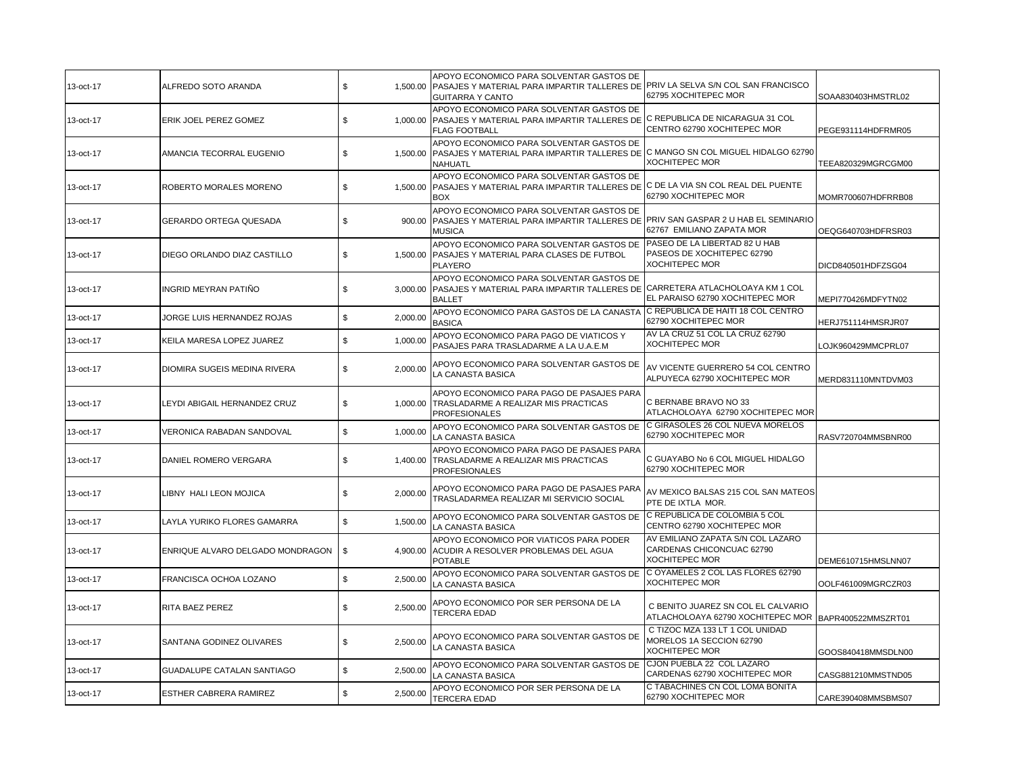| 13-oct-17 | ALFREDO SOTO ARANDA               | \$             | APOYO ECONOMICO PARA SOLVENTAR GASTOS DE<br>1,500.00   PASAJES Y MATERIAL PARA IMPARTIR TALLERES DE<br><b>GUITARRA Y CANTO</b>                 | PRIV LA SELVA S/N COL SAN FRANCISCO<br>62795 XOCHITEPEC MOR                                | SOAA830403HMSTRL02 |
|-----------|-----------------------------------|----------------|------------------------------------------------------------------------------------------------------------------------------------------------|--------------------------------------------------------------------------------------------|--------------------|
| 13-oct-17 | ERIK JOEL PEREZ GOMEZ             | \$             | APOYO ECONOMICO PARA SOLVENTAR GASTOS DE<br>1,000.00 PASAJES Y MATERIAL PARA IMPARTIR TALLERES DE<br><b>FLAG FOOTBALL</b>                      | C REPUBLICA DE NICARAGUA 31 COL<br>CENTRO 62790 XOCHITEPEC MOR                             | PEGE931114HDFRMR05 |
| 13-oct-17 | AMANCIA TECORRAL EUGENIO          | \$<br>1,500.00 | APOYO ECONOMICO PARA SOLVENTAR GASTOS DE<br>PASAJES Y MATERIAL PARA IMPARTIR TALLERES DE C MANGO SN COL MIGUEL HIDALGO 62790<br>NAHUATL        | <b>XOCHITEPEC MOR</b>                                                                      | TEEA820329MGRCGM00 |
| 13-oct-17 | ROBERTO MORALES MORENO            | \$<br>1,500.00 | APOYO ECONOMICO PARA SOLVENTAR GASTOS DE<br>PASAJES Y MATERIAL PARA IMPARTIR TALLERES DE C DE LA VIA SN COL REAL DEL PUENTE<br><b>BOX</b>      | 62790 XOCHITEPEC MOR                                                                       | MOMR700607HDFRRB08 |
| 13-oct-17 | GERARDO ORTEGA QUESADA            | \$<br>900.00   | APOYO ECONOMICO PARA SOLVENTAR GASTOS DE<br>PASAJES Y MATERIAL PARA IMPARTIR TALLERES DE PRIV SAN GASPAR 2 U HAB EL SEMINARIO<br><b>MUSICA</b> | 62767 EMILIANO ZAPATA MOR                                                                  | OEQG640703HDFRSR03 |
| 13-oct-17 | DIEGO ORLANDO DIAZ CASTILLO       | \$<br>1,500.00 | APOYO ECONOMICO PARA SOLVENTAR GASTOS DE<br>PASAJES Y MATERIAL PARA CLASES DE FUTBOL<br><b>PLAYERO</b>                                         | PASEO DE LA LIBERTAD 82 U HAB<br>PASEOS DE XOCHITEPEC 62790<br>XOCHITEPEC MOR              | DICD840501HDFZSG04 |
| 13-oct-17 | INGRID MEYRAN PATIÑO              | \$<br>3,000.00 | APOYO ECONOMICO PARA SOLVENTAR GASTOS DE<br>PASAJES Y MATERIAL PARA IMPARTIR TALLERES DE CARRETERA ATLACHOLOAYA KM 1 COL<br><b>BALLET</b>      | EL PARAISO 62790 XOCHITEPEC MOR                                                            | MEPI770426MDFYTN02 |
| 13-oct-17 | JORGE LUIS HERNANDEZ ROJAS        | \$<br>2,000.00 | APOYO ECONOMICO PARA GASTOS DE LA CANASTA<br><b>BASICA</b>                                                                                     | C REPUBLICA DE HAITI 18 COL CENTRO<br>62790 XOCHITEPEC MOR                                 | HERJ751114HMSRJR07 |
| 13-oct-17 | KEILA MARESA LOPEZ JUAREZ         | \$<br>1,000.00 | APOYO ECONOMICO PARA PAGO DE VIATICOS Y<br>PASAJES PARA TRASLADARME A LA U.A.E.M                                                               | AV LA CRUZ 51 COL LA CRUZ 62790<br>XOCHITEPEC MOR                                          | LOJK960429MMCPRL07 |
| 13-oct-17 | DIOMIRA SUGEIS MEDINA RIVERA      | \$<br>2,000.00 | APOYO ECONOMICO PARA SOLVENTAR GASTOS DE<br>LA CANASTA BASICA                                                                                  | AV VICENTE GUERRERO 54 COL CENTRO<br>ALPUYECA 62790 XOCHITEPEC MOR                         | MERD831110MNTDVM03 |
| 13-oct-17 | LEYDI ABIGAIL HERNANDEZ CRUZ      | \$<br>1.000.00 | APOYO ECONOMICO PARA PAGO DE PASAJES PARA<br>TRASLADARME A REALIZAR MIS PRACTICAS<br><b>PROFESIONALES</b>                                      | C BERNABE BRAVO NO 33<br>ATLACHOLOAYA 62790 XOCHITEPEC MOR                                 |                    |
| 13-oct-17 | VERONICA RABADAN SANDOVAL         | \$<br>1,000.00 | APOYO ECONOMICO PARA SOLVENTAR GASTOS DE<br>LA CANASTA BASICA                                                                                  | C GIRASOLES 26 COL NUEVA MORELOS<br>62790 XOCHITEPEC MOR                                   | RASV720704MMSBNR00 |
| 13-oct-17 | DANIEL ROMERO VERGARA             | \$<br>1,400.00 | APOYO ECONOMICO PARA PAGO DE PASAJES PARA<br>TRASLADARME A REALIZAR MIS PRACTICAS<br><b>PROFESIONALES</b>                                      | C GUAYABO No 6 COL MIGUEL HIDALGO<br>62790 XOCHITEPEC MOR                                  |                    |
| 13-oct-17 | LIBNY HALI LEON MOJICA            | \$<br>2,000.00 | APOYO ECONOMICO PARA PAGO DE PASAJES PARA<br>TRASLADARMEA REALIZAR MI SERVICIO SOCIAL                                                          | AV MEXICO BALSAS 215 COL SAN MATEOS<br>PTE DE IXTLA MOR.                                   |                    |
| 13-oct-17 | LAYLA YURIKO FLORES GAMARRA       | \$<br>1,500.00 | APOYO ECONOMICO PARA SOLVENTAR GASTOS DE<br>LA CANASTA BASICA                                                                                  | C REPUBLICA DE COLOMBIA 5 COL<br>CENTRO 62790 XOCHITEPEC MOR                               |                    |
| 13-oct-17 | ENRIQUE ALVARO DELGADO MONDRAGON  | \$             | APOYO ECONOMICO POR VIATICOS PARA PODER<br>4,900.00 ACUDIR A RESOLVER PROBLEMAS DEL AGUA<br><b>POTABLE</b>                                     | AV EMILIANO ZAPATA S/N COL LAZARO<br>CARDENAS CHICONCUAC 62790<br><b>XOCHITEPEC MOR</b>    | DEME610715HMSLNN07 |
| 13-oct-17 | FRANCISCA OCHOA LOZANO            | \$<br>2,500.00 | APOYO ECONOMICO PARA SOLVENTAR GASTOS DE<br>LA CANASTA BASICA                                                                                  | C OYAMELES 2 COL LAS FLORES 62790<br><b>XOCHITEPEC MOR</b>                                 | OOLF461009MGRCZR03 |
| 13-oct-17 | RITA BAEZ PEREZ                   | \$<br>2,500.00 | APOYO ECONOMICO POR SER PERSONA DE LA<br><b>TERCERA EDAD</b>                                                                                   | C BENITO JUAREZ SN COL EL CALVARIO<br>ATLACHOLOAYA 62790 XOCHITEPEC MOR BAPR400522MMSZRT01 |                    |
| 13-oct-17 | SANTANA GODINEZ OLIVARES          | \$<br>2,500.00 | APOYO ECONOMICO PARA SOLVENTAR GASTOS DE<br>LA CANASTA BASICA                                                                                  | C TIZOC MZA 133 LT 1 COL UNIDAD<br>MORELOS 1A SECCION 62790<br><b>XOCHITEPEC MOR</b>       | GOOS840418MMSDLN00 |
| 13-oct-17 | <b>GUADALUPE CATALAN SANTIAGO</b> | \$<br>2,500.00 | APOYO ECONOMICO PARA SOLVENTAR GASTOS DE<br>LA CANASTA BASICA                                                                                  | CJON PUEBLA 22 COL LAZARO<br>CARDENAS 62790 XOCHITEPEC MOR                                 | CASG881210MMSTND05 |
| 13-oct-17 | ESTHER CABRERA RAMIREZ            | \$<br>2,500.00 | APOYO ECONOMICO POR SER PERSONA DE LA<br><b>TERCERA EDAD</b>                                                                                   | C TABACHINES CN COL LOMA BONITA<br>62790 XOCHITEPEC MOR                                    | CARE390408MMSBMS07 |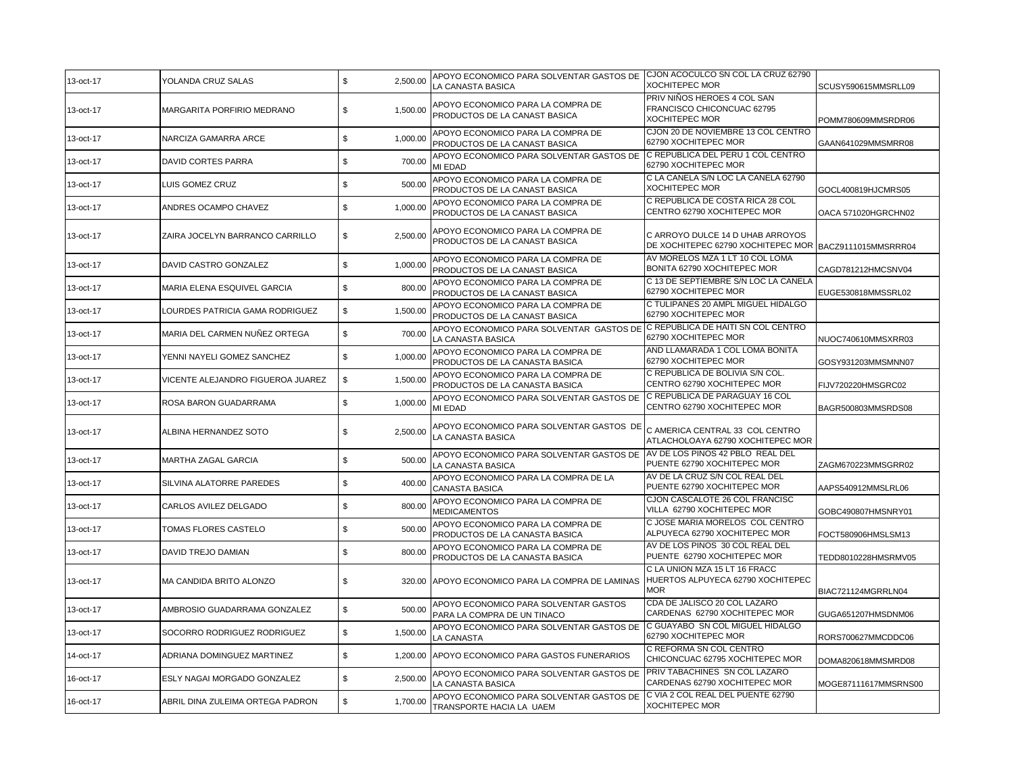| 13-oct-17 | YOLANDA CRUZ SALAS                | $\mathbb S$<br>2,500.00 | APOYO ECONOMICO PARA SOLVENTAR GASTOS DE<br>LA CANASTA BASICA                                    | CJON ACOCULCO SN COL LA CRUZ 62790<br><b>XOCHITEPEC MOR</b>                                | SCUSY590615MMSRLL09  |
|-----------|-----------------------------------|-------------------------|--------------------------------------------------------------------------------------------------|--------------------------------------------------------------------------------------------|----------------------|
| 13-oct-17 | MARGARITA PORFIRIO MEDRANO        | \$<br>1,500.00          | APOYO ECONOMICO PARA LA COMPRA DE<br>PRODUCTOS DE LA CANAST BASICA                               | PRIV NIÑOS HEROES 4 COL SAN<br>FRANCISCO CHICONCUAC 62795<br><b>XOCHITEPEC MOR</b>         | POMM780609MMSRDR06   |
| 13-oct-17 | NARCIZA GAMARRA ARCE              | 1,000.00<br>\$          | APOYO ECONOMICO PARA LA COMPRA DE<br>PRODUCTOS DE LA CANAST BASICA                               | CJON 20 DE NOVIEMBRE 13 COL CENTRO<br>62790 XOCHITEPEC MOR                                 | GAAN641029MMSMRR08   |
| 13-oct-17 | DAVID CORTES PARRA                | \$<br>700.00            | APOYO ECONOMICO PARA SOLVENTAR GASTOS DE<br>MI EDAD                                              | C REPUBLICA DEL PERU 1 COL CENTRO<br>62790 XOCHITEPEC MOR                                  |                      |
| 13-oct-17 | LUIS GOMEZ CRUZ                   | \$<br>500.00            | APOYO ECONOMICO PARA LA COMPRA DE<br>PRODUCTOS DE LA CANAST BASICA                               | C LA CANELA S/N LOC LA CANELA 62790<br><b>XOCHITEPEC MOR</b>                               | GOCL400819HJCMRS05   |
| 13-oct-17 | ANDRES OCAMPO CHAVEZ              | \$<br>1,000.00          | APOYO ECONOMICO PARA LA COMPRA DE<br>PRODUCTOS DE LA CANAST BASICA                               | C REPUBLICA DE COSTA RICA 28 COL<br>CENTRO 62790 XOCHITEPEC MOR                            | OACA 571020HGRCHN02  |
| 13-oct-17 | ZAIRA JOCELYN BARRANCO CARRILLO   | 2,500.00<br>\$          | APOYO ECONOMICO PARA LA COMPRA DE<br>PRODUCTOS DE LA CANAST BASICA                               | C ARROYO DULCE 14 D UHAB ARROYOS<br>DE XOCHITEPEC 62790 XOCHITEPEC MOR BACZ9111015MMSRRR04 |                      |
| 13-oct-17 | DAVID CASTRO GONZALEZ             | \$<br>1,000.00          | APOYO ECONOMICO PARA LA COMPRA DE<br>PRODUCTOS DE LA CANAST BASICA                               | AV MORELOS MZA 1 LT 10 COL LOMA<br>BONITA 62790 XOCHITEPEC MOR                             | CAGD781212HMCSNV04   |
| 13-oct-17 | MARIA ELENA ESQUIVEL GARCIA       | \$<br>800.00            | APOYO ECONOMICO PARA LA COMPRA DE<br>PRODUCTOS DE LA CANAST BASICA                               | C 13 DE SEPTIEMBRE S/N LOC LA CANELA<br>62790 XOCHITEPEC MOR                               | EUGE530818MMSSRL02   |
| 13-oct-17 | LOURDES PATRICIA GAMA RODRIGUEZ   | \$<br>1,500.00          | APOYO ECONOMICO PARA LA COMPRA DE<br>PRODUCTOS DE LA CANAST BASICA                               | C TULIPANES 20 AMPL MIGUEL HIDALGO<br>62790 XOCHITEPEC MOR                                 |                      |
| 13-oct-17 | MARIA DEL CARMEN NUÑEZ ORTEGA     | \$<br>700.00            | APOYO ECONOMICO PARA SOLVENTAR GASTOS DE C REPUBLICA DE HAITI SN COL CENTRO<br>LA CANASTA BASICA | 62790 XOCHITEPEC MOR                                                                       | NUOC740610MMSXRR03   |
| 13-oct-17 | YENNI NAYELI GOMEZ SANCHEZ        | \$<br>1,000.00          | APOYO ECONOMICO PARA LA COMPRA DE<br>PRODUCTOS DE LA CANASTA BASICA                              | AND LLAMARADA 1 COL LOMA BONITA<br>62790 XOCHITEPEC MOR                                    | GOSY931203MMSMNN07   |
| 13-oct-17 | VICENTE ALEJANDRO FIGUEROA JUAREZ | \$<br>1,500.00          | APOYO ECONOMICO PARA LA COMPRA DE<br>PRODUCTOS DE LA CANASTA BASICA                              | C REPUBLICA DE BOLIVIA S/N COL.<br>CENTRO 62790 XOCHITEPEC MOR                             | FIJV720220HMSGRC02   |
| 13-oct-17 | ROSA BARON GUADARRAMA             | \$<br>1,000.00          | APOYO ECONOMICO PARA SOLVENTAR GASTOS DE<br>MI EDAD                                              | C REPUBLICA DE PARAGUAY 16 COL<br>CENTRO 62790 XOCHITEPEC MOR                              | BAGR500803MMSRDS08   |
| 13-oct-17 | ALBINA HERNANDEZ SOTO             | \$<br>2,500.00          | APOYO ECONOMICO PARA SOLVENTAR GASTOS DE<br>LA CANASTA BASICA                                    | C AMERICA CENTRAL 33 COL CENTRO<br>ATLACHOLOAYA 62790 XOCHITEPEC MOR                       |                      |
| 13-oct-17 | MARTHA ZAGAL GARCIA               | $\mathbb S$<br>500.00   | APOYO ECONOMICO PARA SOLVENTAR GASTOS DE<br>LA CANASTA BASICA                                    | AV DE LOS PINOS 42 PBLO REAL DEL<br>PUENTE 62790 XOCHITEPEC MOR                            | ZAGM670223MMSGRR02   |
| 13-oct-17 | SILVINA ALATORRE PAREDES          | \$<br>400.00            | APOYO ECONOMICO PARA LA COMPRA DE LA<br>CANASTA BASICA                                           | AV DE LA CRUZ S/N COL REAL DEL<br>PUENTE 62790 XOCHITEPEC MOR                              | AAPS540912MMSLRL06   |
| 13-oct-17 | CARLOS AVILEZ DELGADO             | \$<br>800.00            | APOYO ECONOMICO PARA LA COMPRA DE<br>MEDICAMENTOS                                                | CJON CASCALOTE 26 COL FRANCISC<br>VILLA 62790 XOCHITEPEC MOR                               | GOBC490807HMSNRY01   |
| 13-oct-17 | TOMAS FLORES CASTELO              | \$<br>500.00            | APOYO ECONOMICO PARA LA COMPRA DE<br>PRODUCTOS DE LA CANASTA BASICA                              | C JOSE MARIA MORELOS COL CENTRO<br>ALPUYECA 62790 XOCHITEPEC MOR                           | FOCT580906HMSLSM13   |
| 13-oct-17 | DAVID TREJO DAMIAN                | \$<br>800.00            | APOYO ECONOMICO PARA LA COMPRA DE<br>PRODUCTOS DE LA CANASTA BASICA                              | AV DE LOS PINOS 30 COL REAL DEL<br>PUENTE 62790 XOCHITEPEC MOR                             | TEDD8010228HMSRMV05  |
| 13-oct-17 | MA CANDIDA BRITO ALONZO           | \$<br>320.00            | APOYO ECONOMICO PARA LA COMPRA DE LAMINAS                                                        | C LA UNION MZA 15 LT 16 FRACC<br>HUERTOS ALPUYECA 62790 XOCHITEPEC<br><b>MOR</b>           | BIAC721124MGRRLN04   |
| 13-oct-17 | AMBROSIO GUADARRAMA GONZALEZ      | \$<br>500.00            | APOYO ECONOMICO PARA SOLVENTAR GASTOS<br>PARA LA COMPRA DE UN TINACO                             | CDA DE JALISCO 20 COL LAZARO<br>CARDENAS 62790 XOCHITEPEC MOR                              | GUGA651207HMSDNM06   |
| 13-oct-17 | SOCORRO RODRIGUEZ RODRIGUEZ       | \$<br>1,500.00          | APOYO ECONOMICO PARA SOLVENTAR GASTOS DE<br>LA CANASTA                                           | C GUAYABO SN COL MIGUEL HIDALGO<br>62790 XOCHITEPEC MOR                                    | RORS700627MMCDDC06   |
| 14-oct-17 | ADRIANA DOMINGUEZ MARTINEZ        | \$                      | 1,200.00 APOYO ECONOMICO PARA GASTOS FUNERARIOS                                                  | C REFORMA SN COL CENTRO<br>CHICONCUAC 62795 XOCHITEPEC MOR                                 | DOMA820618MMSMRD08   |
| 16-oct-17 | ESLY NAGAI MORGADO GONZALEZ       | \$<br>2,500.00          | APOYO ECONOMICO PARA SOLVENTAR GASTOS DE<br>LA CANASTA BASICA                                    | PRIV TABACHINES SN COL LAZARO<br>CARDENAS 62790 XOCHITEPEC MOR                             | MOGE87111617MMSRNS00 |
| 16-oct-17 | ABRIL DINA ZULEIMA ORTEGA PADRON  | \$<br>1,700.00          | APOYO ECONOMICO PARA SOLVENTAR GASTOS DE<br>TRANSPORTE HACIA LA UAEM                             | C VIA 2 COL REAL DEL PUENTE 62790<br><b>XOCHITEPEC MOR</b>                                 |                      |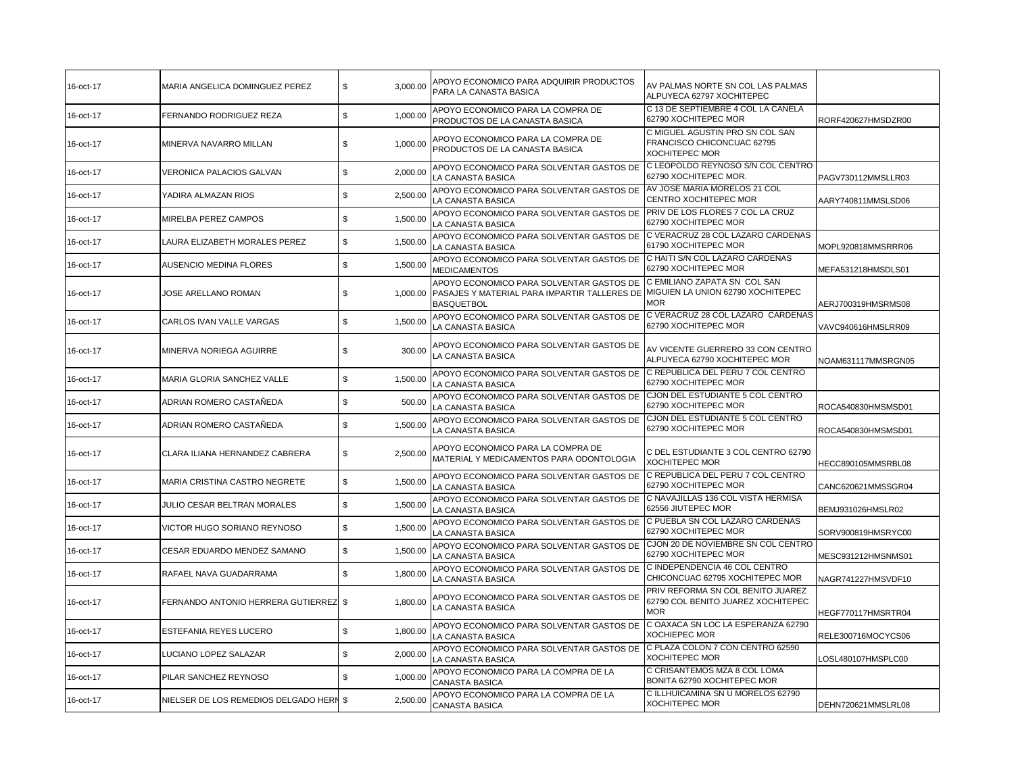| 16-oct-17 | MARIA ANGELICA DOMINGUEZ PEREZ          | \$<br>3,000.00            | APOYO ECONOMICO PARA ADQUIRIR PRODUCTOS<br>PARA LA CANASTA BASICA                                             | AV PALMAS NORTE SN COL LAS PALMAS<br>ALPUYECA 62797 XOCHITEPEC                        |                    |
|-----------|-----------------------------------------|---------------------------|---------------------------------------------------------------------------------------------------------------|---------------------------------------------------------------------------------------|--------------------|
| 16-oct-17 | FERNANDO RODRIGUEZ REZA                 | \$<br>1,000.00            | APOYO ECONOMICO PARA LA COMPRA DE<br>PRODUCTOS DE LA CANASTA BASICA                                           | C 13 DE SEPTIEMBRE 4 COL LA CANELA<br>62790 XOCHITEPEC MOR                            | RORF420627HMSDZR00 |
| 16-oct-17 | MINERVA NAVARRO MILLAN                  | 1,000.00<br>\$            | APOYO ECONOMICO PARA LA COMPRA DE<br>PRODUCTOS DE LA CANASTA BASICA                                           | C MIGUEL AGUSTIN PRO SN COL SAN<br>FRANCISCO CHICONCUAC 62795<br>XOCHITEPEC MOR       |                    |
| 16-oct-17 | VERONICA PALACIOS GALVAN                | \$<br>2,000.00            | APOYO ECONOMICO PARA SOLVENTAR GASTOS DE<br>LA CANASTA BASICA                                                 | IC LEOPOLDO REYNOSO S/N COL CENTRO<br>62790 XOCHITEPEC MOR.                           | PAGV730112MMSLLR03 |
| 16-oct-17 | YADIRA ALMAZAN RIOS                     | \$<br>2,500.00            | APOYO ECONOMICO PARA SOLVENTAR GASTOS DE<br>LA CANASTA BASICA                                                 | AV JOSE MARIA MORELOS 21 COL<br>CENTRO XOCHITEPEC MOR                                 | AARY740811MMSLSD06 |
| 16-oct-17 | MIRELBA PEREZ CAMPOS                    | \$<br>1,500.00            | APOYO ECONOMICO PARA SOLVENTAR GASTOS DE<br>LA CANASTA BASICA                                                 | PRIV DE LOS FLORES 7 COL LA CRUZ<br>62790 XOCHITEPEC MOR                              |                    |
| 16-oct-17 | LAURA ELIZABETH MORALES PEREZ           | \$<br>1,500.00            | APOYO ECONOMICO PARA SOLVENTAR GASTOS DE<br>LA CANASTA BASICA                                                 | C VERACRUZ 28 COL LAZARO CARDENAS<br>61790 XOCHITEPEC MOR                             | MOPL920818MMSRRR06 |
| 16-oct-17 | AUSENCIO MEDINA FLORES                  | 1,500.00<br>\$            | APOYO ECONOMICO PARA SOLVENTAR GASTOS DE<br>MEDICAMENTOS                                                      | C HAITI S/N COL LAZARO CARDENAS<br>62790 XOCHITEPEC MOR                               | MEFA531218HMSDLS01 |
| 16-oct-17 | JOSE ARELLANO ROMAN                     | \$<br>1,000.00            | APOYO ECONOMICO PARA SOLVENTAR GASTOS DE<br>PASAJES Y MATERIAL PARA IMPARTIR TALLERES DE<br><b>BASQUETBOL</b> | C EMILIANO ZAPATA SN COL SAN<br>MIGUIEN LA UNION 62790 XOCHITEPEC<br>MOR.             | AERJ700319HMSRMS08 |
| 16-oct-17 | CARLOS IVAN VALLE VARGAS                | \$<br>1.500.00            | APOYO ECONOMICO PARA SOLVENTAR GASTOS DE<br>LA CANASTA BASICA                                                 | C VERACRUZ 28 COL LAZARO CARDENAS<br>62790 XOCHITEPEC MOR                             | VAVC940616HMSLRR09 |
| 16-oct-17 | MINERVA NORIEGA AGUIRRE                 | \$<br>300.00              | APOYO ECONOMICO PARA SOLVENTAR GASTOS DE<br>LA CANASTA BASICA                                                 | AV VICENTE GUERRERO 33 CON CENTRO<br>ALPUYECA 62790 XOCHITEPEC MOR                    | NOAM631117MMSRGN05 |
| 16-oct-17 | MARIA GLORIA SANCHEZ VALLE              | \$<br>1,500.00            | APOYO ECONOMICO PARA SOLVENTAR GASTOS DE C REPUBLICA DEL PERU 7 COL CENTRO<br>LA CANASTA BASICA               | 62790 XOCHITEPEC MOR                                                                  |                    |
| 16-oct-17 | ADRIAN ROMERO CASTAÑEDA                 | \$<br>500.00              | APOYO ECONOMICO PARA SOLVENTAR GASTOS DE<br>LA CANASTA BASICA                                                 | CJON DEL ESTUDIANTE 5 COL CENTRO<br>62790 XOCHITEPEC MOR                              | ROCA540830HMSMSD01 |
| 16-oct-17 | ADRIAN ROMERO CASTAÑEDA                 | \$<br>1,500.00            | APOYO ECONOMICO PARA SOLVENTAR GASTOS DE<br>LA CANASTA BASICA                                                 | CJON DEL ESTUDIANTE 5 COL CENTRO<br>62790 XOCHITEPEC MOR                              | ROCA540830HMSMSD01 |
| 16-oct-17 | CLARA ILIANA HERNANDEZ CABRERA          | \$<br>2,500.00            | APOYO ECONOMICO PARA LA COMPRA DE<br>MATERIAL Y MEDICAMENTOS PARA ODONTOLOGIA                                 | C DEL ESTUDIANTE 3 COL CENTRO 62790<br>XOCHITEPEC MOR                                 | HECC890105MMSRBL08 |
| 16-oct-17 | MARIA CRISTINA CASTRO NEGRETE           | \$<br>1,500.00            | APOYO ECONOMICO PARA SOLVENTAR GASTOS DE<br>LA CANASTA BASICA                                                 | C REPUBLICA DEL PERU 7 COL CENTRO<br>62790 XOCHITEPEC MOR                             | CANC620621MMSSGR04 |
| 16-oct-17 | JULIO CESAR BELTRAN MORALES             | 1,500.00<br>\$            | APOYO ECONOMICO PARA SOLVENTAR GASTOS DE<br>LA CANASTA BASICA                                                 | C NAVAJILLAS 136 COL VISTA HERMISA<br>62556 JIUTEPEC MOR                              | BEMJ931026HMSLR02  |
| 16-oct-17 | VICTOR HUGO SORIANO REYNOSO             | ${\mathbb S}$<br>1.500.00 | APOYO ECONOMICO PARA SOLVENTAR GASTOS DE<br>LA CANASTA BASICA                                                 | C PUEBLA SN COL LAZARO CARDENAS<br>62790 XOCHITEPEC MOR                               | SORV900819HMSRYC00 |
| 16-oct-17 | CESAR EDUARDO MENDEZ SAMANO             | \$<br>1,500.00            | APOYO ECONOMICO PARA SOLVENTAR GASTOS DE<br>LA CANASTA BASICA                                                 | CJON 20 DE NOVIEMBRE SN COL CENTRO<br>62790 XOCHITEPEC MOR                            | MESC931212HMSNMS01 |
| 16-oct-17 | RAFAEL NAVA GUADARRAMA                  | 1,800.00<br>\$            | APOYO ECONOMICO PARA SOLVENTAR GASTOS DE<br>LA CANASTA BASICA                                                 | C INDEPENDENCIA 46 COL CENTRO<br>CHICONCUAC 62795 XOCHITEPEC MOR                      | NAGR741227HMSVDF10 |
| 16-oct-17 | FERNANDO ANTONIO HERRERA GUTIERREZ \$   | 1,800.00                  | APOYO ECONOMICO PARA SOLVENTAR GASTOS DE<br>LA CANASTA BASICA                                                 | PRIV REFORMA SN COL BENITO JUAREZ<br>62790 COL BENITO JUAREZ XOCHITEPEC<br><b>MOR</b> | HEGF770117HMSRTR04 |
| 16-oct-17 | ESTEFANIA REYES LUCERO                  | \$<br>1,800.00            | APOYO ECONOMICO PARA SOLVENTAR GASTOS DE<br>LA CANASTA BASICA                                                 | C OAXACA SN LOC LA ESPERANZA 62790<br>XOCHIEPEC MOR                                   | RELE300716MOCYCS06 |
| 16-oct-17 | LUCIANO LOPEZ SALAZAR                   | \$<br>2,000.00            | APOYO ECONOMICO PARA SOLVENTAR GASTOS DE<br>LA CANASTA BASICA                                                 | C PLAZA COLON 7 CON CENTRO 62590<br><b>XOCHITEPEC MOR</b>                             | LOSL480107HMSPLC00 |
| 16-oct-17 | PILAR SANCHEZ REYNOSO                   | \$<br>1,000.00            | APOYO ECONOMICO PARA LA COMPRA DE LA<br>CANASTA BASICA                                                        | C CRISANTEMOS MZA 8 COL LOMA<br>BONITA 62790 XOCHITEPEC MOR                           |                    |
| 16-oct-17 | NIELSER DE LOS REMEDIOS DELGADO HERN \$ | 2,500.00                  | APOYO ECONOMICO PARA LA COMPRA DE LA<br><b>CANASTA BASICA</b>                                                 | C ILLHUICAMINA SN U MORELOS 62790<br><b>XOCHITEPEC MOR</b>                            | DEHN720621MMSLRL08 |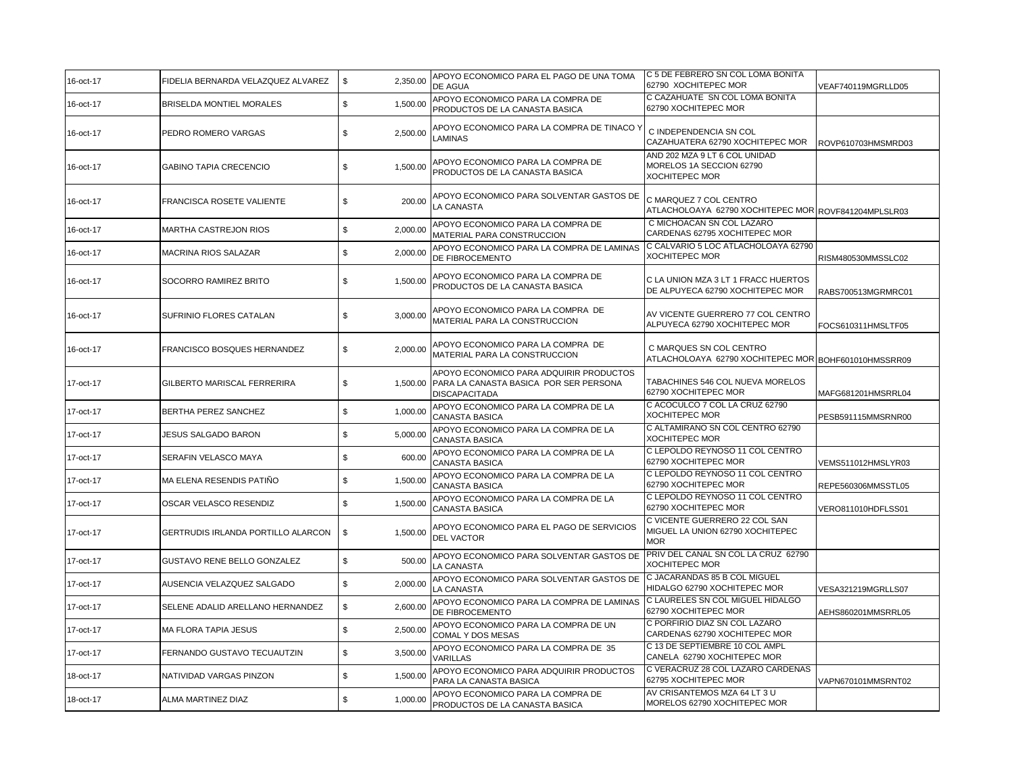| 16-oct-17 | FIDELIA BERNARDA VELAZQUEZ ALVAREZ | \$<br>2,350.00 | APOYO ECONOMICO PARA EL PAGO DE UNA TOMA<br>DE AGUA                                                                | C 5 DE FEBRERO SN COL LOMA BONITA<br>62790 XOCHITEPEC MOR                          | VEAF740119MGRLLD05 |
|-----------|------------------------------------|----------------|--------------------------------------------------------------------------------------------------------------------|------------------------------------------------------------------------------------|--------------------|
| 16-oct-17 | BRISELDA MONTIEL MORALES           | \$<br>1,500.00 | APOYO ECONOMICO PARA LA COMPRA DE<br>PRODUCTOS DE LA CANASTA BASICA                                                | C CAZAHUATE SN COL LOMA BONITA<br>62790 XOCHITEPEC MOR                             |                    |
| 16-oct-17 | PEDRO ROMERO VARGAS                | \$<br>2,500.00 | APOYO ECONOMICO PARA LA COMPRA DE TINACO Y<br>LAMINAS                                                              | C INDEPENDENCIA SN COL<br>CAZAHUATERA 62790 XOCHITEPEC MOR                         | ROVP610703HMSMRD03 |
| 16-oct-17 | <b>GABINO TAPIA CRECENCIO</b>      | \$<br>1,500.00 | APOYO ECONOMICO PARA LA COMPRA DE<br>PRODUCTOS DE LA CANASTA BASICA                                                | AND 202 MZA 9 LT 6 COL UNIDAD<br>MORELOS 1A SECCION 62790<br><b>XOCHITEPEC MOR</b> |                    |
| 16-oct-17 | FRANCISCA ROSETE VALIENTE          | 200.00<br>\$   | APOYO ECONOMICO PARA SOLVENTAR GASTOS DE<br>LA CANASTA                                                             | C MARQUEZ 7 COL CENTRO<br>ATLACHOLOAYA 62790 XOCHITEPEC MOR ROVF841204MPLSLR03     |                    |
| 16-oct-17 | MARTHA CASTREJON RIOS              | \$<br>2,000.00 | APOYO ECONOMICO PARA LA COMPRA DE<br>MATERIAL PARA CONSTRUCCION                                                    | C MICHOACAN SN COL LAZARO<br>CARDENAS 62795 XOCHITEPEC MOR                         |                    |
| 16-oct-17 | MACRINA RIOS SALAZAR               | \$<br>2,000.00 | APOYO ECONOMICO PARA LA COMPRA DE LAMINAS<br>DE FIBROCEMENTO                                                       | C CALVARIO 5 LOC ATLACHOLOAYA 62790<br><b>XOCHITEPEC MOR</b>                       | RISM480530MMSSLC02 |
| 16-oct-17 | SOCORRO RAMIREZ BRITO              | \$<br>1,500.00 | APOYO ECONOMICO PARA LA COMPRA DE<br>PRODUCTOS DE LA CANASTA BASICA                                                | C LA UNION MZA 3 LT 1 FRACC HUERTOS<br>DE ALPUYECA 62790 XOCHITEPEC MOR            | RABS700513MGRMRC01 |
| 16-oct-17 | SUFRINIO FLORES CATALAN            | \$<br>3,000.00 | APOYO ECONOMICO PARA LA COMPRA DE<br>MATERIAL PARA LA CONSTRUCCION                                                 | AV VICENTE GUERRERO 77 COL CENTRO<br>ALPUYECA 62790 XOCHITEPEC MOR                 | FOCS610311HMSLTF05 |
| 16-oct-17 | FRANCISCO BOSQUES HERNANDEZ        | \$<br>2,000.00 | APOYO ECONOMICO PARA LA COMPRA DE<br>MATERIAL PARA LA CONSTRUCCION                                                 | C MARQUES SN COL CENTRO<br>ATLACHOLOAYA 62790 XOCHITEPEC MOR BOHF601010HMSSRR09    |                    |
| 17-oct-17 | GILBERTO MARISCAL FERRERIRA        | \$             | APOYO ECONOMICO PARA ADQUIRIR PRODUCTOS<br>1,500.00 PARA LA CANASTA BASICA POR SER PERSONA<br><b>DISCAPACITADA</b> | TABACHINES 546 COL NUEVA MORELOS<br>62790 XOCHITEPEC MOR                           | MAFG681201HMSRRL04 |
| 17-oct-17 | BERTHA PEREZ SANCHEZ               | \$<br>1,000.00 | APOYO ECONOMICO PARA LA COMPRA DE LA<br><b>CANASTA BASICA</b>                                                      | C ACOCULCO 7 COL LA CRUZ 62790<br>XOCHITEPEC MOR                                   | PESB591115MMSRNR00 |
| 17-oct-17 | <b>JESUS SALGADO BARON</b>         | \$<br>5,000.00 | APOYO ECONOMICO PARA LA COMPRA DE LA<br><b>CANASTA BASICA</b>                                                      | C ALTAMIRANO SN COL CENTRO 62790<br><b>XOCHITEPEC MOR</b>                          |                    |
| 17-oct-17 | SERAFIN VELASCO MAYA               | \$<br>600.00   | APOYO ECONOMICO PARA LA COMPRA DE LA<br>CANASTA BASICA                                                             | C LEPOLDO REYNOSO 11 COL CENTRO<br>62790 XOCHITEPEC MOR                            | VEMS511012HMSLYR03 |
| 17-oct-17 | MA ELENA RESENDIS PATIÑO           | \$<br>1,500.00 | APOYO ECONOMICO PARA LA COMPRA DE LA<br><b>CANASTA BASICA</b>                                                      | C LEPOLDO REYNOSO 11 COL CENTRO<br>62790 XOCHITEPEC MOR                            | REPE560306MMSSTL05 |
| 17-oct-17 | OSCAR VELASCO RESENDIZ             | \$<br>1,500.00 | APOYO ECONOMICO PARA LA COMPRA DE LA<br>CANASTA BASICA                                                             | C LEPOLDO REYNOSO 11 COL CENTRO<br>62790 XOCHITEPEC MOR                            | VERO811010HDFLSS01 |
| 17-oct-17 | GERTRUDIS IRLANDA PORTILLO ALARCON | \$<br>1,500.00 | APOYO ECONOMICO PARA EL PAGO DE SERVICIOS<br><b>DEL VACTOR</b>                                                     | C VICENTE GUERRERO 22 COL SAN<br>MIGUEL LA UNION 62790 XOCHITEPEC<br><b>MOR</b>    |                    |
| 17-oct-17 | GUSTAVO RENE BELLO GONZALEZ        | \$<br>500.00   | APOYO ECONOMICO PARA SOLVENTAR GASTOS DE<br>LA CANASTA                                                             | PRIV DEL CANAL SN COL LA CRUZ 62790<br><b>XOCHITEPEC MOR</b>                       |                    |
| 17-oct-17 | AUSENCIA VELAZQUEZ SALGADO         | \$<br>2,000.00 | APOYO ECONOMICO PARA SOLVENTAR GASTOS DE<br>LA CANASTA                                                             | C JACARANDAS 85 B COL MIGUEL<br>HIDALGO 62790 XOCHITEPEC MOR                       | VESA321219MGRLLS07 |
| 17-oct-17 | SELENE ADALID ARELLANO HERNANDEZ   | \$<br>2,600.00 | APOYO ECONOMICO PARA LA COMPRA DE LAMINAS<br>DE FIBROCEMENTO                                                       | C LAURELES SN COL MIGUEL HIDALGO<br>62790 XOCHITEPEC MOR                           | AEHS860201MMSRRL05 |
| 17-oct-17 | MA FLORA TAPIA JESUS               | \$<br>2,500.00 | APOYO ECONOMICO PARA LA COMPRA DE UN<br>COMAL Y DOS MESAS                                                          | C PORFIRIO DIAZ SN COL LAZARO<br>CARDENAS 62790 XOCHITEPEC MOR                     |                    |
| 17-oct-17 | FERNANDO GUSTAVO TECUAUTZIN        | \$<br>3,500.00 | APOYO ECONOMICO PARA LA COMPRA DE 35<br>VARILLAS                                                                   | C 13 DE SEPTIEMBRE 10 COL AMPL<br>CANELA 62790 XOCHITEPEC MOR                      |                    |
| 18-oct-17 | NATIVIDAD VARGAS PINZON            | \$<br>1,500.00 | APOYO ECONOMICO PARA ADQUIRIR PRODUCTOS<br>PARA LA CANASTA BASICA                                                  | C VERACRUZ 28 COL LAZARO CARDENAS<br>62795 XOCHITEPEC MOR                          | VAPN670101MMSRNT02 |
| 18-oct-17 | ALMA MARTINEZ DIAZ                 | \$<br>1,000.00 | APOYO ECONOMICO PARA LA COMPRA DE<br>PRODUCTOS DE LA CANASTA BASICA                                                | AV CRISANTEMOS MZA 64 LT 3 U<br>MORELOS 62790 XOCHITEPEC MOR                       |                    |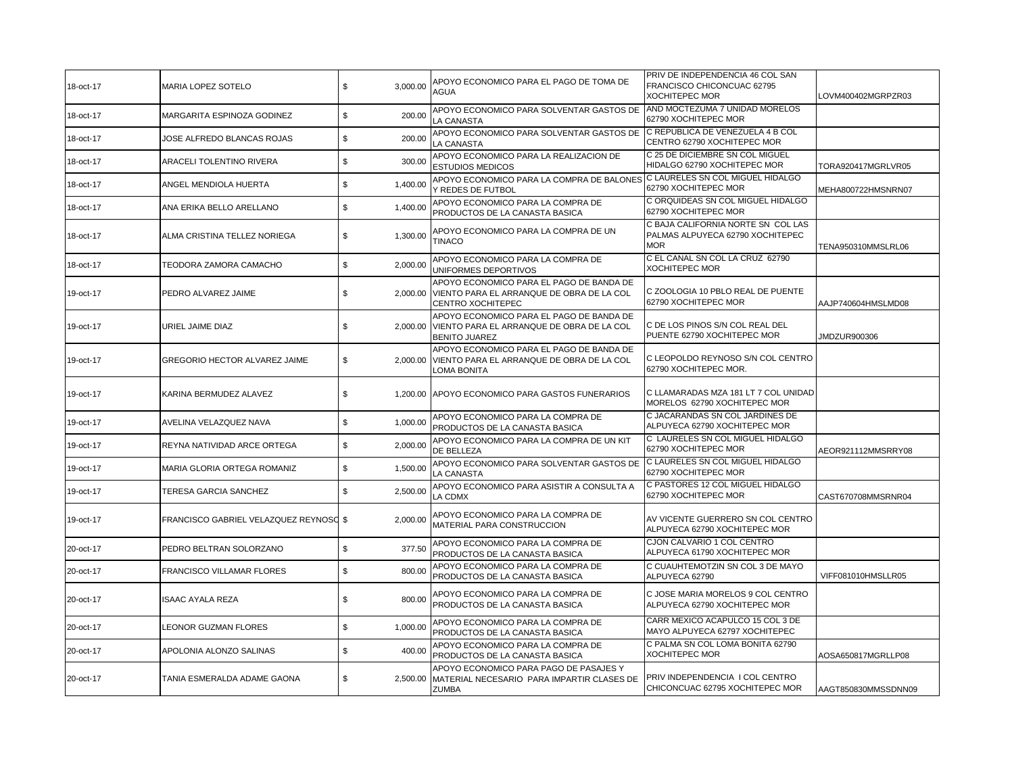| 18-oct-17 | MARIA LOPEZ SOTELO                     | \$<br>3,000.00 | APOYO ECONOMICO PARA EL PAGO DE TOMA DE<br>AGUA                                                                     | PRIV DE INDEPENDENCIA 46 COL SAN<br>FRANCISCO CHICONCUAC 62795<br><b>XOCHITEPEC MOR</b> | LOVM400402MGRPZR03  |
|-----------|----------------------------------------|----------------|---------------------------------------------------------------------------------------------------------------------|-----------------------------------------------------------------------------------------|---------------------|
| 18-oct-17 | MARGARITA ESPINOZA GODINEZ             | \$<br>200.00   | APOYO ECONOMICO PARA SOLVENTAR GASTOS DE<br>LA CANASTA                                                              | AND MOCTEZUMA 7 UNIDAD MORELOS<br>62790 XOCHITEPEC MOR                                  |                     |
| 18-oct-17 | JOSE ALFREDO BLANCAS ROJAS             | \$<br>200.00   | APOYO ECONOMICO PARA SOLVENTAR GASTOS DE<br>LA CANASTA                                                              | C REPUBLICA DE VENEZUELA 4 B COL<br>CENTRO 62790 XOCHITEPEC MOR                         |                     |
| 18-oct-17 | ARACELI TOLENTINO RIVERA               | \$<br>300.00   | APOYO ECONOMICO PARA LA REALIZACION DE<br><b>ESTUDIOS MEDICOS</b>                                                   | C 25 DE DICIEMBRE SN COL MIGUEL<br>HIDALGO 62790 XOCHITEPEC MOR                         | TORA920417MGRLVR05  |
| 18-oct-17 | ANGEL MENDIOLA HUERTA                  | \$<br>1,400.00 | APOYO ECONOMICO PARA LA COMPRA DE BALONES C LAURELES SN COL MIGUEL HIDALGO<br>Y REDES DE FUTBOL                     | 62790 XOCHITEPEC MOR                                                                    | MEHA800722HMSNRN07  |
| 18-oct-17 | ANA ERIKA BELLO ARELLANO               | \$<br>1,400.00 | APOYO ECONOMICO PARA LA COMPRA DE<br>PRODUCTOS DE LA CANASTA BASICA                                                 | C ORQUIDEAS SN COL MIGUEL HIDALGO<br>62790 XOCHITEPEC MOR                               |                     |
| 18-oct-17 | ALMA CRISTINA TELLEZ NORIEGA           | \$<br>1,300.00 | APOYO ECONOMICO PARA LA COMPRA DE UN<br><b>TINACO</b>                                                               | C BAJA CALIFORNIA NORTE SN COL LAS<br>PALMAS ALPUYECA 62790 XOCHITEPEC<br><b>MOR</b>    | TENA950310MMSLRL06  |
| 18-oct-17 | TEODORA ZAMORA CAMACHO                 | \$<br>2,000.00 | APOYO ECONOMICO PARA LA COMPRA DE<br>UNIFORMES DEPORTIVOS                                                           | C EL CANAL SN COL LA CRUZ 62790<br><b>XOCHITEPEC MOR</b>                                |                     |
| 19-oct-17 | PEDRO ALVAREZ JAIME                    | \$             | APOYO ECONOMICO PARA EL PAGO DE BANDA DE<br>2,000.00 VIENTO PARA EL ARRANQUE DE OBRA DE LA COL<br>CENTRO XOCHITEPEC | C ZOOLOGIA 10 PBLO REAL DE PUENTE<br>62790 XOCHITEPEC MOR                               | AAJP740604HMSLMD08  |
| 19-oct-17 | URIEL JAIME DIAZ                       | \$             | APOYO ECONOMICO PARA EL PAGO DE BANDA DE<br>2,000.00 VIENTO PARA EL ARRANQUE DE OBRA DE LA COL<br>BENITO JUAREZ     | C DE LOS PINOS S/N COL REAL DEL<br>PUENTE 62790 XOCHITEPEC MOR                          | JMDZUR900306        |
| 19-oct-17 | GREGORIO HECTOR ALVAREZ JAIME          | \$<br>2,000.00 | APOYO ECONOMICO PARA EL PAGO DE BANDA DE<br>VIENTO PARA EL ARRANQUE DE OBRA DE LA COL<br>LOMA BONITA                | C LEOPOLDO REYNOSO S/N COL CENTRO<br>62790 XOCHITEPEC MOR.                              |                     |
| 19-oct-17 | KARINA BERMUDEZ ALAVEZ                 | \$             | 1,200.00 APOYO ECONOMICO PARA GASTOS FUNERARIOS                                                                     | C LLAMARADAS MZA 181 LT 7 COL UNIDAD<br>MORELOS 62790 XOCHITEPEC MOR                    |                     |
| 19-oct-17 | AVELINA VELAZQUEZ NAVA                 | \$<br>1,000.00 | APOYO ECONOMICO PARA LA COMPRA DE<br>PRODUCTOS DE LA CANASTA BASICA                                                 | C JACARANDAS SN COL JARDINES DE<br>ALPUYECA 62790 XOCHITEPEC MOR                        |                     |
| 19-oct-17 | REYNA NATIVIDAD ARCE ORTEGA            | \$<br>2,000.00 | APOYO ECONOMICO PARA LA COMPRA DE UN KIT<br>DE BELLEZA                                                              | C LAURELES SN COL MIGUEL HIDALGO<br>62790 XOCHITEPEC MOR                                | AEOR921112MMSRRY08  |
| 19-oct-17 | MARIA GLORIA ORTEGA ROMANIZ            | \$<br>1,500.00 | APOYO ECONOMICO PARA SOLVENTAR GASTOS DE<br>LA CANASTA                                                              | C LAURELES SN COL MIGUEL HIDALGO<br>62790 XOCHITEPEC MOR                                |                     |
| 19-oct-17 | TERESA GARCIA SANCHEZ                  | 2,500.00<br>\$ | APOYO ECONOMICO PARA ASISTIR A CONSULTA A<br>LA CDMX                                                                | C PASTORES 12 COL MIGUEL HIDALGO<br>62790 XOCHITEPEC MOR                                | CAST670708MMSRNR04  |
| 19-oct-17 | FRANCISCO GABRIEL VELAZQUEZ REYNOSO \$ | 2,000.00       | APOYO ECONOMICO PARA LA COMPRA DE<br>MATERIAL PARA CONSTRUCCION                                                     | AV VICENTE GUERRERO SN COL CENTRO<br>ALPUYECA 62790 XOCHITEPEC MOR                      |                     |
| 20-oct-17 | PEDRO BELTRAN SOLORZANO                | \$<br>377.50   | APOYO ECONOMICO PARA LA COMPRA DE<br>PRODUCTOS DE LA CANASTA BASICA                                                 | CJON CALVARIO 1 COL CENTRO<br>ALPUYECA 61790 XOCHITEPEC MOR                             |                     |
| 20-oct-17 | FRANCISCO VILLAMAR FLORES              | \$<br>800.00   | APOYO ECONOMICO PARA LA COMPRA DE<br>PRODUCTOS DE LA CANASTA BASICA                                                 | C CUAUHTEMOTZIN SN COL 3 DE MAYO<br>ALPUYECA 62790                                      | VIFF081010HMSLLR05  |
| 20-oct-17 | ISAAC AYALA REZA                       | \$<br>800.00   | APOYO ECONOMICO PARA LA COMPRA DE<br>PRODUCTOS DE LA CANASTA BASICA                                                 | C JOSE MARIA MORELOS 9 COL CENTRO<br>ALPUYECA 62790 XOCHITEPEC MOR                      |                     |
| 20-oct-17 | LEONOR GUZMAN FLORES                   | \$<br>1,000.00 | APOYO ECONOMICO PARA LA COMPRA DE<br>PRODUCTOS DE LA CANASTA BASICA                                                 | CARR MEXICO ACAPULCO 15 COL 3 DE<br>MAYO ALPUYECA 62797 XOCHITEPEC                      |                     |
| 20-oct-17 | APOLONIA ALONZO SALINAS                | \$<br>400.00   | APOYO ECONOMICO PARA LA COMPRA DE<br>PRODUCTOS DE LA CANASTA BASICA                                                 | C PALMA SN COL LOMA BONITA 62790<br><b>XOCHITEPEC MOR</b>                               | AOSA650817MGRLLP08  |
| 20-oct-17 | TANIA ESMERALDA ADAME GAONA            | \$<br>2.500.00 | APOYO ECONOMICO PARA PAGO DE PASAJES Y<br>MATERIAL NECESARIO PARA IMPARTIR CLASES DE<br><b>ZUMBA</b>                | PRIV INDEPENDENCIA I COL CENTRO<br>CHICONCUAC 62795 XOCHITEPEC MOR                      | AAGT850830MMSSDNN09 |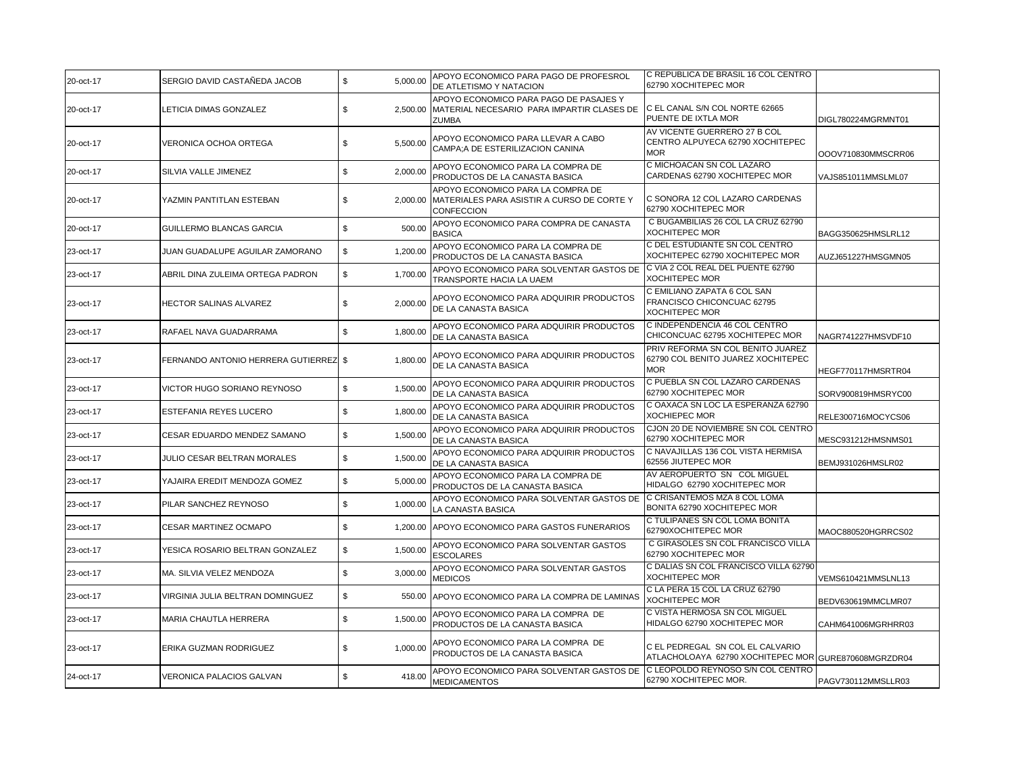| 20-oct-17 | SERGIO DAVID CASTAÑEDA JACOB          | \$<br>5,000.00 | APOYO ECONOMICO PARA PAGO DE PROFESROL<br>DE ATLETISMO Y NATACION                                             | C REPUBLICA DE BRASIL 16 COL CENTRO<br>62790 XOCHITEPEC MOR                              |                    |
|-----------|---------------------------------------|----------------|---------------------------------------------------------------------------------------------------------------|------------------------------------------------------------------------------------------|--------------------|
| 20-oct-17 | LETICIA DIMAS GONZALEZ                | \$             | APOYO ECONOMICO PARA PAGO DE PASAJES Y<br>2,500.00 MATERIAL NECESARIO PARA IMPARTIR CLASES DE<br><b>ZUMBA</b> | C EL CANAL S/N COL NORTE 62665<br>PUENTE DE IXTLA MOR                                    | DIGL780224MGRMNT01 |
| 20-oct-17 | VERONICA OCHOA ORTEGA                 | \$<br>5,500.00 | APOYO ECONOMICO PARA LLEVAR A CABO<br>CAMPA; A DE ESTERILIZACION CANINA                                       | AV VICENTE GUERRERO 27 B COL<br>CENTRO ALPUYECA 62790 XOCHITEPEC<br><b>MOR</b>           | OOOV710830MMSCRR06 |
| 20-oct-17 | SILVIA VALLE JIMENEZ                  | \$<br>2,000.00 | APOYO ECONOMICO PARA LA COMPRA DE<br>PRODUCTOS DE LA CANASTA BASICA                                           | C MICHOACAN SN COL LAZARO<br>CARDENAS 62790 XOCHITEPEC MOR                               | VAJS851011MMSLML07 |
| 20-oct-17 | YAZMIN PANTITLAN ESTEBAN              | \$             | APOYO ECONOMICO PARA LA COMPRA DE<br>2,000.00 MATERIALES PARA ASISTIR A CURSO DE CORTE Y<br>CONFECCION        | C SONORA 12 COL LAZARO CARDENAS<br>62790 XOCHITEPEC MOR                                  |                    |
| 20-oct-17 | GUILLERMO BLANCAS GARCIA              | \$<br>500.00   | APOYO ECONOMICO PARA COMPRA DE CANASTA<br><b>BASICA</b>                                                       | C BUGAMBILIAS 26 COL LA CRUZ 62790<br><b>XOCHITEPEC MOR</b>                              | BAGG350625HMSLRL12 |
| 23-oct-17 | JUAN GUADALUPE AGUILAR ZAMORANO       | \$<br>1,200.00 | APOYO ECONOMICO PARA LA COMPRA DE<br>PRODUCTOS DE LA CANASTA BASICA                                           | C DEL ESTUDIANTE SN COL CENTRO<br>XOCHITEPEC 62790 XOCHITEPEC MOR                        | AUZJ651227HMSGMN05 |
| 23-oct-17 | ABRIL DINA ZULEIMA ORTEGA PADRON      | \$<br>1,700.00 | APOYO ECONOMICO PARA SOLVENTAR GASTOS DE<br>TRANSPORTE HACIA LA UAEM                                          | C VIA 2 COL REAL DEL PUENTE 62790<br><b>XOCHITEPEC MOR</b>                               |                    |
| 23-oct-17 | HECTOR SALINAS ALVAREZ                | \$<br>2,000.00 | APOYO ECONOMICO PARA ADQUIRIR PRODUCTOS<br>DE LA CANASTA BASICA                                               | C EMILIANO ZAPATA 6 COL SAN<br>FRANCISCO CHICONCUAC 62795<br><b>XOCHITEPEC MOR</b>       |                    |
| 23-oct-17 | RAFAEL NAVA GUADARRAMA                | \$<br>1,800.00 | APOYO ECONOMICO PARA ADQUIRIR PRODUCTOS<br>DE LA CANASTA BASICA                                               | C INDEPENDENCIA 46 COL CENTRO<br>CHICONCUAC 62795 XOCHITEPEC MOR                         | NAGR741227HMSVDF10 |
| 23-oct-17 | FERNANDO ANTONIO HERRERA GUTIERREZ \$ | 1,800.00       | APOYO ECONOMICO PARA ADQUIRIR PRODUCTOS<br>DE LA CANASTA BASICA                                               | PRIV REFORMA SN COL BENITO JUAREZ<br>62790 COL BENITO JUAREZ XOCHITEPEC<br><b>MOR</b>    | HEGF770117HMSRTR04 |
| 23-oct-17 | VICTOR HUGO SORIANO REYNOSO           | 1,500.00<br>\$ | APOYO ECONOMICO PARA ADQUIRIR PRODUCTOS<br>DE LA CANASTA BASICA                                               | C PUEBLA SN COL LAZARO CARDENAS<br>62790 XOCHITEPEC MOR                                  | SORV900819HMSRYC00 |
| 23-oct-17 | ESTEFANIA REYES LUCERO                | \$<br>1,800.00 | APOYO ECONOMICO PARA ADQUIRIR PRODUCTOS<br>DE LA CANASTA BASICA                                               | C OAXACA SN LOC LA ESPERANZA 62790<br><b>XOCHIEPEC MOR</b>                               | RELE300716MOCYCS06 |
| 23-oct-17 | CESAR EDUARDO MENDEZ SAMANO           | \$<br>1,500.00 | APOYO ECONOMICO PARA ADQUIRIR PRODUCTOS<br>DE LA CANASTA BASICA                                               | CJON 20 DE NOVIEMBRE SN COL CENTRO<br>62790 XOCHITEPEC MOR                               | MESC931212HMSNMS01 |
| 23-oct-17 | JULIO CESAR BELTRAN MORALES           | \$<br>1,500.00 | APOYO ECONOMICO PARA ADQUIRIR PRODUCTOS<br>DE LA CANASTA BASICA                                               | C NAVAJILLAS 136 COL VISTA HERMISA<br>62556 JIUTEPEC MOR                                 | BEMJ931026HMSLR02  |
| 23-oct-17 | YAJAIRA EREDIT MENDOZA GOMEZ          | \$<br>5,000.00 | APOYO ECONOMICO PARA LA COMPRA DE<br>PRODUCTOS DE LA CANASTA BASICA                                           | AV AEROPUERTO SN COL MIGUEL<br>HIDALGO 62790 XOCHITEPEC MOR                              |                    |
| 23-oct-17 | PILAR SANCHEZ REYNOSO                 | \$<br>1,000.00 | APOYO ECONOMICO PARA SOLVENTAR GASTOS DE<br>LA CANASTA BASICA                                                 | C CRISANTEMOS MZA 8 COL LOMA<br>BONITA 62790 XOCHITEPEC MOR                              |                    |
| 23-oct-17 | CESAR MARTINEZ OCMAPO                 | \$             | 1,200.00 APOYO ECONOMICO PARA GASTOS FUNERARIOS                                                               | C TULIPANES SN COL LOMA BONITA<br>62790XOCHITEPEC MOR                                    | MAOC880520HGRRCS02 |
| 23-oct-17 | YESICA ROSARIO BELTRAN GONZALEZ       | \$<br>1,500.00 | APOYO ECONOMICO PARA SOLVENTAR GASTOS<br><b>ESCOLARES</b>                                                     | C GIRASOLES SN COL FRANCISCO VILLA<br>62790 XOCHITEPEC MOR                               |                    |
| 23-oct-17 | MA. SILVIA VELEZ MENDOZA              | \$<br>3,000.00 | APOYO ECONOMICO PARA SOLVENTAR GASTOS<br><b>MEDICOS</b>                                                       | C DALIAS SN COL FRANCISCO VILLA 62790<br><b>XOCHITEPEC MOR</b>                           | VEMS610421MMSLNL13 |
| 23-oct-17 | VIRGINIA JULIA BELTRAN DOMINGUEZ      | \$             | 550.00 APOYO ECONOMICO PARA LA COMPRA DE LAMINAS                                                              | C LA PERA 15 COL LA CRUZ 62790<br><b>XOCHITEPEC MOR</b>                                  | BEDV630619MMCLMR07 |
| 23-oct-17 | MARIA CHAUTLA HERRERA                 | \$<br>1,500.00 | APOYO ECONOMICO PARA LA COMPRA DE<br>PRODUCTOS DE LA CANASTA BASICA                                           | C VISTA HERMOSA SN COL MIGUEL<br>HIDALGO 62790 XOCHITEPEC MOR                            | CAHM641006MGRHRR03 |
| 23-oct-17 | ERIKA GUZMAN RODRIGUEZ                | \$<br>1,000.00 | APOYO ECONOMICO PARA LA COMPRA DE<br>PRODUCTOS DE LA CANASTA BASICA                                           | C EL PEDREGAL SN COL EL CALVARIO<br>ATLACHOLOAYA 62790 XOCHITEPEC MOR GURE870608MGRZDR04 |                    |
| 24-oct-17 | VERONICA PALACIOS GALVAN              | \$<br>418.00   | APOYO ECONOMICO PARA SOLVENTAR GASTOS DE<br><b>MEDICAMENTOS</b>                                               | C LEOPOLDO REYNOSO S/N COL CENTRO<br>62790 XOCHITEPEC MOR.                               | PAGV730112MMSLLR03 |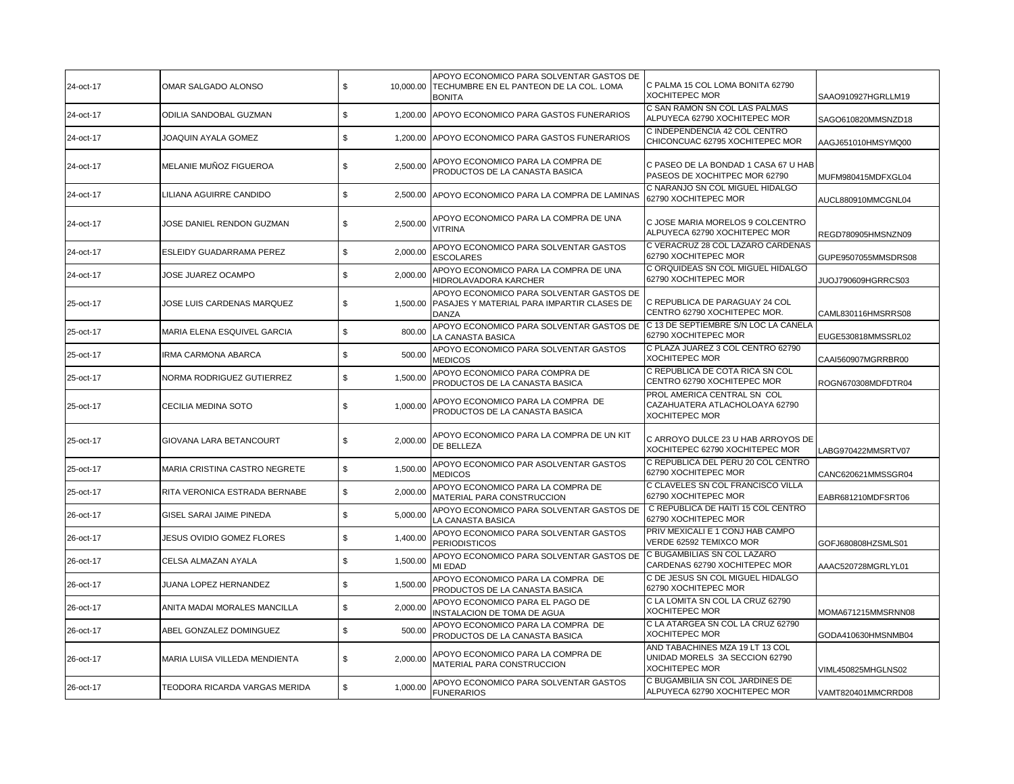| 24-oct-17 | OMAR SALGADO ALONSO              | \$             | APOYO ECONOMICO PARA SOLVENTAR GASTOS DE<br>10,000.00 TECHUMBRE EN EL PANTEON DE LA COL. LOMA<br><b>BONITA</b> | C PALMA 15 COL LOMA BONITA 62790<br><b>XOCHITEPEC MOR</b>                                  | SAAO910927HGRLLM19  |
|-----------|----------------------------------|----------------|----------------------------------------------------------------------------------------------------------------|--------------------------------------------------------------------------------------------|---------------------|
| 24-oct-17 | ODILIA SANDOBAL GUZMAN           | \$<br>1,200.00 | APOYO ECONOMICO PARA GASTOS FUNERARIOS                                                                         | C SAN RAMON SN COL LAS PALMAS<br>ALPUYECA 62790 XOCHITEPEC MOR                             | SAGO610820MMSNZD18  |
| 24-oct-17 | JOAQUIN AYALA GOMEZ              | \$<br>1,200.00 | APOYO ECONOMICO PARA GASTOS FUNERARIOS                                                                         | C INDEPENDENCIA 42 COL CENTRO<br>CHICONCUAC 62795 XOCHITEPEC MOR                           | AAGJ651010HMSYMQ00  |
| 24-oct-17 | MELANIE MUÑOZ FIGUEROA           | \$<br>2,500.00 | APOYO ECONOMICO PARA LA COMPRA DE<br>PRODUCTOS DE LA CANASTA BASICA                                            | C PASEO DE LA BONDAD 1 CASA 67 U HAB<br>PASEOS DE XOCHITPEC MOR 62790                      | MUFM980415MDFXGL04  |
| 24-oct-17 | LILIANA AGUIRRE CANDIDO          | \$             | 2,500.00 APOYO ECONOMICO PARA LA COMPRA DE LAMINAS                                                             | C NARANJO SN COL MIGUEL HIDALGO<br>62790 XOCHITEPEC MOR                                    | AUCL880910MMCGNL04  |
| 24-oct-17 | JOSE DANIEL RENDON GUZMAN        | \$<br>2,500.00 | APOYO ECONOMICO PARA LA COMPRA DE UNA<br>VITRINA                                                               | C JOSE MARIA MORELOS 9 COLCENTRO<br>ALPUYECA 62790 XOCHITEPEC MOR                          | REGD780905HMSNZN09  |
| 24-oct-17 | ESLEIDY GUADARRAMA PEREZ         | \$<br>2,000.00 | APOYO ECONOMICO PARA SOLVENTAR GASTOS<br><b>ESCOLARES</b>                                                      | C VERACRUZ 28 COL LAZARO CARDENAS<br>62790 XOCHITEPEC MOR                                  | GUPE9507055MMSDRS08 |
| 24-oct-17 | JOSE JUAREZ OCAMPO               | 2,000.00<br>\$ | APOYO ECONOMICO PARA LA COMPRA DE UNA<br>HIDROLAVADORA KARCHER                                                 | C ORQUIDEAS SN COL MIGUEL HIDALGO<br>62790 XOCHITEPEC MOR                                  | JUOJ790609HGRRCS03  |
| 25-oct-17 | JOSE LUIS CARDENAS MARQUEZ       | \$<br>1,500.00 | APOYO ECONOMICO PARA SOLVENTAR GASTOS DE<br>PASAJES Y MATERIAL PARA IMPARTIR CLASES DE<br><b>DANZA</b>         | C REPUBLICA DE PARAGUAY 24 COL<br>CENTRO 62790 XOCHITEPEC MOR.                             | CAML830116HMSRRS08  |
| 25-oct-17 | MARIA ELENA ESQUIVEL GARCIA      | \$<br>800.00   | APOYO ECONOMICO PARA SOLVENTAR GASTOS DE<br>LA CANASTA BASICA                                                  | C 13 DE SEPTIEMBRE S/N LOC LA CANELA<br>62790 XOCHITEPEC MOR                               | EUGE530818MMSSRL02  |
| 25-oct-17 | IRMA CARMONA ABARCA              | \$<br>500.00   | APOYO ECONOMICO PARA SOLVENTAR GASTOS<br><b>MEDICOS</b>                                                        | C PLAZA JUAREZ 3 COL CENTRO 62790<br><b>XOCHITEPEC MOR</b>                                 | CAAI560907MGRRBR00  |
| 25-oct-17 | NORMA RODRIGUEZ GUTIERREZ        | \$<br>1,500.00 | APOYO ECONOMICO PARA COMPRA DE<br>PRODUCTOS DE LA CANASTA BASICA                                               | C REPUBLICA DE COTA RICA SN COL<br>CENTRO 62790 XOCHITEPEC MOR                             | ROGN670308MDFDTR04  |
| 25-oct-17 | CECILIA MEDINA SOTO              | \$<br>1,000.00 | APOYO ECONOMICO PARA LA COMPRA DE<br>PRODUCTOS DE LA CANASTA BASICA                                            | PROL AMERICA CENTRAL SN COL<br>CAZAHUATERA ATLACHOLOAYA 62790<br>XOCHITEPEC MOR            |                     |
| 25-oct-17 | GIOVANA LARA BETANCOURT          | \$<br>2,000.00 | APOYO ECONOMICO PARA LA COMPRA DE UN KIT<br>DE BELLEZA                                                         | C ARROYO DULCE 23 U HAB ARROYOS DE<br>XOCHITEPEC 62790 XOCHITEPEC MOR                      | LABG970422MMSRTV07  |
| 25-oct-17 | MARIA CRISTINA CASTRO NEGRETE    | 1,500.00<br>\$ | APOYO ECONOMICO PAR ASOLVENTAR GASTOS<br><b>MEDICOS</b>                                                        | C REPUBLICA DEL PERU 20 COL CENTRO<br>62790 XOCHITEPEC MOR                                 | CANC620621MMSSGR04  |
| 25-oct-17 | RITA VERONICA ESTRADA BERNABE    | \$<br>2,000.00 | APOYO ECONOMICO PARA LA COMPRA DE<br>MATERIAL PARA CONSTRUCCION                                                | C CLAVELES SN COL FRANCISCO VILLA<br>62790 XOCHITEPEC MOR                                  | EABR681210MDFSRT06  |
| 26-oct-17 | GISEL SARAI JAIME PINEDA         | \$<br>5,000.00 | APOYO ECONOMICO PARA SOLVENTAR GASTOS DE<br>LA CANASTA BASICA                                                  | C REPUBLICA DE HAITI 15 COL CENTRO<br>62790 XOCHITEPEC MOR                                 |                     |
| 26-oct-17 | <b>JESUS OVIDIO GOMEZ FLORES</b> | \$<br>1,400.00 | APOYO ECONOMICO PARA SOLVENTAR GASTOS<br><b>PERIODISTICOS</b>                                                  | PRIV MEXICALI E 1 CONJ HAB CAMPO<br>VERDE 62592 TEMIXCO MOR                                | GOFJ680808HZSMLS01  |
| 26-oct-17 | CELSA ALMAZAN AYALA              | \$<br>1,500.00 | APOYO ECONOMICO PARA SOLVENTAR GASTOS DE<br>MI EDAD                                                            | C BUGAMBILIAS SN COL LAZARO<br>CARDENAS 62790 XOCHITEPEC MOR                               | AAAC520728MGRLYL01  |
| 26-oct-17 | JUANA LOPEZ HERNANDEZ            | \$<br>1,500.00 | APOYO ECONOMICO PARA LA COMPRA DE<br>PRODUCTOS DE LA CANASTA BASICA                                            | C DE JESUS SN COL MIGUEL HIDALGO<br>62790 XOCHITEPEC MOR                                   |                     |
| 26-oct-17 | ANITA MADAI MORALES MANCILLA     | \$<br>2,000.00 | APOYO ECONOMICO PARA EL PAGO DE<br>INSTALACION DE TOMA DE AGUA                                                 | C LA LOMITA SN COL LA CRUZ 62790<br><b>XOCHITEPEC MOR</b>                                  | MOMA671215MMSRNN08  |
| 26-oct-17 | ABEL GONZALEZ DOMINGUEZ          | \$<br>500.00   | APOYO ECONOMICO PARA LA COMPRA DE<br>PRODUCTOS DE LA CANASTA BASICA                                            | C LA ATARGEA SN COL LA CRUZ 62790<br>XOCHITEPEC MOR                                        | GODA410630HMSNMB04  |
| 26-oct-17 | MARIA LUISA VILLEDA MENDIENTA    | \$<br>2,000.00 | APOYO ECONOMICO PARA LA COMPRA DE<br>MATERIAL PARA CONSTRUCCION                                                | AND TABACHINES MZA 19 LT 13 COL<br>UNIDAD MORELS 3A SECCION 62790<br><b>XOCHITEPEC MOR</b> | VIML450825MHGLNS02  |
| 26-oct-17 | TEODORA RICARDA VARGAS MERIDA    | \$<br>1,000.00 | APOYO ECONOMICO PARA SOLVENTAR GASTOS<br><b>FUNERARIOS</b>                                                     | C BUGAMBILIA SN COL JARDINES DE<br>ALPUYECA 62790 XOCHITEPEC MOR                           | VAMT820401MMCRRD08  |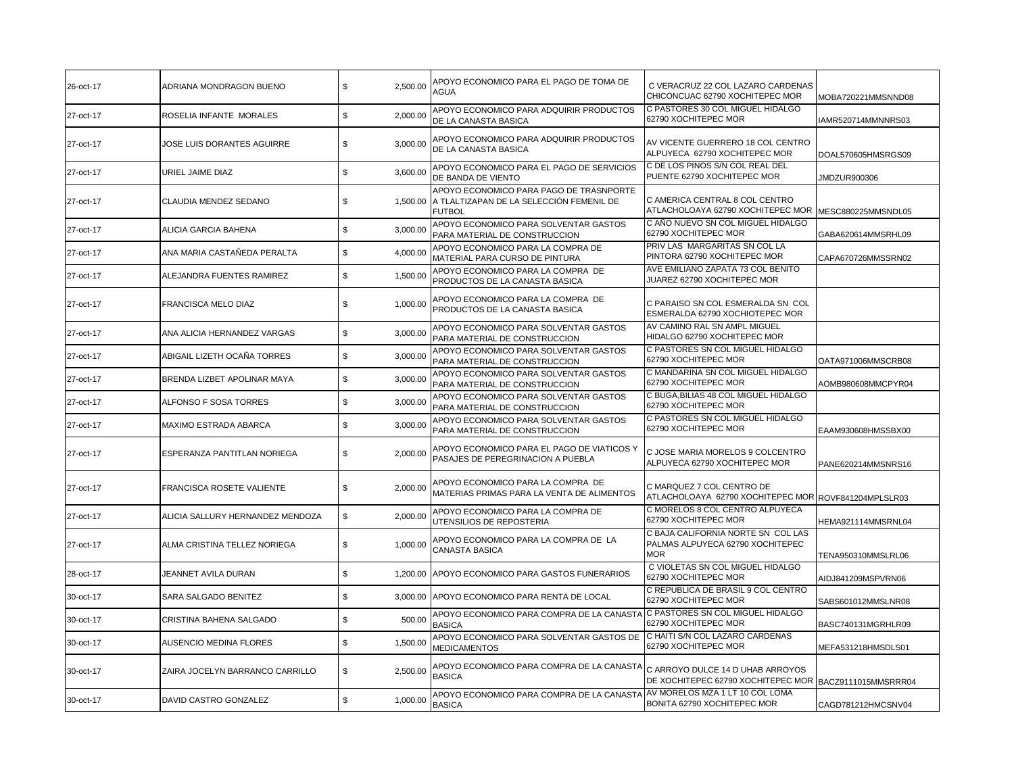| 26-oct-17 | ADRIANA MONDRAGON BUENO          | \$<br>2,500.00 | APOYO ECONOMICO PARA EL PAGO DE TOMA DE<br>AGUA                                                      | C VERACRUZ 22 COL LAZARO CARDENAS<br>CHICONCUAC 62790 XOCHITEPEC MOR                       | MOBA720221MMSNND08 |
|-----------|----------------------------------|----------------|------------------------------------------------------------------------------------------------------|--------------------------------------------------------------------------------------------|--------------------|
| 27-oct-17 | ROSELIA INFANTE MORALES          | \$<br>2,000.00 | APOYO ECONOMICO PARA ADQUIRIR PRODUCTOS<br>DE LA CANASTA BASICA                                      | C PASTORES 30 COL MIGUEL HIDALGO<br>62790 XOCHITEPEC MOR                                   | IAMR520714MMNNRS03 |
| 27-oct-17 | JOSE LUIS DORANTES AGUIRRE       | \$<br>3,000.00 | APOYO ECONOMICO PARA ADQUIRIR PRODUCTOS<br>DE LA CANASTA BASICA                                      | AV VICENTE GUERRERO 18 COL CENTRO<br>ALPUYECA 62790 XOCHITEPEC MOR                         | DOAL570605HMSRGS09 |
| 27-oct-17 | URIEL JAIME DIAZ                 | \$<br>3,600.00 | APOYO ECONOMICO PARA EL PAGO DE SERVICIOS<br>DE BANDA DE VIENTO                                      | C DE LOS PINOS S/N COL REAL DEL<br>PUENTE 62790 XOCHITEPEC MOR                             | JMDZUR900306       |
| 27-oct-17 | CLAUDIA MENDEZ SEDANO            | \$<br>1,500.00 | APOYO ECONOMICO PARA PAGO DE TRASNPORTE<br>A TLALTIZAPAN DE LA SELECCIÓN FEMENIL DE<br><b>FUTBOL</b> | C AMERICA CENTRAL 8 COL CENTRO<br>ATLACHOLOAYA 62790 XOCHITEPEC MOR                        | MESC880225MMSNDL05 |
| 27-oct-17 | ALICIA GARCIA BAHENA             | \$<br>3,000.00 | APOYO ECONOMICO PARA SOLVENTAR GASTOS<br>PARA MATERIAL DE CONSTRUCCION                               | C AÑO NUEVO SN COL MIGUEL HIDALGO<br>62790 XOCHITEPEC MOR                                  | GABA620614MMSRHL09 |
| 27-oct-17 | ANA MARIA CASTAÑEDA PERALTA      | \$<br>4,000.00 | APOYO ECONOMICO PARA LA COMPRA DE<br>MATERIAL PARA CURSO DE PINTURA                                  | PRIV LAS MARGARITAS SN COL LA<br>PINTORA 62790 XOCHITEPEC MOR                              | CAPA670726MMSSRN02 |
| 27-oct-17 | ALEJANDRA FUENTES RAMIREZ        | \$<br>1,500.00 | APOYO ECONOMICO PARA LA COMPRA DE<br>PRODUCTOS DE LA CANASTA BASICA                                  | AVE EMILIANO ZAPATA 73 COL BENITO<br>JUAREZ 62790 XOCHITEPEC MOR                           |                    |
| 27-oct-17 | FRANCISCA MELO DIAZ              | \$<br>1,000.00 | APOYO ECONOMICO PARA LA COMPRA DE<br>PRODUCTOS DE LA CANASTA BASICA                                  | C PARAISO SN COL ESMERALDA SN COL<br>ESMERALDA 62790 XOCHIOTEPEC MOR                       |                    |
| 27-oct-17 | ANA ALICIA HERNANDEZ VARGAS      | \$<br>3,000.00 | APOYO ECONOMICO PARA SOLVENTAR GASTOS<br>PARA MATERIAL DE CONSTRUCCION                               | AV CAMINO RAL SN AMPL MIGUEL<br>HIDALGO 62790 XOCHITEPEC MOR                               |                    |
| 27-oct-17 | ABIGAIL LIZETH OCAÑA TORRES      | \$<br>3,000.00 | APOYO ECONOMICO PARA SOLVENTAR GASTOS<br>PARA MATERIAL DE CONSTRUCCION                               | C PASTORES SN COL MIGUEL HIDALGO<br>62790 XOCHITEPEC MOR                                   | OATA971006MMSCRB08 |
| 27-oct-17 | BRENDA LIZBET APOLINAR MAYA      | \$<br>3,000.00 | APOYO ECONOMICO PARA SOLVENTAR GASTOS<br>PARA MATERIAL DE CONSTRUCCION                               | C MANDARINA SN COL MIGUEL HIDALGO<br>62790 XOCHITEPEC MOR                                  | AOMB980608MMCPYR04 |
| 27-oct-17 | ALFONSO F SOSA TORRES            | \$<br>3,000.00 | APOYO ECONOMICO PARA SOLVENTAR GASTOS<br>PARA MATERIAL DE CONSTRUCCION                               | C BUGA, BILIAS 48 COL MIGUEL HIDALGO<br>62790 XOCHITEPEC MOR                               |                    |
| 27-oct-17 | <b>MAXIMO ESTRADA ABARCA</b>     | \$<br>3,000.00 | APOYO ECONOMICO PARA SOLVENTAR GASTOS<br>PARA MATERIAL DE CONSTRUCCION                               | C PASTORES SN COL MIGUEL HIDALGO<br>62790 XOCHITEPEC MOR                                   | EAAM930608HMSSBX00 |
| 27-oct-17 | ESPERANZA PANTITLAN NORIEGA      | \$<br>2,000.00 | APOYO ECONOMICO PARA EL PAGO DE VIATICOS Y<br>PASAJES DE PEREGRINACION A PUEBLA                      | C JOSE MARIA MORELOS 9 COLCENTRO<br>ALPUYECA 62790 XOCHITEPEC MOR                          | PANE620214MMSNRS16 |
| 27-oct-17 | FRANCISCA ROSETE VALIENTE        | \$<br>2,000.00 | APOYO ECONOMICO PARA LA COMPRA DE<br>MATERIAS PRIMAS PARA LA VENTA DE ALIMENTOS                      | C MARQUEZ 7 COL CENTRO DE<br>ATLACHOLOAYA 62790 XOCHITEPEC MOR ROVF841204MPLSLR03          |                    |
| 27-oct-17 | ALICIA SALLURY HERNANDEZ MENDOZA | \$<br>2,000.00 | APOYO ECONOMICO PARA LA COMPRA DE<br>UTENSILIOS DE REPOSTERIA                                        | C MORELOS 8 COL CENTRO ALPUYECA<br>62790 XOCHITEPEC MOR                                    | HEMA921114MMSRNL04 |
| 27-oct-17 | ALMA CRISTINA TELLEZ NORIEGA     | \$<br>1,000.00 | APOYO ECONOMICO PARA LA COMPRA DE LA<br><b>CANASTA BASICA</b>                                        | C BAJA CALIFORNIA NORTE SN COL LAS<br>PALMAS ALPUYECA 62790 XOCHITEPEC<br><b>MOR</b>       | TENA950310MMSLRL06 |
| 28-oct-17 | JEANNET AVILA DURAN              | \$<br>1,200.00 | APOYO ECONOMICO PARA GASTOS FUNERARIOS                                                               | C VIOLETAS SN COL MIGUEL HIDALGO<br>62790 XOCHITEPEC MOR                                   | AIDJ841209MSPVRN06 |
| 30-oct-17 | SARA SALGADO BENITEZ             | \$<br>3,000.00 | APOYO ECONOMICO PARA RENTA DE LOCAL                                                                  | C REPUBLICA DE BRASIL 9 COL CENTRO<br>62790 XOCHITEPEC MOR                                 | SABS601012MMSLNR08 |
| 30-oct-17 | CRISTINA BAHENA SALGADO          | \$<br>500.00   | APOYO ECONOMICO PARA COMPRA DE LA CANASTA<br><b>BASICA</b>                                           | C PASTORES SN COL MIGUEL HIDALGO<br>62790 XOCHITEPEC MOR                                   | BASC740131MGRHLR09 |
| 30-oct-17 | AUSENCIO MEDINA FLORES           | \$<br>1,500.00 | APOYO ECONOMICO PARA SOLVENTAR GASTOS DE<br><b>MEDICAMENTOS</b>                                      | C HAITI S/N COL LAZARO CARDENAS<br>62790 XOCHITEPEC MOR                                    | MEFA531218HMSDLS01 |
| 30-oct-17 | ZAIRA JOCELYN BARRANCO CARRILLO  | \$<br>2,500.00 | APOYO ECONOMICO PARA COMPRA DE LA CANASTA<br><b>BASICA</b>                                           | C ARROYO DULCE 14 D UHAB ARROYOS<br>DE XOCHITEPEC 62790 XOCHITEPEC MOR BACZ9111015MMSRRR04 |                    |
| 30-oct-17 | DAVID CASTRO GONZALEZ            | \$<br>1,000.00 | APOYO ECONOMICO PARA COMPRA DE LA CANASTA<br><b>BASICA</b>                                           | AV MORELOS MZA 1 LT 10 COL LOMA<br>BONITA 62790 XOCHITEPEC MOR                             | CAGD781212HMCSNV04 |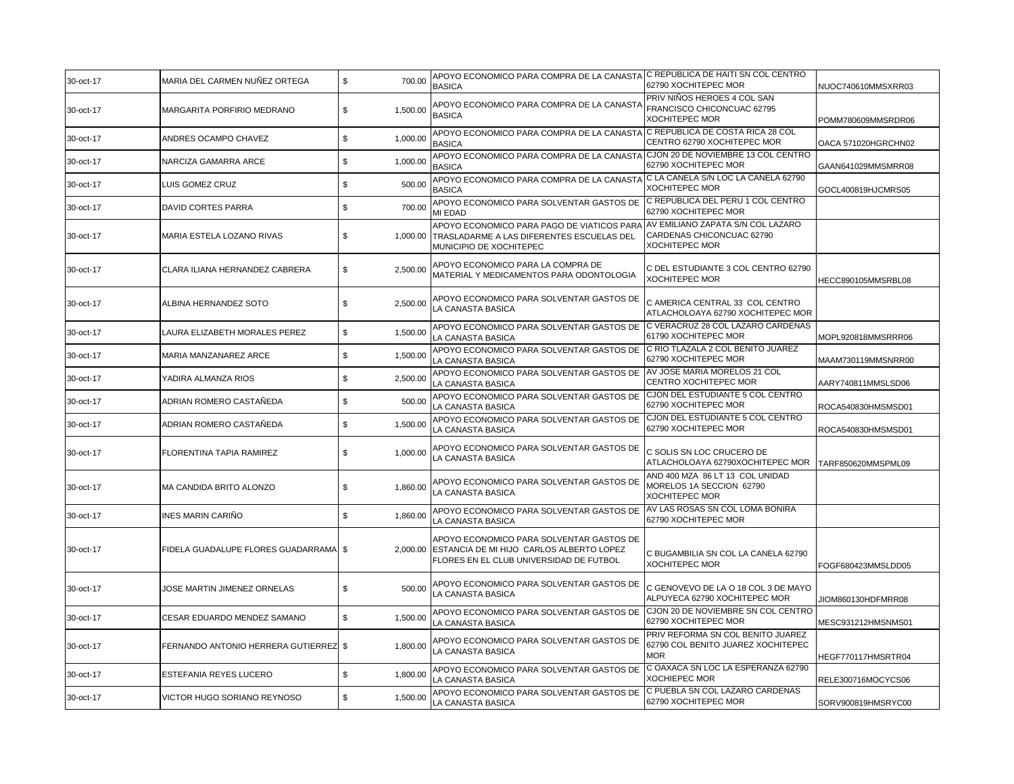| 30-oct-17 | MARIA DEL CARMEN NUÑEZ ORTEGA           | \$<br>700.00   | APOYO ECONOMICO PARA COMPRA DE LA CANASTA C REPUBLICA DE HAITI SN COL CENTRO<br><b>BASICA</b>                                   | 62790 XOCHITEPEC MOR                                                                    | NUOC740610MMSXRR03  |
|-----------|-----------------------------------------|----------------|---------------------------------------------------------------------------------------------------------------------------------|-----------------------------------------------------------------------------------------|---------------------|
| 30-oct-17 | MARGARITA PORFIRIO MEDRANO              | 1,500.00<br>\$ | APOYO ECONOMICO PARA COMPRA DE LA CANASTA<br><b>BASICA</b>                                                                      | PRIV NIÑOS HEROES 4 COL SAN<br>FRANCISCO CHICONCUAC 62795<br><b>XOCHITEPEC MOR</b>      | POMM780609MMSRDR06  |
| 30-oct-17 | ANDRES OCAMPO CHAVEZ                    | \$<br>1,000.00 | APOYO ECONOMICO PARA COMPRA DE LA CANASTA<br><b>BASICA</b>                                                                      | C REPUBLICA DE COSTA RICA 28 COL<br>CENTRO 62790 XOCHITEPEC MOR                         | OACA 571020HGRCHN02 |
| 30-oct-17 | NARCIZA GAMARRA ARCE                    | 1,000.00<br>\$ | APOYO ECONOMICO PARA COMPRA DE LA CANASTA<br><b>BASICA</b>                                                                      | CJON 20 DE NOVIEMBRE 13 COL CENTRO<br>62790 XOCHITEPEC MOR                              | GAAN641029MMSMRR08  |
| 30-oct-17 | LUIS GOMEZ CRUZ                         | 500.00<br>\$   | APOYO ECONOMICO PARA COMPRA DE LA CANASTA<br><b>BASICA</b>                                                                      | IC LA CANELA S/N LOC LA CANELA 62790<br>XOCHITEPEC MOR                                  | GOCL400819HJCMRS05  |
| 30-oct-17 | DAVID CORTES PARRA                      | \$<br>700.00   | APOYO ECONOMICO PARA SOLVENTAR GASTOS DE<br>MI EDAD                                                                             | C REPUBLICA DEL PERU 1 COL CENTRO<br>62790 XOCHITEPEC MOR                               |                     |
| 30-oct-17 | MARIA ESTELA LOZANO RIVAS               | \$<br>1,000.00 | APOYO ECONOMICO PARA PAGO DE VIATICOS PARA<br>TRASLADARME A LAS DIFERENTES ESCUELAS DEL<br>MUNICIPIO DE XOCHITEPEC              | AV EMILIANO ZAPATA S/N COL LAZARO<br>CARDENAS CHICONCUAC 62790<br><b>XOCHITEPEC MOR</b> |                     |
| 30-oct-17 | CLARA ILIANA HERNANDEZ CABRERA          | 2,500.00<br>\$ | APOYO ECONOMICO PARA LA COMPRA DE<br>MATERIAL Y MEDICAMENTOS PARA ODONTOLOGIA                                                   | C DEL ESTUDIANTE 3 COL CENTRO 62790<br><b>XOCHITEPEC MOR</b>                            | HECC890105MMSRBL08  |
| 30-oct-17 | ALBINA HERNANDEZ SOTO                   | \$<br>2,500.00 | APOYO ECONOMICO PARA SOLVENTAR GASTOS DE<br>LA CANASTA BASICA                                                                   | C AMERICA CENTRAL 33 COL CENTRO<br>ATLACHOLOAYA 62790 XOCHITEPEC MOR                    |                     |
| 30-oct-17 | LAURA ELIZABETH MORALES PEREZ           | S.<br>1,500.00 | APOYO ECONOMICO PARA SOLVENTAR GASTOS DE<br>LA CANASTA BASICA                                                                   | C VERACRUZ 28 COL LAZARO CARDENAS<br>61790 XOCHITEPEC MOR                               | MOPL920818MMSRRR06  |
| 30-oct-17 | MARIA MANZANAREZ ARCE                   | \$<br>1,500.00 | APOYO ECONOMICO PARA SOLVENTAR GASTOS DE<br>LA CANASTA BASICA                                                                   | C RIO TLAZALA 2 COL BENITO JUAREZ<br>62790 XOCHITEPEC MOR                               | MAAM730119MMSNRR00  |
| 30-oct-17 | YADIRA ALMANZA RIOS                     | \$<br>2,500.00 | APOYO ECONOMICO PARA SOLVENTAR GASTOS DE<br>LA CANASTA BASICA                                                                   | AV JOSE MARIA MORELOS 21 COL<br>CENTRO XOCHITEPEC MOR                                   | AARY740811MMSLSD06  |
| 30-oct-17 | ADRIAN ROMERO CASTAÑEDA                 | \$<br>500.00   | APOYO ECONOMICO PARA SOLVENTAR GASTOS DE<br>LA CANASTA BASICA                                                                   | CJON DEL ESTUDIANTE 5 COL CENTRO<br>62790 XOCHITEPEC MOR                                | ROCA540830HMSMSD01  |
| 30-oct-17 | ADRIAN ROMERO CASTAÑEDA                 | \$<br>1,500.00 | APOYO ECONOMICO PARA SOLVENTAR GASTOS DE<br>LA CANASTA BASICA                                                                   | CJON DEL ESTUDIANTE 5 COL CENTRO<br>62790 XOCHITEPEC MOR                                | ROCA540830HMSMSD01  |
| 30-oct-17 | FLORENTINA TAPIA RAMIREZ                | \$<br>1,000.00 | APOYO ECONOMICO PARA SOLVENTAR GASTOS DE<br>LA CANASTA BASICA                                                                   | C SOLIS SN LOC CRUCERO DE<br>ATLACHOLOAYA 62790XOCHITEPEC MOR                           | TARF850620MMSPML09  |
| 30-oct-17 | MA CANDIDA BRITO ALONZO                 | \$<br>1,860.00 | APOYO ECONOMICO PARA SOLVENTAR GASTOS DE<br>LA CANASTA BASICA                                                                   | AND 400 MZA 86 LT 13 COL UNIDAD<br>MORELOS 1A SECCION 62790<br><b>XOCHITEPEC MOR</b>    |                     |
| 30-oct-17 | INES MARIN CARIÑO                       | \$<br>1,860.00 | APOYO ECONOMICO PARA SOLVENTAR GASTOS DE<br>LA CANASTA BASICA                                                                   | AV LAS ROSAS SN COL LOMA BONIRA<br>62790 XOCHITEPEC MOR                                 |                     |
| 30-oct-17 | FIDELA GUADALUPE FLORES GUADARRAMA   \$ | 2,000.00       | APOYO ECONOMICO PARA SOLVENTAR GASTOS DE<br>ESTANCIA DE MI HIJO CARLOS ALBERTO LOPEZ<br>FLORES EN EL CLUB UNIVERSIDAD DE FUTBOL | C BUGAMBILIA SN COL LA CANELA 62790<br><b>XOCHITEPEC MOR</b>                            | FOGF680423MMSLDD05  |
| 30-oct-17 | JOSE MARTIN JIMENEZ ORNELAS             | \$<br>500.00   | APOYO ECONOMICO PARA SOLVENTAR GASTOS DE<br>LA CANASTA BASICA                                                                   | C GENOVEVO DE LA O 18 COL 3 DE MAYO<br>ALPUYECA 62790 XOCHITEPEC MOR                    | JIOM860130HDFMRR08  |
| 30-oct-17 | CESAR EDUARDO MENDEZ SAMANO             | \$<br>1,500.00 | APOYO ECONOMICO PARA SOLVENTAR GASTOS DE<br>LA CANASTA BASICA                                                                   | CJON 20 DE NOVIEMBRE SN COL CENTRO<br>62790 XOCHITEPEC MOR                              | MESC931212HMSNMS01  |
| 30-oct-17 | FERNANDO ANTONIO HERRERA GUTIERREZ \$   | 1,800.00       | APOYO ECONOMICO PARA SOLVENTAR GASTOS DE<br>LA CANASTA BASICA                                                                   | PRIV REFORMA SN COL BENITO JUAREZ<br>62790 COL BENITO JUAREZ XOCHITEPEC<br><b>MOR</b>   | HEGF770117HMSRTR04  |
| 30-oct-17 | <b>ESTEFANIA REYES LUCERO</b>           | \$<br>1,800.00 | APOYO ECONOMICO PARA SOLVENTAR GASTOS DE<br>LA CANASTA BASICA                                                                   | C OAXACA SN LOC LA ESPERANZA 62790<br><b>XOCHIEPEC MOR</b>                              | RELE300716MOCYCS06  |
| 30-oct-17 | VICTOR HUGO SORIANO REYNOSO             | \$<br>1,500.00 | APOYO ECONOMICO PARA SOLVENTAR GASTOS DE<br>LA CANASTA BASICA                                                                   | C PUEBLA SN COL LAZARO CARDENAS<br>62790 XOCHITEPEC MOR                                 | SORV900819HMSRYC00  |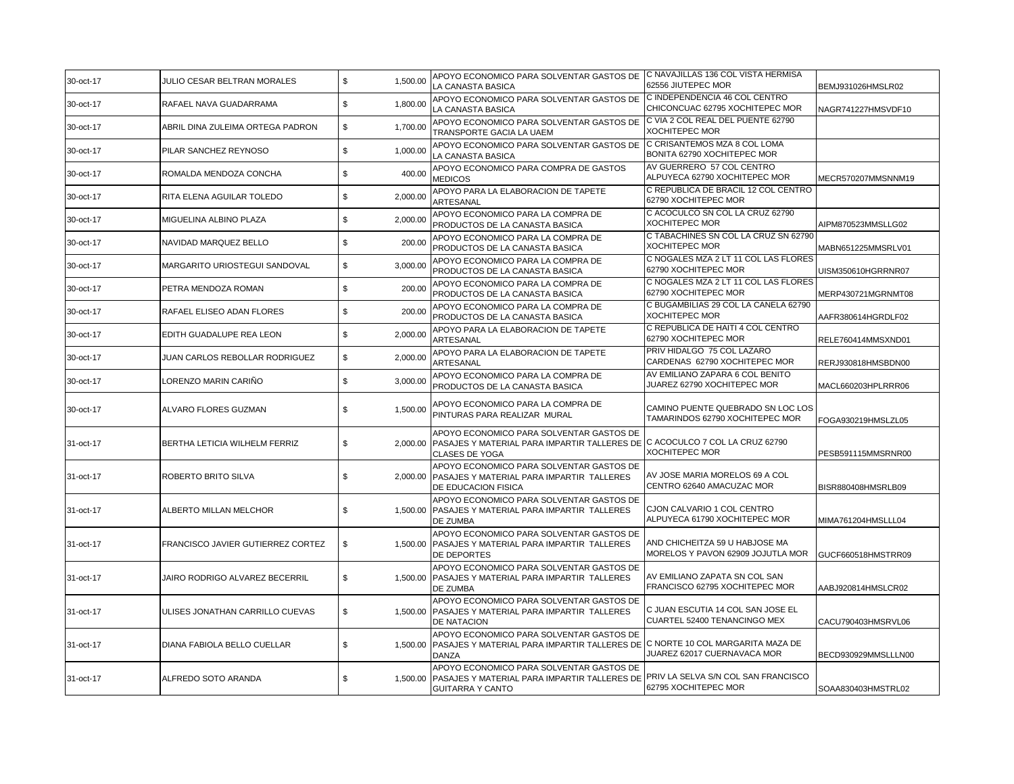| 30-oct-17 | JULIO CESAR BELTRAN MORALES       | \$<br>1,500.00 | APOYO ECONOMICO PARA SOLVENTAR GASTOS DE<br>LA CANASTA BASICA                                                                                           | C NAVAJILLAS 136 COL VISTA HERMISA<br>62556 JIUTEPEC MOR             | BEMJ931026HMSLR02   |
|-----------|-----------------------------------|----------------|---------------------------------------------------------------------------------------------------------------------------------------------------------|----------------------------------------------------------------------|---------------------|
| 30-oct-17 | RAFAEL NAVA GUADARRAMA            | \$<br>1,800.00 | APOYO ECONOMICO PARA SOLVENTAR GASTOS DE<br>LA CANASTA BASICA                                                                                           | C INDEPENDENCIA 46 COL CENTRO<br>CHICONCUAC 62795 XOCHITEPEC MOR     | NAGR741227HMSVDF10  |
| 30-oct-17 | ABRIL DINA ZULEIMA ORTEGA PADRON  | \$<br>1,700.00 | APOYO ECONOMICO PARA SOLVENTAR GASTOS DE<br>TRANSPORTE GACIA LA UAEM                                                                                    | C VIA 2 COL REAL DEL PUENTE 62790<br>XOCHITEPEC MOR                  |                     |
| 30-oct-17 | PILAR SANCHEZ REYNOSO             | \$<br>1,000.00 | APOYO ECONOMICO PARA SOLVENTAR GASTOS DE<br>LA CANASTA BASICA                                                                                           | C CRISANTEMOS MZA 8 COL LOMA<br>BONITA 62790 XOCHITEPEC MOR          |                     |
| 30-oct-17 | ROMALDA MENDOZA CONCHA            | \$<br>400.00   | APOYO ECONOMICO PARA COMPRA DE GASTOS<br><b>MEDICOS</b>                                                                                                 | AV GUERRERO 57 COL CENTRO<br>ALPUYECA 62790 XOCHITEPEC MOR           | MECR570207MMSNNM19  |
| 30-oct-17 | RITA ELENA AGUILAR TOLEDO         | \$<br>2,000.00 | APOYO PARA LA ELABORACION DE TAPETE<br>ARTESANAL                                                                                                        | C REPUBLICA DE BRACIL 12 COL CENTRO<br>62790 XOCHITEPEC MOR          |                     |
| 30-oct-17 | MIGUELINA ALBINO PLAZA            | \$<br>2,000.00 | APOYO ECONOMICO PARA LA COMPRA DE<br>PRODUCTOS DE LA CANASTA BASICA                                                                                     | C ACOCULCO SN COL LA CRUZ 62790<br><b>XOCHITEPEC MOR</b>             | AIPM870523MMSLLG02  |
| 30-oct-17 | NAVIDAD MARQUEZ BELLO             | \$<br>200.00   | APOYO ECONOMICO PARA LA COMPRA DE<br>PRODUCTOS DE LA CANASTA BASICA                                                                                     | C TABACHINES SN COL LA CRUZ SN 62790<br>XOCHITEPEC MOR               | MABN651225MMSRLV01  |
| 30-oct-17 | MARGARITO URIOSTEGUI SANDOVAL     | \$<br>3,000.00 | APOYO ECONOMICO PARA LA COMPRA DE<br>PRODUCTOS DE LA CANASTA BASICA                                                                                     | C NOGALES MZA 2 LT 11 COL LAS FLORES<br>62790 XOCHITEPEC MOR         | UISM350610HGRRNR07  |
| 30-oct-17 | PETRA MENDOZA ROMAN               | \$<br>200.00   | APOYO ECONOMICO PARA LA COMPRA DE<br>PRODUCTOS DE LA CANASTA BASICA                                                                                     | C NOGALES MZA 2 LT 11 COL LAS FLORES<br>62790 XOCHITEPEC MOR         | MERP430721MGRNMT08  |
| 30-oct-17 | RAFAEL ELISEO ADAN FLORES         | \$<br>200.00   | APOYO ECONOMICO PARA LA COMPRA DE<br>PRODUCTOS DE LA CANASTA BASICA                                                                                     | C BUGAMBILIAS 29 COL LA CANELA 62790<br><b>XOCHITEPEC MOR</b>        | AAFR380614HGRDLF02  |
| 30-oct-17 | EDITH GUADALUPE REA LEON          | 2,000.00<br>\$ | APOYO PARA LA ELABORACION DE TAPETE<br>ARTESANAL                                                                                                        | C REPUBLICA DE HAITI 4 COL CENTRO<br>62790 XOCHITEPEC MOR            | RELE760414MMSXND01  |
| 30-oct-17 | JUAN CARLOS REBOLLAR RODRIGUEZ    | \$<br>2,000.00 | APOYO PARA LA ELABORACION DE TAPETE<br>ARTESANAL                                                                                                        | PRIV HIDALGO 75 COL LAZARO<br>CARDENAS 62790 XOCHITEPEC MOR          | RERJ930818HMSBDN00  |
| 30-oct-17 | LORENZO MARIN CARIÑO              | \$<br>3,000.00 | APOYO ECONOMICO PARA LA COMPRA DE<br>PRODUCTOS DE LA CANASTA BASICA                                                                                     | AV EMILIANO ZAPARA 6 COL BENITO<br>JUAREZ 62790 XOCHITEPEC MOR       | MACL660203HPLRRR06  |
| 30-oct-17 | ALVARO FLORES GUZMAN              | \$<br>1,500.00 | APOYO ECONOMICO PARA LA COMPRA DE<br>PINTURAS PARA REALIZAR MURAL                                                                                       | CAMINO PUENTE QUEBRADO SN LOC LOS<br>TAMARINDOS 62790 XOCHITEPEC MOR | FOGA930219HMSLZL05  |
| 31-oct-17 | BERTHA LETICIA WILHELM FERRIZ     | \$<br>2,000.00 | APOYO ECONOMICO PARA SOLVENTAR GASTOS DE<br>PASAJES Y MATERIAL PARA IMPARTIR TALLERES DE C ACOCULCO 7 COL LA CRUZ 62790<br><b>CLASES DE YOGA</b>        | <b>XOCHITEPEC MOR</b>                                                | PESB591115MMSRNR00  |
| 31-oct-17 | ROBERTO BRITO SILVA               | \$             | APOYO ECONOMICO PARA SOLVENTAR GASTOS DE<br>2,000.00 PASAJES Y MATERIAL PARA IMPARTIR TALLERES<br>DE EDUCACION FISICA                                   | AV JOSE MARIA MORELOS 69 A COL<br>CENTRO 62640 AMACUZAC MOR          | BISR880408HMSRLB09  |
| 31-oct-17 | ALBERTO MILLAN MELCHOR            | \$<br>1.500.00 | APOYO ECONOMICO PARA SOLVENTAR GASTOS DE<br>PASAJES Y MATERIAL PARA IMPARTIR TALLERES<br>DE ZUMBA                                                       | CJON CALVARIO 1 COL CENTRO<br>ALPUYECA 61790 XOCHITEPEC MOR          | MIMA761204HMSLLL04  |
| 31-oct-17 | FRANCISCO JAVIER GUTIERREZ CORTEZ | \$             | APOYO ECONOMICO PARA SOLVENTAR GASTOS DE<br>1,500.00 PASAJES Y MATERIAL PARA IMPARTIR TALLERES<br>DE DEPORTES                                           | AND CHICHEITZA 59 U HABJOSE MA<br>MORELOS Y PAVON 62909 JOJUTLA MOR  | GUCF660518HMSTRR09  |
| 31-oct-17 | JAIRO RODRIGO ALVAREZ BECERRIL    | \$<br>1,500.00 | APOYO ECONOMICO PARA SOLVENTAR GASTOS DE<br>PASAJES Y MATERIAL PARA IMPARTIR TALLERES<br>DE ZUMBA                                                       | AV EMILIANO ZAPATA SN COL SAN<br>FRANCISCO 62795 XOCHITEPEC MOR      | AABJ920814HMSLCR02  |
| 31-oct-17 | ULISES JONATHAN CARRILLO CUEVAS   | \$<br>1,500.00 | APOYO ECONOMICO PARA SOLVENTAR GASTOS DE<br>PASAJES Y MATERIAL PARA IMPARTIR TALLERES<br>DE NATACION                                                    | C JUAN ESCUTIA 14 COL SAN JOSE EL<br>CUARTEL 52400 TENANCINGO MEX    | CACU790403HMSRVL06  |
| 31-oct-17 | DIANA FABIOLA BELLO CUELLAR       | \$<br>1,500.00 | APOYO ECONOMICO PARA SOLVENTAR GASTOS DE<br>PASAJES Y MATERIAL PARA IMPARTIR TALLERES DE C NORTE 10 COL MARGARITA MAZA DE<br><b>DANZA</b>               | JUAREZ 62017 CUERNAVACA MOR                                          | BECD930929MMSLLLN00 |
| 31-oct-17 | ALFREDO SOTO ARANDA               | \$<br>1,500.00 | APOYO ECONOMICO PARA SOLVENTAR GASTOS DE<br>PASAJES Y MATERIAL PARA IMPARTIR TALLERES DE PRIV LA SELVA S/N COL SAN FRANCISCO<br><b>GUITARRA Y CANTO</b> | 62795 XOCHITEPEC MOR                                                 | SOAA830403HMSTRL02  |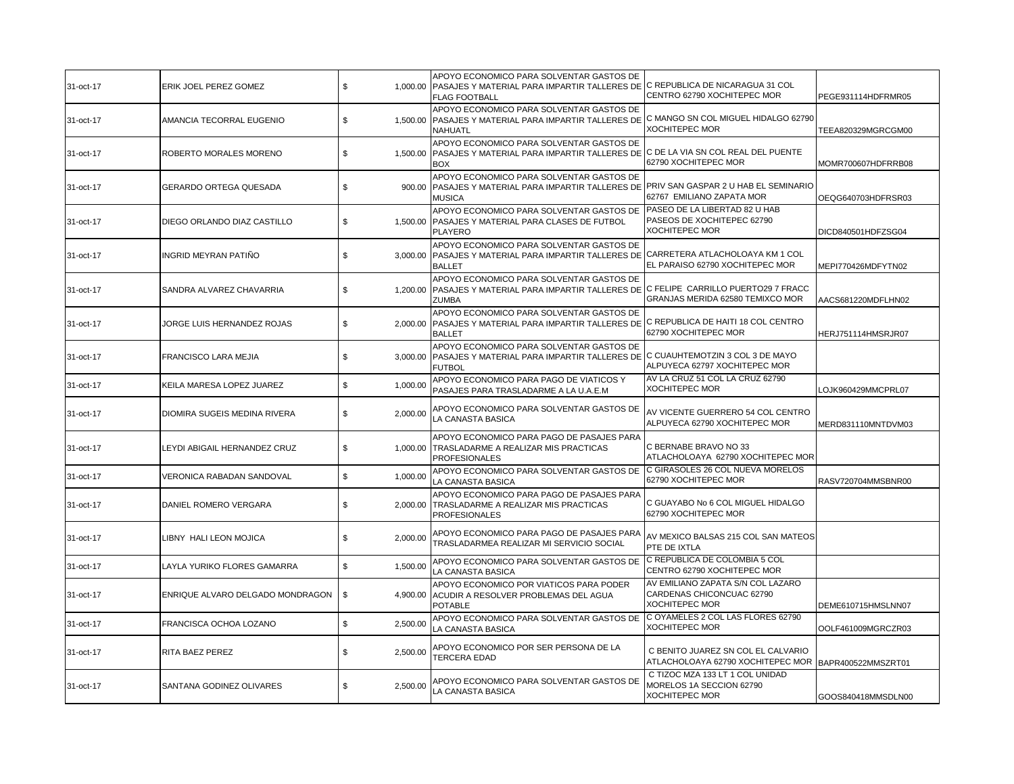| 31-oct-17 | ERIK JOEL PEREZ GOMEZ              | \$             | APOYO ECONOMICO PARA SOLVENTAR GASTOS DE<br>1,000.00 PASAJES Y MATERIAL PARA IMPARTIR TALLERES DE C REPUBLICA DE NICARAGUA 31 COL<br><b>FLAG FOOTBALL</b> | CENTRO 62790 XOCHITEPEC MOR                                                             | PEGE931114HDFRMR05 |
|-----------|------------------------------------|----------------|-----------------------------------------------------------------------------------------------------------------------------------------------------------|-----------------------------------------------------------------------------------------|--------------------|
| 31-oct-17 | AMANCIA TECORRAL EUGENIO           | \$<br>1.500.00 | APOYO ECONOMICO PARA SOLVENTAR GASTOS DE<br>PASAJES Y MATERIAL PARA IMPARTIR TALLERES DE C MANGO SN COL MIGUEL HIDALGO 62790<br><b>NAHUATL</b>            | <b>XOCHITEPEC MOR</b>                                                                   | TEEA820329MGRCGM00 |
| 31-oct-17 | ROBERTO MORALES MORENO             | \$<br>1,500.00 | APOYO ECONOMICO PARA SOLVENTAR GASTOS DE<br>PASAJES Y MATERIAL PARA IMPARTIR TALLERES DE C DE LA VIA SN COL REAL DEL PUENTE<br><b>BOX</b>                 | 62790 XOCHITEPEC MOR                                                                    | MOMR700607HDFRRB08 |
| 31-oct-17 | <b>GERARDO ORTEGA QUESADA</b>      | \$<br>900.00   | APOYO ECONOMICO PARA SOLVENTAR GASTOS DE<br>PASAJES Y MATERIAL PARA IMPARTIR TALLERES DE PRIV SAN GASPAR 2 U HAB EL SEMINARIO<br><b>MUSICA</b>            | 62767 EMILIANO ZAPATA MOR                                                               | OEQG640703HDFRSR03 |
| 31-oct-17 | DIEGO ORLANDO DIAZ CASTILLO        | \$<br>1.500.00 | APOYO ECONOMICO PARA SOLVENTAR GASTOS DE<br>PASAJES Y MATERIAL PARA CLASES DE FUTBOL<br><b>PLAYERO</b>                                                    | PASEO DE LA LIBERTAD 82 U HAB<br>PASEOS DE XOCHITEPEC 62790<br><b>XOCHITEPEC MOR</b>    | DICD840501HDFZSG04 |
| 31-oct-17 | <b>INGRID MEYRAN PATINO</b>        | \$<br>3,000.00 | APOYO ECONOMICO PARA SOLVENTAR GASTOS DE<br>PASAJES Y MATERIAL PARA IMPARTIR TALLERES DE CARRETERA ATLACHOLOAYA KM 1 COL<br><b>BALLET</b>                 | EL PARAISO 62790 XOCHITEPEC MOR                                                         | MEPI770426MDFYTN02 |
| 31-oct-17 | SANDRA ALVAREZ CHAVARRIA           | \$<br>1,200.00 | APOYO ECONOMICO PARA SOLVENTAR GASTOS DE<br>PASAJES Y MATERIAL PARA IMPARTIR TALLERES DE C FELIPE CARRILLO PUERTO29 7 FRACC<br><b>ZUMBA</b>               | GRANJAS MERIDA 62580 TEMIXCO MOR                                                        | AACS681220MDFLHN02 |
| 31-oct-17 | JORGE LUIS HERNANDEZ ROJAS         | \$<br>2.000.00 | APOYO ECONOMICO PARA SOLVENTAR GASTOS DE<br>PASAJES Y MATERIAL PARA IMPARTIR TALLERES DE<br><b>BALLET</b>                                                 | C REPUBLICA DE HAITI 18 COL CENTRO<br>62790 XOCHITEPEC MOR                              | HERJ751114HMSRJR07 |
| 31-oct-17 | FRANCISCO LARA MEJIA               | \$<br>3,000.00 | APOYO ECONOMICO PARA SOLVENTAR GASTOS DE<br>PASAJES Y MATERIAL PARA IMPARTIR TALLERES DE C CUAUHTEMOTZIN 3 COL 3 DE MAYO<br><b>FUTBOL</b>                 | ALPUYECA 62797 XOCHITEPEC MOR                                                           |                    |
| 31-oct-17 | KEILA MARESA LOPEZ JUAREZ          | \$<br>1,000.00 | APOYO ECONOMICO PARA PAGO DE VIATICOS Y<br>PASAJES PARA TRASLADARME A LA U.A.E.M                                                                          | AV LA CRUZ 51 COL LA CRUZ 62790<br><b>XOCHITEPEC MOR</b>                                | LOJK960429MMCPRL07 |
| 31-oct-17 | DIOMIRA SUGEIS MEDINA RIVERA       | \$<br>2,000.00 | APOYO ECONOMICO PARA SOLVENTAR GASTOS DE<br>LA CANASTA BASICA                                                                                             | AV VICENTE GUERRERO 54 COL CENTRO<br>ALPUYECA 62790 XOCHITEPEC MOR                      | MERD831110MNTDVM03 |
| 31-oct-17 | <b>EYDI ABIGAIL HERNANDEZ CRUZ</b> | \$<br>1,000.00 | APOYO ECONOMICO PARA PAGO DE PASAJES PARA<br>TRASLADARME A REALIZAR MIS PRACTICAS<br><b>PROFESIONALES</b>                                                 | C BERNABE BRAVO NO 33<br>ATLACHOLOAYA 62790 XOCHITEPEC MOR                              |                    |
| 31-oct-17 | VERONICA RABADAN SANDOVAL          | \$<br>1,000.00 | APOYO ECONOMICO PARA SOLVENTAR GASTOS DE<br>LA CANASTA BASICA                                                                                             | C GIRASOLES 26 COL NUEVA MORELOS<br>62790 XOCHITEPEC MOR                                | RASV720704MMSBNR00 |
| 31-oct-17 | DANIEL ROMERO VERGARA              | \$<br>2,000.00 | APOYO ECONOMICO PARA PAGO DE PASAJES PARA<br>TRASLADARME A REALIZAR MIS PRACTICAS<br><b>PROFESIONALES</b>                                                 | C GUAYABO No 6 COL MIGUEL HIDALGO<br>62790 XOCHITEPEC MOR                               |                    |
| 31-oct-17 | LIBNY HALI LEON MOJICA             | \$<br>2,000.00 | APOYO ECONOMICO PARA PAGO DE PASAJES PARA<br>TRASLADARMEA REALIZAR MI SERVICIO SOCIAL                                                                     | AV MEXICO BALSAS 215 COL SAN MATEOS<br>PTE DE IXTLA                                     |                    |
| 31-oct-17 | LAYLA YURIKO FLORES GAMARRA        | \$<br>1,500.00 | APOYO ECONOMICO PARA SOLVENTAR GASTOS DE<br>LA CANASTA BASICA                                                                                             | C REPUBLICA DE COLOMBIA 5 COL<br>CENTRO 62790 XOCHITEPEC MOR                            |                    |
| 31-oct-17 | ENRIQUE ALVARO DELGADO MONDRAGON   | \$<br>4,900.00 | APOYO ECONOMICO POR VIATICOS PARA PODER<br>ACUDIR A RESOLVER PROBLEMAS DEL AGUA<br><b>POTABLE</b>                                                         | AV EMILIANO ZAPATA S/N COL LAZARO<br>CARDENAS CHICONCUAC 62790<br><b>XOCHITEPEC MOR</b> | DEME610715HMSLNN07 |
| 31-oct-17 | FRANCISCA OCHOA LOZANO             | \$<br>2.500.00 | APOYO ECONOMICO PARA SOLVENTAR GASTOS DE<br>LA CANASTA BASICA                                                                                             | C OYAMELES 2 COL LAS FLORES 62790<br><b>XOCHITEPEC MOR</b>                              | OOLF461009MGRCZR03 |
| 31-oct-17 | RITA BAEZ PEREZ                    | \$<br>2,500.00 | APOYO ECONOMICO POR SER PERSONA DE LA<br><b>TERCERA EDAD</b>                                                                                              | C BENITO JUAREZ SN COL EL CALVARIO<br>ATLACHOLOAYA 62790 XOCHITEPEC MOR                 | BAPR400522MMSZRT01 |
| 31-oct-17 | SANTANA GODINEZ OLIVARES           | \$<br>2,500.00 | APOYO ECONOMICO PARA SOLVENTAR GASTOS DE<br>LA CANASTA BASICA                                                                                             | C TIZOC MZA 133 LT 1 COL UNIDAD<br>MORELOS 1A SECCION 62790<br><b>XOCHITEPEC MOR</b>    | GOOS840418MMSDLN00 |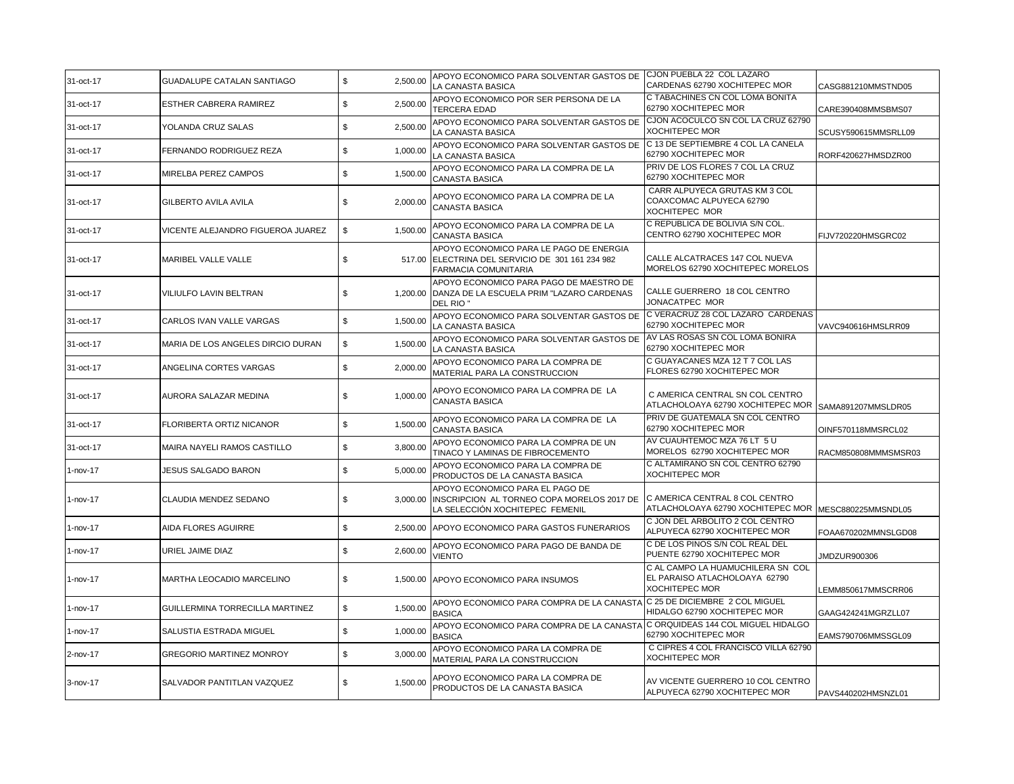| 31-oct-17   | <b>GUADALUPE CATALAN SANTIAGO</b> | \$<br>2.500.00 | APOYO ECONOMICO PARA SOLVENTAR GASTOS DE CJON PUEBLA 22 COL LAZARO                                                        |                                                                                             |                     |
|-------------|-----------------------------------|----------------|---------------------------------------------------------------------------------------------------------------------------|---------------------------------------------------------------------------------------------|---------------------|
|             |                                   |                | LA CANASTA BASICA                                                                                                         | CARDENAS 62790 XOCHITEPEC MOR<br>C TABACHINES CN COL LOMA BONITA                            | CASG881210MMSTND05  |
| 31-oct-17   | <b>ESTHER CABRERA RAMIREZ</b>     | \$<br>2,500.00 | APOYO ECONOMICO POR SER PERSONA DE LA<br><b>TERCERA EDAD</b>                                                              | 62790 XOCHITEPEC MOR                                                                        | CARE390408MMSBMS07  |
| 31-oct-17   | YOLANDA CRUZ SALAS                | \$<br>2,500.00 | APOYO ECONOMICO PARA SOLVENTAR GASTOS DE<br>LA CANASTA BASICA                                                             | CJON ACOCULCO SN COL LA CRUZ 62790<br><b>XOCHITEPEC MOR</b>                                 | SCUSY590615MMSRLL09 |
| 31-oct-17   | <b>FERNANDO RODRIGUEZ REZA</b>    | \$<br>1,000.00 | APOYO ECONOMICO PARA SOLVENTAR GASTOS DE<br>LA CANASTA BASICA                                                             | C 13 DE SEPTIEMBRE 4 COL LA CANELA<br>62790 XOCHITEPEC MOR                                  | RORF420627HMSDZR00  |
| 31-oct-17   | MIRELBA PEREZ CAMPOS              | \$<br>1.500.00 | APOYO ECONOMICO PARA LA COMPRA DE LA<br>CANASTA BASICA                                                                    | PRIV DE LOS FLORES 7 COL LA CRUZ<br>62790 XOCHITEPEC MOR                                    |                     |
| 31-oct-17   | GILBERTO AVILA AVILA              | 2,000.00<br>\$ | APOYO ECONOMICO PARA LA COMPRA DE LA<br><b>CANASTA BASICA</b>                                                             | CARR ALPUYECA GRUTAS KM 3 COL<br>COAXCOMAC ALPUYECA 62790<br><b>XOCHITEPEC MOR</b>          |                     |
| 31-oct-17   | VICENTE ALEJANDRO FIGUEROA JUAREZ | \$<br>1,500.00 | APOYO ECONOMICO PARA LA COMPRA DE LA<br>CANASTA BASICA                                                                    | C REPUBLICA DE BOLIVIA S/N COL.<br>CENTRO 62790 XOCHITEPEC MOR                              | FIJV720220HMSGRC02  |
| 31-oct-17   | MARIBEL VALLE VALLE               | \$             | APOYO ECONOMICO PARA LE PAGO DE ENERGIA<br>517.00 ELECTRINA DEL SERVICIO DE 301 161 234 982<br>FARMACIA COMUNITARIA       | CALLE ALCATRACES 147 COL NUEVA<br>MORELOS 62790 XOCHITEPEC MORELOS                          |                     |
| 31-oct-17   | VILIULFO LAVIN BELTRAN            | \$             | APOYO ECONOMICO PARA PAGO DE MAESTRO DE<br>1,200.00 DANZA DE LA ESCUELA PRIM "LAZARO CARDENAS<br>DEL RIO"                 | CALLE GUERRERO 18 COL CENTRO<br>JONACATPEC MOR                                              |                     |
| 31-oct-17   | CARLOS IVAN VALLE VARGAS          | 1,500.00<br>\$ | APOYO ECONOMICO PARA SOLVENTAR GASTOS DE<br>LA CANASTA BASICA                                                             | C VERACRUZ 28 COL LAZARO CARDENAS<br>62790 XOCHITEPEC MOR                                   | VAVC940616HMSLRR09  |
| 31-oct-17   | MARIA DE LOS ANGELES DIRCIO DURAN | \$<br>1,500.00 | APOYO ECONOMICO PARA SOLVENTAR GASTOS DE<br>LA CANASTA BASICA                                                             | AV LAS ROSAS SN COL LOMA BONIRA<br>62790 XOCHITEPEC MOR                                     |                     |
| 31-oct-17   | ANGELINA CORTES VARGAS            | \$<br>2,000.00 | APOYO ECONOMICO PARA LA COMPRA DE<br>MATERIAL PARA LA CONSTRUCCION                                                        | C GUAYACANES MZA 12 T 7 COL LAS<br>FLORES 62790 XOCHITEPEC MOR                              |                     |
| 31-oct-17   | AURORA SALAZAR MEDINA             | \$<br>1,000.00 | APOYO ECONOMICO PARA LA COMPRA DE LA<br><b>CANASTA BASICA</b>                                                             | C AMERICA CENTRAL SN COL CENTRO<br>ATLACHOLOAYA 62790 XOCHITEPEC MOR                        | SAMA891207MMSLDR05  |
| 31-oct-17   | FLORIBERTA ORTIZ NICANOR          | \$<br>1,500.00 | APOYO ECONOMICO PARA LA COMPRA DE LA<br><b>CANASTA BASICA</b>                                                             | PRIV DE GUATEMALA SN COL CENTRO<br>62790 XOCHITEPEC MOR                                     | OINF570118MMSRCL02  |
| 31-oct-17   | MAIRA NAYELI RAMOS CASTILLO       | \$<br>3,800.00 | APOYO ECONOMICO PARA LA COMPRA DE UN<br>TINACO Y LAMINAS DE FIBROCEMENTO                                                  | AV CUAUHTEMOC MZA 76 LT 5 U<br>MORELOS 62790 XOCHITEPEC MOR                                 | RACM850808MMMSMSR03 |
| 1-nov-17    | JESUS SALGADO BARON               | \$<br>5,000.00 | APOYO ECONOMICO PARA LA COMPRA DE<br>PRODUCTOS DE LA CANASTA BASICA                                                       | C ALTAMIRANO SN COL CENTRO 62790<br><b>XOCHITEPEC MOR</b>                                   |                     |
| 1-nov-17    | CLAUDIA MENDEZ SEDANO             | \$             | APOYO ECONOMICO PARA EL PAGO DE<br>3,000.00 INSCRIPCION AL TORNEO COPA MORELOS 2017 DE<br>LA SELECCIÓN XOCHITEPEC FEMENIL | C AMERICA CENTRAL 8 COL CENTRO<br>ATLACHOLOAYA 62790 XOCHITEPEC MOR                         | MESC880225MMSNDL05  |
| $1$ -nov-17 | AIDA FLORES AGUIRRE               | \$             | 2.500.00 APOYO ECONOMICO PARA GASTOS FUNERARIOS                                                                           | C JON DEL ARBOLITO 2 COL CENTRO<br>ALPUYECA 62790 XOCHITEPEC MOR                            | FOAA670202MMNSLGD08 |
| 1-nov-17    | URIEL JAIME DIAZ                  | \$<br>2,600.00 | APOYO ECONOMICO PARA PAGO DE BANDA DE<br><b>VIENTO</b>                                                                    | C DE LOS PINOS S/N COL REAL DEL<br>PUENTE 62790 XOCHITEPEC MOR                              | JMDZUR900306        |
| 1-nov-17    | MARTHA LEOCADIO MARCELINO         | \$             | 1,500.00 APOYO ECONOMICO PARA INSUMOS                                                                                     | C AL CAMPO LA HUAMUCHILERA SN COL<br>EL PARAISO ATLACHOLOAYA 62790<br><b>XOCHITEPEC MOR</b> | LEMM850617MMSCRR06  |
| 1-nov-17    | GUILLERMINA TORRECILLA MARTINEZ   | \$<br>1,500.00 | APOYO ECONOMICO PARA COMPRA DE LA CANASTA C 25 DE DICIEMBRE 2 COL MIGUEL<br><b>BASICA</b>                                 | HIDALGO 62790 XOCHITEPEC MOR                                                                | GAAG424241MGRZLL07  |
| $1$ -nov-17 | SALUSTIA ESTRADA MIGUEL           | \$<br>1,000.00 | APOYO ECONOMICO PARA COMPRA DE LA CANASTA<br><b>BASICA</b>                                                                | C ORQUIDEAS 144 COL MIGUEL HIDALGO<br>62790 XOCHITEPEC MOR                                  | EAMS790706MMSSGL09  |
| 2-nov-17    | <b>GREGORIO MARTINEZ MONROY</b>   | \$<br>3,000.00 | APOYO ECONOMICO PARA LA COMPRA DE<br>MATERIAL PARA LA CONSTRUCCION                                                        | C CIPRES 4 COL FRANCISCO VILLA 62790<br><b>XOCHITEPEC MOR</b>                               |                     |
| 3-nov-17    | SALVADOR PANTITLAN VAZQUEZ        | \$<br>1,500.00 | APOYO ECONOMICO PARA LA COMPRA DE<br>PRODUCTOS DE LA CANASTA BASICA                                                       | AV VICENTE GUERRERO 10 COL CENTRO<br>ALPUYECA 62790 XOCHITEPEC MOR                          | PAVS440202HMSNZL01  |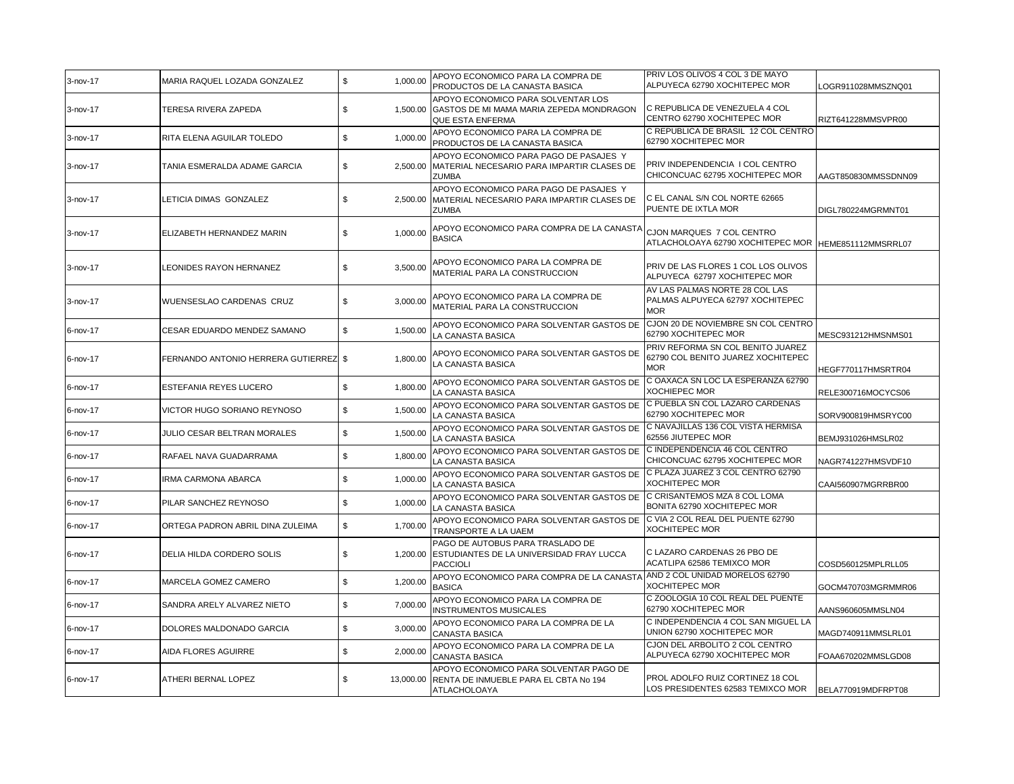|          |                                       |                 | APOYO ECONOMICO PARA LA COMPRA DE                                                                         | PRIV LOS OLIVOS 4 COL 3 DE MAYO                                                       |                     |
|----------|---------------------------------------|-----------------|-----------------------------------------------------------------------------------------------------------|---------------------------------------------------------------------------------------|---------------------|
| 3-nov-17 | MARIA RAQUEL LOZADA GONZALEZ          | \$<br>1.000.00  | PRODUCTOS DE LA CANASTA BASICA                                                                            | ALPUYECA 62790 XOCHITEPEC MOR                                                         | LOGR911028MMSZNQ01  |
| 3-nov-17 | TERESA RIVERA ZAPEDA                  | \$<br>1.500.00  | APOYO ECONOMICO PARA SOLVENTAR LOS<br>GASTOS DE MI MAMA MARIA ZEPEDA MONDRAGON<br><b>QUE ESTA ENFERMA</b> | C REPUBLICA DE VENEZUELA 4 COL<br>CENTRO 62790 XOCHITEPEC MOR                         | RIZT641228MMSVPR00  |
| 3-nov-17 | RITA ELENA AGUILAR TOLEDO             | \$<br>1.000.00  | APOYO ECONOMICO PARA LA COMPRA DE<br>PRODUCTOS DE LA CANASTA BASICA                                       | C REPUBLICA DE BRASIL 12 COL CENTRO<br>62790 XOCHITEPEC MOR                           |                     |
| 3-nov-17 | TANIA ESMERALDA ADAME GARCIA          | \$<br>2,500.00  | APOYO ECONOMICO PARA PAGO DE PASAJES Y<br>MATERIAL NECESARIO PARA IMPARTIR CLASES DE<br><b>ZUMBA</b>      | PRIV INDEPENDENCIA I COL CENTRO<br>CHICONCUAC 62795 XOCHITEPEC MOR                    | AAGT850830MMSSDNN09 |
| 3-nov-17 | LETICIA DIMAS GONZALEZ                | \$<br>2,500.00  | APOYO ECONOMICO PARA PAGO DE PASAJES Y<br>MATERIAL NECESARIO PARA IMPARTIR CLASES DE<br><b>ZUMBA</b>      | C EL CANAL S/N COL NORTE 62665<br>PUENTE DE IXTLA MOR                                 | DIGL780224MGRMNT01  |
| 3-nov-17 | ELIZABETH HERNANDEZ MARIN             | 1,000.00<br>\$  | APOYO ECONOMICO PARA COMPRA DE LA CANASTA<br><b>BASICA</b>                                                | CJON MARQUES 7 COL CENTRO<br>ATLACHOLOAYA 62790 XOCHITEPEC MOR   HEME851112MMSRRL07   |                     |
| 3-nov-17 | LEONIDES RAYON HERNANEZ               | \$<br>3,500.00  | APOYO ECONOMICO PARA LA COMPRA DE<br>MATERIAL PARA LA CONSTRUCCION                                        | PRIV DE LAS FLORES 1 COL LOS OLIVOS<br>ALPUYECA 62797 XOCHITEPEC MOR                  |                     |
| 3-nov-17 | WUENSESLAO CARDENAS CRUZ              | \$<br>3,000.00  | APOYO ECONOMICO PARA LA COMPRA DE<br>MATERIAL PARA LA CONSTRUCCION                                        | AV LAS PALMAS NORTE 28 COL LAS<br>PALMAS ALPUYECA 62797 XOCHITEPEC<br><b>MOR</b>      |                     |
| 6-nov-17 | CESAR EDUARDO MENDEZ SAMANO           | \$<br>1,500.00  | APOYO ECONOMICO PARA SOLVENTAR GASTOS DE<br>LA CANASTA BASICA                                             | CJON 20 DE NOVIEMBRE SN COL CENTRO<br>62790 XOCHITEPEC MOR                            | MESC931212HMSNMS01  |
| 6-nov-17 | FERNANDO ANTONIO HERRERA GUTIERREZ \$ | 1,800.00        | APOYO ECONOMICO PARA SOLVENTAR GASTOS DE<br>LA CANASTA BASICA                                             | PRIV REFORMA SN COL BENITO JUAREZ<br>62790 COL BENITO JUAREZ XOCHITEPEC<br><b>MOR</b> | HEGF770117HMSRTR04  |
| 6-nov-17 | ESTEFANIA REYES LUCERO                | \$<br>1,800.00  | APOYO ECONOMICO PARA SOLVENTAR GASTOS DE<br>LA CANASTA BASICA                                             | C OAXACA SN LOC LA ESPERANZA 62790<br><b>XOCHIEPEC MOR</b>                            | RELE300716MOCYCS06  |
| 6-nov-17 | VICTOR HUGO SORIANO REYNOSO           | \$<br>1,500.00  | APOYO ECONOMICO PARA SOLVENTAR GASTOS DE<br>LA CANASTA BASICA                                             | C PUEBLA SN COL LAZARO CARDENAS<br>62790 XOCHITEPEC MOR                               | SORV900819HMSRYC00  |
| 6-nov-17 | JULIO CESAR BELTRAN MORALES           | \$<br>1,500.00  | APOYO ECONOMICO PARA SOLVENTAR GASTOS DE<br>LA CANASTA BASICA                                             | C NAVAJILLAS 136 COL VISTA HERMISA<br>62556 JIUTEPEC MOR                              | BEMJ931026HMSLR02   |
| 6-nov-17 | RAFAEL NAVA GUADARRAMA                | \$<br>1,800.00  | APOYO ECONOMICO PARA SOLVENTAR GASTOS DE<br>LA CANASTA BASICA                                             | C INDEPENDENCIA 46 COL CENTRO<br>CHICONCUAC 62795 XOCHITEPEC MOR                      | NAGR741227HMSVDF10  |
| 6-nov-17 | IRMA CARMONA ABARCA                   | \$<br>1,000.00  | APOYO ECONOMICO PARA SOLVENTAR GASTOS DE<br>LA CANASTA BASICA                                             | C PLAZA JUAREZ 3 COL CENTRO 62790<br><b>XOCHITEPEC MOR</b>                            | CAAI560907MGRRBR00  |
| 6-nov-17 | PILAR SANCHEZ REYNOSO                 | 1,000.00<br>\$  | APOYO ECONOMICO PARA SOLVENTAR GASTOS DE<br>LA CANASTA BASICA                                             | C CRISANTEMOS MZA 8 COL LOMA<br>BONITA 62790 XOCHITEPEC MOR                           |                     |
| 6-nov-17 | ORTEGA PADRON ABRIL DINA ZULEIMA      | \$<br>1,700.00  | APOYO ECONOMICO PARA SOLVENTAR GASTOS DE<br>TRANSPORTE A LA UAEM                                          | C VIA 2 COL REAL DEL PUENTE 62790<br><b>XOCHITEPEC MOR</b>                            |                     |
| 6-nov-17 | DELIA HILDA CORDERO SOLIS             | \$<br>1,200.00  | PAGO DE AUTOBUS PARA TRASLADO DE<br>ESTUDIANTES DE LA UNIVERSIDAD FRAY LUCCA<br><b>PACCIOLI</b>           | C LAZARO CARDENAS 26 PBO DE<br>ACATLIPA 62586 TEMIXCO MOR                             | COSD560125MPLRLL05  |
| 6-nov-17 | MARCELA GOMEZ CAMERO                  | \$<br>1,200.00  | APOYO ECONOMICO PARA COMPRA DE LA CANASTA<br><b>BASICA</b>                                                | AND 2 COL UNIDAD MORELOS 62790<br><b>XOCHITEPEC MOR</b>                               | GOCM470703MGRMMR06  |
| 6-nov-17 | SANDRA ARELY ALVAREZ NIETO            | \$<br>7,000.00  | APOYO ECONOMICO PARA LA COMPRA DE<br>INSTRUMENTOS MUSICALES                                               | C ZOOLOGIA 10 COL REAL DEL PUENTE<br>62790 XOCHITEPEC MOR                             | AANS960605MMSLN04   |
| 6-nov-17 | DOLORES MALDONADO GARCIA              | \$<br>3,000.00  | APOYO ECONOMICO PARA LA COMPRA DE LA<br>CANASTA BASICA                                                    | C INDEPENDENCIA 4 COL SAN MIGUEL LA<br>UNION 62790 XOCHITEPEC MOR                     | MAGD740911MMSLRL01  |
| 6-nov-17 | AIDA FLORES AGUIRRE                   | \$<br>2,000.00  | APOYO ECONOMICO PARA LA COMPRA DE LA<br>CANASTA BASICA                                                    | CJON DEL ARBOLITO 2 COL CENTRO<br>ALPUYECA 62790 XOCHITEPEC MOR                       | FOAA670202MMSLGD08  |
| 6-nov-17 | ATHERI BERNAL LOPEZ                   | \$<br>13,000.00 | APOYO ECONOMICO PARA SOLVENTAR PAGO DE<br>RENTA DE INMUEBLE PARA EL CBTA No 194<br>ATLACHOLOAYA           | PROL ADOLFO RUIZ CORTINEZ 18 COL<br>LOS PRESIDENTES 62583 TEMIXCO MOR                 | BELA770919MDFRPT08  |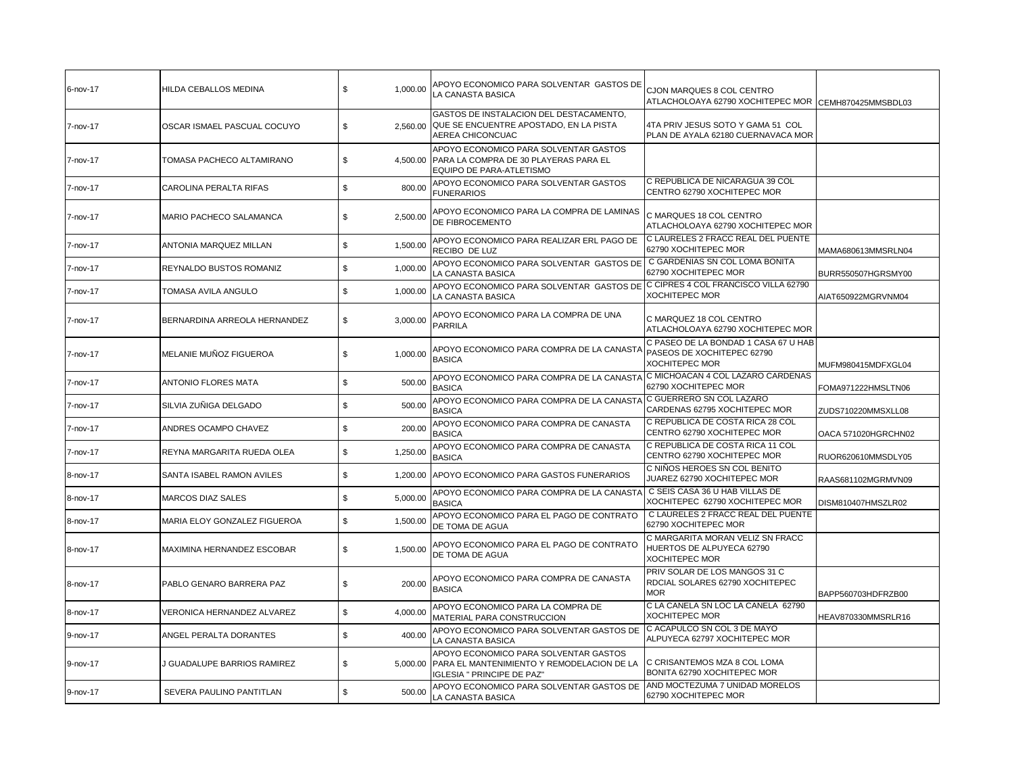| 6-nov-17 | <b>HILDA CEBALLOS MEDINA</b> | 1,000.00<br>\$ | APOYO ECONOMICO PARA SOLVENTAR GASTOS DE<br>LA CANASTA BASICA                                                              | CJON MARQUES 8 COL CENTRO<br>ATLACHOLOAYA 62790 XOCHITEPEC MOR CEMH870425MMSBDL03           |                     |
|----------|------------------------------|----------------|----------------------------------------------------------------------------------------------------------------------------|---------------------------------------------------------------------------------------------|---------------------|
| 7-nov-17 | OSCAR ISMAEL PASCUAL COCUYO  | \$<br>2.560.00 | GASTOS DE INSTALACION DEL DESTACAMENTO,<br>QUE SE ENCUENTRE APOSTADO, EN LA PISTA<br>AEREA CHICONCUAC                      | 4TA PRIV JESUS SOTO Y GAMA 51 COL<br>PLAN DE AYALA 62180 CUERNAVACA MOR                     |                     |
| 7-nov-17 | TOMASA PACHECO ALTAMIRANO    | \$             | APOYO ECONOMICO PARA SOLVENTAR GASTOS<br>4,500.00 PARA LA COMPRA DE 30 PLAYERAS PARA EL<br>EQUIPO DE PARA-ATLETISMO        |                                                                                             |                     |
| 7-nov-17 | CAROLINA PERALTA RIFAS       | \$<br>800.00   | APOYO ECONOMICO PARA SOLVENTAR GASTOS<br><b>FUNERARIOS</b>                                                                 | C REPUBLICA DE NICARAGUA 39 COL<br>CENTRO 62790 XOCHITEPEC MOR                              |                     |
| 7-nov-17 | MARIO PACHECO SALAMANCA      | 2,500.00<br>\$ | APOYO ECONOMICO PARA LA COMPRA DE LAMINAS<br>DE FIBROCEMENTO                                                               | C MARQUES 18 COL CENTRO<br>ATLACHOLOAYA 62790 XOCHITEPEC MOR                                |                     |
| 7-nov-17 | ANTONIA MARQUEZ MILLAN       | 1,500.00<br>\$ | APOYO ECONOMICO PARA REALIZAR ERL PAGO DE<br>RECIBO DE LUZ                                                                 | C LAURELES 2 FRACC REAL DEL PUENTE<br>62790 XOCHITEPEC MOR                                  | MAMA680613MMSRLN04  |
| 7-nov-17 | REYNALDO BUSTOS ROMANIZ      | \$<br>1,000.00 | APOYO ECONOMICO PARA SOLVENTAR GASTOS DE<br>LA CANASTA BASICA                                                              | C GARDENIAS SN COL LOMA BONITA<br>62790 XOCHITEPEC MOR                                      | BURR550507HGRSMY00  |
| 7-nov-17 | TOMASA AVILA ANGULO          | \$<br>1,000.00 | APOYO ECONOMICO PARA SOLVENTAR GASTOS DE<br>LA CANASTA BASICA                                                              | C CIPRES 4 COL FRANCISCO VILLA 62790<br><b>XOCHITEPEC MOR</b>                               | AIAT650922MGRVNM04  |
| 7-nov-17 | BERNARDINA ARREOLA HERNANDEZ | 3,000.00<br>\$ | APOYO ECONOMICO PARA LA COMPRA DE UNA<br><b>PARRILA</b>                                                                    | C MARQUEZ 18 COL CENTRO<br>ATLACHOLOAYA 62790 XOCHITEPEC MOR                                |                     |
| 7-nov-17 | MELANIE MUÑOZ FIGUEROA       | \$<br>1,000.00 | APOYO ECONOMICO PARA COMPRA DE LA CANASTA<br><b>BASICA</b>                                                                 | C PASEO DE LA BONDAD 1 CASA 67 U HAB<br>PASEOS DE XOCHITEPEC 62790<br><b>XOCHITEPEC MOR</b> | MUFM980415MDFXGL04  |
| 7-nov-17 | ANTONIO FLORES MATA          | 500.00<br>\$   | APOYO ECONOMICO PARA COMPRA DE LA CANASTA<br><b>BASICA</b>                                                                 | C MICHOACAN 4 COL LAZARO CARDENAS<br>62790 XOCHITEPEC MOR                                   | FOMA971222HMSLTN06  |
| 7-nov-17 | SILVIA ZUÑIGA DELGADO        | 500.00<br>\$   | APOYO ECONOMICO PARA COMPRA DE LA CANASTA<br><b>BASICA</b>                                                                 | C GUERRERO SN COL LAZARO<br>CARDENAS 62795 XOCHITEPEC MOR                                   | ZUDS710220MMSXLL08  |
| 7-nov-17 | ANDRES OCAMPO CHAVEZ         | \$<br>200.00   | APOYO ECONOMICO PARA COMPRA DE CANASTA<br><b>BASICA</b>                                                                    | C REPUBLICA DE COSTA RICA 28 COL<br>CENTRO 62790 XOCHITEPEC MOR                             | OACA 571020HGRCHN02 |
| 7-nov-17 | REYNA MARGARITA RUEDA OLEA   | \$<br>1,250.00 | APOYO ECONOMICO PARA COMPRA DE CANASTA<br><b>BASICA</b>                                                                    | C REPUBLICA DE COSTA RICA 11 COL<br>CENTRO 62790 XOCHITEPEC MOR                             | RUOR620610MMSDLY05  |
| 8-nov-17 | SANTA ISABEL RAMON AVILES    | \$<br>1,200.00 | APOYO ECONOMICO PARA GASTOS FUNERARIOS                                                                                     | C NIÑOS HEROES SN COL BENITO<br>JUAREZ 62790 XOCHITEPEC MOR                                 | RAAS681102MGRMVN09  |
| 8-nov-17 | <b>MARCOS DIAZ SALES</b>     | 5,000.00<br>\$ | APOYO ECONOMICO PARA COMPRA DE LA CANASTA<br><b>BASICA</b>                                                                 | C SEIS CASA 36 U HAB VILLAS DE<br>XOCHITEPEC 62790 XOCHITEPEC MOR                           | DISM810407HMSZLR02  |
| 8-nov-17 | MARIA ELOY GONZALEZ FIGUEROA | \$<br>1.500.00 | APOYO ECONOMICO PARA EL PAGO DE CONTRATO<br>DE TOMA DE AGUA                                                                | C LAURELES 2 FRACC REAL DEL PUENTE<br>62790 XOCHITEPEC MOR                                  |                     |
| 8-nov-17 | MAXIMINA HERNANDEZ ESCOBAR   | \$<br>1,500.00 | APOYO ECONOMICO PARA EL PAGO DE CONTRATO<br>DE TOMA DE AGUA                                                                | C MARGARITA MORAN VELIZ SN FRACC<br>HUERTOS DE ALPUYECA 62790<br>XOCHITEPEC MOR             |                     |
| 8-nov-17 | PABLO GENARO BARRERA PAZ     | \$<br>200.00   | APOYO ECONOMICO PARA COMPRA DE CANASTA<br><b>BASICA</b>                                                                    | PRIV SOLAR DE LOS MANGOS 31 C<br>RDCIAL SOLARES 62790 XOCHITEPEC<br><b>MOR</b>              | BAPP560703HDFRZB00  |
| 8-nov-17 | VERONICA HERNANDEZ ALVAREZ   | \$<br>4,000.00 | APOYO ECONOMICO PARA LA COMPRA DE<br>MATERIAL PARA CONSTRUCCION                                                            | C LA CANELA SN LOC LA CANELA 62790<br><b>XOCHITEPEC MOR</b>                                 | HEAV870330MMSRLR16  |
| 9-nov-17 | ANGEL PERALTA DORANTES       | \$<br>400.00   | APOYO ECONOMICO PARA SOLVENTAR GASTOS DE<br>LA CANASTA BASICA                                                              | C ACAPULCO SN COL 3 DE MAYO<br>ALPUYECA 62797 XOCHITEPEC MOR                                |                     |
| 9-nov-17 | J GUADALUPE BARRIOS RAMIREZ  | \$             | APOYO ECONOMICO PARA SOLVENTAR GASTOS<br>5,000.00 PARA EL MANTENIMIENTO Y REMODELACION DE LA<br>IGLESIA " PRINCIPE DE PAZ" | C CRISANTEMOS MZA 8 COL LOMA<br>BONITA 62790 XOCHITEPEC MOR                                 |                     |
| 9-nov-17 | SEVERA PAULINO PANTITLAN     | \$<br>500.00   | APOYO ECONOMICO PARA SOLVENTAR GASTOS DE<br>LA CANASTA BASICA                                                              | AND MOCTEZUMA 7 UNIDAD MORELOS<br>62790 XOCHITEPEC MOR                                      |                     |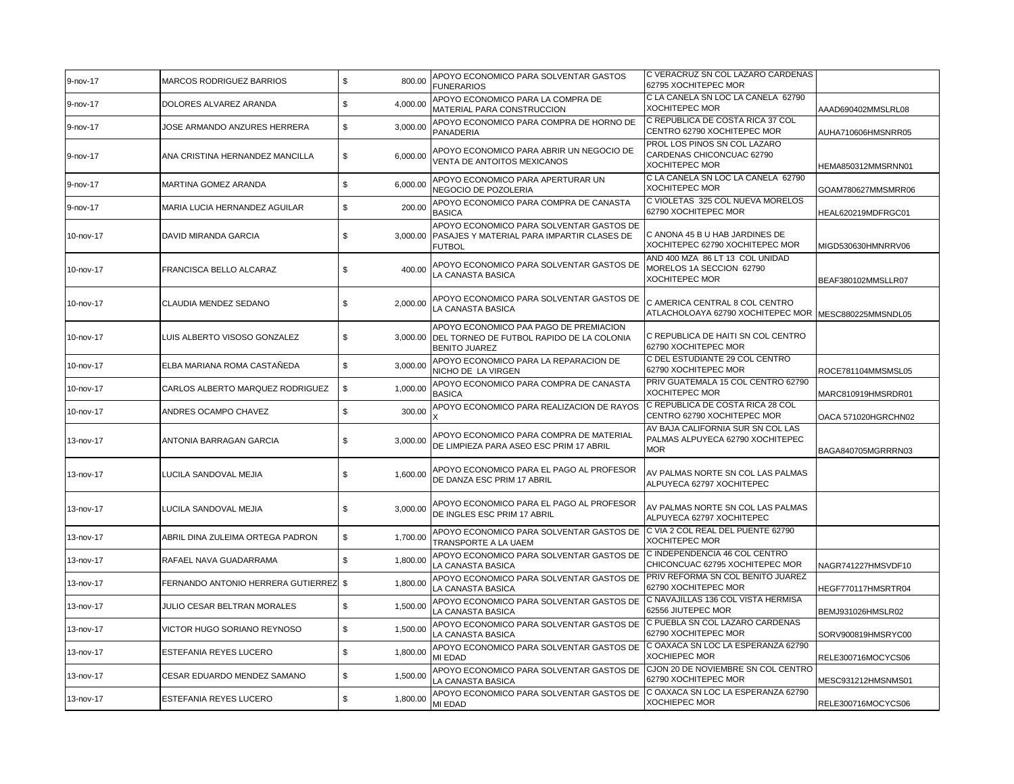| 9-nov-17  | <b>MARCOS RODRIGUEZ BARRIOS</b>    | \$<br>800.00   | APOYO ECONOMICO PARA SOLVENTAR GASTOS<br><b>FUNERARIOS</b>                                                           | C VERACRUZ SN COL LAZARO CARDENAS<br>62795 XOCHITEPEC MOR                                |                     |
|-----------|------------------------------------|----------------|----------------------------------------------------------------------------------------------------------------------|------------------------------------------------------------------------------------------|---------------------|
| 9-nov-17  | DOLORES ALVAREZ ARANDA             | 4,000.00<br>\$ | APOYO ECONOMICO PARA LA COMPRA DE<br>MATERIAL PARA CONSTRUCCION                                                      | C LA CANELA SN LOC LA CANELA 62790<br><b>XOCHITEPEC MOR</b>                              | AAAD690402MMSLRL08  |
| 9-nov-17  | JOSE ARMANDO ANZURES HERRERA       | \$<br>3,000.00 | APOYO ECONOMICO PARA COMPRA DE HORNO DE<br>PANADERIA                                                                 | C REPUBLICA DE COSTA RICA 37 COL<br>CENTRO 62790 XOCHITEPEC MOR                          | AUHA710606HMSNRR05  |
| 9-nov-17  | ANA CRISTINA HERNANDEZ MANCILLA    | \$<br>6,000.00 | APOYO ECONOMICO PARA ABRIR UN NEGOCIO DE<br>VENTA DE ANTOITOS MEXICANOS                                              | PROL LOS PINOS SN COL LAZARO<br>CARDENAS CHICONCUAC 62790<br><b>XOCHITEPEC MOR</b>       | HEMA850312MMSRNN01  |
| 9-nov-17  | MARTINA GOMEZ ARANDA               | \$<br>6,000.00 | APOYO ECONOMICO PARA APERTURAR UN<br>NEGOCIO DE POZOLERIA                                                            | C LA CANELA SN LOC LA CANELA 62790<br><b>XOCHITEPEC MOR</b>                              | GOAM780627MMSMRR06  |
| 9-nov-17  | MARIA LUCIA HERNANDEZ AGUILAR      | \$<br>200.00   | APOYO ECONOMICO PARA COMPRA DE CANASTA<br><b>BASICA</b>                                                              | C VIOLETAS 325 COL NUEVA MORELOS<br>62790 XOCHITEPEC MOR                                 | HEAL620219MDFRGC01  |
| 10-nov-17 | DAVID MIRANDA GARCIA               | \$<br>3,000.00 | APOYO ECONOMICO PARA SOLVENTAR GASTOS DE<br>PASAJES Y MATERIAL PARA IMPARTIR CLASES DE<br><b>FUTBOL</b>              | C ANONA 45 B U HAB JARDINES DE<br>XOCHITEPEC 62790 XOCHITEPEC MOR                        | MIGD530630HMNRRV06  |
| 10-nov-17 | FRANCISCA BELLO ALCARAZ            | \$<br>400.00   | APOYO ECONOMICO PARA SOLVENTAR GASTOS DE<br>LA CANASTA BASICA                                                        | AND 400 MZA 86 LT 13 COL UNIDAD<br>MORELOS 1A SECCION 62790<br><b>XOCHITEPEC MOR</b>     | BEAF380102MMSLLR07  |
| 10-nov-17 | CLAUDIA MENDEZ SEDANO              | \$<br>2,000.00 | APOYO ECONOMICO PARA SOLVENTAR GASTOS DE<br>LA CANASTA BASICA                                                        | C AMERICA CENTRAL 8 COL CENTRO<br>ATLACHOLOAYA 62790 XOCHITEPEC MOR   MESC880225MMSNDL05 |                     |
| 10-nov-17 | LUIS ALBERTO VISOSO GONZALEZ       | S.             | APOYO ECONOMICO PAA PAGO DE PREMIACION<br>3,000.00 DEL TORNEO DE FUTBOL RAPIDO DE LA COLONIA<br><b>BENITO JUAREZ</b> | C REPUBLICA DE HAITI SN COL CENTRO<br>62790 XOCHITEPEC MOR                               |                     |
| 10-nov-17 | ELBA MARIANA ROMA CASTAÑEDA        | \$<br>3.000.00 | APOYO ECONOMICO PARA LA REPARACION DE<br>NICHO DE LA VIRGEN                                                          | C DEL ESTUDIANTE 29 COL CENTRO<br>62790 XOCHITEPEC MOR                                   | ROCE781104MMSMSL05  |
| 10-nov-17 | CARLOS ALBERTO MARQUEZ RODRIGUEZ   | \$<br>1.000.00 | APOYO ECONOMICO PARA COMPRA DE CANASTA<br><b>BASICA</b>                                                              | PRIV GUATEMALA 15 COL CENTRO 62790<br><b>XOCHITEPEC MOR</b>                              | MARC810919HMSRDR01  |
| 10-nov-17 | ANDRES OCAMPO CHAVEZ               | \$<br>300.00   | APOYO ECONOMICO PARA REALIZACION DE RAYOS                                                                            | C REPUBLICA DE COSTA RICA 28 COL<br>CENTRO 62790 XOCHITEPEC MOR                          | OACA 571020HGRCHN02 |
| 13-nov-17 | ANTONIA BARRAGAN GARCIA            | \$<br>3,000.00 | APOYO ECONOMICO PARA COMPRA DE MATERIAL<br>DE LIMPIEZA PARA ASEO ESC PRIM 17 ABRIL                                   | AV BAJA CALIFORNIA SUR SN COL LAS<br>PALMAS ALPUYECA 62790 XOCHITEPEC<br><b>MOR</b>      | BAGA840705MGRRRN03  |
| 13-nov-17 | LUCILA SANDOVAL MEJIA              | \$<br>1,600.00 | APOYO ECONOMICO PARA EL PAGO AL PROFESOR<br>DE DANZA ESC PRIM 17 ABRIL                                               | AV PALMAS NORTE SN COL LAS PALMAS<br>ALPUYECA 62797 XOCHITEPEC                           |                     |
| 13-nov-17 | LUCILA SANDOVAL MEJIA              | \$<br>3,000.00 | APOYO ECONOMICO PARA EL PAGO AL PROFESOR<br>DE INGLES ESC PRIM 17 ABRIL                                              | AV PALMAS NORTE SN COL LAS PALMAS<br>ALPUYECA 62797 XOCHITEPEC                           |                     |
| 13-nov-17 | ABRIL DINA ZULEIMA ORTEGA PADRON   | \$<br>1,700.00 | APOYO ECONOMICO PARA SOLVENTAR GASTOS DE<br>TRANSPORTE A LA UAEM                                                     | C VIA 2 COL REAL DEL PUENTE 62790<br><b>XOCHITEPEC MOR</b>                               |                     |
| 13-nov-17 | RAFAEL NAVA GUADARRAMA             | \$<br>1,800.00 | APOYO ECONOMICO PARA SOLVENTAR GASTOS DE<br>LA CANASTA BASICA                                                        | C INDEPENDENCIA 46 COL CENTRO<br>CHICONCUAC 62795 XOCHITEPEC MOR                         | NAGR741227HMSVDF10  |
| 13-nov-17 | FERNANDO ANTONIO HERRERA GUTIERREZ | \$<br>1,800.00 | APOYO ECONOMICO PARA SOLVENTAR GASTOS DE<br>LA CANASTA BASICA                                                        | PRIV REFORMA SN COL BENITO JUAREZ<br>62790 XOCHITEPEC MOR                                | HEGF770117HMSRTR04  |
| 13-nov-17 | JULIO CESAR BELTRAN MORALES        | \$<br>1,500.00 | APOYO ECONOMICO PARA SOLVENTAR GASTOS DE<br>LA CANASTA BASICA                                                        | C NAVAJILLAS 136 COL VISTA HERMISA<br>62556 JIUTEPEC MOR                                 | BEMJ931026HMSLR02   |
| 13-nov-17 | VICTOR HUGO SORIANO REYNOSO        | \$<br>1,500.00 | APOYO ECONOMICO PARA SOLVENTAR GASTOS DE<br>LA CANASTA BASICA                                                        | C PUEBLA SN COL LAZARO CARDENAS<br>62790 XOCHITEPEC MOR                                  | SORV900819HMSRYC00  |
| 13-nov-17 | <b>ESTEFANIA REYES LUCERO</b>      | \$<br>1,800.00 | APOYO ECONOMICO PARA SOLVENTAR GASTOS DE<br>MI EDAD                                                                  | C OAXACA SN LOC LA ESPERANZA 62790<br><b>XOCHIEPEC MOR</b>                               | RELE300716MOCYCS06  |
| 13-nov-17 | CESAR EDUARDO MENDEZ SAMANO        | \$<br>1,500.00 | APOYO ECONOMICO PARA SOLVENTAR GASTOS DE<br>LA CANASTA BASICA                                                        | CJON 20 DE NOVIEMBRE SN COL CENTRO<br>62790 XOCHITEPEC MOR                               | MESC931212HMSNMS01  |
| 13-nov-17 | <b>ESTEFANIA REYES LUCERO</b>      | 1,800.00<br>\$ | APOYO ECONOMICO PARA SOLVENTAR GASTOS DE<br>MI EDAD                                                                  | C OAXACA SN LOC LA ESPERANZA 62790<br><b>XOCHIEPEC MOR</b>                               | RELE300716MOCYCS06  |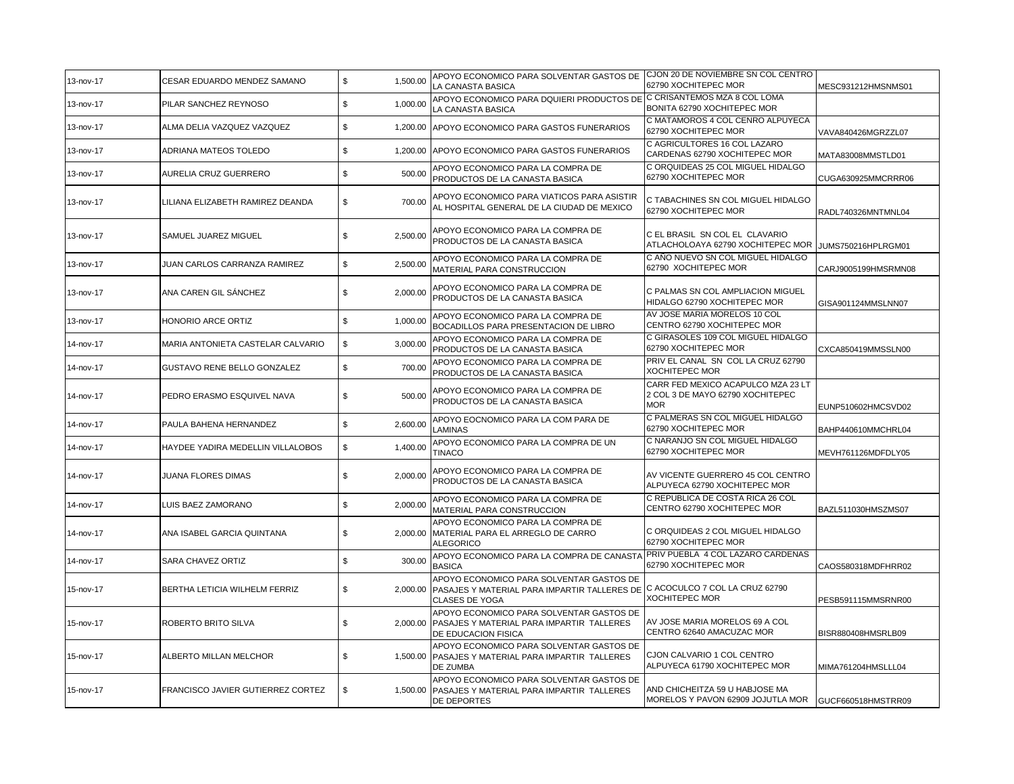| 13-nov-17 | CESAR EDUARDO MENDEZ SAMANO        | \$<br>1,500.00 | APOYO ECONOMICO PARA SOLVENTAR GASTOS DE<br>LA CANASTA BASICA                                                                             | CJON 20 DE NOVIEMBRE SN COL CENTRO<br>62790 XOCHITEPEC MOR                           | MESC931212HMSNMS01  |
|-----------|------------------------------------|----------------|-------------------------------------------------------------------------------------------------------------------------------------------|--------------------------------------------------------------------------------------|---------------------|
| 13-nov-17 | PILAR SANCHEZ REYNOSO              | \$<br>1,000.00 | APOYO ECONOMICO PARA DQUIERI PRODUCTOS DE C CRISANTEMOS MZA 8 COL LOMA<br>LA CANASTA BASICA                                               | BONITA 62790 XOCHITEPEC MOR                                                          |                     |
| 13-nov-17 | ALMA DELIA VAZQUEZ VAZQUEZ         | \$<br>1.200.00 | APOYO ECONOMICO PARA GASTOS FUNERARIOS                                                                                                    | C MATAMOROS 4 COL CENRO ALPUYECA<br>62790 XOCHITEPEC MOR                             | VAVA840426MGRZZL07  |
| 13-nov-17 | ADRIANA MATEOS TOLEDO              | \$<br>1,200.00 | APOYO ECONOMICO PARA GASTOS FUNERARIOS                                                                                                    | C AGRICULTORES 16 COL LAZARO<br>CARDENAS 62790 XOCHITEPEC MOR                        | MATA83008MMSTLD01   |
| 13-nov-17 | AURELIA CRUZ GUERRERO              | \$<br>500.00   | APOYO ECONOMICO PARA LA COMPRA DE<br>PRODUCTOS DE LA CANASTA BASICA                                                                       | C ORQUIDEAS 25 COL MIGUEL HIDALGO<br>62790 XOCHITEPEC MOR                            | CUGA630925MMCRRR06  |
| 13-nov-17 | LILIANA ELIZABETH RAMIREZ DEANDA   | \$<br>700.00   | APOYO ECONOMICO PARA VIATICOS PARA ASISTIR<br>AL HOSPITAL GENERAL DE LA CIUDAD DE MEXICO                                                  | C TABACHINES SN COL MIGUEL HIDALGO<br>62790 XOCHITEPEC MOR                           | RADL740326MNTMNL04  |
| 13-nov-17 | SAMUEL JUAREZ MIGUEL               | \$<br>2,500.00 | APOYO ECONOMICO PARA LA COMPRA DE<br>PRODUCTOS DE LA CANASTA BASICA                                                                       | C EL BRASIL SN COL EL CLAVARIO<br>ATLACHOLOAYA 62790 XOCHITEPEC MOR                  | JUMS750216HPLRGM01  |
| 13-nov-17 | JUAN CARLOS CARRANZA RAMIREZ       | \$<br>2,500.00 | APOYO ECONOMICO PARA LA COMPRA DE<br>MATERIAL PARA CONSTRUCCION                                                                           | C AÑO NUEVO SN COL MIGUEL HIDALGO<br>62790 XOCHITEPEC MOR                            | CARJ9005199HMSRMN08 |
| 13-nov-17 | ANA CAREN GIL SÁNCHEZ              | \$<br>2,000.00 | APOYO ECONOMICO PARA LA COMPRA DE<br>PRODUCTOS DE LA CANASTA BASICA                                                                       | C PALMAS SN COL AMPLIACION MIGUEL<br>HIDALGO 62790 XOCHITEPEC MOR                    | GISA901124MMSLNN07  |
| 13-nov-17 | HONORIO ARCE ORTIZ                 | \$<br>1,000.00 | APOYO ECONOMICO PARA LA COMPRA DE<br>BOCADILLOS PARA PRESENTACION DE LIBRO                                                                | AV JOSE MARIA MORELOS 10 COL<br>CENTRO 62790 XOCHITEPEC MOR                          |                     |
| 14-nov-17 | MARIA ANTONIETA CASTELAR CALVARIO  | \$<br>3,000.00 | APOYO ECONOMICO PARA LA COMPRA DE<br>PRODUCTOS DE LA CANASTA BASICA                                                                       | C GIRASOLES 109 COL MIGUEL HIDALGO<br>62790 XOCHITEPEC MOR                           | CXCA850419MMSSLN00  |
| 14-nov-17 | <b>GUSTAVO RENE BELLO GONZALEZ</b> | \$<br>700.00   | APOYO ECONOMICO PARA LA COMPRA DE<br>PRODUCTOS DE LA CANASTA BASICA                                                                       | PRIV EL CANAL SN COL LA CRUZ 62790<br><b>XOCHITEPEC MOR</b>                          |                     |
| 14-nov-17 | PEDRO ERASMO ESQUIVEL NAVA         | \$<br>500.00   | APOYO ECONOMICO PARA LA COMPRA DE<br>PRODUCTOS DE LA CANASTA BASICA                                                                       | CARR FED MEXICO ACAPULCO MZA 23 LT<br>2 COL 3 DE MAYO 62790 XOCHITEPEC<br><b>MOR</b> | EUNP510602HMCSVD02  |
| 14-nov-17 | PAULA BAHENA HERNANDEZ             | \$<br>2,600.00 | APOYO EOCNOMICO PARA LA COM PARA DE<br>LAMINAS                                                                                            | C PALMERAS SN COL MIGUEL HIDALGO<br>62790 XOCHITEPEC MOR                             | BAHP440610MMCHRL04  |
| 14-nov-17 | HAYDEE YADIRA MEDELLIN VILLALOBOS  | \$<br>1,400.00 | APOYO ECONOMICO PARA LA COMPRA DE UN<br><b>TINACO</b>                                                                                     | C NARANJO SN COL MIGUEL HIDALGO<br>62790 XOCHITEPEC MOR                              | MEVH761126MDFDLY05  |
| 14-nov-17 | JUANA FLORES DIMAS                 | 2,000.00<br>\$ | APOYO ECONOMICO PARA LA COMPRA DE<br>PRODUCTOS DE LA CANASTA BASICA                                                                       | AV VICENTE GUERRERO 45 COL CENTRO<br>ALPUYECA 62790 XOCHITEPEC MOR                   |                     |
| 14-nov-17 | LUIS BAEZ ZAMORANO                 | \$<br>2,000.00 | APOYO ECONOMICO PARA LA COMPRA DE<br>MATERIAL PARA CONSTRUCCION                                                                           | C REPUBLICA DE COSTA RICA 26 COL<br>CENTRO 62790 XOCHITEPEC MOR                      | BAZL511030HMSZMS07  |
| 14-nov-17 | ANA ISABEL GARCIA QUINTANA         | \$<br>2,000.00 | APOYO ECONOMICO PARA LA COMPRA DE<br>MATERIAL PARA EL ARREGLO DE CARRO<br><b>ALEGORICO</b>                                                | C ORQUIDEAS 2 COL MIGUEL HIDALGO<br>62790 XOCHITEPEC MOR                             |                     |
| 14-nov-17 | SARA CHAVEZ ORTIZ                  | \$<br>300.00   | APOYO ECONOMICO PARA LA COMPRA DE CANASTA PRIV PUEBLA 4 COL LAZARO CARDENAS<br><b>BASICA</b>                                              | 62790 XOCHITEPEC MOR                                                                 | CAOS580318MDFHRR02  |
| 15-nov-17 | BERTHA LETICIA WILHELM FERRIZ      | \$<br>2,000.00 | APOYO ECONOMICO PARA SOLVENTAR GASTOS DE<br>PASAJES Y MATERIAL PARA IMPARTIR TALLERES DE C ACOCULCO 7 COL LA CRUZ 62790<br>CLASES DE YOGA | <b>XOCHITEPEC MOR</b>                                                                | PESB591115MMSRNR00  |
| 15-nov-17 | ROBERTO BRITO SILVA                | \$<br>2.000.00 | APOYO ECONOMICO PARA SOLVENTAR GASTOS DE<br>PASAJES Y MATERIAL PARA IMPARTIR TALLERES<br>DE EDUCACION FISICA                              | AV JOSE MARIA MORELOS 69 A COL<br>CENTRO 62640 AMACUZAC MOR                          | BISR880408HMSRLB09  |
| 15-nov-17 | ALBERTO MILLAN MELCHOR             | \$             | APOYO ECONOMICO PARA SOLVENTAR GASTOS DE<br>1,500.00 PASAJES Y MATERIAL PARA IMPARTIR TALLERES<br>DE ZUMBA                                | CJON CALVARIO 1 COL CENTRO<br>ALPUYECA 61790 XOCHITEPEC MOR                          | MIMA761204HMSLLL04  |
| 15-nov-17 | FRANCISCO JAVIER GUTIERREZ CORTEZ  | \$<br>1.500.00 | APOYO ECONOMICO PARA SOLVENTAR GASTOS DE<br>PASAJES Y MATERIAL PARA IMPARTIR TALLERES<br>DE DEPORTES                                      | AND CHICHEITZA 59 U HABJOSE MA<br>MORELOS Y PAVON 62909 JOJUTLA MOR                  | GUCF660518HMSTRR09  |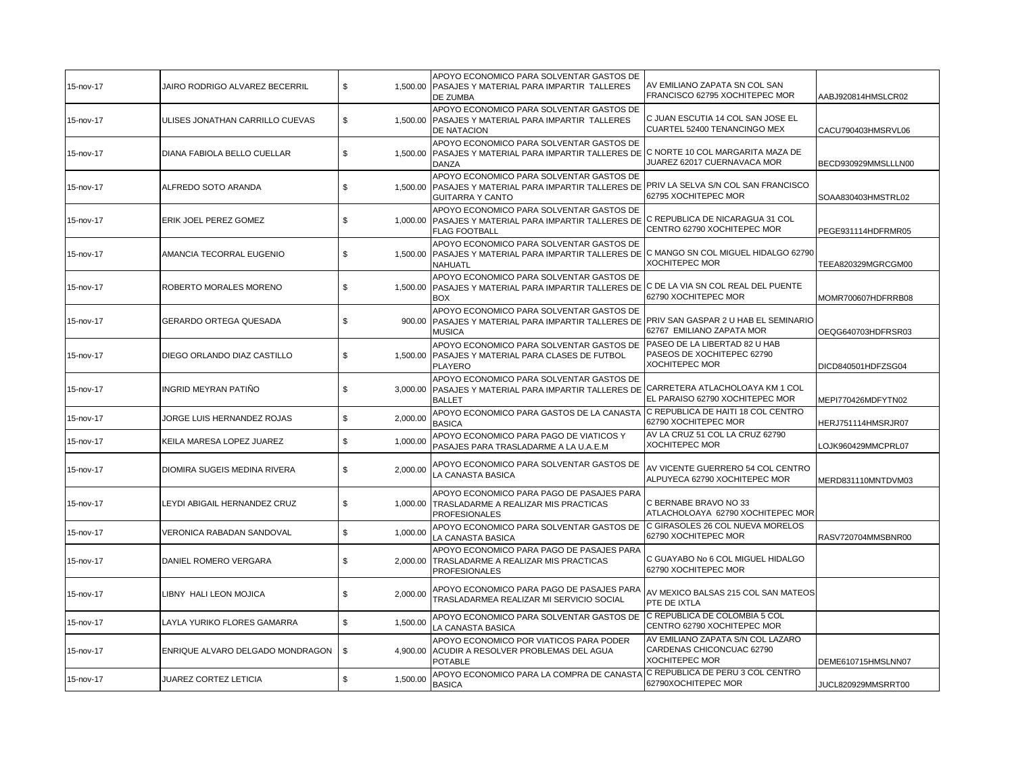| 15-nov-17 | JAIRO RODRIGO ALVAREZ BECERRIL   | \$             | APOYO ECONOMICO PARA SOLVENTAR GASTOS DE<br>1,500.00 PASAJES Y MATERIAL PARA IMPARTIR TALLERES<br>DE ZUMBA                                                       | AV EMILIANO ZAPATA SN COL SAN<br>FRANCISCO 62795 XOCHITEPEC MOR                         | AABJ920814HMSLCR02  |
|-----------|----------------------------------|----------------|------------------------------------------------------------------------------------------------------------------------------------------------------------------|-----------------------------------------------------------------------------------------|---------------------|
| 15-nov-17 | ULISES JONATHAN CARRILLO CUEVAS  | \$             | APOYO ECONOMICO PARA SOLVENTAR GASTOS DE<br>1,500.00 PASAJES Y MATERIAL PARA IMPARTIR TALLERES<br>DE NATACION                                                    | C JUAN ESCUTIA 14 COL SAN JOSE EL<br>CUARTEL 52400 TENANCINGO MEX                       | CACU790403HMSRVL06  |
| 15-nov-17 | DIANA FABIOLA BELLO CUELLAR      | \$             | APOYO ECONOMICO PARA SOLVENTAR GASTOS DE<br>1,500.00 PASAJES Y MATERIAL PARA IMPARTIR TALLERES DE C NORTE 10 COL MARGARITA MAZA DE<br><b>DANZA</b>               | JUAREZ 62017 CUERNAVACA MOR                                                             | BECD930929MMSLLLN00 |
| 15-nov-17 | ALFREDO SOTO ARANDA              | \$             | APOYO ECONOMICO PARA SOLVENTAR GASTOS DE<br>1,500.00 PASAJES Y MATERIAL PARA IMPARTIR TALLERES DE PRIV LA SELVA S/N COL SAN FRANCISCO<br><b>GUITARRA Y CANTO</b> | 62795 XOCHITEPEC MOR                                                                    | SOAA830403HMSTRL02  |
| 15-nov-17 | ERIK JOEL PEREZ GOMEZ            | \$             | APOYO ECONOMICO PARA SOLVENTAR GASTOS DE<br>1,000.00 PASAJES Y MATERIAL PARA IMPARTIR TALLERES DE C REPUBLICA DE NICARAGUA 31 COL<br><b>FLAG FOOTBALL</b>        | CENTRO 62790 XOCHITEPEC MOR                                                             | PEGE931114HDFRMR05  |
| 15-nov-17 | AMANCIA TECORRAL EUGENIO         | \$             | APOYO ECONOMICO PARA SOLVENTAR GASTOS DE<br>1,500.00 PASAJES Y MATERIAL PARA IMPARTIR TALLERES DE C MANGO SN COL MIGUEL HIDALGO 62790<br>NAHUATL                 | <b>XOCHITEPEC MOR</b>                                                                   | TEEA820329MGRCGM00  |
| 15-nov-17 | ROBERTO MORALES MORENO           | \$             | APOYO ECONOMICO PARA SOLVENTAR GASTOS DE<br>1,500.00 PASAJES Y MATERIAL PARA IMPARTIR TALLERES DE C DE LA VIA SN COL REAL DEL PUENTE<br><b>BOX</b>               | 62790 XOCHITEPEC MOR                                                                    | MOMR700607HDFRRB08  |
| 15-nov-17 | <b>GERARDO ORTEGA QUESADA</b>    | \$             | APOYO ECONOMICO PARA SOLVENTAR GASTOS DE<br>900.00 PASAJES Y MATERIAL PARA IMPARTIR TALLERES DE PRIV SAN GASPAR 2 U HAB EL SEMINARIO<br><b>MUSICA</b>            | 62767 EMILIANO ZAPATA MOR                                                               | OEQG640703HDFRSR03  |
| 15-nov-17 | DIEGO ORLANDO DIAZ CASTILLO      | \$             | APOYO ECONOMICO PARA SOLVENTAR GASTOS DE<br>1,500.00 PASAJES Y MATERIAL PARA CLASES DE FUTBOL<br><b>PLAYERO</b>                                                  | PASEO DE LA LIBERTAD 82 U HAB<br>PASEOS DE XOCHITEPEC 62790<br><b>XOCHITEPEC MOR</b>    | DICD840501HDFZSG04  |
| 15-nov-17 | INGRID MEYRAN PATIÑO             | \$             | APOYO ECONOMICO PARA SOLVENTAR GASTOS DE<br>3,000.00 PASAJES Y MATERIAL PARA IMPARTIR TALLERES DE CARRETERA ATLACHOLOAYA KM 1 COL<br><b>BALLET</b>               | EL PARAISO 62790 XOCHITEPEC MOR                                                         | MEPI770426MDFYTN02  |
| 15-nov-17 | JORGE LUIS HERNANDEZ ROJAS       | \$<br>2,000.00 | APOYO ECONOMICO PARA GASTOS DE LA CANASTA<br><b>BASICA</b>                                                                                                       | C REPUBLICA DE HAITI 18 COL CENTRO<br>62790 XOCHITEPEC MOR                              | HERJ751114HMSRJR07  |
| 15-nov-17 | KEILA MARESA LOPEZ JUAREZ        | 1,000.00<br>\$ | APOYO ECONOMICO PARA PAGO DE VIATICOS Y<br>PASAJES PARA TRASLADARME A LA U.A.E.M                                                                                 | AV LA CRUZ 51 COL LA CRUZ 62790<br><b>XOCHITEPEC MOR</b>                                | LOJK960429MMCPRL07  |
| 15-nov-17 | DIOMIRA SUGEIS MEDINA RIVERA     | 2,000.00<br>\$ | APOYO ECONOMICO PARA SOLVENTAR GASTOS DE<br>LA CANASTA BASICA                                                                                                    | AV VICENTE GUERRERO 54 COL CENTRO<br>ALPUYECA 62790 XOCHITEPEC MOR                      | MERD831110MNTDVM03  |
| 15-nov-17 | LEYDI ABIGAIL HERNANDEZ CRUZ     | \$             | APOYO ECONOMICO PARA PAGO DE PASAJES PARA<br>1,000.00 TRASLADARME A REALIZAR MIS PRACTICAS<br><b>PROFESIONALES</b>                                               | C BERNABE BRAVO NO 33<br>ATLACHOLOAYA 62790 XOCHITEPEC MOR                              |                     |
| 15-nov-17 | VERONICA RABADAN SANDOVAL        | 1,000.00<br>\$ | APOYO ECONOMICO PARA SOLVENTAR GASTOS DE<br>LA CANASTA BASICA                                                                                                    | C GIRASOLES 26 COL NUEVA MORELOS<br>62790 XOCHITEPEC MOR                                | RASV720704MMSBNR00  |
| 15-nov-17 | DANIEL ROMERO VERGARA            | \$             | APOYO ECONOMICO PARA PAGO DE PASAJES PARA<br>2,000.00 TRASLADARME A REALIZAR MIS PRACTICAS<br><b>PROFESIONALES</b>                                               | C GUAYABO No 6 COL MIGUEL HIDALGO<br>62790 XOCHITEPEC MOR                               |                     |
| 15-nov-17 | LIBNY HALI LEON MOJICA           | \$<br>2,000.00 | APOYO ECONOMICO PARA PAGO DE PASAJES PARA<br>TRASLADARMEA REALIZAR MI SERVICIO SOCIAL                                                                            | AV MEXICO BALSAS 215 COL SAN MATEOS<br>PTE DE IXTLA                                     |                     |
| 15-nov-17 | LAYLA YURIKO FLORES GAMARRA      | \$<br>1,500.00 | APOYO ECONOMICO PARA SOLVENTAR GASTOS DE<br>LA CANASTA BASICA                                                                                                    | C REPUBLICA DE COLOMBIA 5 COL<br>CENTRO 62790 XOCHITEPEC MOR                            |                     |
| 15-nov-17 | ENRIQUE ALVARO DELGADO MONDRAGON | \$<br>4,900.00 | APOYO ECONOMICO POR VIATICOS PARA PODER<br>ACUDIR A RESOLVER PROBLEMAS DEL AGUA<br><b>POTABLE</b>                                                                | AV EMILIANO ZAPATA S/N COL LAZARO<br>CARDENAS CHICONCUAC 62790<br><b>XOCHITEPEC MOR</b> | DEME610715HMSLNN07  |
| 15-nov-17 | JUAREZ CORTEZ LETICIA            | 1,500.00<br>\$ | APOYO ECONOMICO PARA LA COMPRA DE CANASTA<br><b>BASICA</b>                                                                                                       | C REPUBLICA DE PERU 3 COL CENTRO<br>62790XOCHITEPEC MOR                                 | JUCL820929MMSRRT00  |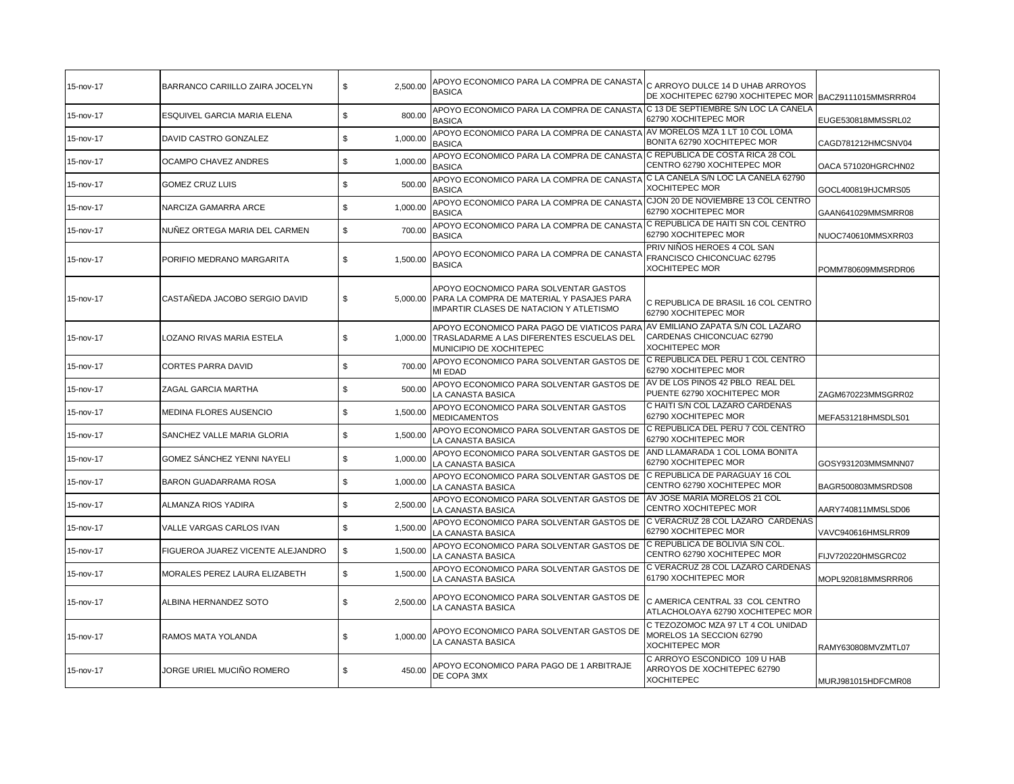| 15-nov-17 | BARRANCO CARIILLO ZAIRA JOCELYN   | \$<br>2,500.00 | APOYO ECONOMICO PARA LA COMPRA DE CANASTA<br><b>BASICA</b>                                                                             | C ARROYO DULCE 14 D UHAB ARROYOS<br>DE XOCHITEPEC 62790 XOCHITEPEC MOR                  | BACZ9111015MMSRRR04 |
|-----------|-----------------------------------|----------------|----------------------------------------------------------------------------------------------------------------------------------------|-----------------------------------------------------------------------------------------|---------------------|
| 15-nov-17 | ESQUIVEL GARCIA MARIA ELENA       | 800.00<br>\$   | APOYO ECONOMICO PARA LA COMPRA DE CANASTA<br><b>BASICA</b>                                                                             | C 13 DE SEPTIEMBRE S/N LOC LA CANELA<br>62790 XOCHITEPEC MOR                            | EUGE530818MMSSRL02  |
| 15-nov-17 | DAVID CASTRO GONZALEZ             | \$<br>1.000.00 | APOYO ECONOMICO PARA LA COMPRA DE CANASTA AV MORELOS MZA 1 LT 10 COL LOMA<br><b>BASICA</b>                                             | BONITA 62790 XOCHITEPEC MOR                                                             | CAGD781212HMCSNV04  |
| 15-nov-17 | OCAMPO CHAVEZ ANDRES              | \$<br>1,000.00 | APOYO ECONOMICO PARA LA COMPRA DE CANASTA<br><b>BASICA</b>                                                                             | C REPUBLICA DE COSTA RICA 28 COL<br>CENTRO 62790 XOCHITEPEC MOR                         | OACA 571020HGRCHN02 |
| 15-nov-17 | <b>GOMEZ CRUZ LUIS</b>            | \$<br>500.00   | APOYO ECONOMICO PARA LA COMPRA DE CANASTA C LA CANELA S/N LOC LA CANELA 62790<br><b>BASICA</b>                                         | <b>XOCHITEPEC MOR</b>                                                                   | GOCL400819HJCMRS05  |
| 15-nov-17 | NARCIZA GAMARRA ARCE              | \$<br>1,000.00 | APOYO ECONOMICO PARA LA COMPRA DE CANASTA<br><b>BASICA</b>                                                                             | CJON 20 DE NOVIEMBRE 13 COL CENTRO<br>62790 XOCHITEPEC MOR                              | GAAN641029MMSMRR08  |
| 15-nov-17 | NUÑEZ ORTEGA MARIA DEL CARMEN     | \$<br>700.00   | APOYO ECONOMICO PARA LA COMPRA DE CANASTA<br>BASICA                                                                                    | C REPUBLICA DE HAITI SN COL CENTRO<br>62790 XOCHITEPEC MOR                              | NUOC740610MMSXRR03  |
| 15-nov-17 | PORIFIO MEDRANO MARGARITA         | \$<br>1,500.00 | APOYO ECONOMICO PARA LA COMPRA DE CANASTA<br><b>BASICA</b>                                                                             | PRIV NIÑOS HEROES 4 COL SAN<br>FRANCISCO CHICONCUAC 62795<br><b>XOCHITEPEC MOR</b>      | POMM780609MMSRDR06  |
| 15-nov-17 | CASTAÑEDA JACOBO SERGIO DAVID     | \$             | APOYO EOCNOMICO PARA SOLVENTAR GASTOS<br>5,000.00 PARA LA COMPRA DE MATERIAL Y PASAJES PARA<br>IMPARTIR CLASES DE NATACION Y ATLETISMO | C REPUBLICA DE BRASIL 16 COL CENTRO<br>62790 XOCHITEPEC MOR                             |                     |
| 15-nov-17 | LOZANO RIVAS MARIA ESTELA         | \$             | APOYO ECONOMICO PARA PAGO DE VIATICOS PARA<br>1,000.00 TRASLADARME A LAS DIFERENTES ESCUELAS DEL<br>MUNICIPIO DE XOCHITEPEC            | AV EMILIANO ZAPATA S/N COL LAZARO<br>CARDENAS CHICONCUAC 62790<br><b>XOCHITEPEC MOR</b> |                     |
| 15-nov-17 | <b>CORTES PARRA DAVID</b>         | \$<br>700.00   | APOYO ECONOMICO PARA SOLVENTAR GASTOS DE<br>MI EDAD                                                                                    | C REPUBLICA DEL PERU 1 COL CENTRO<br>62790 XOCHITEPEC MOR                               |                     |
| 15-nov-17 | ZAGAL GARCIA MARTHA               | \$<br>500.00   | APOYO ECONOMICO PARA SOLVENTAR GASTOS DE<br>LA CANASTA BASICA                                                                          | AV DE LOS PINOS 42 PBLO REAL DEL<br>PUENTE 62790 XOCHITEPEC MOR                         | ZAGM670223MMSGRR02  |
| 15-nov-17 | MEDINA FLORES AUSENCIO            | \$<br>1,500.00 | APOYO ECONOMICO PARA SOLVENTAR GASTOS<br><b>MEDICAMENTOS</b>                                                                           | C HAITI S/N COL LAZARO CARDENAS<br>62790 XOCHITEPEC MOR                                 | MEFA531218HMSDLS01  |
| 15-nov-17 | SANCHEZ VALLE MARIA GLORIA        | \$<br>1,500.00 | APOYO ECONOMICO PARA SOLVENTAR GASTOS DE<br>LA CANASTA BASICA                                                                          | C REPUBLICA DEL PERU 7 COL CENTRO<br>62790 XOCHITEPEC MOR                               |                     |
| 15-nov-17 | GOMEZ SÁNCHEZ YENNI NAYELI        | \$<br>1,000.00 | APOYO ECONOMICO PARA SOLVENTAR GASTOS DE<br>LA CANASTA BASICA                                                                          | AND LLAMARADA 1 COL LOMA BONITA<br>62790 XOCHITEPEC MOR                                 | GOSY931203MMSMNN07  |
| 15-nov-17 | BARON GUADARRAMA ROSA             | \$<br>1,000.00 | APOYO ECONOMICO PARA SOLVENTAR GASTOS DE<br>LA CANASTA BASICA                                                                          | C REPUBLICA DE PARAGUAY 16 COL<br>CENTRO 62790 XOCHITEPEC MOR                           | BAGR500803MMSRDS08  |
| 15-nov-17 | ALMANZA RIOS YADIRA               | \$<br>2,500.00 | APOYO ECONOMICO PARA SOLVENTAR GASTOS DE<br>LA CANASTA BASICA                                                                          | AV JOSE MARIA MORELOS 21 COL<br>CENTRO XOCHITEPEC MOR                                   | AARY740811MMSLSD06  |
| 15-nov-17 | VALLE VARGAS CARLOS IVAN          | \$<br>1,500.00 | APOYO ECONOMICO PARA SOLVENTAR GASTOS DE<br>LA CANASTA BASICA                                                                          | C VERACRUZ 28 COL LAZARO CARDENAS<br>62790 XOCHITEPEC MOR                               | VAVC940616HMSLRR09  |
| 15-nov-17 | FIGUEROA JUAREZ VICENTE ALEJANDRO | \$<br>1,500.00 | APOYO ECONOMICO PARA SOLVENTAR GASTOS DE<br>LA CANASTA BASICA                                                                          | C REPUBLICA DE BOLIVIA S/N COL.<br>CENTRO 62790 XOCHITEPEC MOR                          | FIJV720220HMSGRC02  |
| 15-nov-17 | MORALES PEREZ LAURA ELIZABETH     | \$<br>1,500.00 | APOYO ECONOMICO PARA SOLVENTAR GASTOS DE<br>LA CANASTA BASICA                                                                          | C VERACRUZ 28 COL LAZARO CARDENAS<br>61790 XOCHITEPEC MOR                               | MOPL920818MMSRRR06  |
| 15-nov-17 | ALBINA HERNANDEZ SOTO             | \$<br>2,500.00 | APOYO ECONOMICO PARA SOLVENTAR GASTOS DE<br>LA CANASTA BASICA                                                                          | C AMERICA CENTRAL 33 COL CENTRO<br>ATLACHOLOAYA 62790 XOCHITEPEC MOR                    |                     |
| 15-nov-17 | RAMOS MATA YOLANDA                | \$<br>1.000.00 | APOYO ECONOMICO PARA SOLVENTAR GASTOS DE<br>LA CANASTA BASICA                                                                          | C TEZOZOMOC MZA 97 LT 4 COL UNIDAD<br>MORELOS 1A SECCION 62790<br><b>XOCHITEPEC MOR</b> | RAMY630808MVZMTL07  |
| 15-nov-17 | JORGE URIEL MUCIÑO ROMERO         | \$<br>450.00   | APOYO ECONOMICO PARA PAGO DE 1 ARBITRAJE<br>DE COPA 3MX                                                                                | C ARROYO ESCONDICO 109 U HAB<br>ARROYOS DE XOCHITEPEC 62790<br><b>XOCHITEPEC</b>        | MURJ981015HDFCMR08  |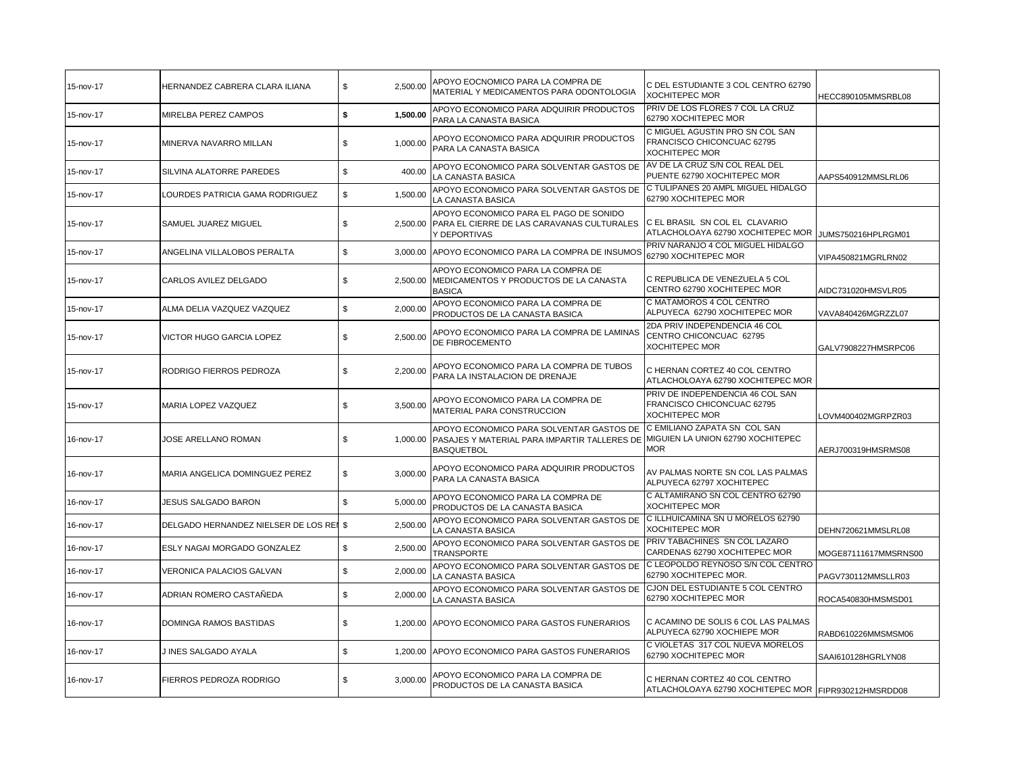| 15-nov-17 | HERNANDEZ CABRERA CLARA ILIANA          | \$<br>2.500.00 | APOYO EOCNOMICO PARA LA COMPRA DE<br>MATERIAL Y MEDICAMENTOS PARA ODONTOLOGIA                                                                            | C DEL ESTUDIANTE 3 COL CENTRO 62790<br>XOCHITEPEC MOR                                   | HECC890105MMSRBL08   |
|-----------|-----------------------------------------|----------------|----------------------------------------------------------------------------------------------------------------------------------------------------------|-----------------------------------------------------------------------------------------|----------------------|
| 15-nov-17 | MIRELBA PEREZ CAMPOS                    | \$<br>1,500.00 | APOYO ECONOMICO PARA ADQUIRIR PRODUCTOS<br>PARA LA CANASTA BASICA                                                                                        | PRIV DE LOS FLORES 7 COL LA CRUZ<br>62790 XOCHITEPEC MOR                                |                      |
| 15-nov-17 | MINERVA NAVARRO MILLAN                  | \$<br>1,000.00 | APOYO ECONOMICO PARA ADQUIRIR PRODUCTOS<br>PARA LA CANASTA BASICA                                                                                        | C MIGUEL AGUSTIN PRO SN COL SAN<br>FRANCISCO CHICONCUAC 62795<br>XOCHITEPEC MOR         |                      |
| 15-nov-17 | SILVINA ALATORRE PAREDES                | \$<br>400.00   | APOYO ECONOMICO PARA SOLVENTAR GASTOS DE<br>LA CANASTA BASICA                                                                                            | AV DE LA CRUZ S/N COL REAL DEL<br>PUENTE 62790 XOCHITEPEC MOR                           | AAPS540912MMSLRL06   |
| 15-nov-17 | LOURDES PATRICIA GAMA RODRIGUEZ         | \$<br>1,500.00 | APOYO ECONOMICO PARA SOLVENTAR GASTOS DE<br>LA CANASTA BASICA                                                                                            | C TULIPANES 20 AMPL MIGUEL HIDALGO<br>62790 XOCHITEPEC MOR                              |                      |
| 15-nov-17 | SAMUEL JUAREZ MIGUEL                    | \$             | APOYO ECONOMICO PARA EL PAGO DE SONIDO<br>2,500.00 PARA EL CIERRE DE LAS CARAVANAS CULTURALES<br>Y DEPORTIVAS                                            | C EL BRASIL SN COL EL CLAVARIO<br>ATLACHOLOAYA 62790 XOCHITEPEC MOR                     | JUMS750216HPLRGM01   |
| 15-nov-17 | ANGELINA VILLALOBOS PERALTA             | \$             | 3,000.00 APOYO ECONOMICO PARA LA COMPRA DE INSUMOS                                                                                                       | PRIV NARANJO 4 COL MIGUEL HIDALGO<br>62790 XOCHITEPEC MOR                               | VIPA450821MGRLRN02   |
| 15-nov-17 | CARLOS AVILEZ DELGADO                   | \$<br>2,500.00 | APOYO ECONOMICO PARA LA COMPRA DE<br>MEDICAMENTOS Y PRODUCTOS DE LA CANASTA<br><b>BASICA</b>                                                             | C REPUBLICA DE VENEZUELA 5 COL<br>CENTRO 62790 XOCHITEPEC MOR                           | AIDC731020HMSVLR05   |
| 15-nov-17 | ALMA DELIA VAZQUEZ VAZQUEZ              | \$<br>2,000.00 | APOYO ECONOMICO PARA LA COMPRA DE<br>PRODUCTOS DE LA CANASTA BASICA                                                                                      | C MATAMOROS 4 COL CENTRO<br>ALPUYECA 62790 XOCHITEPEC MOR                               | VAVA840426MGRZZL07   |
| 15-nov-17 | VICTOR HUGO GARCIA LOPEZ                | \$<br>2,500.00 | APOYO ECONOMICO PARA LA COMPRA DE LAMINAS<br>DE FIBROCEMENTO                                                                                             | 2DA PRIV INDEPENDENCIA 46 COL<br>CENTRO CHICONCUAC 62795<br><b>XOCHITEPEC MOR</b>       | GALV7908227HMSRPC06  |
| 15-nov-17 | RODRIGO FIERROS PEDROZA                 | 2,200.00<br>\$ | APOYO ECONOMICO PARA LA COMPRA DE TUBOS<br>PARA LA INSTALACION DE DRENAJE                                                                                | C HERNAN CORTEZ 40 COL CENTRO<br>ATLACHOLOAYA 62790 XOCHITEPEC MOR                      |                      |
| 15-nov-17 | <b>MARIA LOPEZ VAZQUEZ</b>              | \$<br>3,500.00 | APOYO ECONOMICO PARA LA COMPRA DE<br>MATERIAL PARA CONSTRUCCION                                                                                          | PRIV DE INDEPENDENCIA 46 COL SAN<br>FRANCISCO CHICONCUAC 62795<br><b>XOCHITEPEC MOR</b> | LOVM400402MGRPZR03   |
| 16-nov-17 | JOSE ARELLANO ROMAN                     | \$             | APOYO ECONOMICO PARA SOLVENTAR GASTOS DE<br>1,000.00 PASAJES Y MATERIAL PARA IMPARTIR TALLERES DE MIGUIEN LA UNION 62790 XOCHITEPEC<br><b>BASQUETBOL</b> | C EMILIANO ZAPATA SN COL SAN<br><b>MOR</b>                                              | AERJ700319HMSRMS08   |
| 16-nov-17 | MARIA ANGELICA DOMINGUEZ PEREZ          | \$<br>3,000.00 | APOYO ECONOMICO PARA ADQUIRIR PRODUCTOS<br>PARA LA CANASTA BASICA                                                                                        | AV PALMAS NORTE SN COL LAS PALMAS<br>ALPUYECA 62797 XOCHITEPEC                          |                      |
| 16-nov-17 | <b>JESUS SALGADO BARON</b>              | \$<br>5,000.00 | APOYO ECONOMICO PARA LA COMPRA DE<br>PRODUCTOS DE LA CANASTA BASICA                                                                                      | C ALTAMIRANO SN COL CENTRO 62790<br><b>XOCHITEPEC MOR</b>                               |                      |
| 16-nov-17 | DELGADO HERNANDEZ NIELSER DE LOS REI \$ | 2,500.00       | APOYO ECONOMICO PARA SOLVENTAR GASTOS DE<br>LA CANASTA BASICA                                                                                            | C ILLHUICAMINA SN U MORELOS 62790<br>XOCHITEPEC MOR                                     | DEHN720621MMSLRL08   |
| 16-nov-17 | ESLY NAGAI MORGADO GONZALEZ             | \$<br>2,500.00 | APOYO ECONOMICO PARA SOLVENTAR GASTOS DE<br><b>TRANSPORTE</b>                                                                                            | PRIV TABACHINES SN COL LAZARO<br>CARDENAS 62790 XOCHITEPEC MOR                          | MOGE87111617MMSRNS00 |
| 16-nov-17 | VERONICA PALACIOS GALVAN                | \$<br>2,000.00 | APOYO ECONOMICO PARA SOLVENTAR GASTOS DE<br>LA CANASTA BASICA                                                                                            | C LEOPOLDO REYNOSO S/N COL CENTRO<br>62790 XOCHITEPEC MOR.                              | PAGV730112MMSLLR03   |
| 16-nov-17 | ADRIAN ROMERO CASTAÑEDA                 | \$<br>2,000.00 | APOYO ECONOMICO PARA SOLVENTAR GASTOS DE<br>LA CANASTA BASICA                                                                                            | CJON DEL ESTUDIANTE 5 COL CENTRO<br>62790 XOCHITEPEC MOR                                | ROCA540830HMSMSD01   |
| 16-nov-17 | DOMINGA RAMOS BASTIDAS                  | \$<br>1.200.00 | APOYO ECONOMICO PARA GASTOS FUNERARIOS                                                                                                                   | C ACAMINO DE SOLIS 6 COL LAS PALMAS<br>ALPUYECA 62790 XOCHIEPE MOR                      | RABD610226MMSMSM06   |
| 16-nov-17 | J INES SALGADO AYALA                    | \$<br>1,200.00 | APOYO ECONOMICO PARA GASTOS FUNERARIOS                                                                                                                   | C VIOLETAS 317 COL NUEVA MORELOS<br>62790 XOCHITEPEC MOR                                | SAAI610128HGRLYN08   |
| 16-nov-17 | FIERROS PEDROZA RODRIGO                 | \$<br>3,000.00 | APOYO ECONOMICO PARA LA COMPRA DE<br>PRODUCTOS DE LA CANASTA BASICA                                                                                      | C HERNAN CORTEZ 40 COL CENTRO<br>ATLACHOLOAYA 62790 XOCHITEPEC MOR FIPR930212HMSRDD08   |                      |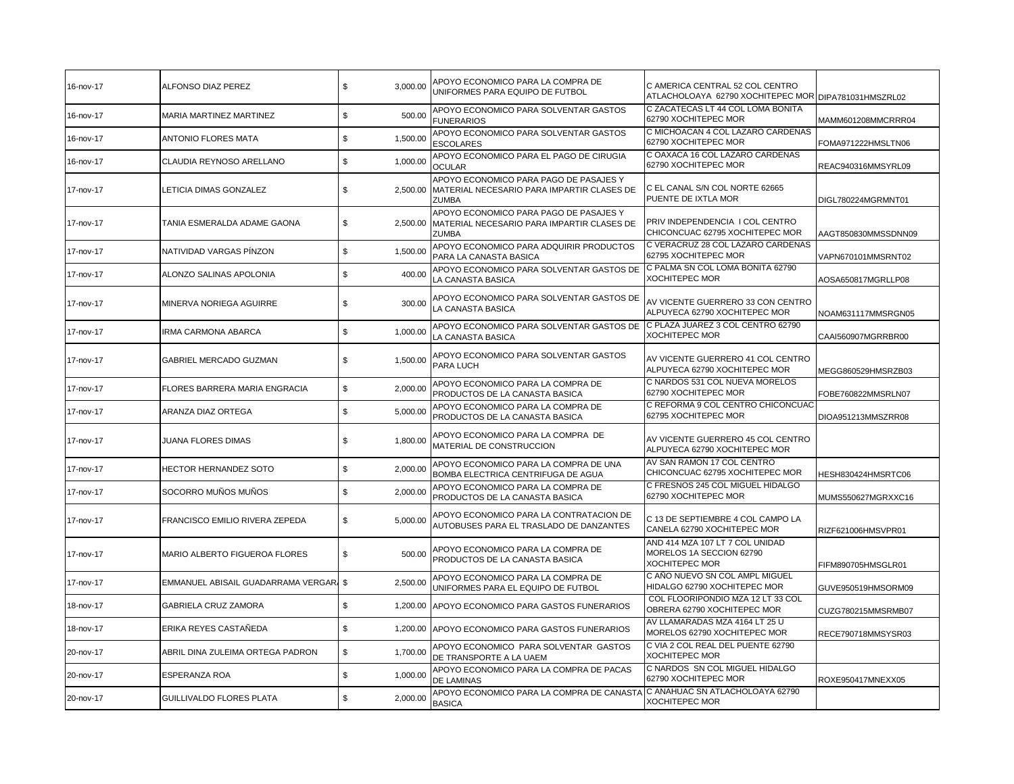| 16-nov-17 | ALFONSO DIAZ PEREZ                     | \$<br>3,000.00          | APOYO ECONOMICO PARA LA COMPRA DE<br>UNIFORMES PARA EQUIPO DE FUTBOL                                 | C AMERICA CENTRAL 52 COL CENTRO<br>ATLACHOLOAYA 62790 XOCHITEPEC MOR DIPA781031HMSZRL02 |                     |
|-----------|----------------------------------------|-------------------------|------------------------------------------------------------------------------------------------------|-----------------------------------------------------------------------------------------|---------------------|
| 16-nov-17 | MARIA MARTINEZ MARTINEZ                | \$<br>500.00            | APOYO ECONOMICO PARA SOLVENTAR GASTOS<br><b>FUNERARIOS</b>                                           | C ZACATECAS LT 44 COL LOMA BONITA<br>62790 XOCHITEPEC MOR                               | MAMM601208MMCRRR04  |
| 16-nov-17 | <b>ANTONIO FLORES MATA</b>             | \$<br>1,500.00          | APOYO ECONOMICO PARA SOLVENTAR GASTOS<br><b>ESCOLARES</b>                                            | C MICHOACAN 4 COL LAZARO CARDENAS<br>62790 XOCHITEPEC MOR                               | FOMA971222HMSLTN06  |
| 16-nov-17 | CLAUDIA REYNOSO ARELLANO               | \$<br>1,000.00          | APOYO ECONOMICO PARA EL PAGO DE CIRUGIA<br><b>OCULAR</b>                                             | C OAXACA 16 COL LAZARO CARDENAS<br>62790 XOCHITEPEC MOR                                 | REAC940316MMSYRL09  |
| 17-nov-17 | LETICIA DIMAS GONZALEZ                 | \$<br>2,500.00          | APOYO ECONOMICO PARA PAGO DE PASAJES Y<br>MATERIAL NECESARIO PARA IMPARTIR CLASES DE<br><b>ZUMBA</b> | C EL CANAL S/N COL NORTE 62665<br>PUENTE DE IXTLA MOR                                   | DIGL780224MGRMNT01  |
| 17-nov-17 | TANIA ESMERALDA ADAME GAONA            | \$<br>2,500.00          | APOYO ECONOMICO PARA PAGO DE PASAJES Y<br>MATERIAL NECESARIO PARA IMPARTIR CLASES DE<br><b>ZUMBA</b> | PRIV INDEPENDENCIA I COL CENTRO<br>CHICONCUAC 62795 XOCHITEPEC MOR                      | AAGT850830MMSSDNN09 |
| 17-nov-17 | NATIVIDAD VARGAS PÍNZON                | \$<br>1,500.00          | APOYO ECONOMICO PARA ADQUIRIR PRODUCTOS<br>PARA LA CANASTA BASICA                                    | C VERACRUZ 28 COL LAZARO CARDENAS<br>62795 XOCHITEPEC MOR                               | VAPN670101MMSRNT02  |
| 17-nov-17 | ALONZO SALINAS APOLONIA                | \$<br>400.00            | APOYO ECONOMICO PARA SOLVENTAR GASTOS DE<br>LA CANASTA BASICA                                        | C PALMA SN COL LOMA BONITA 62790<br><b>XOCHITEPEC MOR</b>                               | AOSA650817MGRLLP08  |
| 17-nov-17 | MINERVA NORIEGA AGUIRRE                | \$<br>300.00            | APOYO ECONOMICO PARA SOLVENTAR GASTOS DE<br>LA CANASTA BASICA                                        | AV VICENTE GUERRERO 33 CON CENTRO<br>ALPUYECA 62790 XOCHITEPEC MOR                      | NOAM631117MMSRGN05  |
| 17-nov-17 | <b>IRMA CARMONA ABARCA</b>             | \$<br>1,000.00          | APOYO ECONOMICO PARA SOLVENTAR GASTOS DE<br>LA CANASTA BASICA                                        | C PLAZA JUAREZ 3 COL CENTRO 62790<br><b>XOCHITEPEC MOR</b>                              | CAAI560907MGRRBR00  |
| 17-nov-17 | GABRIEL MERCADO GUZMAN                 | \$<br>1,500.00          | APOYO ECONOMICO PARA SOLVENTAR GASTOS<br>PARA LUCH                                                   | AV VICENTE GUERRERO 41 COL CENTRO<br>ALPUYECA 62790 XOCHITEPEC MOR                      | MEGG860529HMSRZB03  |
| 17-nov-17 | FLORES BARRERA MARIA ENGRACIA          | \$<br>2.000.00          | APOYO ECONOMICO PARA LA COMPRA DE<br>PRODUCTOS DE LA CANASTA BASICA                                  | C NARDOS 531 COL NUEVA MORELOS<br>62790 XOCHITEPEC MOR                                  | FOBE760822MMSRLN07  |
| 17-nov-17 | ARANZA DIAZ ORTEGA                     | \$<br>5,000.00          | APOYO ECONOMICO PARA LA COMPRA DE<br>PRODUCTOS DE LA CANASTA BASICA                                  | C REFORMA 9 COL CENTRO CHICONCUAC<br>62795 XOCHITEPEC MOR                               | DIOA951213MMSZRR08  |
| 17-nov-17 | JUANA FLORES DIMAS                     | \$<br>1,800.00          | APOYO ECONOMICO PARA LA COMPRA DE<br>MATERIAL DE CONSTRUCCION                                        | AV VICENTE GUERRERO 45 COL CENTRO<br>ALPUYECA 62790 XOCHITEPEC MOR                      |                     |
| 17-nov-17 | HECTOR HERNANDEZ SOTO                  | \$<br>2,000.00          | APOYO ECONOMICO PARA LA COMPRA DE UNA<br>BOMBA ELECTRICA CENTRIFUGA DE AGUA                          | AV SAN RAMON 17 COL CENTRO<br>CHICONCUAC 62795 XOCHITEPEC MOR                           | HESH830424HMSRTC06  |
| 17-nov-17 | SOCORRO MUÑOS MUÑOS                    | \$<br>2,000.00          | APOYO ECONOMICO PARA LA COMPRA DE<br>PRODUCTOS DE LA CANASTA BASICA                                  | C FRESNOS 245 COL MIGUEL HIDALGO<br>62790 XOCHITEPEC MOR                                | MUMS550627MGRXXC16  |
| 17-nov-17 | FRANCISCO EMILIO RIVERA ZEPEDA         | \$<br>5,000.00          | APOYO ECONOMICO PARA LA CONTRATACION DE<br>AUTOBUSES PARA EL TRASLADO DE DANZANTES                   | C 13 DE SEPTIEMBRE 4 COL CAMPO LA<br>CANELA 62790 XOCHITEPEC MOR                        | RIZF621006HMSVPR01  |
| 17-nov-17 | MARIO ALBERTO FIGUEROA FLORES          | \$<br>500.00            | APOYO ECONOMICO PARA LA COMPRA DE<br>PRODUCTOS DE LA CANASTA BASICA                                  | AND 414 MZA 107 LT 7 COL UNIDAD<br>MORELOS 1A SECCION 62790<br><b>XOCHITEPEC MOR</b>    | FIFM890705HMSGLR01  |
| 17-nov-17 | EMMANUEL ABISAIL GUADARRAMA VERGAR, \$ | 2,500.00                | APOYO ECONOMICO PARA LA COMPRA DE<br>UNIFORMES PARA EL EQUIPO DE FUTBOL                              | C AÑO NUEVO SN COL AMPL MIGUEL<br>HIDALGO 62790 XOCHITEPEC MOR                          | GUVE950519HMSORM09  |
| 18-nov-17 | <b>GABRIELA CRUZ ZAMORA</b>            | \$<br>1,200.00          | APOYO ECONOMICO PARA GASTOS FUNERARIOS                                                               | COL FLOORIPONDIO MZA 12 LT 33 COL<br>OBRERA 62790 XOCHITEPEC MOR                        | CUZG780215MMSRMB07  |
| 18-nov-17 | ERIKA REYES CASTAÑEDA                  | \$<br>1,200.00          | APOYO ECONOMICO PARA GASTOS FUNERARIOS                                                               | AV LLAMARADAS MZA 4164 LT 25 U<br>MORELOS 62790 XOCHITEPEC MOR                          | RECE790718MMSYSR03  |
| 20-nov-17 | ABRIL DINA ZULEIMA ORTEGA PADRON       | $\mathbb S$<br>1,700.00 | APOYO ECONOMICO PARA SOLVENTAR GASTOS<br>DE TRANSPORTE A LA UAEM                                     | C VIA 2 COL REAL DEL PUENTE 62790<br><b>XOCHITEPEC MOR</b>                              |                     |
| 20-nov-17 | <b>ESPERANZA ROA</b>                   | \$<br>1,000.00          | APOYO ECONOMICO PARA LA COMPRA DE PACAS<br>DE LAMINAS                                                | C NARDOS SN COL MIGUEL HIDALGO<br>62790 XOCHITEPEC MOR                                  | ROXE950417MNEXX05   |
| 20-nov-17 | GUILLIVALDO FLORES PLATA               | \$<br>2,000.00          | APOYO ECONOMICO PARA LA COMPRA DE CANASTA<br><b>BASICA</b>                                           | C ANAHUAC SN ATLACHOLOAYA 62790<br><b>XOCHITEPEC MOR</b>                                |                     |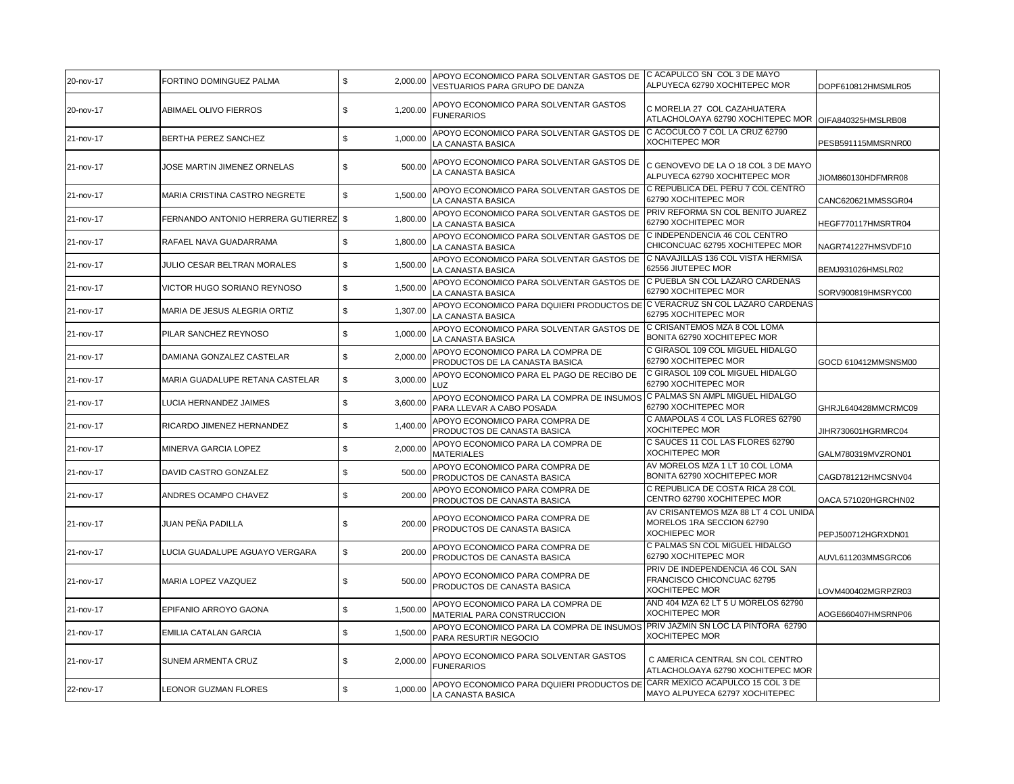| 20-nov-17 | FORTINO DOMINGUEZ PALMA               | \$<br>2,000.00 | APOYO ECONOMICO PARA SOLVENTAR GASTOS DE CACAPULCO SN COL 3 DE MAYO<br>VESTUARIOS PARA GRUPO DE DANZA  | ALPUYECA 62790 XOCHITEPEC MOR                                                             | DOPF610812HMSMLR05  |
|-----------|---------------------------------------|----------------|--------------------------------------------------------------------------------------------------------|-------------------------------------------------------------------------------------------|---------------------|
| 20-nov-17 | ABIMAEL OLIVO FIERROS                 | 1,200.00<br>\$ | APOYO ECONOMICO PARA SOLVENTAR GASTOS<br><b>FUNERARIOS</b>                                             | C MORELIA 27 COL CAZAHUATERA<br>ATLACHOLOAYA 62790 XOCHITEPEC MOR OIFA840325HMSLRB08      |                     |
| 21-nov-17 | BERTHA PEREZ SANCHEZ                  | \$<br>1,000.00 | APOYO ECONOMICO PARA SOLVENTAR GASTOS DE<br>LA CANASTA BASICA                                          | C ACOCULCO 7 COL LA CRUZ 62790<br><b>XOCHITEPEC MOR</b>                                   | PESB591115MMSRNR00  |
| 21-nov-17 | JOSE MARTIN JIMENEZ ORNELAS           | 500.00<br>\$   | APOYO ECONOMICO PARA SOLVENTAR GASTOS DE<br>LA CANASTA BASICA                                          | C GENOVEVO DE LA O 18 COL 3 DE MAYO<br>ALPUYECA 62790 XOCHITEPEC MOR                      | JIOM860130HDFMRR08  |
| 21-nov-17 | MARIA CRISTINA CASTRO NEGRETE         | 1,500.00<br>\$ | APOYO ECONOMICO PARA SOLVENTAR GASTOS DE<br>LA CANASTA BASICA                                          | C REPUBLICA DEL PERU 7 COL CENTRO<br>62790 XOCHITEPEC MOR                                 | CANC620621MMSSGR04  |
| 21-nov-17 | FERNANDO ANTONIO HERRERA GUTIERREZ \$ | 1,800.00       | APOYO ECONOMICO PARA SOLVENTAR GASTOS DE<br>LA CANASTA BASICA                                          | PRIV REFORMA SN COL BENITO JUAREZ<br>62790 XOCHITEPEC MOR                                 | HEGF770117HMSRTR04  |
| 21-nov-17 | RAFAEL NAVA GUADARRAMA                | \$<br>1,800.00 | APOYO ECONOMICO PARA SOLVENTAR GASTOS DE CINDEPENDENCIA 46 COL CENTRO<br>LA CANASTA BASICA             | CHICONCUAC 62795 XOCHITEPEC MOR                                                           | NAGR741227HMSVDF10  |
| 21-nov-17 | JULIO CESAR BELTRAN MORALES           | \$<br>1,500.00 | APOYO ECONOMICO PARA SOLVENTAR GASTOS DE<br>LA CANASTA BASICA                                          | C NAVAJILLAS 136 COL VISTA HERMISA<br>62556 JIUTEPEC MOR                                  | BEMJ931026HMSLR02   |
| 21-nov-17 | VICTOR HUGO SORIANO REYNOSO           | \$<br>1,500.00 | APOYO ECONOMICO PARA SOLVENTAR GASTOS DE<br>LA CANASTA BASICA                                          | C PUEBLA SN COL LAZARO CARDENAS<br>62790 XOCHITEPEC MOR                                   | SORV900819HMSRYC00  |
| 21-nov-17 | MARIA DE JESUS ALEGRIA ORTIZ          | \$<br>1,307.00 | APOYO ECONOMICO PARA DQUIERI PRODUCTOS DE C VERACRUZ SN COL LAZARO CARDENAS<br>LA CANASTA BASICA       | 62795 XOCHITEPEC MOR                                                                      |                     |
| 21-nov-17 | PILAR SANCHEZ REYNOSO                 | \$<br>1,000.00 | APOYO ECONOMICO PARA SOLVENTAR GASTOS DE<br>LA CANASTA BASICA                                          | C CRISANTEMOS MZA 8 COL LOMA<br>BONITA 62790 XOCHITEPEC MOR                               |                     |
| 21-nov-17 | DAMIANA GONZALEZ CASTELAR             | \$<br>2,000.00 | APOYO ECONOMICO PARA LA COMPRA DE<br>PRODUCTOS DE LA CANASTA BASICA                                    | C GIRASOL 109 COL MIGUEL HIDALGO<br>62790 XOCHITEPEC MOR                                  | GOCD 610412MMSNSM00 |
| 21-nov-17 | MARIA GUADALUPE RETANA CASTELAR       | 3,000.00<br>\$ | APOYO ECONOMICO PARA EL PAGO DE RECIBO DE<br>LUZ                                                       | C GIRASOL 109 COL MIGUEL HIDALGO<br>62790 XOCHITEPEC MOR                                  |                     |
| 21-nov-17 | LUCIA HERNANDEZ JAIMES                | \$<br>3,600.00 | APOYO ECONOMICO PARA LA COMPRA DE INSUMOS C PALMAS SN AMPL MIGUEL HIDALGO<br>PARA LLEVAR A CABO POSADA | 62790 XOCHITEPEC MOR                                                                      | GHRJL640428MMCRMC09 |
| 21-nov-17 | RICARDO JIMENEZ HERNANDEZ             | \$<br>1,400.00 | APOYO ECONOMICO PARA COMPRA DE<br>PRODUCTOS DE CANASTA BASICA                                          | C AMAPOLAS 4 COL LAS FLORES 62790<br><b>XOCHITEPEC MOR</b>                                | JIHR730601HGRMRC04  |
| 21-nov-17 | MINERVA GARCIA LOPEZ                  | \$<br>2,000.00 | APOYO ECONOMICO PARA LA COMPRA DE<br><b>MATERIALES</b>                                                 | C SAUCES 11 COL LAS FLORES 62790<br><b>XOCHITEPEC MOR</b>                                 | GALM780319MVZRON01  |
| 21-nov-17 | DAVID CASTRO GONZALEZ                 | \$<br>500.00   | APOYO ECONOMICO PARA COMPRA DE<br>PRODUCTOS DE CANASTA BASICA                                          | AV MORELOS MZA 1 LT 10 COL LOMA<br>BONITA 62790 XOCHITEPEC MOR                            | CAGD781212HMCSNV04  |
| 21-nov-17 | ANDRES OCAMPO CHAVEZ                  | \$<br>200.00   | APOYO ECONOMICO PARA COMPRA DE<br>PRODUCTOS DE CANASTA BASICA                                          | C REPUBLICA DE COSTA RICA 28 COL<br>CENTRO 62790 XOCHITEPEC MOR                           | OACA 571020HGRCHN02 |
| 21-nov-17 | JUAN PEÑA PADILLA                     | \$<br>200.00   | APOYO ECONOMICO PARA COMPRA DE<br>PRODUCTOS DE CANASTA BASICA                                          | AV CRISANTEMOS MZA 88 LT 4 COL UNIDA<br>MORELOS 1RA SECCION 62790<br><b>XOCHIEPEC MOR</b> | PEPJ500712HGRXDN01  |
| 21-nov-17 | LUCIA GUADALUPE AGUAYO VERGARA        | \$<br>200.00   | APOYO ECONOMICO PARA COMPRA DE<br>PRODUCTOS DE CANASTA BASICA                                          | C PALMAS SN COL MIGUEL HIDALGO<br>62790 XOCHITEPEC MOR                                    | AUVL611203MMSGRC06  |
| 21-nov-17 | MARIA LOPEZ VAZQUEZ                   | \$<br>500.00   | APOYO ECONOMICO PARA COMPRA DE<br>PRODUCTOS DE CANASTA BASICA                                          | PRIV DE INDEPENDENCIA 46 COL SAN<br>FRANCISCO CHICONCUAC 62795<br><b>XOCHITEPEC MOR</b>   | LOVM400402MGRPZR03  |
| 21-nov-17 | EPIFANIO ARROYO GAONA                 | \$<br>1,500.00 | APOYO ECONOMICO PARA LA COMPRA DE<br>MATERIAL PARA CONSTRUCCION                                        | AND 404 MZA 62 LT 5 U MORELOS 62790<br><b>XOCHITEPEC MOR</b>                              | AOGE660407HMSRNP06  |
| 21-nov-17 | EMILIA CATALAN GARCIA                 | \$<br>1,500.00 | APOYO ECONOMICO PARA LA COMPRA DE INSUMOS PRIV JAZMIN SN LOC LA PINTORA 62790<br>PARA RESURTIR NEGOCIO | <b>XOCHITEPEC MOR</b>                                                                     |                     |
| 21-nov-17 | SUNEM ARMENTA CRUZ                    | \$<br>2,000.00 | APOYO ECONOMICO PARA SOLVENTAR GASTOS<br><b>FUNERARIOS</b>                                             | C AMERICA CENTRAL SN COL CENTRO<br>ATLACHOLOAYA 62790 XOCHITEPEC MOR                      |                     |
| 22-nov-17 | LEONOR GUZMAN FLORES                  | \$<br>1,000.00 | APOYO ECONOMICO PARA DQUIERI PRODUCTOS DE CARR MEXICO ACAPULCO 15 COL 3 DE<br>LA CANASTA BASICA        | MAYO ALPUYECA 62797 XOCHITEPEC                                                            |                     |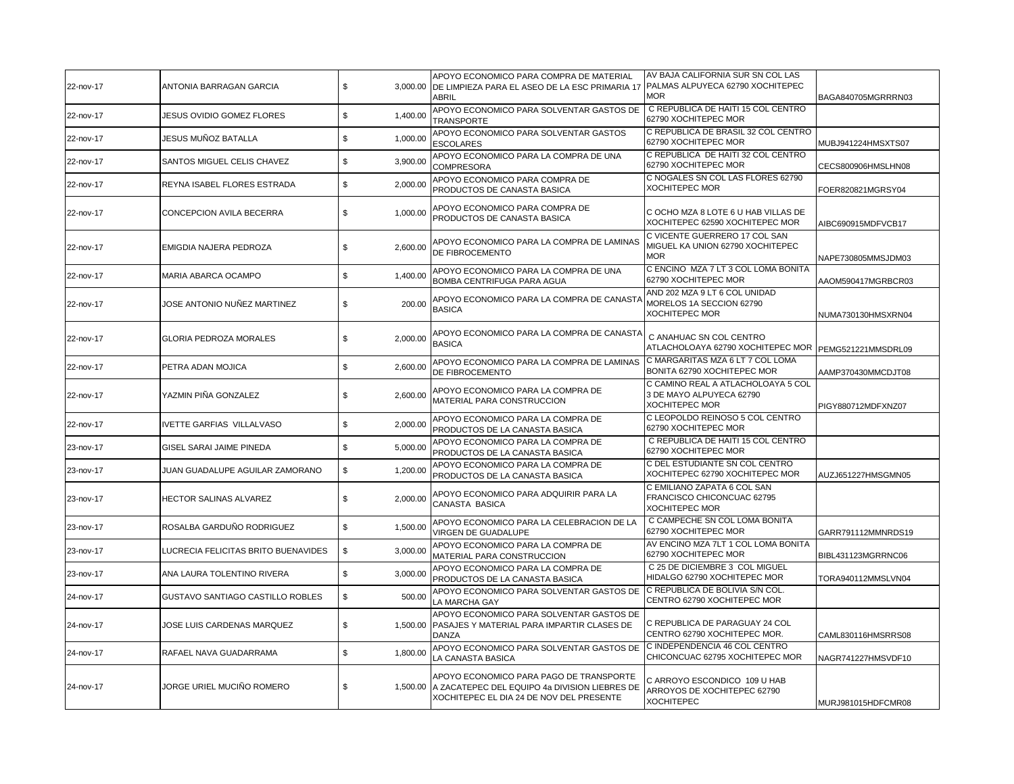| 22-nov-17 | ANTONIA BARRAGAN GARCIA             | \$             | APOYO ECONOMICO PARA COMPRA DE MATERIAL<br>3,000.00  DE LIMPIEZA PARA EL ASEO DE LA ESC PRIMARIA 17  PALMAS ALPUYECA 62790 XOCHITEPEC<br>ABRIL | AV BAJA CALIFORNIA SUR SN COL LAS<br><b>MOR</b>                                         | BAGA840705MGRRRN03 |
|-----------|-------------------------------------|----------------|------------------------------------------------------------------------------------------------------------------------------------------------|-----------------------------------------------------------------------------------------|--------------------|
| 22-nov-17 | JESUS OVIDIO GOMEZ FLORES           | \$<br>1,400.00 | APOYO ECONOMICO PARA SOLVENTAR GASTOS DE<br>TRANSPORTE                                                                                         | C REPUBLICA DE HAITI 15 COL CENTRO<br>62790 XOCHITEPEC MOR                              |                    |
| 22-nov-17 | JESUS MUÑOZ BATALLA                 | \$<br>1,000.00 | APOYO ECONOMICO PARA SOLVENTAR GASTOS<br><b>ESCOLARES</b>                                                                                      | C REPUBLICA DE BRASIL 32 COL CENTRO<br>62790 XOCHITEPEC MOR                             | MUBJ941224HMSXTS07 |
| 22-nov-17 | <b>SANTOS MIGUEL CELIS CHAVEZ</b>   | \$<br>3,900.00 | APOYO ECONOMICO PARA LA COMPRA DE UNA<br><b>COMPRESORA</b>                                                                                     | C REPUBLICA DE HAITI 32 COL CENTRO<br>62790 XOCHITEPEC MOR                              | CECS800906HMSLHN08 |
| 22-nov-17 | <b>REYNA ISABEL FLORES ESTRADA</b>  | \$<br>2,000.00 | APOYO ECONOMICO PARA COMPRA DE<br>PRODUCTOS DE CANASTA BASICA                                                                                  | C NOGALES SN COL LAS FLORES 62790<br><b>XOCHITEPEC MOR</b>                              | FOER820821MGRSY04  |
| 22-nov-17 | CONCEPCION AVILA BECERRA            | \$<br>1.000.00 | APOYO ECONOMICO PARA COMPRA DE<br>PRODUCTOS DE CANASTA BASICA                                                                                  | C OCHO MZA 8 LOTE 6 U HAB VILLAS DE<br>XOCHITEPEC 62590 XOCHITEPEC MOR                  | AIBC690915MDFVCB17 |
| 22-nov-17 | EMIGDIA NAJERA PEDROZA              | \$<br>2,600.00 | APOYO ECONOMICO PARA LA COMPRA DE LAMINAS<br>DE FIBROCEMENTO                                                                                   | C VICENTE GUERRERO 17 COL SAN<br>MIGUEL KA UNION 62790 XOCHITEPEC<br><b>MOR</b>         | NAPE730805MMSJDM03 |
| 22-nov-17 | MARIA ABARCA OCAMPO                 | \$<br>1,400.00 | APOYO ECONOMICO PARA LA COMPRA DE UNA<br>BOMBA CENTRIFUGA PARA AGUA                                                                            | C ENCINO MZA 7 LT 3 COL LOMA BONITA<br>62790 XOCHITEPEC MOR                             | AAOM590417MGRBCR03 |
| 22-nov-17 | JOSE ANTONIO NUÑEZ MARTINEZ         | \$<br>200.00   | APOYO ECONOMICO PARA LA COMPRA DE CANASTA<br><b>BASICA</b>                                                                                     | AND 202 MZA 9 LT 6 COL UNIDAD<br>MORELOS 1A SECCION 62790<br><b>XOCHITEPEC MOR</b>      | NUMA730130HMSXRN04 |
| 22-nov-17 | <b>GLORIA PEDROZA MORALES</b>       | \$<br>2,000.00 | APOYO ECONOMICO PARA LA COMPRA DE CANASTA<br><b>BASICA</b>                                                                                     | C ANAHUAC SN COL CENTRO<br>ATLACHOLOAYA 62790 XOCHITEPEC MOR   PEMG521221MMSDRL09       |                    |
| 22-nov-17 | PETRA ADAN MOJICA                   | \$<br>2,600.00 | APOYO ECONOMICO PARA LA COMPRA DE LAMINAS<br>DE FIBROCEMENTO                                                                                   | C MARGARITAS MZA 6 LT 7 COL LOMA<br>BONITA 62790 XOCHITEPEC MOR                         | AAMP370430MMCDJT08 |
| 22-nov-17 | YAZMIN PIÑA GONZALEZ                | \$<br>2,600.00 | APOYO ECONOMICO PARA LA COMPRA DE<br>MATERIAL PARA CONSTRUCCION                                                                                | C CAMINO REAL A ATLACHOLOAYA 5 COL<br>3 DE MAYO ALPUYECA 62790<br><b>XOCHITEPEC MOR</b> | PIGY880712MDFXNZ07 |
| 22-nov-17 | <b>IVETTE GARFIAS VILLALVASO</b>    | \$<br>2,000.00 | APOYO ECONOMICO PARA LA COMPRA DE<br>PRODUCTOS DE LA CANASTA BASICA                                                                            | C LEOPOLDO REINOSO 5 COL CENTRO<br>62790 XOCHITEPEC MOR                                 |                    |
| 23-nov-17 | GISEL SARAI JAIME PINEDA            | \$<br>5,000.00 | APOYO ECONOMICO PARA LA COMPRA DE<br>PRODUCTOS DE LA CANASTA BASICA                                                                            | C REPUBLICA DE HAITI 15 COL CENTRO<br>62790 XOCHITEPEC MOR                              |                    |
| 23-nov-17 | JUAN GUADALUPE AGUILAR ZAMORANO     | \$<br>1,200.00 | APOYO ECONOMICO PARA LA COMPRA DE<br>PRODUCTOS DE LA CANASTA BASICA                                                                            | C DEL ESTUDIANTE SN COL CENTRO<br>XOCHITEPEC 62790 XOCHITEPEC MOR                       | AUZJ651227HMSGMN05 |
| 23-nov-17 | <b>HECTOR SALINAS ALVAREZ</b>       | \$<br>2,000.00 | APOYO ECONOMICO PARA ADQUIRIR PARA LA<br>CANASTA BASICA                                                                                        | C EMILIANO ZAPATA 6 COL SAN<br>FRANCISCO CHICONCUAC 62795<br><b>XOCHITEPEC MOR</b>      |                    |
| 23-nov-17 | ROSALBA GARDUÑO RODRIGUEZ           | \$<br>1,500.00 | APOYO ECONOMICO PARA LA CELEBRACION DE LA<br>VIRGEN DE GUADALUPE                                                                               | C CAMPECHE SN COL LOMA BONITA<br>62790 XOCHITEPEC MOR                                   | GARR791112MMNRDS19 |
| 23-nov-17 | LUCRECIA FELICITAS BRITO BUENAVIDES | \$<br>3,000.00 | APOYO ECONOMICO PARA LA COMPRA DE<br>MATERIAL PARA CONSTRUCCION                                                                                | AV ENCINO MZA 7LT 1 COL LOMA BONITA<br>62790 XOCHITEPEC MOR                             | BIBL431123MGRRNC06 |
| 23-nov-17 | ANA LAURA TOLENTINO RIVERA          | \$<br>3,000.00 | APOYO ECONOMICO PARA LA COMPRA DE<br>PRODUCTOS DE LA CANASTA BASICA                                                                            | C 25 DE DICIEMBRE 3 COL MIGUEL<br>HIDALGO 62790 XOCHITEPEC MOR                          | TORA940112MMSLVN04 |
| 24-nov-17 | GUSTAVO SANTIAGO CASTILLO ROBLES    | \$<br>500.00   | APOYO ECONOMICO PARA SOLVENTAR GASTOS DE<br>LA MARCHA GAY                                                                                      | C REPUBLICA DE BOLIVIA S/N COL.<br>CENTRO 62790 XOCHITEPEC MOR                          |                    |
| 24-nov-17 | JOSE LUIS CARDENAS MARQUEZ          | \$<br>1,500.00 | APOYO ECONOMICO PARA SOLVENTAR GASTOS DE<br>PASAJES Y MATERIAL PARA IMPARTIR CLASES DE<br><b>DANZA</b>                                         | C REPUBLICA DE PARAGUAY 24 COL<br>CENTRO 62790 XOCHITEPEC MOR.                          | CAML830116HMSRRS08 |
| 24-nov-17 | RAFAEL NAVA GUADARRAMA              | \$<br>1,800.00 | APOYO ECONOMICO PARA SOLVENTAR GASTOS DE<br>LA CANASTA BASICA                                                                                  | C INDEPENDENCIA 46 COL CENTRO<br>CHICONCUAC 62795 XOCHITEPEC MOR                        | NAGR741227HMSVDF10 |
| 24-nov-17 | JORGE URIEL MUCIÑO ROMERO           | \$             | APOYO ECONOMICO PARA PAGO DE TRANSPORTE<br>1,500.00 A ZACATEPEC DEL EQUIPO 4a DIVISION LIEBRES DE<br>XOCHITEPEC EL DIA 24 DE NOV DEL PRESENTE  | C ARROYO ESCONDICO 109 U HAB<br>ARROYOS DE XOCHITEPEC 62790<br><b>XOCHITEPEC</b>        | MURJ981015HDFCMR08 |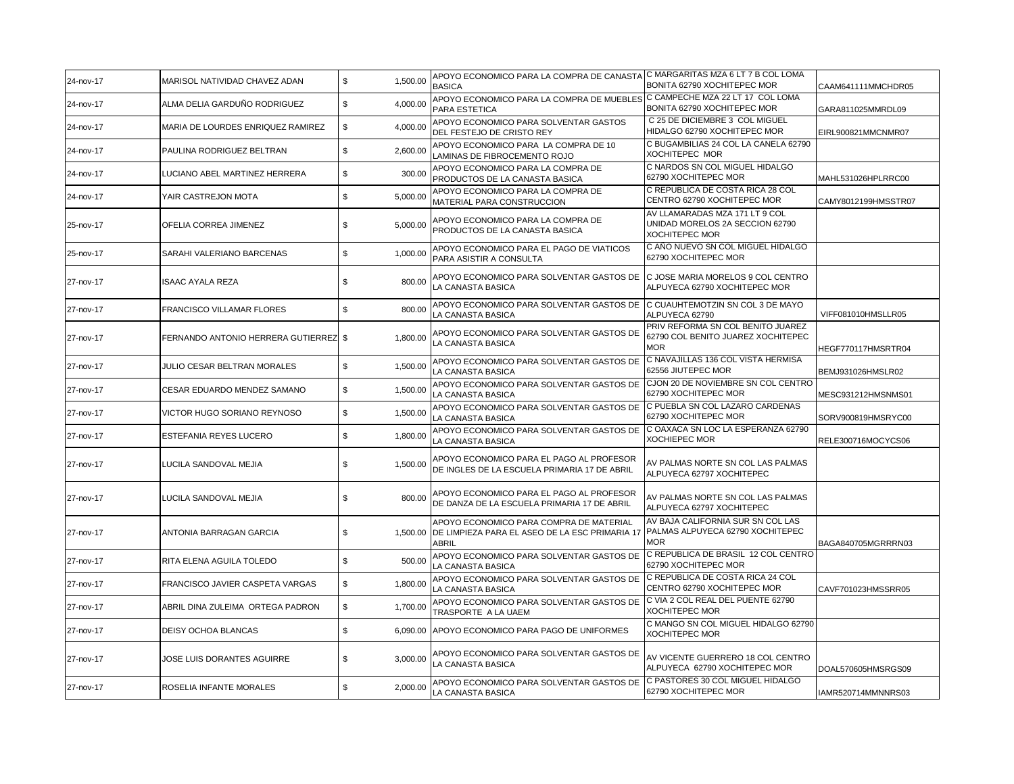| 24-nov-17 | MARISOL NATIVIDAD CHAVEZ ADAN         | 1,500.00<br>\$ | APOYO ECONOMICO PARA LA COMPRA DE CANASTA C MARGARITAS MZA 6 LT 7 B COL LOMA<br><b>BASICA</b>               | BONITA 62790 XOCHITEPEC MOR                                                                | CAAM641111MMCHDR05  |
|-----------|---------------------------------------|----------------|-------------------------------------------------------------------------------------------------------------|--------------------------------------------------------------------------------------------|---------------------|
| 24-nov-17 | ALMA DELIA GARDUÑO RODRIGUEZ          | \$<br>4,000.00 | APOYO ECONOMICO PARA LA COMPRA DE MUEBLES C CAMPECHE MZA 22 LT 17 COL LOMA<br>PARA ESTETICA                 | BONITA 62790 XOCHITEPEC MOR                                                                | GARA811025MMRDL09   |
| 24-nov-17 | MARIA DE LOURDES ENRIQUEZ RAMIREZ     | \$<br>4,000.00 | APOYO ECONOMICO PARA SOLVENTAR GASTOS<br>DEL FESTEJO DE CRISTO REY                                          | C 25 DE DICIEMBRE 3 COL MIGUEL<br>HIDALGO 62790 XOCHITEPEC MOR                             | EIRL900821MMCNMR07  |
| 24-nov-17 | PAULINA RODRIGUEZ BELTRAN             | \$<br>2,600.00 | APOYO ECONOMICO PARA LA COMPRA DE 10<br>LAMINAS DE FIBROCEMENTO ROJO                                        | C BUGAMBILIAS 24 COL LA CANELA 62790<br>XOCHITEPEC MOR                                     |                     |
| 24-nov-17 | LUCIANO ABEL MARTINEZ HERRERA         | \$<br>300.00   | APOYO ECONOMICO PARA LA COMPRA DE<br>PRODUCTOS DE LA CANASTA BASICA                                         | C NARDOS SN COL MIGUEL HIDALGO<br>62790 XOCHITEPEC MOR                                     | MAHL531026HPLRRC00  |
| 24-nov-17 | YAIR CASTREJON MOTA                   | \$<br>5,000.00 | APOYO ECONOMICO PARA LA COMPRA DE<br>MATERIAL PARA CONSTRUCCION                                             | C REPUBLICA DE COSTA RICA 28 COL<br>CENTRO 62790 XOCHITEPEC MOR                            | CAMY8012199HMSSTR07 |
| 25-nov-17 | OFELIA CORREA JIMENEZ                 | 5,000.00<br>\$ | APOYO ECONOMICO PARA LA COMPRA DE<br>PRODUCTOS DE LA CANASTA BASICA                                         | AV LLAMARADAS MZA 171 LT 9 COL<br>UNIDAD MORELOS 2A SECCION 62790<br><b>XOCHITEPEC MOR</b> |                     |
| 25-nov-17 | SARAHI VALERIANO BARCENAS             | \$<br>1,000.00 | APOYO ECONOMICO PARA EL PAGO DE VIATICOS<br>PARA ASISTIR A CONSULTA                                         | C AÑO NUEVO SN COL MIGUEL HIDALGO<br>62790 XOCHITEPEC MOR                                  |                     |
| 27-nov-17 | <b>ISAAC AYALA REZA</b>               | \$<br>800.00   | APOYO ECONOMICO PARA SOLVENTAR GASTOS DE<br>LA CANASTA BASICA                                               | C JOSE MARIA MORELOS 9 COL CENTRO<br>ALPUYECA 62790 XOCHITEPEC MOR                         |                     |
| 27-nov-17 | <b>FRANCISCO VILLAMAR FLORES</b>      | \$<br>800.00   | APOYO ECONOMICO PARA SOLVENTAR GASTOS DE    C CUAUHTEMOTZIN SN COL 3 DE MAYO<br>LA CANASTA BASICA           | ALPUYECA 62790                                                                             | VIFF081010HMSLLR05  |
| 27-nov-17 | FERNANDO ANTONIO HERRERA GUTIERREZ \$ | 1,800.00       | APOYO ECONOMICO PARA SOLVENTAR GASTOS DE<br>LA CANASTA BASICA                                               | PRIV REFORMA SN COL BENITO JUAREZ<br>62790 COL BENITO JUAREZ XOCHITEPEC<br><b>MOR</b>      | HEGF770117HMSRTR04  |
| 27-nov-17 | JULIO CESAR BELTRAN MORALES           | \$<br>1,500.00 | APOYO ECONOMICO PARA SOLVENTAR GASTOS DE<br>LA CANASTA BASICA                                               | C NAVAJILLAS 136 COL VISTA HERMISA<br>62556 JIUTEPEC MOR                                   | BEMJ931026HMSLR02   |
| 27-nov-17 | CESAR EDUARDO MENDEZ SAMANO           | \$<br>1,500.00 | APOYO ECONOMICO PARA SOLVENTAR GASTOS DE<br>LA CANASTA BASICA                                               | CJON 20 DE NOVIEMBRE SN COL CENTRO<br>62790 XOCHITEPEC MOR                                 | MESC931212HMSNMS01  |
| 27-nov-17 | VICTOR HUGO SORIANO REYNOSO           | \$<br>1,500.00 | APOYO ECONOMICO PARA SOLVENTAR GASTOS DE<br>LA CANASTA BASICA                                               | C PUEBLA SN COL LAZARO CARDENAS<br>62790 XOCHITEPEC MOR                                    | SORV900819HMSRYC00  |
| 27-nov-17 | <b>ESTEFANIA REYES LUCERO</b>         | 1,800.00<br>\$ | APOYO ECONOMICO PARA SOLVENTAR GASTOS DE<br>LA CANASTA BASICA                                               | C OAXACA SN LOC LA ESPERANZA 62790<br><b>XOCHIEPEC MOR</b>                                 | RELE300716MOCYCS06  |
| 27-nov-17 | LUCILA SANDOVAL MEJIA                 | \$<br>1,500.00 | APOYO ECONOMICO PARA EL PAGO AL PROFESOR<br>DE INGLES DE LA ESCUELA PRIMARIA 17 DE ABRIL                    | AV PALMAS NORTE SN COL LAS PALMAS<br>ALPUYECA 62797 XOCHITEPEC                             |                     |
| 27-nov-17 | LUCILA SANDOVAL MEJIA                 | \$<br>800.00   | APOYO ECONOMICO PARA EL PAGO AL PROFESOR<br>DE DANZA DE LA ESCUELA PRIMARIA 17 DE ABRIL                     | AV PALMAS NORTE SN COL LAS PALMAS<br>ALPUYECA 62797 XOCHITEPEC                             |                     |
| 27-nov-17 | ANTONIA BARRAGAN GARCIA               | \$             | APOYO ECONOMICO PARA COMPRA DE MATERIAL<br>1,500.00 DE LIMPIEZA PARA EL ASEO DE LA ESC PRIMARIA 17<br>ABRIL | AV BAJA CALIFORNIA SUR SN COL LAS<br>PALMAS ALPUYECA 62790 XOCHITEPEC<br><b>MOR</b>        | BAGA840705MGRRRN03  |
| 27-nov-17 | RITA ELENA AGUILA TOLEDO              | \$<br>500.00   | APOYO ECONOMICO PARA SOLVENTAR GASTOS DE<br>LA CANASTA BASICA                                               | C REPUBLICA DE BRASIL 12 COL CENTRO<br>62790 XOCHITEPEC MOR                                |                     |
| 27-nov-17 | FRANCISCO JAVIER CASPETA VARGAS       | \$<br>1,800.00 | APOYO ECONOMICO PARA SOLVENTAR GASTOS DE<br>LA CANASTA BASICA                                               | C REPUBLICA DE COSTA RICA 24 COL<br>CENTRO 62790 XOCHITEPEC MOR                            | CAVF701023HMSSRR05  |
| 27-nov-17 | ABRIL DINA ZULEIMA ORTEGA PADRON      | \$<br>1,700.00 | APOYO ECONOMICO PARA SOLVENTAR GASTOS DE<br>TRASPORTE A LA UAEM                                             | C VIA 2 COL REAL DEL PUENTE 62790<br><b>XOCHITEPEC MOR</b>                                 |                     |
| 27-nov-17 | DEISY OCHOA BLANCAS                   | \$             | 6,090.00 APOYO ECONOMICO PARA PAGO DE UNIFORMES                                                             | C MANGO SN COL MIGUEL HIDALGO 62790<br><b>XOCHITEPEC MOR</b>                               |                     |
| 27-nov-17 | JOSE LUIS DORANTES AGUIRRE            | \$<br>3,000.00 | APOYO ECONOMICO PARA SOLVENTAR GASTOS DE<br>LA CANASTA BASICA                                               | AV VICENTE GUERRERO 18 COL CENTRO<br>ALPUYECA 62790 XOCHITEPEC MOR                         | DOAL570605HMSRGS09  |
| 27-nov-17 | ROSELIA INFANTE MORALES               | \$<br>2,000.00 | APOYO ECONOMICO PARA SOLVENTAR GASTOS DE<br>LA CANASTA BASICA                                               | C PASTORES 30 COL MIGUEL HIDALGO<br>62790 XOCHITEPEC MOR                                   | IAMR520714MMNNRS03  |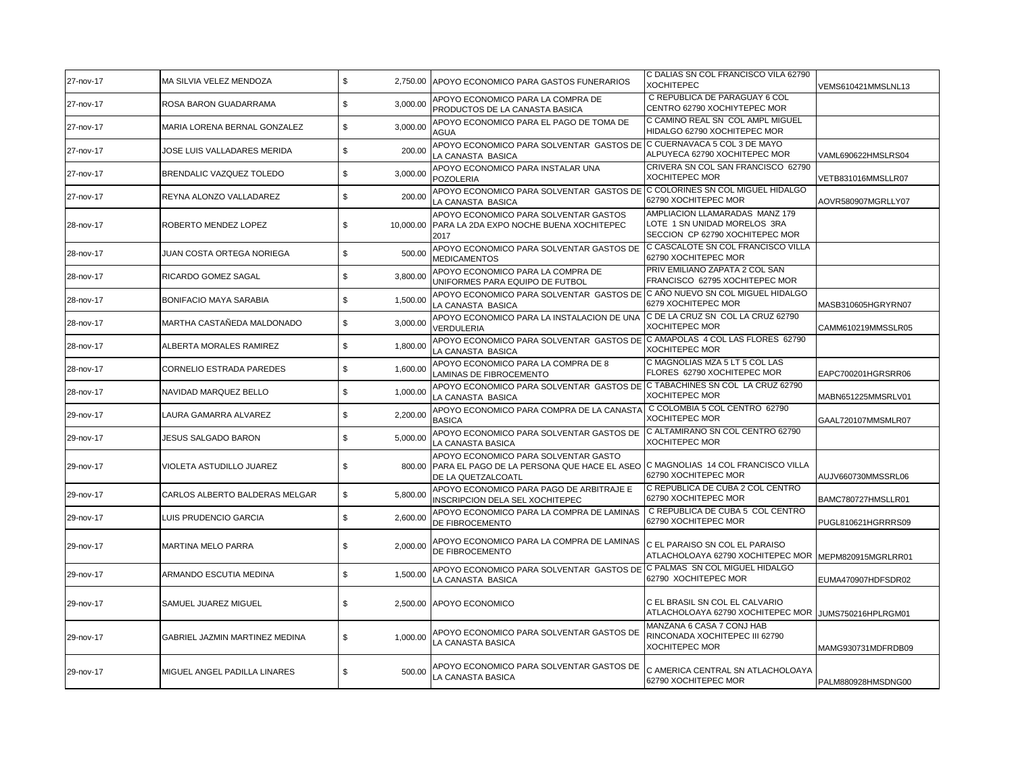| 27-nov-17 | MA SILVIA VELEZ MENDOZA         | \$              | 2,750.00 APOYO ECONOMICO PARA GASTOS FUNERARIOS                                                                                              | C DALIAS SN COL FRANCISCO VILA 62790<br><b>XOCHITEPEC</b>                                         | VEMS610421MMSLNL13 |
|-----------|---------------------------------|-----------------|----------------------------------------------------------------------------------------------------------------------------------------------|---------------------------------------------------------------------------------------------------|--------------------|
| 27-nov-17 | ROSA BARON GUADARRAMA           | \$<br>3.000.00  | APOYO ECONOMICO PARA LA COMPRA DE<br>PRODUCTOS DE LA CANASTA BASICA                                                                          | C REPUBLICA DE PARAGUAY 6 COL<br>CENTRO 62790 XOCHIYTEPEC MOR                                     |                    |
| 27-nov-17 | MARIA LORENA BERNAL GONZALEZ    | \$<br>3,000.00  | APOYO ECONOMICO PARA EL PAGO DE TOMA DE<br>AGUA                                                                                              | C CAMINO REAL SN COL AMPL MIGUEL<br>HIDALGO 62790 XOCHITEPEC MOR                                  |                    |
| 27-nov-17 | JOSE LUIS VALLADARES MERIDA     | \$<br>200.00    | APOYO ECONOMICO PARA SOLVENTAR GASTOS DE C CUERNAVACA 5 COL 3 DE MAYO<br>LA CANASTA BASICA                                                   | ALPUYECA 62790 XOCHITEPEC MOR                                                                     | VAML690622HMSLRS04 |
| 27-nov-17 | <b>BRENDALIC VAZQUEZ TOLEDO</b> | \$<br>3,000.00  | APOYO ECONOMICO PARA INSTALAR UNA<br><b>POZOLERIA</b>                                                                                        | CRIVERA SN COL SAN FRANCISCO 62790<br><b>XOCHITEPEC MOR</b>                                       | VETB831016MMSLLR07 |
| 27-nov-17 | REYNA ALONZO VALLADAREZ         | \$<br>200.00    | APOYO ECONOMICO PARA SOLVENTAR GASTOS DE C COLORINES SN COL MIGUEL HIDALGO<br>LA CANASTA BASICA                                              | 62790 XOCHITEPEC MOR                                                                              | AOVR580907MGRLLY07 |
| 28-nov-17 | ROBERTO MENDEZ LOPEZ            | \$<br>10.000.00 | APOYO ECONOMICO PARA SOLVENTAR GASTOS<br>PARA LA 2DA EXPO NOCHE BUENA XOCHITEPEC<br>2017                                                     | AMPLIACION LLAMARADAS MANZ 179<br>LOTE 1 SN UNIDAD MORELOS 3RA<br>SECCION CP 62790 XOCHITEPEC MOR |                    |
| 28-nov-17 | JUAN COSTA ORTEGA NORIEGA       | \$<br>500.00    | APOYO ECONOMICO PARA SOLVENTAR GASTOS DE<br><b>MEDICAMENTOS</b>                                                                              | C CASCALOTE SN COL FRANCISCO VILLA<br>62790 XOCHITEPEC MOR                                        |                    |
| 28-nov-17 | RICARDO GOMEZ SAGAL             | \$<br>3,800.00  | APOYO ECONOMICO PARA LA COMPRA DE<br>UNIFORMES PARA EQUIPO DE FUTBOL                                                                         | PRIV EMILIANO ZAPATA 2 COL SAN<br>FRANCISCO 62795 XOCHITEPEC MOR                                  |                    |
| 28-nov-17 | <b>BONIFACIO MAYA SARABIA</b>   | \$<br>1,500.00  | APOYO ECONOMICO PARA SOLVENTAR GASTOS DE C AÑO NUEVO SN COL MIGUEL HIDALGO<br>LA CANASTA BASICA                                              | 6279 XOCHITEPEC MOR                                                                               | MASB310605HGRYRN07 |
| 28-nov-17 | MARTHA CASTAÑEDA MALDONADO      | \$<br>3,000.00  | APOYO ECONOMICO PARA LA INSTALACION DE UNA<br>VERDULERIA                                                                                     | C DE LA CRUZ SN COL LA CRUZ 62790<br><b>XOCHITEPEC MOR</b>                                        | CAMM610219MMSSLR05 |
| 28-nov-17 | ALBERTA MORALES RAMIREZ         | \$<br>1,800.00  | APOYO ECONOMICO PARA SOLVENTAR GASTOS DE C AMAPOLAS 4 COL LAS FLORES 62790<br>LA CANASTA BASICA                                              | XOCHITEPEC MOR                                                                                    |                    |
| 28-nov-17 | CORNELIO ESTRADA PAREDES        | \$<br>1,600.00  | APOYO ECONOMICO PARA LA COMPRA DE 8<br><b>LAMINAS DE FIBROCEMENTO</b>                                                                        | C MAGNOLIAS MZA 5 LT 5 COL LAS<br>FLORES 62790 XOCHITEPEC MOR                                     | EAPC700201HGRSRR06 |
| 28-nov-17 | NAVIDAD MARQUEZ BELLO           | \$<br>1,000.00  | APOYO ECONOMICO PARA SOLVENTAR GASTOS DE C TABACHINES SN COL LA CRUZ 62790<br>LA CANASTA BASICA                                              | <b>XOCHITEPEC MOR</b>                                                                             | MABN651225MMSRLV01 |
| 29-nov-17 | LAURA GAMARRA ALVAREZ           | \$<br>2,200.00  | APOYO ECONOMICO PARA COMPRA DE LA CANASTA<br><b>BASICA</b>                                                                                   | C COLOMBIA 5 COL CENTRO 62790<br>XOCHITEPEC MOR                                                   | GAAL720107MMSMLR07 |
| 29-nov-17 | JESUS SALGADO BARON             | \$<br>5,000.00  | APOYO ECONOMICO PARA SOLVENTAR GASTOS DE<br>LA CANASTA BASICA                                                                                | C ALTAMIRANO SN COL CENTRO 62790<br><b>XOCHITEPEC MOR</b>                                         |                    |
| 29-nov-17 | VIOLETA ASTUDILLO JUAREZ        | \$<br>800.00    | APOYO ECONOMICO PARA SOLVENTAR GASTO<br>PARA EL PAGO DE LA PERSONA QUE HACE EL ASEO C MAGNOLIAS 14 COL FRANCISCO VILLA<br>DE LA QUETZALCOATL | 62790 XOCHITEPEC MOR                                                                              | AUJV660730MMSSRL06 |
| 29-nov-17 | CARLOS ALBERTO BALDERAS MELGAR  | \$<br>5,800.00  | APOYO ECONOMICO PARA PAGO DE ARBITRAJE E<br>INSCRIPCION DELA SEL XOCHITEPEC                                                                  | C REPUBLICA DE CUBA 2 COL CENTRO<br>62790 XOCHITEPEC MOR                                          | BAMC780727HMSLLR01 |
| 29-nov-17 | LUIS PRUDENCIO GARCIA           | \$<br>2,600.00  | APOYO ECONOMICO PARA LA COMPRA DE LAMINAS<br>DE FIBROCEMENTO                                                                                 | C REPUBLICA DE CUBA 5 COL CENTRO<br>62790 XOCHITEPEC MOR                                          | PUGL810621HGRRRS09 |
| 29-nov-17 | <b>MARTINA MELO PARRA</b>       | \$<br>2,000.00  | APOYO ECONOMICO PARA LA COMPRA DE LAMINAS<br>DE FIBROCEMENTO                                                                                 | C EL PARAISO SN COL EL PARAISO<br>ATLACHOLOAYA 62790 XOCHITEPEC MOR                               | MEPM820915MGRLRR01 |
| 29-nov-17 | ARMANDO ESCUTIA MEDINA          | \$<br>1,500.00  | APOYO ECONOMICO PARA SOLVENTAR GASTOS DE<br>LA CANASTA BASICA                                                                                | C PALMAS SN COL MIGUEL HIDALGO<br>62790 XOCHITEPEC MOR                                            | EUMA470907HDFSDR02 |
| 29-nov-17 | SAMUEL JUAREZ MIGUEL            | \$              | 2,500.00 APOYO ECONOMICO                                                                                                                     | C EL BRASIL SN COL EL CALVARIO<br>ATLACHOLOAYA 62790 XOCHITEPEC MOR JUMS750216HPLRGM01            |                    |
| 29-nov-17 | GABRIEL JAZMIN MARTINEZ MEDINA  | \$<br>1.000.00  | APOYO ECONOMICO PARA SOLVENTAR GASTOS DE<br>LA CANASTA BASICA                                                                                | MANZANA 6 CASA 7 CONJ HAB<br>RINCONADA XOCHITEPEC III 62790<br><b>XOCHITEPEC MOR</b>              | MAMG930731MDFRDB09 |
| 29-nov-17 | MIGUEL ANGEL PADILLA LINARES    | \$<br>500.00    | APOYO ECONOMICO PARA SOLVENTAR GASTOS DE<br>LA CANASTA BASICA                                                                                | C AMERICA CENTRAL SN ATLACHOLOAYA<br>62790 XOCHITEPEC MOR                                         | PALM880928HMSDNG00 |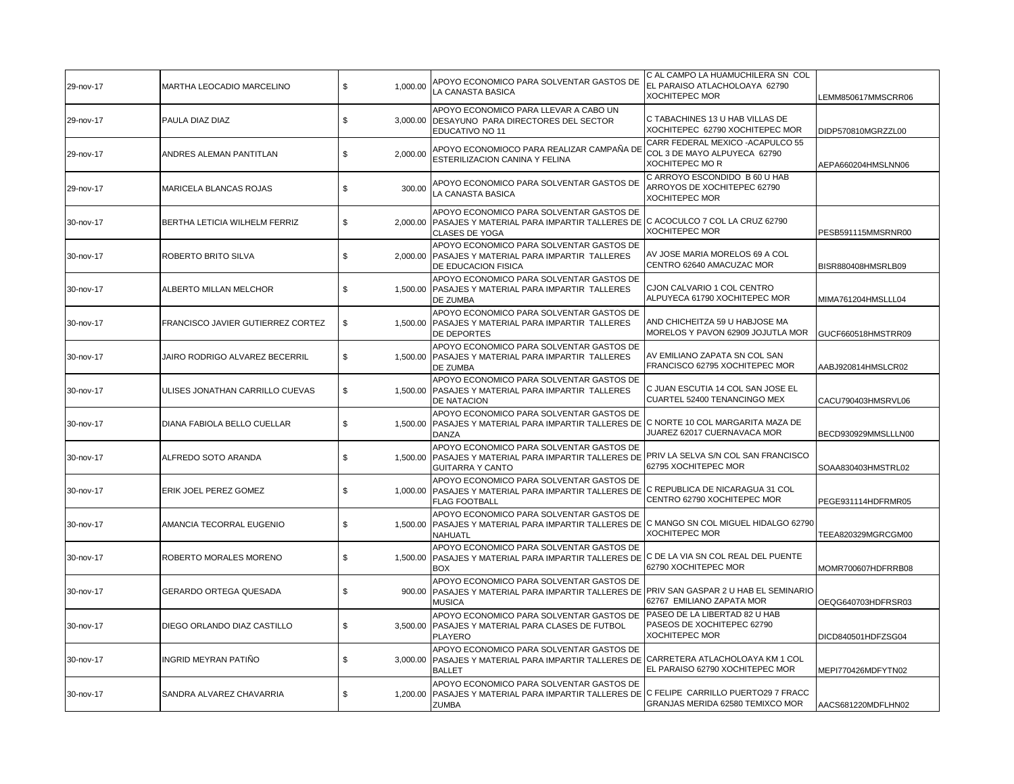| 29-nov-17 | MARTHA LEOCADIO MARCELINO         | \$<br>1,000.00 | APOYO ECONOMICO PARA SOLVENTAR GASTOS DE<br>LA CANASTA BASICA                                                                                             | C AL CAMPO LA HUAMUCHILERA SN COL<br>EL PARAISO ATLACHOLOAYA 62790<br><b>XOCHITEPEC MOR</b> | LEMM850617MMSCRR06  |
|-----------|-----------------------------------|----------------|-----------------------------------------------------------------------------------------------------------------------------------------------------------|---------------------------------------------------------------------------------------------|---------------------|
| 29-nov-17 | PAULA DIAZ DIAZ                   | \$             | APOYO ECONOMICO PARA LLEVAR A CABO UN<br>3,000.00 DESAYUNO PARA DIRECTORES DEL SECTOR<br>EDUCATIVO NO 11                                                  | C TABACHINES 13 U HAB VILLAS DE<br>XOCHITEPEC 62790 XOCHITEPEC MOR                          | DIDP570810MGRZZL00  |
| 29-nov-17 | ANDRES ALEMAN PANTITLAN           | \$<br>2,000.00 | APOYO ECONOMIOCO PARA REALIZAR CAMPAÑA DE<br>ESTERILIZACION CANINA Y FELINA                                                                               | CARR FEDERAL MEXICO - ACAPULCO 55<br>COL 3 DE MAYO ALPUYECA 62790<br><b>XOCHITEPEC MOR</b>  | AEPA660204HMSLNN06  |
| 29-nov-17 | MARICELA BLANCAS ROJAS            | \$<br>300.00   | APOYO ECONOMICO PARA SOLVENTAR GASTOS DE<br>LA CANASTA BASICA                                                                                             | C ARROYO ESCONDIDO B 60 U HAB<br>ARROYOS DE XOCHITEPEC 62790<br><b>XOCHITEPEC MOR</b>       |                     |
| 30-nov-17 | BERTHA LETICIA WILHELM FERRIZ     | \$<br>2,000.00 | APOYO ECONOMICO PARA SOLVENTAR GASTOS DE<br>PASAJES Y MATERIAL PARA IMPARTIR TALLERES DE C ACOCULCO 7 COL LA CRUZ 62790<br><b>CLASES DE YOGA</b>          | <b>XOCHITEPEC MOR</b>                                                                       | PESB591115MMSRNR00  |
| 30-nov-17 | ROBERTO BRITO SILVA               | \$             | APOYO ECONOMICO PARA SOLVENTAR GASTOS DE<br>2,000.00 PASAJES Y MATERIAL PARA IMPARTIR TALLERES<br>DE EDUCACION FISICA                                     | AV JOSE MARIA MORELOS 69 A COL<br>CENTRO 62640 AMACUZAC MOR                                 | BISR880408HMSRLB09  |
| 30-nov-17 | ALBERTO MILLAN MELCHOR            | \$             | APOYO ECONOMICO PARA SOLVENTAR GASTOS DE<br>1,500.00 PASAJES Y MATERIAL PARA IMPARTIR TALLERES<br>DE ZUMBA                                                | CJON CALVARIO 1 COL CENTRO<br>ALPUYECA 61790 XOCHITEPEC MOR                                 | MIMA761204HMSLLL04  |
| 30-nov-17 | FRANCISCO JAVIER GUTIERREZ CORTEZ | \$             | APOYO ECONOMICO PARA SOLVENTAR GASTOS DE<br>1,500.00 PASAJES Y MATERIAL PARA IMPARTIR TALLERES<br>DE DEPORTES                                             | AND CHICHEITZA 59 U HABJOSE MA<br>MORELOS Y PAVON 62909 JOJUTLA MOR                         | GUCF660518HMSTRR09  |
| 30-nov-17 | JAIRO RODRIGO ALVAREZ BECERRIL    | \$             | APOYO ECONOMICO PARA SOLVENTAR GASTOS DE<br>1,500.00 PASAJES Y MATERIAL PARA IMPARTIR TALLERES<br>DE ZUMBA                                                | AV EMILIANO ZAPATA SN COL SAN<br>FRANCISCO 62795 XOCHITEPEC MOR                             | AABJ920814HMSLCR02  |
| 30-nov-17 | ULISES JONATHAN CARRILLO CUEVAS   | \$             | APOYO ECONOMICO PARA SOLVENTAR GASTOS DE<br>1,500.00 PASAJES Y MATERIAL PARA IMPARTIR TALLERES<br><b>DE NATACION</b>                                      | C JUAN ESCUTIA 14 COL SAN JOSE EL<br>CUARTEL 52400 TENANCINGO MEX                           | CACU790403HMSRVL06  |
| 30-nov-17 | DIANA FABIOLA BELLO CUELLAR       | \$<br>1,500.00 | APOYO ECONOMICO PARA SOLVENTAR GASTOS DE<br>PASAJES Y MATERIAL PARA IMPARTIR TALLERES DE C NORTE 10 COL MARGARITA MAZA DE<br><b>DANZA</b>                 | JUAREZ 62017 CUERNAVACA MOR                                                                 | BECD930929MMSLLLN00 |
| 30-nov-17 | ALFREDO SOTO ARANDA               | \$             | APOYO ECONOMICO PARA SOLVENTAR GASTOS DE<br>1,500.00 PASAJES Y MATERIAL PARA IMPARTIR TALLERES DE<br><b>GUITARRA Y CANTO</b>                              | PRIV LA SELVA S/N COL SAN FRANCISCO<br>62795 XOCHITEPEC MOR                                 | SOAA830403HMSTRL02  |
| 30-nov-17 | ERIK JOEL PEREZ GOMEZ             | \$             | APOYO ECONOMICO PARA SOLVENTAR GASTOS DE<br>1,000.00 PASAJES Y MATERIAL PARA IMPARTIR TALLERES DE C REPUBLICA DE NICARAGUA 31 COL<br><b>FLAG FOOTBALL</b> | CENTRO 62790 XOCHITEPEC MOR                                                                 | PEGE931114HDFRMR05  |
| 30-nov-17 | AMANCIA TECORRAL EUGENIO          | \$             | APOYO ECONOMICO PARA SOLVENTAR GASTOS DE<br>1,500.00   PASAJES Y MATERIAL PARA IMPARTIR TALLERES DE C MANGO SN COL MIGUEL HIDALGO 62790<br><b>NAHUATL</b> | <b>XOCHITEPEC MOR</b>                                                                       | TEEA820329MGRCGM00  |
| 30-nov-17 | ROBERTO MORALES MORENO            | \$<br>1,500.00 | APOYO ECONOMICO PARA SOLVENTAR GASTOS DE<br>PASAJES Y MATERIAL PARA IMPARTIR TALLERES DE C DE LA VIA SN COL REAL DEL PUENTE<br><b>BOX</b>                 | 62790 XOCHITEPEC MOR                                                                        | MOMR700607HDFRRB08  |
| 30-nov-17 | GERARDO ORTEGA QUESADA            | \$             | APOYO ECONOMICO PARA SOLVENTAR GASTOS DE<br>900.00 PASAJES Y MATERIAL PARA IMPARTIR TALLERES DE<br><b>MUSICA</b>                                          | PRIV SAN GASPAR 2 U HAB EL SEMINARIO<br>62767 EMILIANO ZAPATA MOR                           | OEQG640703HDFRSR03  |
| 30-nov-17 | DIEGO ORLANDO DIAZ CASTILLO       | \$             | APOYO ECONOMICO PARA SOLVENTAR GASTOS DE<br>3,500.00 PASAJES Y MATERIAL PARA CLASES DE FUTBOL<br><b>PLAYERO</b>                                           | PASEO DE LA LIBERTAD 82 U HAB<br>PASEOS DE XOCHITEPEC 62790<br><b>XOCHITEPEC MOR</b>        | DICD840501HDFZSG04  |
| 30-nov-17 | INGRID MEYRAN PATIÑO              | \$<br>3,000.00 | APOYO ECONOMICO PARA SOLVENTAR GASTOS DE<br>PASAJES Y MATERIAL PARA IMPARTIR TALLERES DE<br><b>BALLET</b>                                                 | CARRETERA ATLACHOLOAYA KM 1 COL<br>EL PARAISO 62790 XOCHITEPEC MOR                          | MEPI770426MDFYTN02  |
| 30-nov-17 | SANDRA ALVAREZ CHAVARRIA          | \$<br>1,200.00 | APOYO ECONOMICO PARA SOLVENTAR GASTOS DE<br>PASAJES Y MATERIAL PARA IMPARTIR TALLERES DE C FELIPE CARRILLO PUERTO29 7 FRACC<br><b>ZUMBA</b>               | GRANJAS MERIDA 62580 TEMIXCO MOR                                                            | AACS681220MDFLHN02  |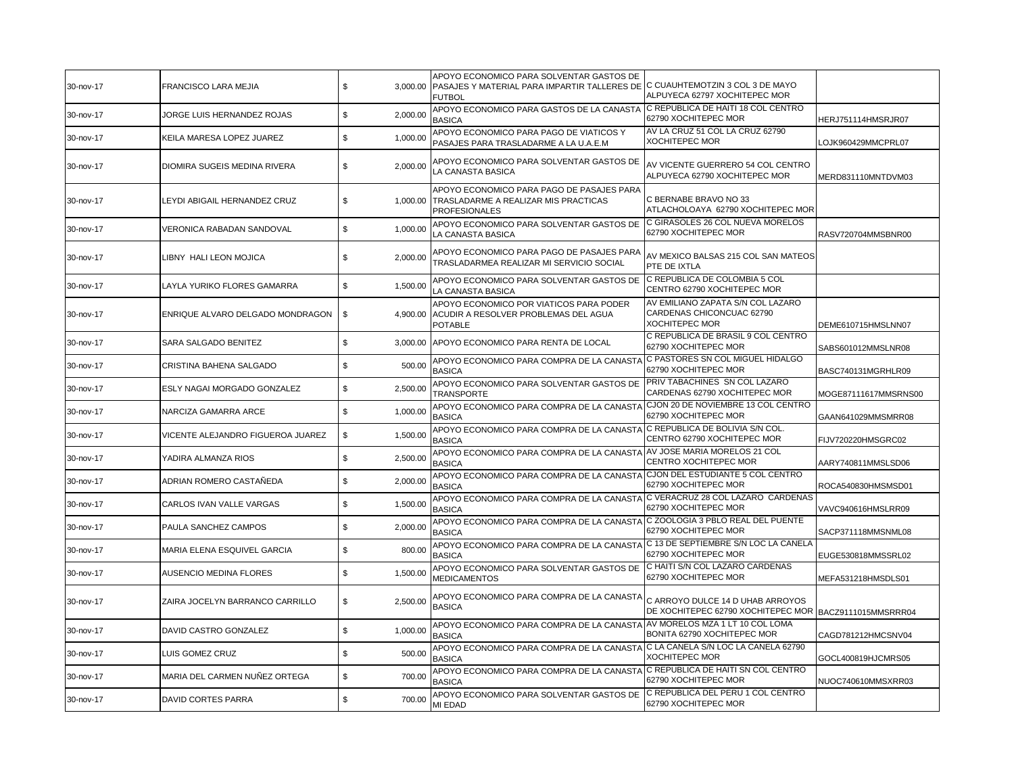| 30-nov-17 | <b>FRANCISCO LARA MEJIA</b>         | \$             | APOYO ECONOMICO PARA SOLVENTAR GASTOS DE<br>3,000.00 PASAJES Y MATERIAL PARA IMPARTIR TALLERES DE C CUAUHTEMOTZIN 3 COL 3 DE MAYO<br><b>FUTBOL</b> | ALPUYECA 62797 XOCHITEPEC MOR                                                              |                      |
|-----------|-------------------------------------|----------------|----------------------------------------------------------------------------------------------------------------------------------------------------|--------------------------------------------------------------------------------------------|----------------------|
| 30-nov-17 | JORGE LUIS HERNANDEZ ROJAS          | \$<br>2,000.00 | APOYO ECONOMICO PARA GASTOS DE LA CANASTA<br><b>BASICA</b>                                                                                         | C REPUBLICA DE HAITI 18 COL CENTRO<br>62790 XOCHITEPEC MOR                                 | HERJ751114HMSRJR07   |
| 30-nov-17 | KEILA MARESA LOPEZ JUAREZ           | \$<br>1,000.00 | APOYO ECONOMICO PARA PAGO DE VIATICOS Y<br>PASAJES PARA TRASLADARME A LA U.A.E.M                                                                   | AV LA CRUZ 51 COL LA CRUZ 62790<br><b>XOCHITEPEC MOR</b>                                   | LOJK960429MMCPRL07   |
| 30-nov-17 | <b>DIOMIRA SUGEIS MEDINA RIVERA</b> | \$<br>2,000.00 | APOYO ECONOMICO PARA SOLVENTAR GASTOS DE<br>LA CANASTA BASICA                                                                                      | AV VICENTE GUERRERO 54 COL CENTRO<br>ALPUYECA 62790 XOCHITEPEC MOR                         | MERD831110MNTDVM03   |
| 30-nov-17 | LEYDI ABIGAIL HERNANDEZ CRUZ        | \$<br>1,000.00 | APOYO ECONOMICO PARA PAGO DE PASAJES PARA<br>TRASLADARME A REALIZAR MIS PRACTICAS<br><b>PROFESIONALES</b>                                          | C BERNABE BRAVO NO 33<br>ATLACHOLOAYA 62790 XOCHITEPEC MOR                                 |                      |
| 30-nov-17 | VERONICA RABADAN SANDOVAL           | \$<br>1,000.00 | APOYO ECONOMICO PARA SOLVENTAR GASTOS DE<br>LA CANASTA BASICA                                                                                      | C GIRASOLES 26 COL NUEVA MORELOS<br>62790 XOCHITEPEC MOR                                   | RASV720704MMSBNR00   |
| 30-nov-17 | LIBNY HALI LEON MOJICA              | \$<br>2,000.00 | APOYO ECONOMICO PARA PAGO DE PASAJES PARA<br>TRASLADARMEA REALIZAR MI SERVICIO SOCIAL                                                              | AV MEXICO BALSAS 215 COL SAN MATEOS<br>PTE DE IXTLA                                        |                      |
| 30-nov-17 | LAYLA YURIKO FLORES GAMARRA         | \$<br>1,500.00 | APOYO ECONOMICO PARA SOLVENTAR GASTOS DE<br>LA CANASTA BASICA                                                                                      | C REPUBLICA DE COLOMBIA 5 COL<br>CENTRO 62790 XOCHITEPEC MOR                               |                      |
| 30-nov-17 | ENRIQUE ALVARO DELGADO MONDRAGON    | \$<br>4.900.00 | APOYO ECONOMICO POR VIATICOS PARA PODER<br>ACUDIR A RESOLVER PROBLEMAS DEL AGUA<br><b>POTABLE</b>                                                  | AV EMILIANO ZAPATA S/N COL LAZARO<br>CARDENAS CHICONCUAC 62790<br><b>XOCHITEPEC MOR</b>    | DEME610715HMSLNN07   |
| 30-nov-17 | SARA SALGADO BENITEZ                | \$             | 3,000.00 APOYO ECONOMICO PARA RENTA DE LOCAL                                                                                                       | C REPUBLICA DE BRASIL 9 COL CENTRO<br>62790 XOCHITEPEC MOR                                 | SABS601012MMSLNR08   |
| 30-nov-17 | CRISTINA BAHENA SALGADO             | \$<br>500.00   | APOYO ECONOMICO PARA COMPRA DE LA CANASTA<br><b>BASICA</b>                                                                                         | C PASTORES SN COL MIGUEL HIDALGO<br>62790 XOCHITEPEC MOR                                   | BASC740131MGRHLR09   |
| 30-nov-17 | ESLY NAGAI MORGADO GONZALEZ         | \$<br>2,500.00 | APOYO ECONOMICO PARA SOLVENTAR GASTOS DE<br><b>TRANSPORTE</b>                                                                                      | PRIV TABACHINES SN COL LAZARO<br>CARDENAS 62790 XOCHITEPEC MOR                             | MOGE87111617MMSRNS00 |
| 30-nov-17 | NARCIZA GAMARRA ARCE                | 1,000.00<br>\$ | APOYO ECONOMICO PARA COMPRA DE LA CANASTA<br><b>BASICA</b>                                                                                         | CJON 20 DE NOVIEMBRE 13 COL CENTRO<br>62790 XOCHITEPEC MOR                                 | GAAN641029MMSMRR08   |
| 30-nov-17 | VICENTE ALEJANDRO FIGUEROA JUAREZ   | \$<br>1,500.00 | APOYO ECONOMICO PARA COMPRA DE LA CANASTA<br><b>BASICA</b>                                                                                         | C REPUBLICA DE BOLIVIA S/N COL.<br>CENTRO 62790 XOCHITEPEC MOR                             | FIJV720220HMSGRC02   |
| 30-nov-17 | YADIRA ALMANZA RIOS                 | \$<br>2,500.00 | APOYO ECONOMICO PARA COMPRA DE LA CANASTA<br><b>BASICA</b>                                                                                         | AV JOSE MARIA MORELOS 21 COL<br>CENTRO XOCHITEPEC MOR                                      | AARY740811MMSLSD06   |
| 30-nov-17 | ADRIAN ROMERO CASTAÑEDA             | \$<br>2,000.00 | APOYO ECONOMICO PARA COMPRA DE LA CANASTA<br><b>BASICA</b>                                                                                         | CJON DEL ESTUDIANTE 5 COL CENTRO<br>62790 XOCHITEPEC MOR                                   | ROCA540830HMSMSD01   |
| 30-nov-17 | CARLOS IVAN VALLE VARGAS            | 1,500.00<br>\$ | APOYO ECONOMICO PARA COMPRA DE LA CANASTA<br><b>BASICA</b>                                                                                         | C VERACRUZ 28 COL LAZARO CARDENAS<br>62790 XOCHITEPEC MOR                                  | VAVC940616HMSLRR09   |
| 30-nov-17 | PAULA SANCHEZ CAMPOS                | 2,000.00<br>\$ | APOYO ECONOMICO PARA COMPRA DE LA CANASTA C ZOOLOGIA 3 PBLO REAL DEL PUENTE<br><b>BASICA</b>                                                       | 62790 XOCHITEPEC MOR                                                                       | SACP371118MMSNML08   |
| 30-nov-17 | MARIA ELENA ESQUIVEL GARCIA         | \$<br>800.00   | APOYO ECONOMICO PARA COMPRA DE LA CANASTA C 13 DE SEPTIEMBRE S/N LOC LA CANELA<br><b>BASICA</b>                                                    | 62790 XOCHITEPEC MOR                                                                       | EUGE530818MMSSRL02   |
| 30-nov-17 | <b>AUSENCIO MEDINA FLORES</b>       | \$<br>1,500.00 | APOYO ECONOMICO PARA SOLVENTAR GASTOS DE<br><b>MEDICAMENTOS</b>                                                                                    | C HAITI S/N COL LAZARO CARDENAS<br>62790 XOCHITEPEC MOR                                    | MEFA531218HMSDLS01   |
| 30-nov-17 | ZAIRA JOCELYN BARRANCO CARRILLO     | \$<br>2,500.00 | APOYO ECONOMICO PARA COMPRA DE LA CANASTA<br><b>BASICA</b>                                                                                         | C ARROYO DULCE 14 D UHAB ARROYOS<br>DE XOCHITEPEC 62790 XOCHITEPEC MOR BACZ9111015MMSRRR04 |                      |
| 30-nov-17 | DAVID CASTRO GONZALEZ               | \$<br>1,000.00 | APOYO ECONOMICO PARA COMPRA DE LA CANASTA AV MORELOS MZA 1 LT 10 COL LOMA<br><b>BASICA</b>                                                         | BONITA 62790 XOCHITEPEC MOR                                                                | CAGD781212HMCSNV04   |
| 30-nov-17 | LUIS GOMEZ CRUZ                     | \$<br>500.00   | APOYO ECONOMICO PARA COMPRA DE LA CANASTA C LA CANELA S/N LOC LA CANELA 62790<br><b>BASICA</b>                                                     | <b>XOCHITEPEC MOR</b>                                                                      | GOCL400819HJCMRS05   |
| 30-nov-17 | MARIA DEL CARMEN NUÑEZ ORTEGA       | \$<br>700.00   | APOYO ECONOMICO PARA COMPRA DE LA CANASTA C REPUBLICA DE HAITI SN COL CENTRO<br>BASICA                                                             | 62790 XOCHITEPEC MOR                                                                       | NUOC740610MMSXRR03   |
| 30-nov-17 | <b>DAVID CORTES PARRA</b>           | \$<br>700.00   | APOYO ECONOMICO PARA SOLVENTAR GASTOS DE<br>MI EDAD                                                                                                | C REPUBLICA DEL PERU 1 COL CENTRO<br>62790 XOCHITEPEC MOR                                  |                      |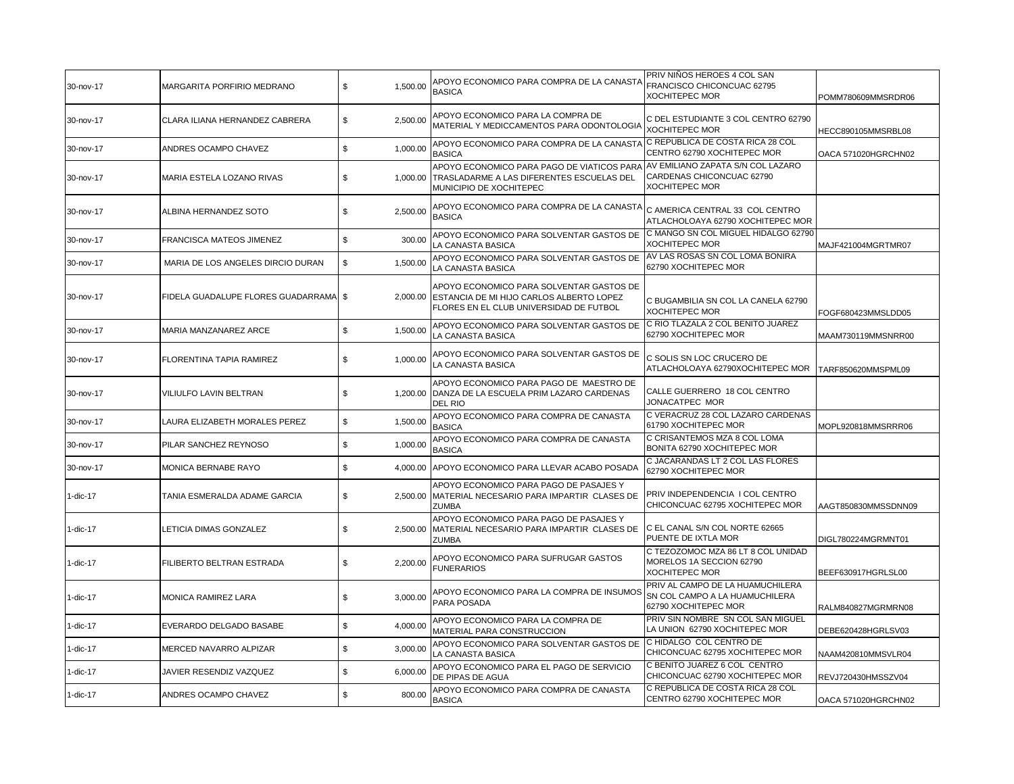| 30-nov-17   | <b>MARGARITA PORFIRIO MEDRANO</b>  | \$<br>1,500.00 | APOYO ECONOMICO PARA COMPRA DE LA CANASTA<br><b>BASICA</b>                                                                      | PRIV NIÑOS HEROES 4 COL SAN<br>FRANCISCO CHICONCUAC 62795<br>XOCHITEPEC MOR                | POMM780609MMSRDR06  |
|-------------|------------------------------------|----------------|---------------------------------------------------------------------------------------------------------------------------------|--------------------------------------------------------------------------------------------|---------------------|
| 30-nov-17   | CLARA ILIANA HERNANDEZ CABRERA     | \$<br>2,500.00 | APOYO ECONOMICO PARA LA COMPRA DE<br>MATERIAL Y MEDICCAMENTOS PARA ODONTOLOGIA                                                  | C DEL ESTUDIANTE 3 COL CENTRO 62790<br><b>XOCHITEPEC MOR</b>                               | HECC890105MMSRBL08  |
| 30-nov-17   | ANDRES OCAMPO CHAVEZ               | 1,000.00<br>\$ | APOYO ECONOMICO PARA COMPRA DE LA CANASTA<br><b>BASICA</b>                                                                      | C REPUBLICA DE COSTA RICA 28 COL<br>CENTRO 62790 XOCHITEPEC MOR                            | OACA 571020HGRCHN02 |
| 30-nov-17   | MARIA ESTELA LOZANO RIVAS          | \$<br>1,000.00 | APOYO ECONOMICO PARA PAGO DE VIATICOS PARA<br>TRASLADARME A LAS DIFERENTES ESCUELAS DEL<br>MUNICIPIO DE XOCHITEPEC              | AV EMILIANO ZAPATA S/N COL LAZARO<br>CARDENAS CHICONCUAC 62790<br><b>XOCHITEPEC MOR</b>    |                     |
| 30-nov-17   | ALBINA HERNANDEZ SOTO              | \$<br>2,500.00 | APOYO ECONOMICO PARA COMPRA DE LA CANASTA<br><b>BASICA</b>                                                                      | C AMERICA CENTRAL 33 COL CENTRO<br>ATLACHOLOAYA 62790 XOCHITEPEC MOR                       |                     |
| 30-nov-17   | FRANCISCA MATEOS JIMENEZ           | 300.00<br>\$   | APOYO ECONOMICO PARA SOLVENTAR GASTOS DE<br>LA CANASTA BASICA                                                                   | C MANGO SN COL MIGUEL HIDALGO 62790<br><b>XOCHITEPEC MOR</b>                               | MAJF421004MGRTMR07  |
| 30-nov-17   | MARIA DE LOS ANGELES DIRCIO DURAN  | \$<br>1,500.00 | APOYO ECONOMICO PARA SOLVENTAR GASTOS DE<br>LA CANASTA BASICA                                                                   | AV LAS ROSAS SN COL LOMA BONIRA<br>62790 XOCHITEPEC MOR                                    |                     |
| 30-nov-17   | FIDELA GUADALUPE FLORES GUADARRAMA | \$<br>2,000.00 | APOYO ECONOMICO PARA SOLVENTAR GASTOS DE<br>ESTANCIA DE MI HIJO CARLOS ALBERTO LOPEZ<br>FLORES EN EL CLUB UNIVERSIDAD DE FUTBOL | C BUGAMBILIA SN COL LA CANELA 62790<br><b>XOCHITEPEC MOR</b>                               | FOGF680423MMSLDD05  |
| 30-nov-17   | MARIA MANZANAREZ ARCE              | \$<br>1,500.00 | APOYO ECONOMICO PARA SOLVENTAR GASTOS DE<br>LA CANASTA BASICA                                                                   | C RIO TLAZALA 2 COL BENITO JUAREZ<br>62790 XOCHITEPEC MOR                                  | MAAM730119MMSNRR00  |
| 30-nov-17   | <b>FLORENTINA TAPIA RAMIREZ</b>    | \$<br>1,000.00 | APOYO ECONOMICO PARA SOLVENTAR GASTOS DE<br>LA CANASTA BASICA                                                                   | C SOLIS SN LOC CRUCERO DE<br>ATLACHOLOAYA 62790XOCHITEPEC MOR                              | TARF850620MMSPML09  |
| 30-nov-17   | VILIULFO LAVIN BELTRAN             | \$             | APOYO ECONOMICO PARA PAGO DE MAESTRO DE<br>1,200.00 DANZA DE LA ESCUELA PRIM LAZARO CARDENAS<br><b>DEL RIO</b>                  | CALLE GUERRERO 18 COL CENTRO<br>JONACATPEC MOR                                             |                     |
| 30-nov-17   | LAURA ELIZABETH MORALES PEREZ      | 1,500.00<br>\$ | APOYO ECONOMICO PARA COMPRA DE CANASTA<br><b>BASICA</b>                                                                         | C VERACRUZ 28 COL LAZARO CARDENAS<br>61790 XOCHITEPEC MOR                                  | MOPL920818MMSRRR06  |
| 30-nov-17   | PILAR SANCHEZ REYNOSO              | 1,000.00<br>\$ | APOYO ECONOMICO PARA COMPRA DE CANASTA<br><b>BASICA</b>                                                                         | C CRISANTEMOS MZA 8 COL LOMA<br>BONITA 62790 XOCHITEPEC MOR                                |                     |
| 30-nov-17   | MONICA BERNABE RAYO                | \$             | 4,000.00 APOYO ECONOMICO PARA LLEVAR ACABO POSADA                                                                               | C JACARANDAS LT 2 COL LAS FLORES<br>62790 XOCHITEPEC MOR                                   |                     |
| 1-dic-17    | TANIA ESMERALDA ADAME GARCIA       | \$<br>2,500.00 | APOYO ECONOMICO PARA PAGO DE PASAJES Y<br>MATERIAL NECESARIO PARA IMPARTIR CLASES DE<br><b>ZUMBA</b>                            | PRIV INDEPENDENCIA I COL CENTRO<br>CHICONCUAC 62795 XOCHITEPEC MOR                         | AAGT850830MMSSDNN09 |
| 1-dic-17    | LETICIA DIMAS GONZALEZ             | \$<br>2,500.00 | APOYO ECONOMICO PARA PAGO DE PASAJES Y<br>MATERIAL NECESARIO PARA IMPARTIR CLASES DE<br><b>ZUMBA</b>                            | C EL CANAL S/N COL NORTE 62665<br>PUENTE DE IXTLA MOR                                      | DIGL780224MGRMNT01  |
| 1-dic-17    | FILIBERTO BELTRAN ESTRADA          | \$<br>2,200.00 | APOYO ECONOMICO PARA SUFRUGAR GASTOS<br><b>FUNERARIOS</b>                                                                       | C TEZOZOMOC MZA 86 LT 8 COL UNIDAD<br>MORELOS 1A SECCION 62790<br><b>XOCHITEPEC MOR</b>    | BEEF630917HGRLSL00  |
| $1$ -dic-17 | MONICA RAMIREZ LARA                | \$<br>3,000.00 | APOYO ECONOMICO PARA LA COMPRA DE INSUMOS<br>PARA POSADA                                                                        | PRIV AL CAMPO DE LA HUAMUCHILERA<br>SN COL CAMPO A LA HUAMUCHILERA<br>62790 XOCHITEPEC MOR | RALM840827MGRMRN08  |
| 1-dic-17    | EVERARDO DELGADO BASABE            | \$<br>4,000.00 | APOYO ECONOMICO PARA LA COMPRA DE<br>MATERIAL PARA CONSTRUCCION                                                                 | PRIV SIN NOMBRE SN COL SAN MIGUEL<br>LA UNION 62790 XOCHITEPEC MOR                         | DEBE620428HGRLSV03  |
| 1-dic-17    | MERCED NAVARRO ALPIZAR             | \$<br>3,000.00 | APOYO ECONOMICO PARA SOLVENTAR GASTOS DE<br>LA CANASTA BASICA                                                                   | C HIDALGO COL CENTRO DE<br>CHICONCUAC 62795 XOCHITEPEC MOR                                 | NAAM420810MMSVLR04  |
| 1-dic-17    | JAVIER RESENDIZ VAZQUEZ            | \$<br>6,000.00 | APOYO ECONOMICO PARA EL PAGO DE SERVICIO<br>DE PIPAS DE AGUA                                                                    | C BENITO JUAREZ 6 COL CENTRO<br>CHICONCUAC 62790 XOCHITEPEC MOR                            | REVJ720430HMSSZV04  |
| 1-dic-17    | ANDRES OCAMPO CHAVEZ               | \$<br>800.00   | APOYO ECONOMICO PARA COMPRA DE CANASTA<br><b>BASICA</b>                                                                         | C REPUBLICA DE COSTA RICA 28 COL<br>CENTRO 62790 XOCHITEPEC MOR                            | OACA 571020HGRCHN02 |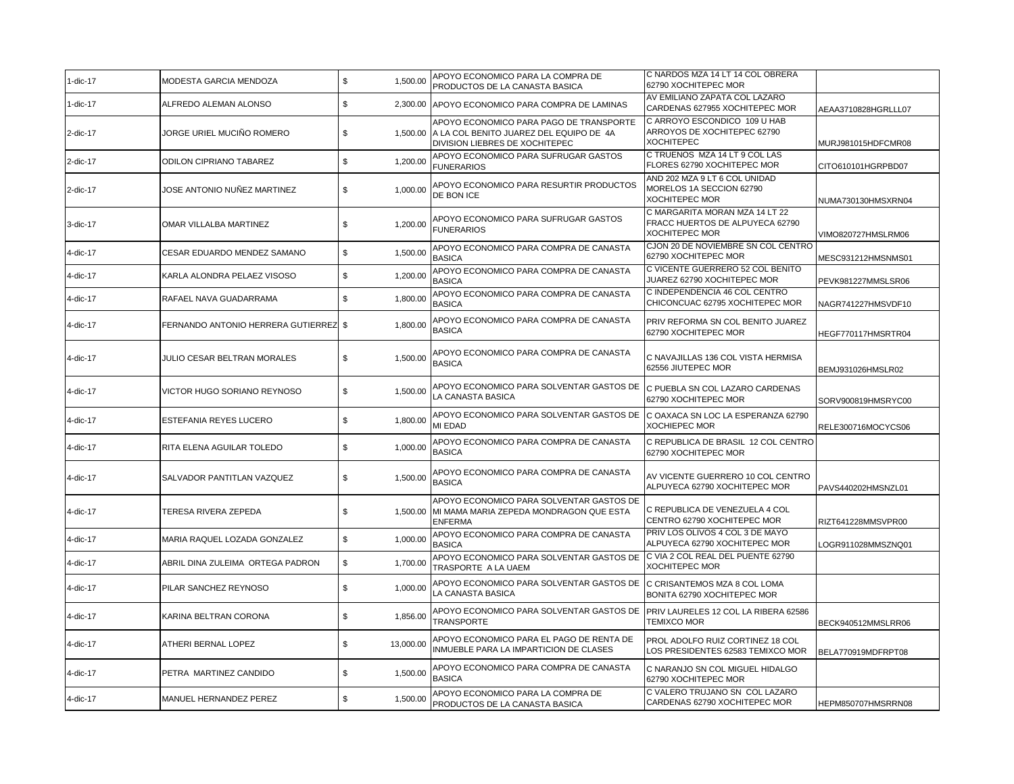| 1-dic-17 | MODESTA GARCIA MENDOZA             | $\mathbb S$<br>1,500.00 | APOYO ECONOMICO PARA LA COMPRA DE<br>PRODUCTOS DE LA CANASTA BASICA                                                  | C NARDOS MZA 14 LT 14 COL OBRERA<br>62790 XOCHITEPEC MOR                                   |                     |
|----------|------------------------------------|-------------------------|----------------------------------------------------------------------------------------------------------------------|--------------------------------------------------------------------------------------------|---------------------|
| 1-dic-17 | ALFREDO ALEMAN ALONSO              | \$                      | 2,300.00 APOYO ECONOMICO PARA COMPRA DE LAMINAS                                                                      | AV EMILIANO ZAPATA COL LAZARO<br>CARDENAS 627955 XOCHITEPEC MOR                            | AEAA3710828HGRLLL07 |
| 2-dic-17 | JORGE URIEL MUCIÑO ROMERO          | \$<br>1,500.00          | APOYO ECONOMICO PARA PAGO DE TRANSPORTE<br>A LA COL BENITO JUAREZ DEL EQUIPO DE 4A<br>DIVISION LIEBRES DE XOCHITEPEC | C ARROYO ESCONDICO 109 U HAB<br>ARROYOS DE XOCHITEPEC 62790<br><b>XOCHITEPEC</b>           | MURJ981015HDFCMR08  |
| 2-dic-17 | <b>ODILON CIPRIANO TABAREZ</b>     | \$<br>1,200.00          | APOYO ECONOMICO PARA SUFRUGAR GASTOS<br><b>FUNERARIOS</b>                                                            | C TRUENOS MZA 14 LT 9 COL LAS<br>FLORES 62790 XOCHITEPEC MOR                               | CITO610101HGRPBD07  |
| 2-dic-17 | JOSE ANTONIO NUÑEZ MARTINEZ        | \$<br>1,000.00          | APOYO ECONOMICO PARA RESURTIR PRODUCTOS<br>DE BON ICE                                                                | AND 202 MZA 9 LT 6 COL UNIDAD<br>MORELOS 1A SECCION 62790<br><b>XOCHITEPEC MOR</b>         | NUMA730130HMSXRN04  |
| 3-dic-17 | OMAR VILLALBA MARTINEZ             | \$<br>1,200.00          | APOYO ECONOMICO PARA SUFRUGAR GASTOS<br><b>FUNERARIOS</b>                                                            | C MARGARITA MORAN MZA 14 LT 22<br>FRACC HUERTOS DE ALPUYECA 62790<br><b>XOCHITEPEC MOR</b> | VIMO820727HMSLRM06  |
| 4-dic-17 | CESAR EDUARDO MENDEZ SAMANO        | 1,500.00<br>\$          | APOYO ECONOMICO PARA COMPRA DE CANASTA<br><b>BASICA</b>                                                              | CJON 20 DE NOVIEMBRE SN COL CENTRO<br>62790 XOCHITEPEC MOR                                 | MESC931212HMSNMS01  |
| 4-dic-17 | KARLA ALONDRA PELAEZ VISOSO        | \$<br>1,200.00          | APOYO ECONOMICO PARA COMPRA DE CANASTA<br><b>BASICA</b>                                                              | C VICENTE GUERRERO 52 COL BENITO<br>JUAREZ 62790 XOCHITEPEC MOR                            | PEVK981227MMSLSR06  |
| 4-dic-17 | RAFAEL NAVA GUADARRAMA             | 1,800.00<br>\$          | APOYO ECONOMICO PARA COMPRA DE CANASTA<br><b>BASICA</b>                                                              | C INDEPENDENCIA 46 COL CENTRO<br>CHICONCUAC 62795 XOCHITEPEC MOR                           | NAGR741227HMSVDF10  |
| 4-dic-17 | FERNANDO ANTONIO HERRERA GUTIERREZ | \$<br>1,800.00          | APOYO ECONOMICO PARA COMPRA DE CANASTA<br><b>BASICA</b>                                                              | PRIV REFORMA SN COL BENITO JUAREZ<br>62790 XOCHITEPEC MOR                                  | HEGF770117HMSRTR04  |
| 4-dic-17 | JULIO CESAR BELTRAN MORALES        | \$<br>1,500.00          | APOYO ECONOMICO PARA COMPRA DE CANASTA<br><b>BASICA</b>                                                              | C NAVAJILLAS 136 COL VISTA HERMISA<br>62556 JIUTEPEC MOR                                   | BEMJ931026HMSLR02   |
| 4-dic-17 | VICTOR HUGO SORIANO REYNOSO        | 1,500.00<br>\$          | APOYO ECONOMICO PARA SOLVENTAR GASTOS DE<br>LA CANASTA BASICA                                                        | C PUEBLA SN COL LAZARO CARDENAS<br>62790 XOCHITEPEC MOR                                    | SORV900819HMSRYC00  |
| 4-dic-17 | ESTEFANIA REYES LUCERO             | 1,800.00<br>\$          | APOYO ECONOMICO PARA SOLVENTAR GASTOS DE<br>MI EDAD                                                                  | C OAXACA SN LOC LA ESPERANZA 62790<br><b>XOCHIEPEC MOR</b>                                 | RELE300716MOCYCS06  |
| 4-dic-17 | RITA ELENA AGUILAR TOLEDO          | \$<br>1,000.00          | APOYO ECONOMICO PARA COMPRA DE CANASTA<br><b>BASICA</b>                                                              | C REPUBLICA DE BRASIL 12 COL CENTRO<br>62790 XOCHITEPEC MOR                                |                     |
| 4-dic-17 | SALVADOR PANTITLAN VAZQUEZ         | 1,500.00<br>\$          | APOYO ECONOMICO PARA COMPRA DE CANASTA<br><b>BASICA</b>                                                              | AV VICENTE GUERRERO 10 COL CENTRO<br>ALPUYECA 62790 XOCHITEPEC MOR                         | PAVS440202HMSNZL01  |
| 4-dic-17 | TERESA RIVERA ZEPEDA               | S.                      | APOYO ECONOMICO PARA SOLVENTAR GASTOS DE<br>1,500.00 MI MAMA MARIA ZEPEDA MONDRAGON QUE ESTA<br><b>ENFERMA</b>       | C REPUBLICA DE VENEZUELA 4 COL<br>CENTRO 62790 XOCHITEPEC MOR                              | RIZT641228MMSVPR00  |
| 4-dic-17 | MARIA RAQUEL LOZADA GONZALEZ       | \$<br>1,000.00          | APOYO ECONOMICO PARA COMPRA DE CANASTA<br><b>BASICA</b>                                                              | PRIV LOS OLIVOS 4 COL 3 DE MAYO<br>ALPUYECA 62790 XOCHITEPEC MOR                           | LOGR911028MMSZNQ01  |
| 4-dic-17 | ABRIL DINA ZULEIMA ORTEGA PADRON   | \$<br>1,700.00          | APOYO ECONOMICO PARA SOLVENTAR GASTOS DE<br>TRASPORTE A LA UAEM                                                      | C VIA 2 COL REAL DEL PUENTE 62790<br><b>XOCHITEPEC MOR</b>                                 |                     |
| 4-dic-17 | PILAR SANCHEZ REYNOSO              | \$<br>1,000.00          | APOYO ECONOMICO PARA SOLVENTAR GASTOS DE<br>LA CANASTA BASICA                                                        | C CRISANTEMOS MZA 8 COL LOMA<br>BONITA 62790 XOCHITEPEC MOR                                |                     |
| 4-dic-17 | KARINA BELTRAN CORONA              | \$<br>1,856.00          | APOYO ECONOMICO PARA SOLVENTAR GASTOS DE<br><b>TRANSPORTE</b>                                                        | PRIV LAURELES 12 COL LA RIBERA 62586<br><b>TEMIXCO MOR</b>                                 | BECK940512MMSLRR06  |
| 4-dic-17 | ATHERI BERNAL LOPEZ                | \$<br>13,000.00         | APOYO ECONOMICO PARA EL PAGO DE RENTA DE<br>INMUEBLE PARA LA IMPARTICION DE CLASES                                   | PROL ADOLFO RUIZ CORTINEZ 18 COL<br>LOS PRESIDENTES 62583 TEMIXCO MOR                      | BELA770919MDFRPT08  |
| 4-dic-17 | PETRA MARTINEZ CANDIDO             | 1,500.00<br>\$          | APOYO ECONOMICO PARA COMPRA DE CANASTA<br><b>BASICA</b>                                                              | C NARANJO SN COL MIGUEL HIDALGO<br>62790 XOCHITEPEC MOR                                    |                     |
| 4-dic-17 | MANUEL HERNANDEZ PEREZ             | \$<br>1,500.00          | APOYO ECONOMICO PARA LA COMPRA DE<br>PRODUCTOS DE LA CANASTA BASICA                                                  | C VALERO TRUJANO SN COL LAZARO<br>CARDENAS 62790 XOCHITEPEC MOR                            | HEPM850707HMSRRN08  |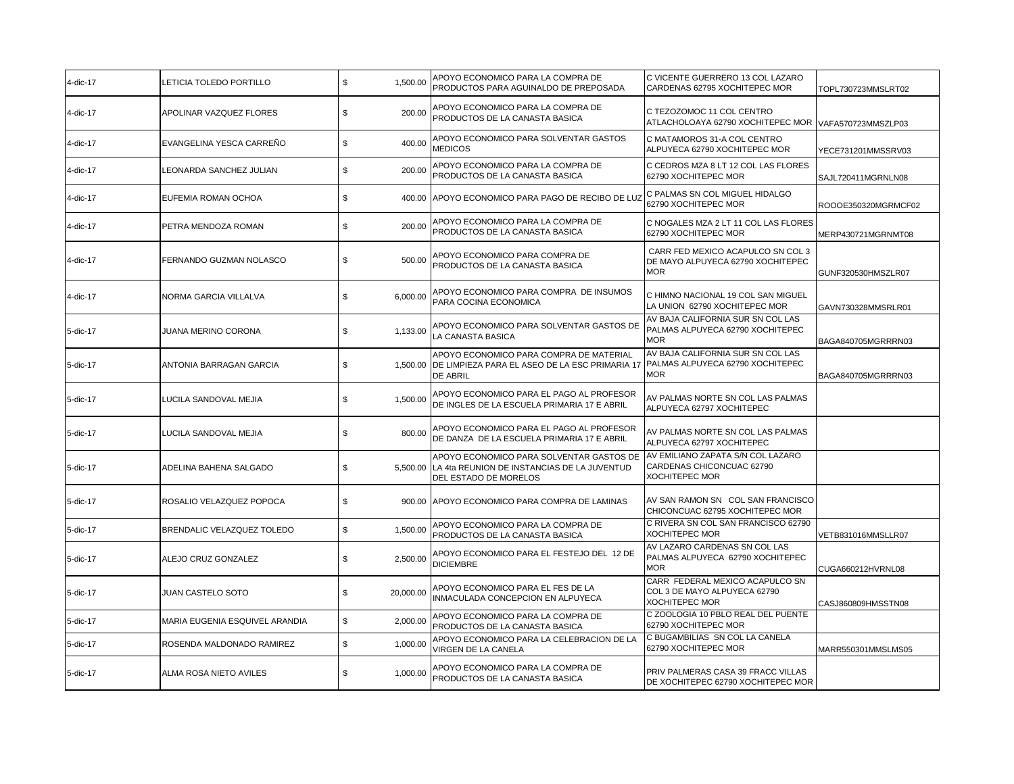| 4-dic-17 | LETICIA TOLEDO PORTILLO        | \$<br>1,500.00  | APOYO ECONOMICO PARA LA COMPRA DE<br>PRODUCTOS PARA AGUINALDO DE PREPOSADA                                              | C VICENTE GUERRERO 13 COL LAZARO<br>CARDENAS 62795 XOCHITEPEC MOR                        | TOPL730723MMSLRT02  |
|----------|--------------------------------|-----------------|-------------------------------------------------------------------------------------------------------------------------|------------------------------------------------------------------------------------------|---------------------|
| 4-dic-17 | APOLINAR VAZQUEZ FLORES        | \$<br>200.00    | APOYO ECONOMICO PARA LA COMPRA DE<br>PRODUCTOS DE LA CANASTA BASICA                                                     | C TEZOZOMOC 11 COL CENTRO<br>ATLACHOLOAYA 62790 XOCHITEPEC MOR                           | VAFA570723MMSZLP03  |
| 4-dic-17 | EVANGELINA YESCA CARREÑO       | \$<br>400.00    | APOYO ECONOMICO PARA SOLVENTAR GASTOS<br><b>MEDICOS</b>                                                                 | C MATAMOROS 31-A COL CENTRO<br>ALPUYECA 62790 XOCHITEPEC MOR                             | YECE731201MMSSRV03  |
| 4-dic-17 | LEONARDA SANCHEZ JULIAN        | \$<br>200.00    | APOYO ECONOMICO PARA LA COMPRA DE<br>PRODUCTOS DE LA CANASTA BASICA                                                     | C CEDROS MZA 8 LT 12 COL LAS FLORES<br>62790 XOCHITEPEC MOR                              | SAJL720411MGRNLN08  |
| 4-dic-17 | EUFEMIA ROMAN OCHOA            | \$<br>400.00    | APOYO ECONOMICO PARA PAGO DE RECIBO DE LUZ                                                                              | C PALMAS SN COL MIGUEL HIDALGO<br>62790 XOCHITEPEC MOR                                   | ROOOE350320MGRMCF02 |
| 4-dic-17 | PETRA MENDOZA ROMAN            | \$<br>200.00    | APOYO ECONOMICO PARA LA COMPRA DE<br>PRODUCTOS DE LA CANASTA BASICA                                                     | C NOGALES MZA 2 LT 11 COL LAS FLORES<br>62790 XOCHITEPEC MOR                             | MERP430721MGRNMT08  |
| 4-dic-17 | FERNANDO GUZMAN NOLASCO        | \$<br>500.00    | APOYO ECONOMICO PARA COMPRA DE<br>PRODUCTOS DE LA CANASTA BASICA                                                        | CARR FED MEXICO ACAPULCO SN COL 3<br>DE MAYO ALPUYECA 62790 XOCHITEPEC<br><b>MOR</b>     | GUNF320530HMSZLR07  |
| 4-dic-17 | NORMA GARCIA VILLALVA          | \$<br>6,000.00  | APOYO ECONOMICO PARA COMPRA DE INSUMOS<br>PARA COCINA ECONOMICA                                                         | C HIMNO NACIONAL 19 COL SAN MIGUEL<br>LA UNION 62790 XOCHITEPEC MOR                      | GAVN730328MMSRLR01  |
| 5-dic-17 | <b>JUANA MERINO CORONA</b>     | \$<br>1,133.00  | APOYO ECONOMICO PARA SOLVENTAR GASTOS DE<br>LA CANASTA BASICA                                                           | AV BAJA CALIFORNIA SUR SN COL LAS<br>PALMAS ALPUYECA 62790 XOCHITEPEC<br><b>MOR</b>      | BAGA840705MGRRRN03  |
| 5-dic-17 | ANTONIA BARRAGAN GARCIA        | \$              | APOYO ECONOMICO PARA COMPRA DE MATERIAL<br>1,500.00   DE LIMPIEZA PARA EL ASEO DE LA ESC PRIMARIA 17<br><b>DE ABRIL</b> | AV BAJA CALIFORNIA SUR SN COL LAS<br>PALMAS ALPUYECA 62790 XOCHITEPEC<br><b>MOR</b>      | BAGA840705MGRRRN03  |
| 5-dic-17 | LUCILA SANDOVAL MEJIA          | \$<br>1,500.00  | APOYO ECONOMICO PARA EL PAGO AL PROFESOR<br>DE INGLES DE LA ESCUELA PRIMARIA 17 E ABRIL                                 | AV PALMAS NORTE SN COL LAS PALMAS<br>ALPUYECA 62797 XOCHITEPEC                           |                     |
| 5-dic-17 | LUCILA SANDOVAL MEJIA          | \$<br>800.00    | APOYO ECONOMICO PARA EL PAGO AL PROFESOR<br>DE DANZA DE LA ESCUELA PRIMARIA 17 E ABRIL                                  | AV PALMAS NORTE SN COL LAS PALMAS<br>ALPUYECA 62797 XOCHITEPEC                           |                     |
| 5-dic-17 | ADELINA BAHENA SALGADO         | \$<br>5,500.00  | APOYO ECONOMICO PARA SOLVENTAR GASTOS DE<br>LA 4ta REUNION DE INSTANCIAS DE LA JUVENTUD<br>DEL ESTADO DE MORELOS        | AV EMILIANO ZAPATA S/N COL LAZARO<br>CARDENAS CHICONCUAC 62790<br><b>XOCHITEPEC MOR</b>  |                     |
| 5-dic-17 | ROSALIO VELAZQUEZ POPOCA       | \$              | 900.00 APOYO ECONOMICO PARA COMPRA DE LAMINAS                                                                           | AV SAN RAMON SN COL SAN FRANCISCO<br>CHICONCUAC 62795 XOCHITEPEC MOR                     |                     |
| 5-dic-17 | BRENDALIC VELAZQUEZ TOLEDO     | \$<br>1,500.00  | APOYO ECONOMICO PARA LA COMPRA DE<br>PRODUCTOS DE LA CANASTA BASICA                                                     | C RIVERA SN COL SAN FRANCISCO 62790<br>XOCHITEPEC MOR                                    | VETB831016MMSLLR07  |
| 5-dic-17 | ALEJO CRUZ GONZALEZ            | \$<br>2,500.00  | APOYO ECONOMICO PARA EL FESTEJO DEL 12 DE<br><b>DICIEMBRE</b>                                                           | AV LAZARO CARDENAS SN COL LAS<br>PALMAS ALPUYECA 62790 XOCHITEPEC<br><b>MOR</b>          | CUGA660212HVRNL08   |
| 5-dic-17 | <b>JUAN CASTELO SOTO</b>       | \$<br>20,000.00 | APOYO ECONOMICO PARA EL FES DE LA<br>INMACULADA CONCEPCION EN ALPUYECA                                                  | CARR FEDERAL MEXICO ACAPULCO SN<br>COL 3 DE MAYO ALPUYECA 62790<br><b>XOCHITEPEC MOR</b> | CASJ860809HMSSTN08  |
| 5-dic-17 | MARIA EUGENIA ESQUIVEL ARANDIA | \$<br>2,000.00  | APOYO ECONOMICO PARA LA COMPRA DE<br>PRODUCTOS DE LA CANASTA BASICA                                                     | C ZOOLOGIA 10 PBLO REAL DEL PUENTE<br>62790 XOCHITEPEC MOR                               |                     |
| 5-dic-17 | ROSENDA MALDONADO RAMIREZ      | \$<br>1,000.00  | APOYO ECONOMICO PARA LA CELEBRACION DE LA<br>VIRGEN DE LA CANELA                                                        | C BUGAMBILIAS SN COL LA CANELA<br>62790 XOCHITEPEC MOR                                   | MARR550301MMSLMS05  |
| 5-dic-17 | ALMA ROSA NIETO AVILES         | \$<br>1,000.00  | APOYO ECONOMICO PARA LA COMPRA DE<br>PRODUCTOS DE LA CANASTA BASICA                                                     | PRIV PALMERAS CASA 39 FRACC VILLAS<br>DE XOCHITEPEC 62790 XOCHITEPEC MOR                 |                     |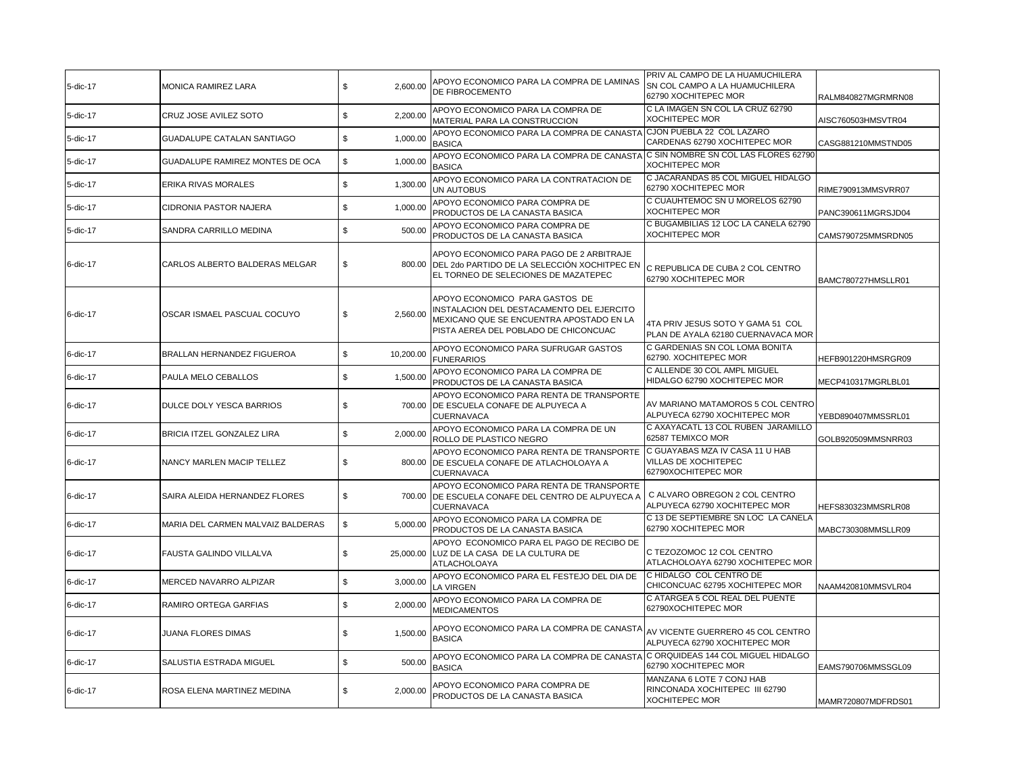| 5-dic-17 | MONICA RAMIREZ LARA               | \$<br>2,600.00  | APOYO ECONOMICO PARA LA COMPRA DE LAMINAS<br>DE FIBROCEMENTO                                                                                                     | PRIV AL CAMPO DE LA HUAMUCHILERA<br>SN COL CAMPO A LA HUAMUCHILERA<br>62790 XOCHITEPEC MOR | RALM840827MGRMRN08 |
|----------|-----------------------------------|-----------------|------------------------------------------------------------------------------------------------------------------------------------------------------------------|--------------------------------------------------------------------------------------------|--------------------|
| 5-dic-17 | CRUZ JOSE AVILEZ SOTO             | \$<br>2,200.00  | APOYO ECONOMICO PARA LA COMPRA DE<br>MATERIAL PARA LA CONSTRUCCION                                                                                               | C LA IMAGEN SN COL LA CRUZ 62790<br><b>XOCHITEPEC MOR</b>                                  | AISC760503HMSVTR04 |
| 5-dic-17 | <b>GUADALUPE CATALAN SANTIAGO</b> | \$<br>1,000.00  | APOYO ECONOMICO PARA LA COMPRA DE CANASTA<br><b>BASICA</b>                                                                                                       | CJON PUEBLA 22 COL LAZARO<br>CARDENAS 62790 XOCHITEPEC MOR                                 | CASG881210MMSTND05 |
| 5-dic-17 | GUADALUPE RAMIREZ MONTES DE OCA   | \$<br>1,000.00  | APOYO ECONOMICO PARA LA COMPRA DE CANASTA<br><b>BASICA</b>                                                                                                       | C SIN NOMBRE SN COL LAS FLORES 62790<br>XOCHITEPEC MOR                                     |                    |
| 5-dic-17 | <b>ERIKA RIVAS MORALES</b>        | \$<br>1,300.00  | APOYO ECONOMICO PARA LA CONTRATACION DE<br>UN AUTOBUS                                                                                                            | C JACARANDAS 85 COL MIGUEL HIDALGO<br>62790 XOCHITEPEC MOR                                 | RIME790913MMSVRR07 |
| 5-dic-17 | <b>CIDRONIA PASTOR NAJERA</b>     | \$<br>1,000.00  | APOYO ECONOMICO PARA COMPRA DE<br>PRODUCTOS DE LA CANASTA BASICA                                                                                                 | C CUAUHTEMOC SN U MORELOS 62790<br><b>XOCHITEPEC MOR</b>                                   | PANC390611MGRSJD04 |
| 5-dic-17 | SANDRA CARRILLO MEDINA            | \$<br>500.00    | APOYO ECONOMICO PARA COMPRA DE<br>PRODUCTOS DE LA CANASTA BASICA                                                                                                 | C BUGAMBILIAS 12 LOC LA CANELA 62790<br><b>XOCHITEPEC MOR</b>                              | CAMS790725MMSRDN05 |
| 6-dic-17 | CARLOS ALBERTO BALDERAS MELGAR    | \$              | APOYO ECONOMICO PARA PAGO DE 2 ARBITRAJE<br>800.00 DEL 2do PARTIDO DE LA SELECCIÓN XOCHITPEC EN<br>EL TORNEO DE SELECIONES DE MAZATEPEC                          | C REPUBLICA DE CUBA 2 COL CENTRO<br>62790 XOCHITEPEC MOR                                   | BAMC780727HMSLLR01 |
| 6-dic-17 | OSCAR ISMAEL PASCUAL COCUYO       | \$<br>2,560.00  | APOYO ECONOMICO PARA GASTOS DE<br>INSTALACION DEL DESTACAMENTO DEL EJERCITO<br>MEXICANO QUE SE ENCUENTRA APOSTADO EN LA<br>PISTA AEREA DEL POBLADO DE CHICONCUAC | 4TA PRIV JESUS SOTO Y GAMA 51 COL<br>PLAN DE AYALA 62180 CUERNAVACA MOR                    |                    |
| 6-dic-17 | BRALLAN HERNANDEZ FIGUEROA        | \$<br>10,200.00 | APOYO ECONOMICO PARA SUFRUGAR GASTOS<br><b>FUNERARIOS</b>                                                                                                        | C GARDENIAS SN COL LOMA BONITA<br>62790. XOCHITEPEC MOR                                    | HEFB901220HMSRGR09 |
| 6-dic-17 | PAULA MELO CEBALLOS               | \$<br>1,500.00  | APOYO ECONOMICO PARA LA COMPRA DE<br>PRODUCTOS DE LA CANASTA BASICA                                                                                              | C ALLENDE 30 COL AMPL MIGUEL<br>HIDALGO 62790 XOCHITEPEC MOR                               | MECP410317MGRLBL01 |
| 6-dic-17 | DULCE DOLY YESCA BARRIOS          | \$<br>700.00    | APOYO ECONOMICO PARA RENTA DE TRANSPORTE<br>DE ESCUELA CONAFE DE ALPUYECA A<br>CUERNAVACA                                                                        | AV MARIANO MATAMOROS 5 COL CENTRO<br>ALPUYECA 62790 XOCHITEPEC MOR                         | YEBD890407MMSSRL01 |
| 6-dic-17 | BRICIA ITZEL GONZALEZ LIRA        | \$<br>2,000.00  | APOYO ECONOMICO PARA LA COMPRA DE UN<br>ROLLO DE PLASTICO NEGRO                                                                                                  | C AXAYACATL 13 COL RUBEN JARAMILLO<br>62587 TEMIXCO MOR                                    | GOLB920509MMSNRR03 |
| 6-dic-17 | NANCY MARLEN MACIP TELLEZ         | \$              | APOYO ECONOMICO PARA RENTA DE TRANSPORTE<br>800.00 DE ESCUELA CONAFE DE ATLACHOLOAYA A<br>CUERNAVACA                                                             | C GUAYABAS MZA IV CASA 11 U HAB<br>VILLAS DE XOCHITEPEC<br>62790XOCHITEPEC MOR             |                    |
| 6-dic-17 | SAIRA ALEIDA HERNANDEZ FLORES     | \$              | APOYO ECONOMICO PARA RENTA DE TRANSPORTE<br>700.00 DE ESCUELA CONAFE DEL CENTRO DE ALPUYECA A<br>CUERNAVACA                                                      | C ALVARO OBREGON 2 COL CENTRO<br>ALPUYECA 62790 XOCHITEPEC MOR                             | HEFS830323MMSRLR08 |
| 6-dic-17 | MARIA DEL CARMEN MALVAIZ BALDERAS | \$<br>5,000.00  | APOYO ECONOMICO PARA LA COMPRA DE<br>PRODUCTOS DE LA CANASTA BASICA                                                                                              | C 13 DE SEPTIEMBRE SN LOC LA CANELA<br>62790 XOCHITEPEC MOR                                | MABC730308MMSLLR09 |
| 6-dic-17 | FAUSTA GALINDO VILLALVA           | \$              | APOYO ECONOMICO PARA EL PAGO DE RECIBO DE<br>25,000.00 LUZ DE LA CASA DE LA CULTURA DE<br>ATLACHOLOAYA                                                           | C TEZOZOMOC 12 COL CENTRO<br>ATLACHOLOAYA 62790 XOCHITEPEC MOR                             |                    |
| 6-dic-17 | MERCED NAVARRO ALPIZAR            | \$<br>3,000.00  | APOYO ECONOMICO PARA EL FESTEJO DEL DIA DE<br>LA VIRGEN                                                                                                          | C HIDALGO COL CENTRO DE<br>CHICONCUAC 62795 XOCHITEPEC MOR                                 | NAAM420810MMSVLR04 |
| 6-dic-17 | RAMIRO ORTEGA GARFIAS             | \$<br>2,000.00  | APOYO ECONOMICO PARA LA COMPRA DE<br><b>MEDICAMENTOS</b>                                                                                                         | C ATARGEA 5 COL REAL DEL PUENTE<br>62790XOCHITEPEC MOR                                     |                    |
| 6-dic-17 | JUANA FLORES DIMAS                | \$<br>1,500.00  | APOYO ECONOMICO PARA LA COMPRA DE CANASTA<br><b>BASICA</b>                                                                                                       | AV VICENTE GUERRERO 45 COL CENTRO<br>ALPUYECA 62790 XOCHITEPEC MOR                         |                    |
| 6-dic-17 | SALUSTIA ESTRADA MIGUEL           | \$<br>500.00    | APOYO ECONOMICO PARA LA COMPRA DE CANASTA<br><b>BASICA</b>                                                                                                       | C ORQUIDEAS 144 COL MIGUEL HIDALGO<br>62790 XOCHITEPEC MOR                                 | EAMS790706MMSSGL09 |
| 6-dic-17 | ROSA ELENA MARTINEZ MEDINA        | \$<br>2,000.00  | APOYO ECONOMICO PARA COMPRA DE<br>PRODUCTOS DE LA CANASTA BASICA                                                                                                 | MANZANA 6 LOTE 7 CONJ HAB<br>RINCONADA XOCHITEPEC III 62790<br><b>XOCHITEPEC MOR</b>       | MAMR720807MDFRDS01 |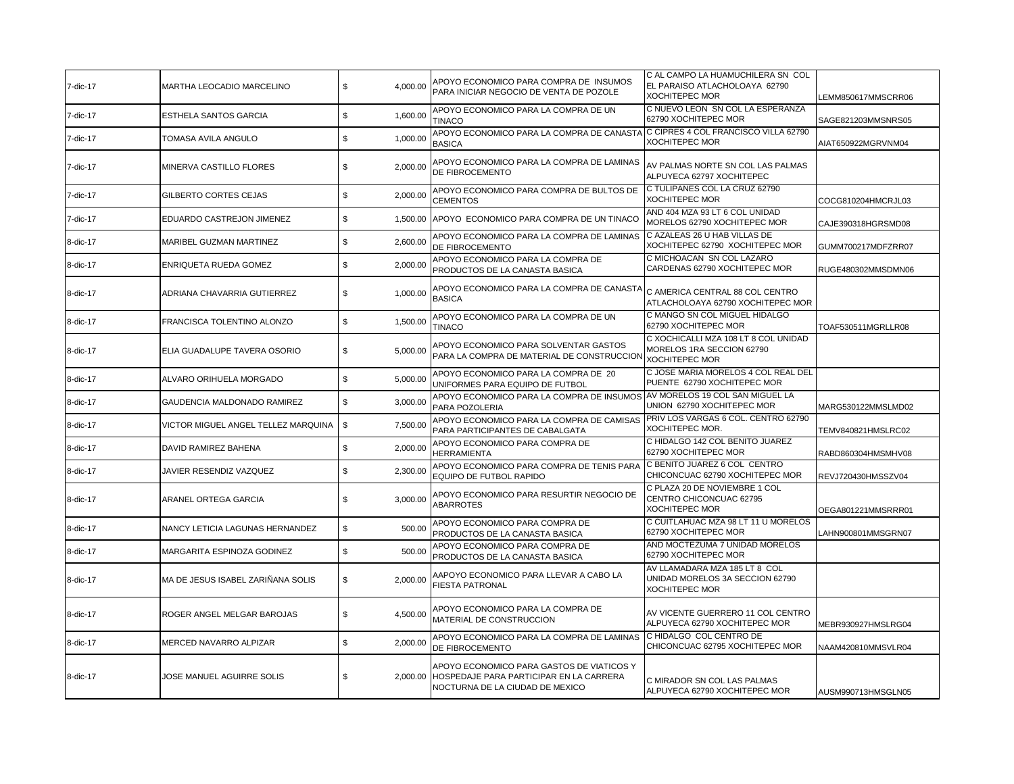| 7-dic-17 | MARTHA LEOCADIO MARCELINO           | \$<br>4,000.00 | APOYO ECONOMICO PARA COMPRA DE INSUMOS<br>PARA INICIAR NEGOCIO DE VENTA DE POZOLE                                       | C AL CAMPO LA HUAMUCHILERA SN COL<br>EL PARAISO ATLACHOLOAYA 62790<br><b>XOCHITEPEC MOR</b> | LEMM850617MMSCRR06 |
|----------|-------------------------------------|----------------|-------------------------------------------------------------------------------------------------------------------------|---------------------------------------------------------------------------------------------|--------------------|
| 7-dic-17 | <b>ESTHELA SANTOS GARCIA</b>        | \$<br>1,600.00 | APOYO ECONOMICO PARA LA COMPRA DE UN<br><b>TINACO</b>                                                                   | C NUEVO LEON SN COL LA ESPERANZA<br>62790 XOCHITEPEC MOR                                    | SAGE821203MMSNRS05 |
| 7-dic-17 | TOMASA AVILA ANGULO                 | \$<br>1,000.00 | APOYO ECONOMICO PARA LA COMPRA DE CANASTA<br><b>BASICA</b>                                                              | C CIPRES 4 COL FRANCISCO VILLA 62790<br><b>XOCHITEPEC MOR</b>                               | AIAT650922MGRVNM04 |
| 7-dic-17 | MINERVA CASTILLO FLORES             | \$<br>2,000.00 | APOYO ECONOMICO PARA LA COMPRA DE LAMINAS<br>DE FIBROCEMENTO                                                            | AV PALMAS NORTE SN COL LAS PALMAS<br>ALPUYECA 62797 XOCHITEPEC                              |                    |
| 7-dic-17 | GILBERTO CORTES CEJAS               | \$<br>2,000.00 | APOYO ECONOMICO PARA COMPRA DE BULTOS DE<br><b>CEMENTOS</b>                                                             | C TULIPANES COL LA CRUZ 62790<br><b>XOCHITEPEC MOR</b>                                      | COCG810204HMCRJL03 |
| 7-dic-17 | EDUARDO CASTREJON JIMENEZ           | \$             | 1,500.00 APOYO ECONOMICO PARA COMPRA DE UN TINACO                                                                       | AND 404 MZA 93 LT 6 COL UNIDAD<br>MORELOS 62790 XOCHITEPEC MOR                              | CAJE390318HGRSMD08 |
| 8-dic-17 | MARIBEL GUZMAN MARTINEZ             | \$<br>2,600.00 | APOYO ECONOMICO PARA LA COMPRA DE LAMINAS<br>DE FIBROCEMENTO                                                            | C AZALEAS 26 U HAB VILLAS DE<br>XOCHITEPEC 62790 XOCHITEPEC MOR                             | GUMM700217MDFZRR07 |
| 8-dic-17 | ENRIQUETA RUEDA GOMEZ               | \$<br>2,000.00 | APOYO ECONOMICO PARA LA COMPRA DE<br>PRODUCTOS DE LA CANASTA BASICA                                                     | C MICHOACAN SN COL LAZARO<br>CARDENAS 62790 XOCHITEPEC MOR                                  | RUGE480302MMSDMN06 |
| 8-dic-17 | ADRIANA CHAVARRIA GUTIERREZ         | \$<br>1,000.00 | APOYO ECONOMICO PARA LA COMPRA DE CANASTA<br><b>BASICA</b>                                                              | C AMERICA CENTRAL 88 COL CENTRO<br>ATLACHOLOAYA 62790 XOCHITEPEC MOR                        |                    |
| 8-dic-17 | FRANCISCA TOLENTINO ALONZO          | \$<br>1,500.00 | APOYO ECONOMICO PARA LA COMPRA DE UN<br><b>TINACO</b>                                                                   | C MANGO SN COL MIGUEL HIDALGO<br>62790 XOCHITEPEC MOR                                       | TOAF530511MGRLLR08 |
| 8-dic-17 | ELIA GUADALUPE TAVERA OSORIO        | 5,000.00<br>\$ | APOYO ECONOMICO PARA SOLVENTAR GASTOS<br>PARA LA COMPRA DE MATERIAL DE CONSTRUCCION                                     | C XOCHICALLI MZA 108 LT 8 COL UNIDAD<br>MORELOS 1RA SECCION 62790<br><b>XOCHITEPEC MOR</b>  |                    |
| 8-dic-17 | ALVARO ORIHUELA MORGADO             | \$<br>5,000.00 | APOYO ECONOMICO PARA LA COMPRA DE 20<br>UNIFORMES PARA EQUIPO DE FUTBOL                                                 | C JOSE MARIA MORELOS 4 COL REAL DEL<br>PUENTE 62790 XOCHITEPEC MOR                          |                    |
| 8-dic-17 | GAUDENCIA MALDONADO RAMIREZ         | \$<br>3,000.00 | APOYO ECONOMICO PARA LA COMPRA DE INSUMOS AV MORELOS 19 COL SAN MIGUEL LA<br>PARA POZOLERIA                             | UNION 62790 XOCHITEPEC MOR                                                                  | MARG530122MMSLMD02 |
| 8-dic-17 | VICTOR MIGUEL ANGEL TELLEZ MARQUINA | \$<br>7,500.00 | APOYO ECONOMICO PARA LA COMPRA DE CAMISAS<br>PARA PARTICIPANTES DE CABALGATA                                            | PRIV LOS VARGAS 6 COL. CENTRO 62790<br>XOCHITEPEC MOR.                                      | TEMV840821HMSLRC02 |
| 8-dic-17 | DAVID RAMIREZ BAHENA                | \$<br>2,000.00 | APOYO ECONOMICO PARA COMPRA DE<br><b>HERRAMIENTA</b>                                                                    | C HIDALGO 142 COL BENITO JUAREZ<br>62790 XOCHITEPEC MOR                                     | RABD860304HMSMHV08 |
| 8-dic-17 | JAVIER RESENDIZ VAZQUEZ             | \$<br>2,300.00 | APOYO ECONOMICO PARA COMPRA DE TENIS PARA<br>EQUIPO DE FUTBOL RAPIDO                                                    | C BENITO JUAREZ 6 COL CENTRO<br>CHICONCUAC 62790 XOCHITEPEC MOR                             | REVJ720430HMSSZV04 |
| 8-dic-17 | ARANEL ORTEGA GARCIA                | 3,000.00<br>\$ | APOYO ECONOMICO PARA RESURTIR NEGOCIO DE<br><b>ABARROTES</b>                                                            | C PLAZA 20 DE NOVIEMBRE 1 COL<br>CENTRO CHICONCUAC 62795<br>XOCHITEPEC MOR                  | OEGA801221MMSRRR01 |
| 8-dic-17 | NANCY LETICIA LAGUNAS HERNANDEZ     | \$<br>500.00   | APOYO ECONOMICO PARA COMPRA DE<br>PRODUCTOS DE LA CANASTA BASICA                                                        | C CUITLAHUAC MZA 98 LT 11 U MORELOS<br>62790 XOCHITEPEC MOR                                 | LAHN900801MMSGRN07 |
| 8-dic-17 | MARGARITA ESPINOZA GODINEZ          | \$<br>500.00   | APOYO ECONOMICO PARA COMPRA DE<br>PRODUCTOS DE LA CANASTA BASICA                                                        | AND MOCTEZUMA 7 UNIDAD MORELOS<br>62790 XOCHITEPEC MOR                                      |                    |
| 8-dic-17 | MA DE JESUS ISABEL ZARIÑANA SOLIS   | \$<br>2,000.00 | AAPOYO ECONOMICO PARA LLEVAR A CABO LA<br><b>FIESTA PATRONAL</b>                                                        | AV LLAMADARA MZA 185 LT 8 COL<br>UNIDAD MORELOS 3A SECCION 62790<br><b>XOCHITEPEC MOR</b>   |                    |
| 8-dic-17 | ROGER ANGEL MELGAR BAROJAS          | \$<br>4,500.00 | APOYO ECONOMICO PARA LA COMPRA DE<br>MATERIAL DE CONSTRUCCION                                                           | AV VICENTE GUERRERO 11 COL CENTRO<br>ALPUYECA 62790 XOCHITEPEC MOR                          | MEBR930927HMSLRG04 |
| 8-dic-17 | MERCED NAVARRO ALPIZAR              | \$<br>2,000.00 | APOYO ECONOMICO PARA LA COMPRA DE LAMINAS<br>DE FIBROCEMENTO                                                            | C HIDALGO COL CENTRO DE<br>CHICONCUAC 62795 XOCHITEPEC MOR                                  | NAAM420810MMSVLR04 |
| 8-dic-17 | JOSE MANUEL AGUIRRE SOLIS           | \$<br>2.000.00 | APOYO ECONOMICO PARA GASTOS DE VIATICOS Y<br>HOSPEDAJE PARA PARTICIPAR EN LA CARRERA<br>NOCTURNA DE LA CIUDAD DE MEXICO | C MIRADOR SN COL LAS PALMAS<br>ALPUYECA 62790 XOCHITEPEC MOR                                | AUSM990713HMSGLN05 |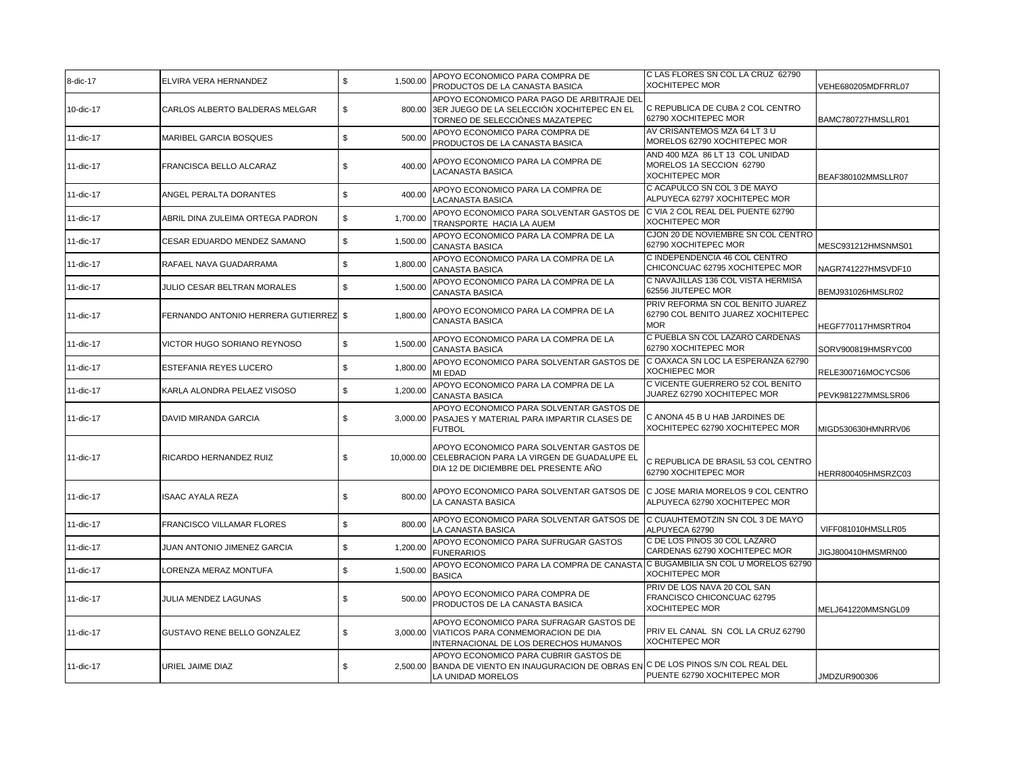| 8-dic-17  | ELVIRA VERA HERNANDEZ                 | \$<br>1,500.00  | APOYO ECONOMICO PARA COMPRA DE<br>PRODUCTOS DE LA CANASTA BASICA                                                                          | C LAS FLORES SN COL LA CRUZ 62790<br><b>XOCHITEPEC MOR</b>                            | VEHE680205MDFRRL07 |
|-----------|---------------------------------------|-----------------|-------------------------------------------------------------------------------------------------------------------------------------------|---------------------------------------------------------------------------------------|--------------------|
| 10-dic-17 | CARLOS ALBERTO BALDERAS MELGAR        | \$<br>800.00    | APOYO ECONOMICO PARA PAGO DE ARBITRAJE DEL<br>3ER JUEGO DE LA SELECCIÓN XOCHITEPEC EN EL<br>TORNEO DE SELECCIÓNES MAZATEPEC               | C REPUBLICA DE CUBA 2 COL CENTRO<br>62790 XOCHITEPEC MOR                              | BAMC780727HMSLLR01 |
| 11-dic-17 | MARIBEL GARCIA BOSQUES                | \$<br>500.00    | APOYO ECONOMICO PARA COMPRA DE<br>PRODUCTOS DE LA CANASTA BASICA                                                                          | AV CRISANTEMOS MZA 64 LT 3 U<br>MORELOS 62790 XOCHITEPEC MOR                          |                    |
| 11-dic-17 | FRANCISCA BELLO ALCARAZ               | \$<br>400.00    | APOYO ECONOMICO PARA LA COMPRA DE<br>LACANASTA BASICA                                                                                     | AND 400 MZA 86 LT 13 COL UNIDAD<br>MORELOS 1A SECCION 62790<br>XOCHITEPEC MOR         | BEAF380102MMSLLR07 |
| 11-dic-17 | ANGEL PERALTA DORANTES                | \$<br>400.00    | APOYO ECONOMICO PARA LA COMPRA DE<br>LACANASTA BASICA                                                                                     | C ACAPULCO SN COL 3 DE MAYO<br>ALPUYECA 62797 XOCHITEPEC MOR                          |                    |
| 11-dic-17 | ABRIL DINA ZULEIMA ORTEGA PADRON      | \$<br>1,700.00  | APOYO ECONOMICO PARA SOLVENTAR GASTOS DE<br>TRANSPORTE HACIA LA AUEM                                                                      | C VIA 2 COL REAL DEL PUENTE 62790<br><b>XOCHITEPEC MOR</b>                            |                    |
| 11-dic-17 | CESAR EDUARDO MENDEZ SAMANO           | \$<br>1,500.00  | APOYO ECONOMICO PARA LA COMPRA DE LA<br><b>CANASTA BASICA</b>                                                                             | CJON 20 DE NOVIEMBRE SN COL CENTRO<br>62790 XOCHITEPEC MOR                            | MESC931212HMSNMS01 |
| 11-dic-17 | RAFAEL NAVA GUADARRAMA                | \$<br>1,800.00  | APOYO ECONOMICO PARA LA COMPRA DE LA<br><b>CANASTA BASICA</b>                                                                             | C INDEPENDENCIA 46 COL CENTRO<br>CHICONCUAC 62795 XOCHITEPEC MOR                      | NAGR741227HMSVDF10 |
| 11-dic-17 | <b>JULIO CESAR BELTRAN MORALES</b>    | \$<br>1,500.00  | APOYO ECONOMICO PARA LA COMPRA DE LA<br>CANASTA BASICA                                                                                    | C NAVAJILLAS 136 COL VISTA HERMISA<br>62556 JIUTEPEC MOR                              | BEMJ931026HMSLR02  |
| 11-dic-17 | FERNANDO ANTONIO HERRERA GUTIERREZ \$ | 1,800.00        | APOYO ECONOMICO PARA LA COMPRA DE LA<br><b>CANASTA BASICA</b>                                                                             | PRIV REFORMA SN COL BENITO JUAREZ<br>62790 COL BENITO JUAREZ XOCHITEPEC<br><b>MOR</b> | HEGF770117HMSRTR04 |
| 11-dic-17 | VICTOR HUGO SORIANO REYNOSO           | \$<br>1.500.00  | APOYO ECONOMICO PARA LA COMPRA DE LA<br><b>CANASTA BASICA</b>                                                                             | C PUEBLA SN COL LAZARO CARDENAS<br>62790 XOCHITEPEC MOR                               | SORV900819HMSRYC00 |
| 11-dic-17 | <b>ESTEFANIA REYES LUCERO</b>         | \$<br>1.800.00  | APOYO ECONOMICO PARA SOLVENTAR GASTOS DE<br>MI EDAD                                                                                       | C OAXACA SN LOC LA ESPERANZA 62790<br><b>XOCHIEPEC MOR</b>                            | RELE300716MOCYCS06 |
| 11-dic-17 | KARLA ALONDRA PELAEZ VISOSO           | \$<br>1,200.00  | APOYO ECONOMICO PARA LA COMPRA DE LA<br>CANASTA BASICA                                                                                    | C VICENTE GUERRERO 52 COL BENITO<br>JUAREZ 62790 XOCHITEPEC MOR                       | PEVK981227MMSLSR06 |
| 11-dic-17 | DAVID MIRANDA GARCIA                  | \$              | APOYO ECONOMICO PARA SOLVENTAR GASTOS DE<br>3,000.00 PASAJES Y MATERIAL PARA IMPARTIR CLASES DE<br><b>FUTBOL</b>                          | C ANONA 45 B U HAB JARDINES DE<br>XOCHITEPEC 62790 XOCHITEPEC MOR                     | MIGD530630HMNRRV06 |
| 11-dic-17 | RICARDO HERNANDEZ RUIZ                | \$<br>10,000.00 | APOYO ECONOMICO PARA SOLVENTAR GASTOS DE<br>CELEBRACION PARA LA VIRGEN DE GUADALUPE EL<br>DIA 12 DE DICIEMBRE DEL PRESENTE AÑO            | C REPUBLICA DE BRASIL 53 COL CENTRO<br>62790 XOCHITEPEC MOR                           | HERR800405HMSRZC03 |
| 11-dic-17 | <b>ISAAC AYALA REZA</b>               | \$<br>800.00    | APOYO ECONOMICO PARA SOLVENTAR GATSOS DE<br>LA CANASTA BASICA                                                                             | C JOSE MARIA MORELOS 9 COL CENTRO<br>ALPUYECA 62790 XOCHITEPEC MOR                    |                    |
| 11-dic-17 | FRANCISCO VILLAMAR FLORES             | \$<br>800.00    | APOYO ECONOMICO PARA SOLVENTAR GATSOS DE<br>LA CANASTA BASICA                                                                             | C CUAUHTEMOTZIN SN COL 3 DE MAYO<br>ALPUYECA 62790                                    | VIFF081010HMSLLR05 |
| 11-dic-17 | JUAN ANTONIO JIMENEZ GARCIA           | \$<br>1,200.00  | APOYO ECONOMICO PARA SUFRUGAR GASTOS<br><b>FUNERARIOS</b>                                                                                 | C DE LOS PINOS 30 COL LAZARO<br>CARDENAS 62790 XOCHITEPEC MOR                         | JIGJ800410HMSMRN00 |
| 11-dic-17 | LORENZA MERAZ MONTUFA                 | \$<br>1,500.00  | APOYO ECONOMICO PARA LA COMPRA DE CANASTA<br><b>BASICA</b>                                                                                | C BUGAMBILIA SN COL U MORELOS 62790<br>XOCHITEPEC MOR                                 |                    |
| 11-dic-17 | JULIA MENDEZ LAGUNAS                  | \$<br>500.00    | APOYO ECONOMICO PARA COMPRA DE<br>PRODUCTOS DE LA CANASTA BASICA                                                                          | PRIV DE LOS NAVA 20 COL SAN<br>FRANCISCO CHICONCUAC 62795<br><b>XOCHITEPEC MOR</b>    | MELJ641220MMSNGL09 |
| 11-dic-17 | GUSTAVO RENE BELLO GONZALEZ           | \$<br>3,000.00  | APOYO ECONOMICO PARA SUFRAGAR GASTOS DE<br>VIATICOS PARA CONMEMORACION DE DIA<br>INTERNACIONAL DE LOS DERECHOS HUMANOS                    | PRIV EL CANAL SN COL LA CRUZ 62790<br><b>XOCHITEPEC MOR</b>                           |                    |
| 11-dic-17 | URIEL JAIME DIAZ                      | \$<br>2.500.00  | APOYO ECONOMICO PARA CUBRIR GASTOS DE<br>BANDA DE VIENTO EN INAUGURACION DE OBRAS EN C DE LOS PINOS S/N COL REAL DEL<br>LA UNIDAD MORELOS | PUENTE 62790 XOCHITEPEC MOR                                                           | JMDZUR900306       |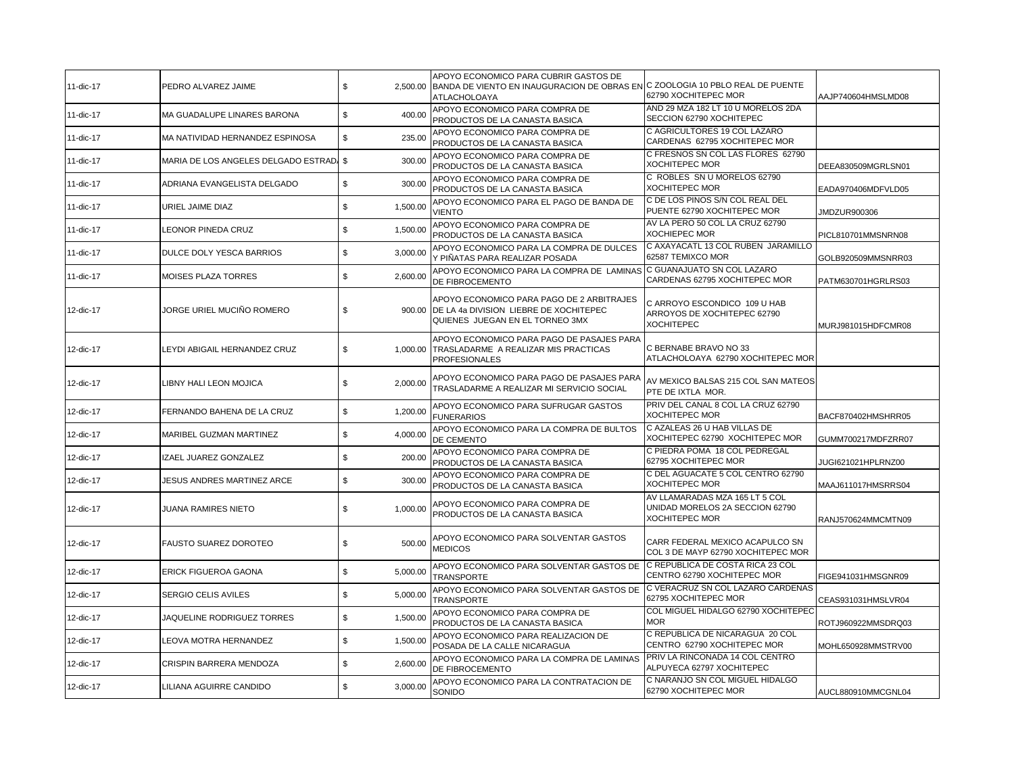| 11-dic-17 | PEDRO ALVAREZ JAIME                     | \$<br>2.500.00 | APOYO ECONOMICO PARA CUBRIR GASTOS DE<br>BANDA DE VIENTO EN INAUGURACION DE OBRAS EN C ZOOLOGIA 10 PBLO REAL DE PUENTE<br>ATLACHOLOAYA | 62790 XOCHITEPEC MOR                                                                       | AAJP740604HMSLMD08 |
|-----------|-----------------------------------------|----------------|----------------------------------------------------------------------------------------------------------------------------------------|--------------------------------------------------------------------------------------------|--------------------|
| 11-dic-17 | MA GUADALUPE LINARES BARONA             | \$<br>400.00   | APOYO ECONOMICO PARA COMPRA DE<br>PRODUCTOS DE LA CANASTA BASICA                                                                       | AND 29 MZA 182 LT 10 U MORELOS 2DA<br>SECCION 62790 XOCHITEPEC                             |                    |
| 11-dic-17 | MA NATIVIDAD HERNANDEZ ESPINOSA         | \$<br>235.00   | APOYO ECONOMICO PARA COMPRA DE<br>PRODUCTOS DE LA CANASTA BASICA                                                                       | C AGRICULTORES 19 COL LAZARO<br>CARDENAS 62795 XOCHITEPEC MOR                              |                    |
| 11-dic-17 | MARIA DE LOS ANGELES DELGADO ESTRAD. \$ | 300.00         | APOYO ECONOMICO PARA COMPRA DE<br>PRODUCTOS DE LA CANASTA BASICA                                                                       | C FRESNOS SN COL LAS FLORES 62790<br><b>XOCHITEPEC MOR</b>                                 | DEEA830509MGRLSN01 |
| 11-dic-17 | ADRIANA EVANGELISTA DELGADO             | \$<br>300.00   | APOYO ECONOMICO PARA COMPRA DE<br>PRODUCTOS DE LA CANASTA BASICA                                                                       | C ROBLES SN U MORELOS 62790<br><b>XOCHITEPEC MOR</b>                                       | EADA970406MDFVLD05 |
| 11-dic-17 | URIEL JAIME DIAZ                        | \$<br>1,500.00 | APOYO ECONOMICO PARA EL PAGO DE BANDA DE<br><b>VIENTO</b>                                                                              | C DE LOS PINOS S/N COL REAL DEL<br>PUENTE 62790 XOCHITEPEC MOR                             | JMDZUR900306       |
| 11-dic-17 | EONOR PINEDA CRUZ                       | \$<br>1,500.00 | APOYO ECONOMICO PARA COMPRA DE<br>PRODUCTOS DE LA CANASTA BASICA                                                                       | AV LA PERO 50 COL LA CRUZ 62790<br><b>XOCHIEPEC MOR</b>                                    | PICL810701MMSNRN08 |
| 11-dic-17 | DULCE DOLY YESCA BARRIOS                | \$<br>3,000.00 | APOYO ECONOMICO PARA LA COMPRA DE DULCES<br>Y PIÑATAS PARA REALIZAR POSADA                                                             | C AXAYACATL 13 COL RUBEN JARAMILLO<br>62587 TEMIXCO MOR                                    | GOLB920509MMSNRR03 |
| 11-dic-17 | MOISES PLAZA TORRES                     | \$<br>2,600.00 | APOYO ECONOMICO PARA LA COMPRA DE LAMINAS<br>DE FIBROCEMENTO                                                                           | C GUANAJUATO SN COL LAZARO<br>CARDENAS 62795 XOCHITEPEC MOR                                | PATM630701HGRLRS03 |
| 12-dic-17 | JORGE URIEL MUCIÑO ROMERO               | \$             | APOYO ECONOMICO PARA PAGO DE 2 ARBITRAJES<br>900.00 DE LA 4a DIVISION LIEBRE DE XOCHITEPEC<br>QUIENES JUEGAN EN EL TORNEO 3MX          | C ARROYO ESCONDICO 109 U HAB<br>ARROYOS DE XOCHITEPEC 62790<br>XOCHITEPEC                  | MURJ981015HDFCMR08 |
| 12-dic-17 | LEYDI ABIGAIL HERNANDEZ CRUZ            | \$             | APOYO ECONOMICO PARA PAGO DE PASAJES PARA<br>1,000.00 TRASLADARME A REALIZAR MIS PRACTICAS<br><b>PROFESIONALES</b>                     | C BERNABE BRAVO NO 33<br>ATLACHOLOAYA 62790 XOCHITEPEC MOR                                 |                    |
| 12-dic-17 | LIBNY HALI LEON MOJICA                  | \$<br>2,000.00 | APOYO ECONOMICO PARA PAGO DE PASAJES PARA<br>TRASLADARME A REALIZAR MI SERVICIO SOCIAL                                                 | AV MEXICO BALSAS 215 COL SAN MATEOS<br>PTE DE IXTLA MOR.                                   |                    |
| 12-dic-17 | FERNANDO BAHENA DE LA CRUZ              | \$<br>1,200.00 | APOYO ECONOMICO PARA SUFRUGAR GASTOS<br><b>FUNERARIOS</b>                                                                              | PRIV DEL CANAL 8 COL LA CRUZ 62790<br><b>XOCHITEPEC MOR</b>                                | BACF870402HMSHRR05 |
| 12-dic-17 | MARIBEL GUZMAN MARTINEZ                 | \$<br>4,000.00 | APOYO ECONOMICO PARA LA COMPRA DE BULTOS<br>DE CEMENTO                                                                                 | C AZALEAS 26 U HAB VILLAS DE<br>XOCHITEPEC 62790 XOCHITEPEC MOR                            | GUMM700217MDFZRR07 |
| 12-dic-17 | IZAEL JUAREZ GONZALEZ                   | \$<br>200.00   | APOYO ECONOMICO PARA COMPRA DE<br>PRODUCTOS DE LA CANASTA BASICA                                                                       | C PIEDRA POMA 18 COL PEDREGAL<br>62795 XOCHITEPEC MOR                                      | JUGI621021HPLRNZ00 |
| 12-dic-17 | JESUS ANDRES MARTINEZ ARCE              | \$<br>300.00   | APOYO ECONOMICO PARA COMPRA DE<br>PRODUCTOS DE LA CANASTA BASICA                                                                       | C DEL AGUACATE 5 COL CENTRO 62790<br><b>XOCHITEPEC MOR</b>                                 | MAAJ611017HMSRRS04 |
| 12-dic-17 | JUANA RAMIRES NIETO                     | \$<br>1,000.00 | APOYO ECONOMICO PARA COMPRA DE<br>PRODUCTOS DE LA CANASTA BASICA                                                                       | AV LLAMARADAS MZA 165 LT 5 COL<br>UNIDAD MORELOS 2A SECCION 62790<br><b>XOCHITEPEC MOR</b> | RANJ570624MMCMTN09 |
| 12-dic-17 | FAUSTO SUAREZ DOROTEO                   | \$<br>500.00   | APOYO ECONOMICO PARA SOLVENTAR GASTOS<br><b>MEDICOS</b>                                                                                | CARR FEDERAL MEXICO ACAPULCO SN<br>COL 3 DE MAYP 62790 XOCHITEPEC MOR                      |                    |
| 12-dic-17 | ERICK FIGUEROA GAONA                    | \$<br>5,000.00 | APOYO ECONOMICO PARA SOLVENTAR GASTOS DE<br><b>TRANSPORTE</b>                                                                          | C REPUBLICA DE COSTA RICA 23 COL<br>CENTRO 62790 XOCHITEPEC MOR                            | FIGE941031HMSGNR09 |
| 12-dic-17 | SERGIO CELIS AVILES                     | \$<br>5,000.00 | APOYO ECONOMICO PARA SOLVENTAR GASTOS DE<br><b>TRANSPORTE</b>                                                                          | C VERACRUZ SN COL LAZARO CARDENAS<br>62795 XOCHITEPEC MOR                                  | CEAS931031HMSLVR04 |
| 12-dic-17 | JAQUELINE RODRIGUEZ TORRES              | \$<br>1,500.00 | APOYO ECONOMICO PARA COMPRA DE<br>PRODUCTOS DE LA CANASTA BASICA                                                                       | COL MIGUEL HIDALGO 62790 XOCHITEPEC<br><b>MOR</b>                                          | ROTJ960922MMSDRQ03 |
| 12-dic-17 | LEOVA MOTRA HERNANDEZ                   | \$<br>1,500.00 | APOYO ECONOMICO PARA REALIZACION DE<br>POSADA DE LA CALLE NICARAGUA                                                                    | C REPUBLICA DE NICARAGUA 20 COL<br>CENTRO 62790 XOCHITEPEC MOR                             | MOHL650928MMSTRV00 |
| 12-dic-17 | CRISPIN BARRERA MENDOZA                 | \$<br>2,600.00 | APOYO ECONOMICO PARA LA COMPRA DE LAMINAS<br>DE FIBROCEMENTO                                                                           | PRIV LA RINCONADA 14 COL CENTRO<br>ALPUYECA 62797 XOCHITEPEC                               |                    |
| 12-dic-17 | LILIANA AGUIRRE CANDIDO                 | \$<br>3,000.00 | APOYO ECONOMICO PARA LA CONTRATACION DE<br>SONIDO                                                                                      | C NARANJO SN COL MIGUEL HIDALGO<br>62790 XOCHITEPEC MOR                                    | AUCL880910MMCGNL04 |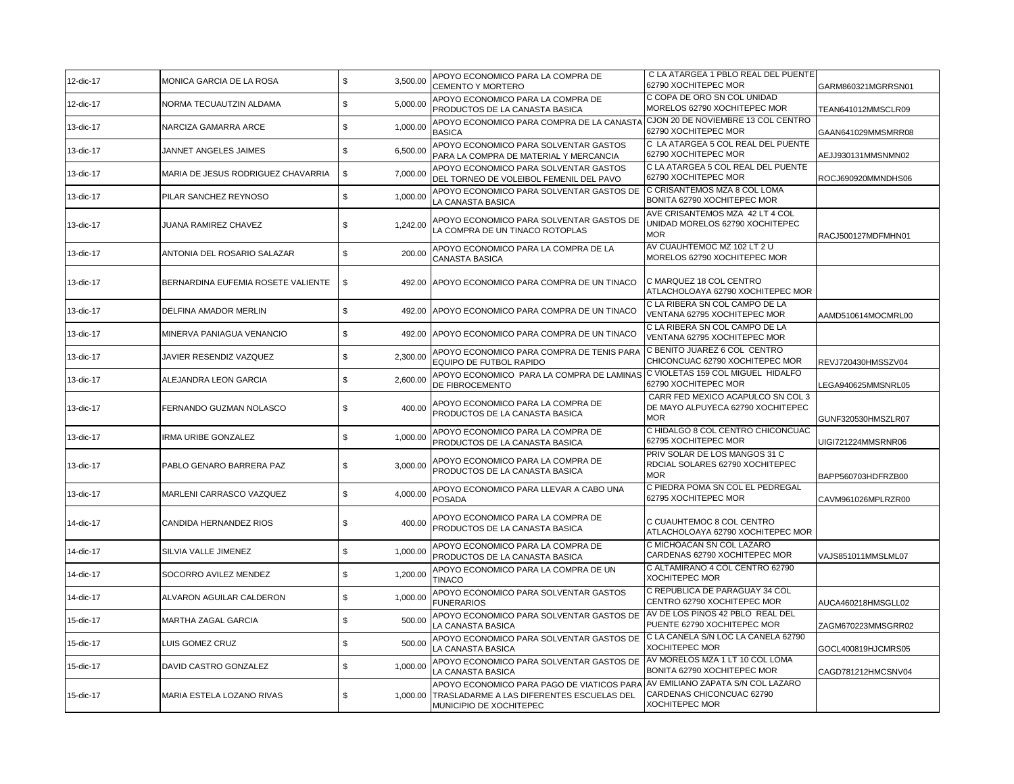| 12-dic-17 | MONICA GARCIA DE LA ROSA           | $\mathbb S$<br>3,500.00 | APOYO ECONOMICO PARA LA COMPRA DE<br>CEMENTO Y MORTERO                                                             | C LA ATARGEA 1 PBLO REAL DEL PUENTE<br>62790 XOCHITEPEC MOR                             | GARM860321MGRRSN01 |
|-----------|------------------------------------|-------------------------|--------------------------------------------------------------------------------------------------------------------|-----------------------------------------------------------------------------------------|--------------------|
| 12-dic-17 | NORMA TECUAUTZIN ALDAMA            | \$<br>5,000.00          | APOYO ECONOMICO PARA LA COMPRA DE<br>PRODUCTOS DE LA CANASTA BASICA                                                | C COPA DE ORO SN COL UNIDAD<br>MORELOS 62790 XOCHITEPEC MOR                             | TEAN641012MMSCLR09 |
| 13-dic-17 | NARCIZA GAMARRA ARCE               | 1,000.00<br>\$          | APOYO ECONOMICO PARA COMPRA DE LA CANASTA<br>BASICA                                                                | CJON 20 DE NOVIEMBRE 13 COL CENTRO<br>62790 XOCHITEPEC MOR                              | GAAN641029MMSMRR08 |
| 13-dic-17 | JANNET ANGELES JAIMES              | \$<br>6,500.00          | APOYO ECONOMICO PARA SOLVENTAR GASTOS<br>PARA LA COMPRA DE MATERIAL Y MERCANCIA                                    | C LA ATARGEA 5 COL REAL DEL PUENTE<br>62790 XOCHITEPEC MOR                              | AEJJ930131MMSNMN02 |
| 13-dic-17 | MARIA DE JESUS RODRIGUEZ CHAVARRIA | \$<br>7,000.00          | APOYO ECONOMICO PARA SOLVENTAR GASTOS<br>DEL TORNEO DE VOLEIBOL FEMENIL DEL PAVO                                   | C LA ATARGEA 5 COL REAL DEL PUENTE<br>62790 XOCHITEPEC MOR                              | ROCJ690920MMNDHS06 |
| 13-dic-17 | PILAR SANCHEZ REYNOSO              | \$<br>1,000.00          | APOYO ECONOMICO PARA SOLVENTAR GASTOS DE<br>LA CANASTA BASICA                                                      | C CRISANTEMOS MZA 8 COL LOMA<br>BONITA 62790 XOCHITEPEC MOR                             |                    |
| 13-dic-17 | JUANA RAMIREZ CHAVEZ               | \$<br>1,242.00          | APOYO ECONOMICO PARA SOLVENTAR GASTOS DE<br>LA COMPRA DE UN TINACO ROTOPLAS                                        | AVE CRISANTEMOS MZA 42 LT 4 COL<br>UNIDAD MORELOS 62790 XOCHITEPEC<br><b>MOR</b>        | RACJ500127MDFMHN01 |
| 13-dic-17 | ANTONIA DEL ROSARIO SALAZAR        | \$<br>200.00            | APOYO ECONOMICO PARA LA COMPRA DE LA<br>CANASTA BASICA                                                             | AV CUAUHTEMOC MZ 102 LT 2 U<br>MORELOS 62790 XOCHITEPEC MOR                             |                    |
| 13-dic-17 | BERNARDINA EUFEMIA ROSETE VALIENTE | \$<br>492.00            | APOYO ECONOMICO PARA COMPRA DE UN TINACO                                                                           | C MARQUEZ 18 COL CENTRO<br>ATLACHOLOAYA 62790 XOCHITEPEC MOR                            |                    |
| 13-dic-17 | DELFINA AMADOR MERLIN              | \$<br>492.00            | APOYO ECONOMICO PARA COMPRA DE UN TINACO                                                                           | C LA RIBERA SN COL CAMPO DE LA<br>VENTANA 62795 XOCHITEPEC MOR                          | AAMD510614MOCMRL00 |
| 13-dic-17 | MINERVA PANIAGUA VENANCIO          | \$<br>492.00            | APOYO ECONOMICO PARA COMPRA DE UN TINACO                                                                           | C LA RIBERA SN COL CAMPO DE LA<br>VENTANA 62795 XOCHITEPEC MOR                          |                    |
| 13-dic-17 | JAVIER RESENDIZ VAZQUEZ            | 2,300.00<br>\$          | APOYO ECONOMICO PARA COMPRA DE TENIS PARA<br>EQUIPO DE FUTBOL RAPIDO                                               | C BENITO JUAREZ 6 COL CENTRO<br>CHICONCUAC 62790 XOCHITEPEC MOR                         | REVJ720430HMSSZV04 |
| 13-dic-17 | ALEJANDRA LEON GARCIA              | \$<br>2,600.00          | APOYO ECONOMICO PARA LA COMPRA DE LAMINAS<br>DE FIBROCEMENTO                                                       | C VIOLETAS 159 COL MIGUEL HIDALFO<br>62790 XOCHITEPEC MOR                               | LEGA940625MMSNRL05 |
| 13-dic-17 | FERNANDO GUZMAN NOLASCO            | \$<br>400.00            | APOYO ECONOMICO PARA LA COMPRA DE<br>PRODUCTOS DE LA CANASTA BASICA                                                | CARR FED MEXICO ACAPULCO SN COL 3<br>DE MAYO ALPUYECA 62790 XOCHITEPEC<br><b>MOR</b>    | GUNF320530HMSZLR07 |
| 13-dic-17 | IRMA URIBE GONZALEZ                | \$<br>1,000.00          | APOYO ECONOMICO PARA LA COMPRA DE<br>PRODUCTOS DE LA CANASTA BASICA                                                | C HIDALGO 8 COL CENTRO CHICONCUAC<br>62795 XOCHITEPEC MOR                               | UIGI721224MMSRNR06 |
| 13-dic-17 | PABLO GENARO BARRERA PAZ           | \$<br>3,000.00          | APOYO ECONOMICO PARA LA COMPRA DE<br>PRODUCTOS DE LA CANASTA BASICA                                                | PRIV SOLAR DE LOS MANGOS 31 C<br>RDCIAL SOLARES 62790 XOCHITEPEC<br><b>MOR</b>          | BAPP560703HDFRZB00 |
| 13-dic-17 | MARLENI CARRASCO VAZQUEZ           | \$<br>4,000.00          | APOYO ECONOMICO PARA LLEVAR A CABO UNA<br>POSADA                                                                   | C PIEDRA POMA SN COL EL PEDREGAL<br>62795 XOCHITEPEC MOR                                | CAVM961026MPLRZR00 |
| 14-dic-17 | CANDIDA HERNANDEZ RIOS             | \$<br>400.00            | APOYO ECONOMICO PARA LA COMPRA DE<br>PRODUCTOS DE LA CANASTA BASICA                                                | C CUAUHTEMOC 8 COL CENTRO<br>ATLACHOLOAYA 62790 XOCHITEPEC MOR                          |                    |
| 14-dic-17 | SILVIA VALLE JIMENEZ               | \$<br>1,000.00          | APOYO ECONOMICO PARA LA COMPRA DE<br>PRODUCTOS DE LA CANASTA BASICA                                                | C MICHOACAN SN COL LAZARO<br>CARDENAS 62790 XOCHITEPEC MOR                              | VAJS851011MMSLML07 |
| 14-dic-17 | SOCORRO AVILEZ MENDEZ              | \$<br>1,200.00          | APOYO ECONOMICO PARA LA COMPRA DE UN<br><b>TINACO</b>                                                              | C ALTAMIRANO 4 COL CENTRO 62790<br><b>XOCHITEPEC MOR</b>                                |                    |
| 14-dic-17 | ALVARON AGUILAR CALDERON           | \$<br>1,000.00          | APOYO ECONOMICO PARA SOLVENTAR GASTOS<br><b>FUNERARIOS</b>                                                         | C REPUBLICA DE PARAGUAY 34 COL<br>CENTRO 62790 XOCHITEPEC MOR                           | AUCA460218HMSGLL02 |
| 15-dic-17 | MARTHA ZAGAL GARCIA                | \$<br>500.00            | APOYO ECONOMICO PARA SOLVENTAR GASTOS DE<br>LA CANASTA BASICA                                                      | AV DE LOS PINOS 42 PBLO REAL DEL<br>PUENTE 62790 XOCHITEPEC MOR                         | ZAGM670223MMSGRR02 |
| 15-dic-17 | LUIS GOMEZ CRUZ                    | \$<br>500.00            | APOYO ECONOMICO PARA SOLVENTAR GASTOS DE<br>LA CANASTA BASICA                                                      | C LA CANELA S/N LOC LA CANELA 62790<br><b>XOCHITEPEC MOR</b>                            | GOCL400819HJCMRS05 |
| 15-dic-17 | DAVID CASTRO GONZALEZ              | \$<br>1,000.00          | APOYO ECONOMICO PARA SOLVENTAR GASTOS DE<br>LA CANASTA BASICA                                                      | AV MORELOS MZA 1 LT 10 COL LOMA<br>BONITA 62790 XOCHITEPEC MOR                          | CAGD781212HMCSNV04 |
| 15-dic-17 | MARIA ESTELA LOZANO RIVAS          | \$<br>1.000.00          | APOYO ECONOMICO PARA PAGO DE VIATICOS PARA<br>TRASLADARME A LAS DIFERENTES ESCUELAS DEL<br>MUNICIPIO DE XOCHITEPEC | AV EMILIANO ZAPATA S/N COL LAZARO<br>CARDENAS CHICONCUAC 62790<br><b>XOCHITEPEC MOR</b> |                    |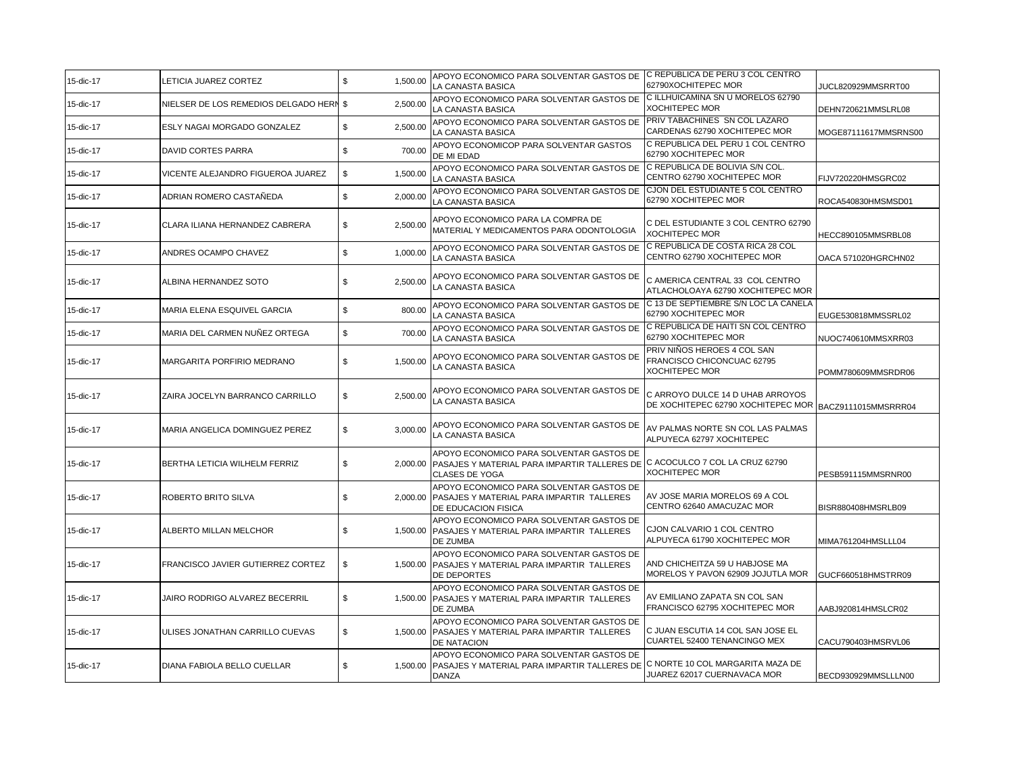| 15-dic-17 | LETICIA JUAREZ CORTEZ                   | \$<br>1,500.00 | APOYO ECONOMICO PARA SOLVENTAR GASTOS DE C REPUBLICA DE PERU 3 COL CENTRO<br>LA CANASTA BASICA                                                            | 62790XOCHITEPEC MOR                                                                | JUCL820929MMSRRT00   |
|-----------|-----------------------------------------|----------------|-----------------------------------------------------------------------------------------------------------------------------------------------------------|------------------------------------------------------------------------------------|----------------------|
| 15-dic-17 | NIELSER DE LOS REMEDIOS DELGADO HERN \$ | 2,500.00       | APOYO ECONOMICO PARA SOLVENTAR GASTOS DE<br>LA CANASTA BASICA                                                                                             | C ILLHUICAMINA SN U MORELOS 62790<br>XOCHITEPEC MOR                                | DEHN720621MMSLRL08   |
| 15-dic-17 | ESLY NAGAI MORGADO GONZALEZ             | \$<br>2,500.00 | APOYO ECONOMICO PARA SOLVENTAR GASTOS DE<br>LA CANASTA BASICA                                                                                             | PRIV TABACHINES SN COL LAZARO<br>CARDENAS 62790 XOCHITEPEC MOR                     | MOGE87111617MMSRNS00 |
| 15-dic-17 | DAVID CORTES PARRA                      | \$<br>700.00   | APOYO ECONOMICOP PARA SOLVENTAR GASTOS<br>DE MI EDAD                                                                                                      | C REPUBLICA DEL PERU 1 COL CENTRO<br>62790 XOCHITEPEC MOR                          |                      |
| 15-dic-17 | VICENTE ALEJANDRO FIGUEROA JUAREZ       | 1,500.00<br>\$ | APOYO ECONOMICO PARA SOLVENTAR GASTOS DE<br>LA CANASTA BASICA                                                                                             | C REPUBLICA DE BOLIVIA S/N COL.<br>CENTRO 62790 XOCHITEPEC MOR                     | FIJV720220HMSGRC02   |
| 15-dic-17 | ADRIAN ROMERO CASTAÑEDA                 | \$<br>2,000.00 | APOYO ECONOMICO PARA SOLVENTAR GASTOS DE<br>LA CANASTA BASICA                                                                                             | CJON DEL ESTUDIANTE 5 COL CENTRO<br>62790 XOCHITEPEC MOR                           | ROCA540830HMSMSD01   |
| 15-dic-17 | CLARA ILIANA HERNANDEZ CABRERA          | \$<br>2,500.00 | APOYO ECONOMICO PARA LA COMPRA DE<br>MATERIAL Y MEDICAMENTOS PARA ODONTOLOGIA                                                                             | C DEL ESTUDIANTE 3 COL CENTRO 62790<br>XOCHITEPEC MOR                              | HECC890105MMSRBL08   |
| 15-dic-17 | ANDRES OCAMPO CHAVEZ                    | \$<br>1.000.00 | APOYO ECONOMICO PARA SOLVENTAR GASTOS DE<br>LA CANASTA BASICA                                                                                             | C REPUBLICA DE COSTA RICA 28 COL<br>CENTRO 62790 XOCHITEPEC MOR                    | OACA 571020HGRCHN02  |
| 15-dic-17 | ALBINA HERNANDEZ SOTO                   | \$<br>2,500.00 | APOYO ECONOMICO PARA SOLVENTAR GASTOS DE<br>LA CANASTA BASICA                                                                                             | C AMERICA CENTRAL 33 COL CENTRO<br>ATLACHOLOAYA 62790 XOCHITEPEC MOR               |                      |
| 15-dic-17 | MARIA ELENA ESQUIVEL GARCIA             | \$<br>800.00   | APOYO ECONOMICO PARA SOLVENTAR GASTOS DE<br>LA CANASTA BASICA                                                                                             | C 13 DE SEPTIEMBRE S/N LOC LA CANELA<br>62790 XOCHITEPEC MOR                       | EUGE530818MMSSRL02   |
| 15-dic-17 | MARIA DEL CARMEN NUÑEZ ORTEGA           | \$<br>700.00   | APOYO ECONOMICO PARA SOLVENTAR GASTOS DE<br>LA CANASTA BASICA                                                                                             | C REPUBLICA DE HAITI SN COL CENTRO<br>62790 XOCHITEPEC MOR                         | NUOC740610MMSXRR03   |
| 15-dic-17 | MARGARITA PORFIRIO MEDRANO              | 1,500.00<br>\$ | APOYO ECONOMICO PARA SOLVENTAR GASTOS DE<br>LA CANASTA BASICA                                                                                             | PRIV NIÑOS HEROES 4 COL SAN<br>FRANCISCO CHICONCUAC 62795<br><b>XOCHITEPEC MOR</b> | POMM780609MMSRDR06   |
| 15-dic-17 | ZAIRA JOCELYN BARRANCO CARRILLO         | \$<br>2.500.00 | APOYO ECONOMICO PARA SOLVENTAR GASTOS DE<br>LA CANASTA BASICA                                                                                             | C ARROYO DULCE 14 D UHAB ARROYOS<br>DE XOCHITEPEC 62790 XOCHITEPEC MOR             | BACZ9111015MMSRRR04  |
| 15-dic-17 | MARIA ANGELICA DOMINGUEZ PEREZ          | \$<br>3,000.00 | APOYO ECONOMICO PARA SOLVENTAR GASTOS DE<br>LA CANASTA BASICA                                                                                             | AV PALMAS NORTE SN COL LAS PALMAS<br>ALPUYECA 62797 XOCHITEPEC                     |                      |
| 15-dic-17 | BERTHA LETICIA WILHELM FERRIZ           | \$             | APOYO ECONOMICO PARA SOLVENTAR GASTOS DE<br>2,000.00 PASAJES Y MATERIAL PARA IMPARTIR TALLERES DE C ACOCULCO 7 COL LA CRUZ 62790<br><b>CLASES DE YOGA</b> | <b>XOCHITEPEC MOR</b>                                                              | PESB591115MMSRNR00   |
| 15-dic-17 | ROBERTO BRITO SILVA                     | \$             | APOYO ECONOMICO PARA SOLVENTAR GASTOS DE<br>2,000.00 PASAJES Y MATERIAL PARA IMPARTIR TALLERES<br>DE EDUCACION FISICA                                     | AV JOSE MARIA MORELOS 69 A COL<br>CENTRO 62640 AMACUZAC MOR                        | BISR880408HMSRLB09   |
| 15-dic-17 | ALBERTO MILLAN MELCHOR                  | \$             | APOYO ECONOMICO PARA SOLVENTAR GASTOS DE<br>1,500.00 PASAJES Y MATERIAL PARA IMPARTIR TALLERES<br>DE ZUMBA                                                | CJON CALVARIO 1 COL CENTRO<br>ALPUYECA 61790 XOCHITEPEC MOR                        | MIMA761204HMSLLL04   |
| 15-dic-17 | FRANCISCO JAVIER GUTIERREZ CORTEZ       | \$             | APOYO ECONOMICO PARA SOLVENTAR GASTOS DE<br>1,500.00 PASAJES Y MATERIAL PARA IMPARTIR TALLERES<br>DE DEPORTES                                             | AND CHICHEITZA 59 U HABJOSE MA<br>MORELOS Y PAVON 62909 JOJUTLA MOR                | GUCF660518HMSTRR09   |
| 15-dic-17 | JAIRO RODRIGO ALVAREZ BECERRIL          | \$             | APOYO ECONOMICO PARA SOLVENTAR GASTOS DE<br>1,500.00 PASAJES Y MATERIAL PARA IMPARTIR TALLERES<br>DE ZUMBA                                                | AV EMILIANO ZAPATA SN COL SAN<br>FRANCISCO 62795 XOCHITEPEC MOR                    | AABJ920814HMSLCR02   |
| 15-dic-17 | <b>JLISES JONATHAN CARRILLO CUEVAS</b>  | \$             | APOYO ECONOMICO PARA SOLVENTAR GASTOS DE<br>1,500.00 PASAJES Y MATERIAL PARA IMPARTIR TALLERES<br>DE NATACION                                             | C JUAN ESCUTIA 14 COL SAN JOSE EL<br>CUARTEL 52400 TENANCINGO MEX                  | CACU790403HMSRVL06   |
| 15-dic-17 | DIANA FABIOLA BELLO CUELLAR             | \$             | APOYO ECONOMICO PARA SOLVENTAR GASTOS DE<br>1,500.00 PASAJES Y MATERIAL PARA IMPARTIR TALLERES DE C NORTE 10 COL MARGARITA MAZA DE<br><b>DANZA</b>        | JUAREZ 62017 CUERNAVACA MOR                                                        | BECD930929MMSLLLN00  |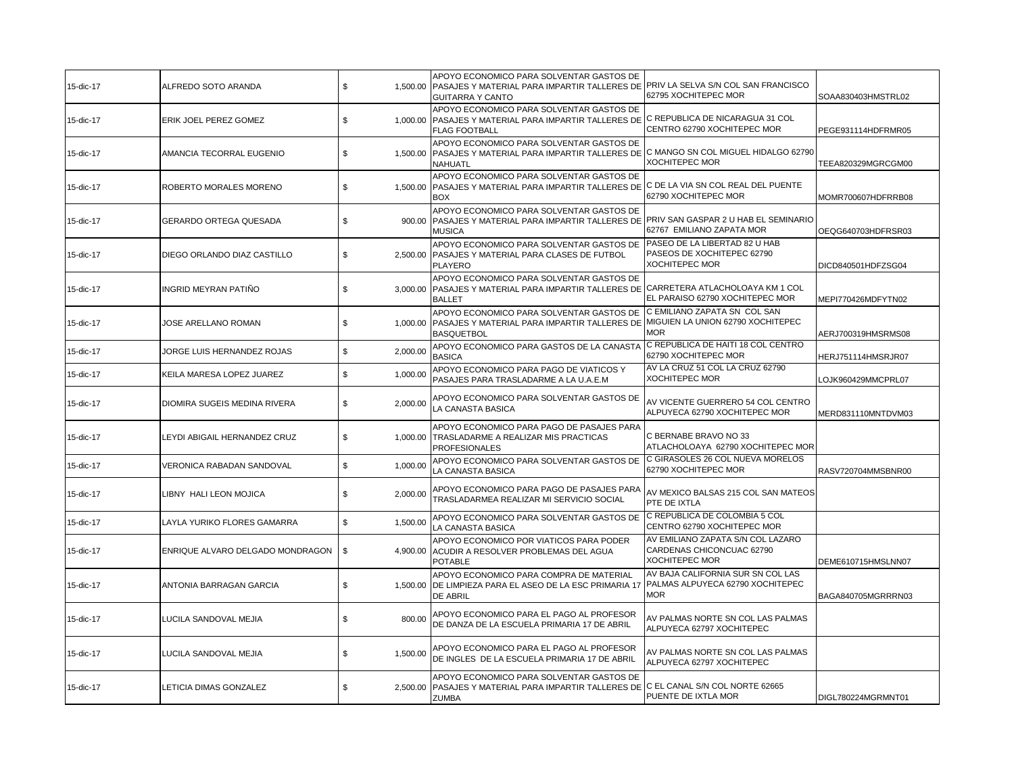| 15-dic-17 | ALFREDO SOTO ARANDA              | \$             | APOYO ECONOMICO PARA SOLVENTAR GASTOS DE<br>1,500.00 PASAJES Y MATERIAL PARA IMPARTIR TALLERES DE<br><b>GUITARRA Y CANTO</b>                    | PRIV LA SELVA S/N COL SAN FRANCISCO<br>62795 XOCHITEPEC MOR                         | SOAA830403HMSTRL02 |
|-----------|----------------------------------|----------------|-------------------------------------------------------------------------------------------------------------------------------------------------|-------------------------------------------------------------------------------------|--------------------|
| 15-dic-17 | ERIK JOEL PEREZ GOMEZ            | \$<br>1.000.00 | APOYO ECONOMICO PARA SOLVENTAR GASTOS DE<br>PASAJES Y MATERIAL PARA IMPARTIR TALLERES DE<br><b>FLAG FOOTBALL</b>                                | C REPUBLICA DE NICARAGUA 31 COL<br>CENTRO 62790 XOCHITEPEC MOR                      | PEGE931114HDFRMR05 |
| 15-dic-17 | AMANCIA TECORRAL EUGENIO         | \$<br>1,500.00 | APOYO ECONOMICO PARA SOLVENTAR GASTOS DE<br>PASAJES Y MATERIAL PARA IMPARTIR TALLERES DE C MANGO SN COL MIGUEL HIDALGO 62790<br><b>NAHUATL</b>  | XOCHITEPEC MOR                                                                      | TEEA820329MGRCGM00 |
| 15-dic-17 | ROBERTO MORALES MORENO           | \$<br>1,500.00 | APOYO ECONOMICO PARA SOLVENTAR GASTOS DE<br>PASAJES Y MATERIAL PARA IMPARTIR TALLERES DE C DE LA VIA SN COL REAL DEL PUENTE<br><b>BOX</b>       | 62790 XOCHITEPEC MOR                                                                | MOMR700607HDFRRB08 |
| 15-dic-17 | GERARDO ORTEGA QUESADA           | \$<br>900.00   | APOYO ECONOMICO PARA SOLVENTAR GASTOS DE<br>PASAJES Y MATERIAL PARA IMPARTIR TALLERES DE PRIV SAN GASPAR 2 U HAB EL SEMINARIO<br><b>MUSICA</b>  | 62767 EMILIANO ZAPATA MOR                                                           | OEQG640703HDFRSR03 |
| 15-dic-17 | DIEGO ORLANDO DIAZ CASTILLO      | \$<br>2,500.00 | APOYO ECONOMICO PARA SOLVENTAR GASTOS DE<br>PASAJES Y MATERIAL PARA CLASES DE FUTBOL<br><b>PLAYERO</b>                                          | PASEO DE LA LIBERTAD 82 U HAB<br>PASEOS DE XOCHITEPEC 62790<br>XOCHITEPEC MOR       | DICD840501HDFZSG04 |
| 15-dic-17 | INGRID MEYRAN PATIÑO             | \$<br>3,000.00 | APOYO ECONOMICO PARA SOLVENTAR GASTOS DE<br>PASAJES Y MATERIAL PARA IMPARTIR TALLERES DE CARRETERA ATLACHOLOAYA KM 1 COL<br><b>BALLET</b>       | EL PARAISO 62790 XOCHITEPEC MOR                                                     | MEPI770426MDFYTN02 |
| 15-dic-17 | JOSE ARELLANO ROMAN              | \$<br>1,000.00 | APOYO ECONOMICO PARA SOLVENTAR GASTOS DE<br>PASAJES Y MATERIAL PARA IMPARTIR TALLERES DE MIGUIEN LA UNION 62790 XOCHITEPEC<br><b>BASQUETBOL</b> | C EMILIANO ZAPATA SN COL SAN<br><b>MOR</b>                                          | AERJ700319HMSRMS08 |
| 15-dic-17 | JORGE LUIS HERNANDEZ ROJAS       | \$<br>2,000.00 | APOYO ECONOMICO PARA GASTOS DE LA CANASTA<br><b>BASICA</b>                                                                                      | C REPUBLICA DE HAITI 18 COL CENTRO<br>62790 XOCHITEPEC MOR                          | HERJ751114HMSRJR07 |
| 15-dic-17 | KEILA MARESA LOPEZ JUAREZ        | \$<br>1,000.00 | APOYO ECONOMICO PARA PAGO DE VIATICOS Y<br>PASAJES PARA TRASLADARME A LA U.A.E.M                                                                | AV LA CRUZ 51 COL LA CRUZ 62790<br><b>XOCHITEPEC MOR</b>                            | LOJK960429MMCPRL07 |
| 15-dic-17 | DIOMIRA SUGEIS MEDINA RIVERA     | \$<br>2,000.00 | APOYO ECONOMICO PARA SOLVENTAR GASTOS DE<br>LA CANASTA BASICA                                                                                   | AV VICENTE GUERRERO 54 COL CENTRO<br>ALPUYECA 62790 XOCHITEPEC MOR                  | MERD831110MNTDVM03 |
| 15-dic-17 | LEYDI ABIGAIL HERNANDEZ CRUZ     | \$             | APOYO ECONOMICO PARA PAGO DE PASAJES PARA<br>1,000.00 TRASLADARME A REALIZAR MIS PRACTICAS<br><b>PROFESIONALES</b>                              | C BERNABE BRAVO NO 33<br>ATLACHOLOAYA 62790 XOCHITEPEC MOR                          |                    |
| 15-dic-17 | VERONICA RABADAN SANDOVAL        | \$<br>1,000.00 | APOYO ECONOMICO PARA SOLVENTAR GASTOS DE<br>LA CANASTA BASICA                                                                                   | C GIRASOLES 26 COL NUEVA MORELOS<br>62790 XOCHITEPEC MOR                            | RASV720704MMSBNR00 |
| 15-dic-17 | LIBNY HALI LEON MOJICA           | \$<br>2,000.00 | APOYO ECONOMICO PARA PAGO DE PASAJES PARA<br>TRASLADARMEA REALIZAR MI SERVICIO SOCIAL                                                           | AV MEXICO BALSAS 215 COL SAN MATEOS<br>PTE DE IXTLA                                 |                    |
| 15-dic-17 | LAYLA YURIKO FLORES GAMARRA      | \$<br>1,500.00 | APOYO ECONOMICO PARA SOLVENTAR GASTOS DE<br>LA CANASTA BASICA                                                                                   | C REPUBLICA DE COLOMBIA 5 COL<br>CENTRO 62790 XOCHITEPEC MOR                        |                    |
| 15-dic-17 | ENRIQUE ALVARO DELGADO MONDRAGON | \$             | APOYO ECONOMICO POR VIATICOS PARA PODER<br>4,900.00 ACUDIR A RESOLVER PROBLEMAS DEL AGUA<br><b>POTABLE</b>                                      | AV EMILIANO ZAPATA S/N COL LAZARO<br>CARDENAS CHICONCUAC 62790<br>XOCHITEPEC MOR    | DEME610715HMSLNN07 |
| 15-dic-17 | ANTONIA BARRAGAN GARCIA          | \$             | APOYO ECONOMICO PARA COMPRA DE MATERIAL<br>1,500.00 DE LIMPIEZA PARA EL ASEO DE LA ESC PRIMARIA 17<br>DE ABRIL                                  | AV BAJA CALIFORNIA SUR SN COL LAS<br>PALMAS ALPUYECA 62790 XOCHITEPEC<br><b>MOR</b> | BAGA840705MGRRRN03 |
| 15-dic-17 | LUCILA SANDOVAL MEJIA            | \$<br>800.00   | APOYO ECONOMICO PARA EL PAGO AL PROFESOR<br>DE DANZA DE LA ESCUELA PRIMARIA 17 DE ABRIL                                                         | AV PALMAS NORTE SN COL LAS PALMAS<br>ALPUYECA 62797 XOCHITEPEC                      |                    |
| 15-dic-17 | LUCILA SANDOVAL MEJIA            | \$<br>1,500.00 | APOYO ECONOMICO PARA EL PAGO AL PROFESOR<br>DE INGLES DE LA ESCUELA PRIMARIA 17 DE ABRIL                                                        | AV PALMAS NORTE SN COL LAS PALMAS<br>ALPUYECA 62797 XOCHITEPEC                      |                    |
| 15-dic-17 | LETICIA DIMAS GONZALEZ           | \$<br>2,500.00 | APOYO ECONOMICO PARA SOLVENTAR GASTOS DE<br>PASAJES Y MATERIAL PARA IMPARTIR TALLERES DE C EL CANAL S/N COL NORTE 62665<br><b>ZUMBA</b>         | PUENTE DE IXTLA MOR                                                                 | DIGL780224MGRMNT01 |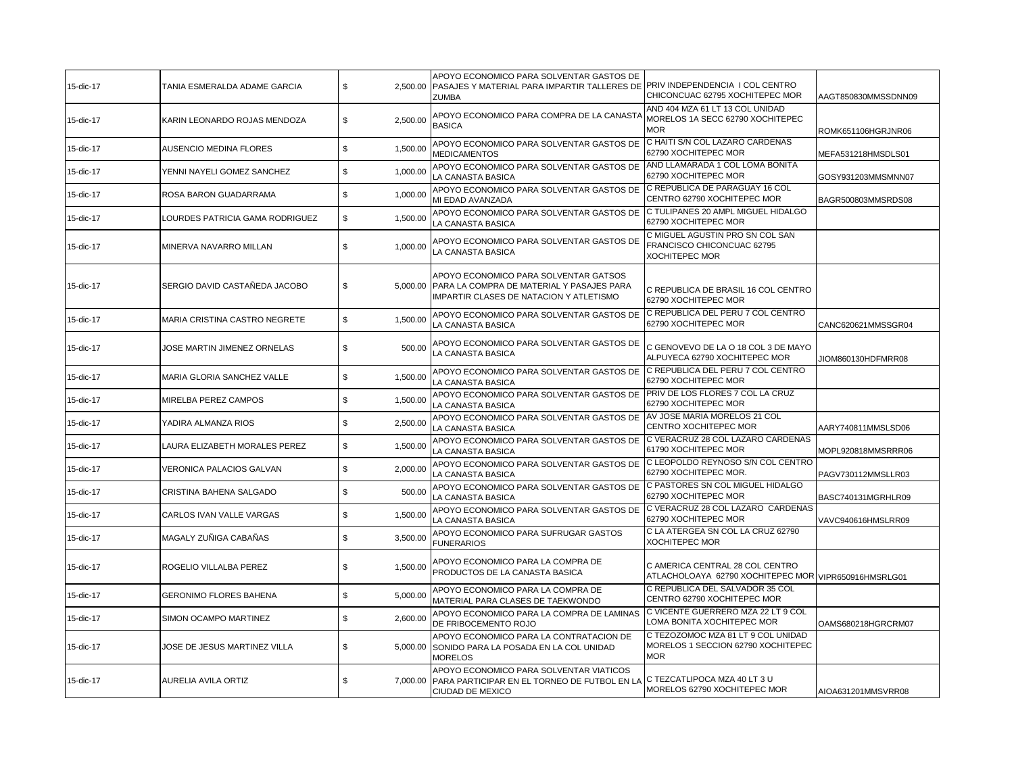| 15-dic-17 | TANIA ESMERALDA ADAME GARCIA    | \$<br>2.500.00 | APOYO ECONOMICO PARA SOLVENTAR GASTOS DE<br>PASAJES Y MATERIAL PARA IMPARTIR TALLERES DE PRIV INDEPENDENCIA I COL CENTRO<br><b>ZUMBA</b> | CHICONCUAC 62795 XOCHITEPEC MOR                                                         | AAGT850830MMSSDNN09 |
|-----------|---------------------------------|----------------|------------------------------------------------------------------------------------------------------------------------------------------|-----------------------------------------------------------------------------------------|---------------------|
| 15-dic-17 | KARIN LEONARDO ROJAS MENDOZA    | \$<br>2,500.00 | APOYO ECONOMICO PARA COMPRA DE LA CANASTA<br><b>BASICA</b>                                                                               | AND 404 MZA 61 LT 13 COL UNIDAD<br>MORELOS 1A SECC 62790 XOCHITEPEC<br><b>MOR</b>       | ROMK651106HGRJNR06  |
| 15-dic-17 | <b>AUSENCIO MEDINA FLORES</b>   | \$<br>1,500.00 | APOYO ECONOMICO PARA SOLVENTAR GASTOS DE<br><b>MEDICAMENTOS</b>                                                                          | C HAITI S/N COL LAZARO CARDENAS<br>62790 XOCHITEPEC MOR                                 | MEFA531218HMSDLS01  |
| 15-dic-17 | YENNI NAYELI GOMEZ SANCHEZ      | \$<br>1,000.00 | APOYO ECONOMICO PARA SOLVENTAR GASTOS DE<br>LA CANASTA BASICA                                                                            | AND LLAMARADA 1 COL LOMA BONITA<br>62790 XOCHITEPEC MOR                                 | GOSY931203MMSMNN07  |
| 15-dic-17 | ROSA BARON GUADARRAMA           | \$<br>1,000.00 | APOYO ECONOMICO PARA SOLVENTAR GASTOS DE<br>MI EDAD AVANZADA                                                                             | IC REPUBLICA DE PARAGUAY 16 COL<br>CENTRO 62790 XOCHITEPEC MOR                          | BAGR500803MMSRDS08  |
| 15-dic-17 | LOURDES PATRICIA GAMA RODRIGUEZ | \$<br>1,500.00 | APOYO ECONOMICO PARA SOLVENTAR GASTOS DE<br>LA CANASTA BASICA                                                                            | C TULIPANES 20 AMPL MIGUEL HIDALGO<br>62790 XOCHITEPEC MOR                              |                     |
| 15-dic-17 | MINERVA NAVARRO MILLAN          | \$<br>1,000.00 | APOYO ECONOMICO PARA SOLVENTAR GASTOS DE<br>LA CANASTA BASICA                                                                            | C MIGUEL AGUSTIN PRO SN COL SAN<br>FRANCISCO CHICONCUAC 62795<br><b>XOCHITEPEC MOR</b>  |                     |
| 15-dic-17 | SERGIO DAVID CASTAÑEDA JACOBO   | \$             | APOYO ECONOMICO PARA SOLVENTAR GATSOS<br>5,000.00 PARA LA COMPRA DE MATERIAL Y PASAJES PARA<br>IMPARTIR CLASES DE NATACION Y ATLETISMO   | C REPUBLICA DE BRASIL 16 COL CENTRO<br>62790 XOCHITEPEC MOR                             |                     |
| 15-dic-17 | MARIA CRISTINA CASTRO NEGRETE   | \$<br>1,500.00 | APOYO ECONOMICO PARA SOLVENTAR GASTOS DE<br>LA CANASTA BASICA                                                                            | C REPUBLICA DEL PERU 7 COL CENTRO<br>62790 XOCHITEPEC MOR                               | CANC620621MMSSGR04  |
| 15-dic-17 | JOSE MARTIN JIMENEZ ORNELAS     | \$<br>500.00   | APOYO ECONOMICO PARA SOLVENTAR GASTOS DE<br>LA CANASTA BASICA                                                                            | C GENOVEVO DE LA O 18 COL 3 DE MAYO<br>ALPUYECA 62790 XOCHITEPEC MOR                    | JIOM860130HDFMRR08  |
| 15-dic-17 | MARIA GLORIA SANCHEZ VALLE      | \$<br>1,500.00 | APOYO ECONOMICO PARA SOLVENTAR GASTOS DE<br>LA CANASTA BASICA                                                                            | C REPUBLICA DEL PERU 7 COL CENTRO<br>62790 XOCHITEPEC MOR                               |                     |
| 15-dic-17 | MIRELBA PEREZ CAMPOS            | \$<br>1,500.00 | APOYO ECONOMICO PARA SOLVENTAR GASTOS DE<br>LA CANASTA BASICA                                                                            | PRIV DE LOS FLORES 7 COL LA CRUZ<br>62790 XOCHITEPEC MOR                                |                     |
| 15-dic-17 | YADIRA ALMANZA RIOS             | \$<br>2,500.00 | APOYO ECONOMICO PARA SOLVENTAR GASTOS DE<br>LA CANASTA BASICA                                                                            | AV JOSE MARIA MORELOS 21 COL<br>CENTRO XOCHITEPEC MOR                                   | AARY740811MMSLSD06  |
| 15-dic-17 | LAURA ELIZABETH MORALES PEREZ   | \$<br>1,500.00 | APOYO ECONOMICO PARA SOLVENTAR GASTOS DE<br>LA CANASTA BASICA                                                                            | C VERACRUZ 28 COL LAZARO CARDENAS<br>61790 XOCHITEPEC MOR                               | MOPL920818MMSRRR06  |
| 15-dic-17 | VERONICA PALACIOS GALVAN        | \$<br>2,000.00 | APOYO ECONOMICO PARA SOLVENTAR GASTOS DE<br>LA CANASTA BASICA                                                                            | C LEOPOLDO REYNOSO S/N COL CENTRO<br>62790 XOCHITEPEC MOR.                              | PAGV730112MMSLLR03  |
| 15-dic-17 | CRISTINA BAHENA SALGADO         | \$<br>500.00   | APOYO ECONOMICO PARA SOLVENTAR GASTOS DE<br>LA CANASTA BASICA                                                                            | C PASTORES SN COL MIGUEL HIDALGO<br>62790 XOCHITEPEC MOR                                | BASC740131MGRHLR09  |
| 15-dic-17 | CARLOS IVAN VALLE VARGAS        | \$<br>1,500.00 | APOYO ECONOMICO PARA SOLVENTAR GASTOS DE<br>LA CANASTA BASICA                                                                            | C VERACRUZ 28 COL LAZARO CARDENAS<br>62790 XOCHITEPEC MOR                               | VAVC940616HMSLRR09  |
| 15-dic-17 | MAGALY ZUÑIGA CABAÑAS           | \$<br>3,500.00 | APOYO ECONOMICO PARA SUFRUGAR GASTOS<br><b>FUNERARIOS</b>                                                                                | C LA ATERGEA SN COL LA CRUZ 62790<br><b>XOCHITEPEC MOR</b>                              |                     |
| 15-dic-17 | ROGELIO VILLALBA PEREZ          | \$<br>1,500.00 | APOYO ECONOMICO PARA LA COMPRA DE<br>PRODUCTOS DE LA CANASTA BASICA                                                                      | C AMERICA CENTRAL 28 COL CENTRO<br>ATLACHOLOAYA 62790 XOCHITEPEC MOR VIPR650916HMSRLG01 |                     |
| 15-dic-17 | <b>GERONIMO FLORES BAHENA</b>   | \$<br>5,000.00 | APOYO ECONOMICO PARA LA COMPRA DE<br>MATERIAL PARA CLASES DE TAEKWONDO                                                                   | C REPUBLICA DEL SALVADOR 35 COL<br>CENTRO 62790 XOCHITEPEC MOR                          |                     |
| 15-dic-17 | SIMON OCAMPO MARTINEZ           | \$<br>2,600.00 | APOYO ECONOMICO PARA LA COMPRA DE LAMINAS<br>DE FRIBOCEMENTO ROJO                                                                        | C VICENTE GUERRERO MZA 22 LT 9 COL<br>LOMA BONITA XOCHITEPEC MOR                        | OAMS680218HGRCRM07  |
| 15-dic-17 | JOSE DE JESUS MARTINEZ VILLA    | \$<br>5.000.00 | APOYO ECONOMICO PARA LA CONTRATACION DE<br>SONIDO PARA LA POSADA EN LA COL UNIDAD<br><b>MORELOS</b>                                      | C TEZOZOMOC MZA 81 LT 9 COL UNIDAD<br>MORELOS 1 SECCION 62790 XOCHITEPEC<br><b>MOR</b>  |                     |
| 15-dic-17 | <b>AURELIA AVILA ORTIZ</b>      | \$<br>7.000.00 | APOYO ECONOMICO PARA SOLVENTAR VIATICOS<br>PARA PARTICIPAR EN EL TORNEO DE FUTBOL EN LA<br>CIUDAD DE MEXICO                              | C TEZCATLIPOCA MZA 40 LT 3 U<br>MORELOS 62790 XOCHITEPEC MOR                            | AIOA631201MMSVRR08  |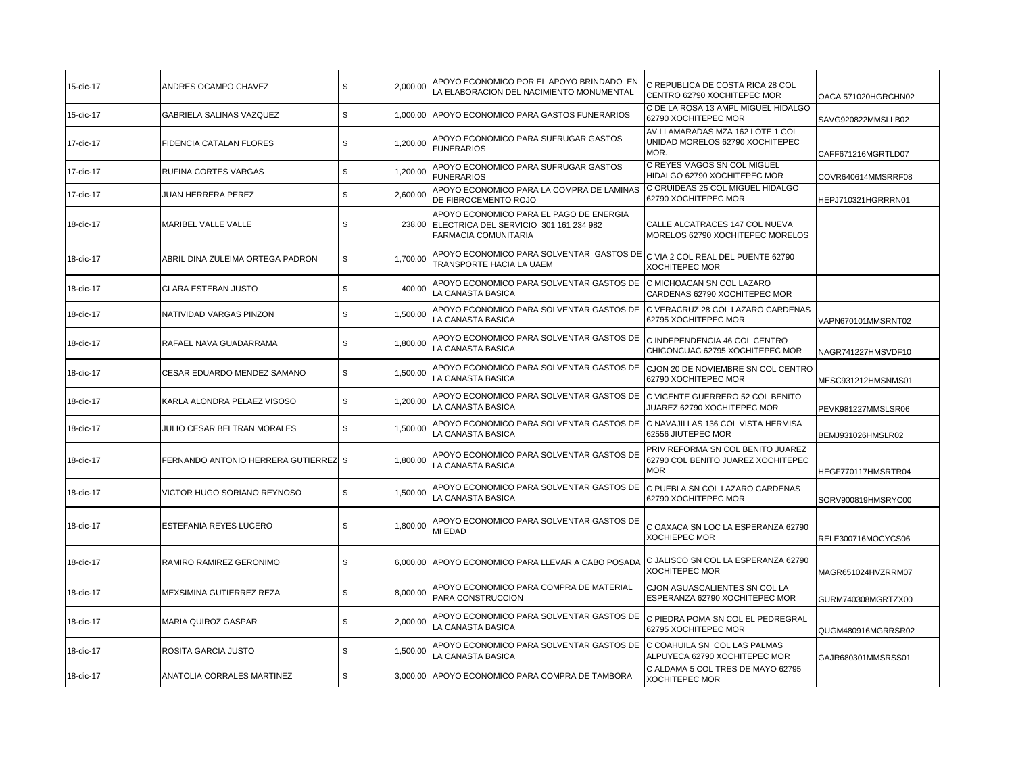| 15-dic-17 | ANDRES OCAMPO CHAVEZ                  | \$<br>2,000.00 | APOYO ECONOMICO POR EL APOYO BRINDADO EN<br>A ELABORACION DEL NACIMIENTO MONUMENTAL                       | C REPUBLICA DE COSTA RICA 28 COL<br>CENTRO 62790 XOCHITEPEC MOR                       | OACA 571020HGRCHN02 |
|-----------|---------------------------------------|----------------|-----------------------------------------------------------------------------------------------------------|---------------------------------------------------------------------------------------|---------------------|
| 15-dic-17 | GABRIELA SALINAS VAZQUEZ              | \$<br>1,000.00 | APOYO ECONOMICO PARA GASTOS FUNERARIOS                                                                    | C DE LA ROSA 13 AMPL MIGUEL HIDALGO<br>62790 XOCHITEPEC MOR                           | SAVG920822MMSLLB02  |
| 17-dic-17 | FIDENCIA CATALAN FLORES               | \$<br>1,200.00 | APOYO ECONOMICO PARA SUFRUGAR GASTOS<br><b>FUNERARIOS</b>                                                 | AV LLAMARADAS MZA 162 LOTE 1 COL<br>UNIDAD MORELOS 62790 XOCHITEPEC<br>MOR.           | CAFF671216MGRTLD07  |
| 17-dic-17 | RUFINA CORTES VARGAS                  | \$<br>1,200.00 | APOYO ECONOMICO PARA SUFRUGAR GASTOS<br><b>FUNERARIOS</b>                                                 | C REYES MAGOS SN COL MIGUEL<br>HIDALGO 62790 XOCHITEPEC MOR                           | COVR640614MMSRRF08  |
| 17-dic-17 | JUAN HERRERA PEREZ                    | \$<br>2,600.00 | APOYO ECONOMICO PARA LA COMPRA DE LAMINAS<br>DE FIBROCEMENTO ROJO                                         | C ORUIDEAS 25 COL MIGUEL HIDALGO<br>62790 XOCHITEPEC MOR                              | HEPJ710321HGRRRN01  |
| 18-dic-17 | MARIBEL VALLE VALLE                   | \$<br>238.00   | APOYO ECONOMICO PARA EL PAGO DE ENERGIA<br>ELECTRICA DEL SERVICIO 301 161 234 982<br>FARMACIA COMUNITARIA | CALLE ALCATRACES 147 COL NUEVA<br>MORELOS 62790 XOCHITEPEC MORELOS                    |                     |
| 18-dic-17 | ABRIL DINA ZULEIMA ORTEGA PADRON      | \$<br>1,700.00 | APOYO ECONOMICO PARA SOLVENTAR GASTOS DE<br>TRANSPORTE HACIA LA UAEM                                      | C VIA 2 COL REAL DEL PUENTE 62790<br><b>XOCHITEPEC MOR</b>                            |                     |
| 18-dic-17 | CLARA ESTEBAN JUSTO                   | \$<br>400.00   | APOYO ECONOMICO PARA SOLVENTAR GASTOS DE<br>LA CANASTA BASICA                                             | C MICHOACAN SN COL LAZARO<br>CARDENAS 62790 XOCHITEPEC MOR                            |                     |
| 18-dic-17 | NATIVIDAD VARGAS PINZON               | \$<br>1,500.00 | APOYO ECONOMICO PARA SOLVENTAR GASTOS DE<br>A CANASTA BASICA                                              | C VERACRUZ 28 COL LAZARO CARDENAS<br>62795 XOCHITEPEC MOR                             | VAPN670101MMSRNT02  |
| 18-dic-17 | RAFAEL NAVA GUADARRAMA                | \$<br>1,800.00 | APOYO ECONOMICO PARA SOLVENTAR GASTOS DE<br>LA CANASTA BASICA                                             | C INDEPENDENCIA 46 COL CENTRO<br>CHICONCUAC 62795 XOCHITEPEC MOR                      | NAGR741227HMSVDF10  |
| 18-dic-17 | CESAR EDUARDO MENDEZ SAMANO           | \$<br>1,500.00 | APOYO ECONOMICO PARA SOLVENTAR GASTOS DE<br>LA CANASTA BASICA                                             | CJON 20 DE NOVIEMBRE SN COL CENTRO<br>62790 XOCHITEPEC MOR                            | MESC931212HMSNMS01  |
| 18-dic-17 | KARLA ALONDRA PELAEZ VISOSO           | \$<br>1,200.00 | APOYO ECONOMICO PARA SOLVENTAR GASTOS DE<br>LA CANASTA BASICA                                             | C VICENTE GUERRERO 52 COL BENITO<br>JUAREZ 62790 XOCHITEPEC MOR                       | PEVK981227MMSLSR06  |
| 18-dic-17 | JULIO CESAR BELTRAN MORALES           | 1,500.00<br>\$ | APOYO ECONOMICO PARA SOLVENTAR GASTOS DE<br>LA CANASTA BASICA                                             | C NAVAJILLAS 136 COL VISTA HERMISA<br>62556 JIUTEPEC MOR                              | BEMJ931026HMSLR02   |
| 18-dic-17 | FERNANDO ANTONIO HERRERA GUTIERREZ \$ | 1,800.00       | APOYO ECONOMICO PARA SOLVENTAR GASTOS DE<br>LA CANASTA BASICA                                             | PRIV REFORMA SN COL BENITO JUAREZ<br>62790 COL BENITO JUAREZ XOCHITEPEC<br><b>MOR</b> | HEGF770117HMSRTR04  |
| 18-dic-17 | VICTOR HUGO SORIANO REYNOSO           | \$<br>1,500.00 | APOYO ECONOMICO PARA SOLVENTAR GASTOS DE<br>LA CANASTA BASICA                                             | C PUEBLA SN COL LAZARO CARDENAS<br>62790 XOCHITEPEC MOR                               | SORV900819HMSRYC00  |
| 18-dic-17 | <b>ESTEFANIA REYES LUCERO</b>         | \$<br>1,800.00 | APOYO ECONOMICO PARA SOLVENTAR GASTOS DE<br>MI EDAD                                                       | C OAXACA SN LOC LA ESPERANZA 62790<br><b>XOCHIEPEC MOR</b>                            | RELE300716MOCYCS06  |
| 18-dic-17 | RAMIRO RAMIREZ GERONIMO               | \$             | 6,000.00 APOYO ECONOMICO PARA LLEVAR A CABO POSADA                                                        | C JALISCO SN COL LA ESPERANZA 62790<br>XOCHITEPEC MOR                                 | MAGR651024HVZRRM07  |
| 18-dic-17 | MEXSIMINA GUTIERREZ REZA              | \$<br>8,000.00 | APOYO ECONOMICO PARA COMPRA DE MATERIAL<br>PARA CONSTRUCCION                                              | CJON AGUASCALIENTES SN COL LA<br>ESPERANZA 62790 XOCHITEPEC MOR                       | GURM740308MGRTZX00  |
| 18-dic-17 | MARIA QUIROZ GASPAR                   | \$<br>2,000.00 | APOYO ECONOMICO PARA SOLVENTAR GASTOS DE<br>LA CANASTA BASICA                                             | C PIEDRA POMA SN COL EL PEDREGRAL<br>62795 XOCHITEPEC MOR                             | QUGM480916MGRRSR02  |
| 18-dic-17 | ROSITA GARCIA JUSTO                   | \$<br>1,500.00 | APOYO ECONOMICO PARA SOLVENTAR GASTOS DE<br>LA CANASTA BASICA                                             | C COAHUILA SN COL LAS PALMAS<br>ALPUYECA 62790 XOCHITEPEC MOR                         | GAJR680301MMSRSS01  |
| 18-dic-17 | ANATOLIA CORRALES MARTINEZ            | \$             | 3.000.00 APOYO ECONOMICO PARA COMPRA DE TAMBORA                                                           | C ALDAMA 5 COL TRES DE MAYO 62795<br><b>XOCHITEPEC MOR</b>                            |                     |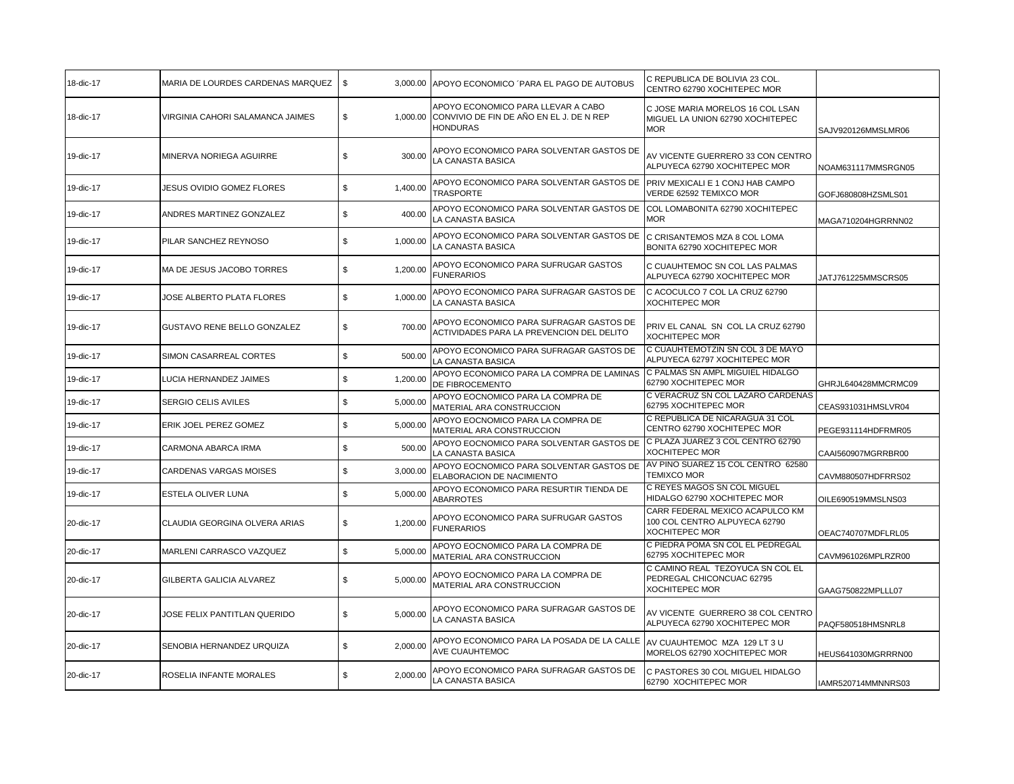| 18-dic-17 | MARIA DE LOURDES CARDENAS MARQUEZ | \$             | 3,000.00 APOYO ECONOMICO 'PARA EL PAGO DE AUTOBUS                                                 | C REPUBLICA DE BOLIVIA 23 COL.<br>CENTRO 62790 XOCHITEPEC MOR                      |                     |
|-----------|-----------------------------------|----------------|---------------------------------------------------------------------------------------------------|------------------------------------------------------------------------------------|---------------------|
| 18-dic-17 | VIRGINIA CAHORI SALAMANCA JAIMES  | \$<br>1,000.00 | APOYO ECONOMICO PARA LLEVAR A CABO<br>CONVIVIO DE FIN DE AÑO EN EL J. DE N REP<br><b>HONDURAS</b> | C JOSE MARIA MORELOS 16 COL LSAN<br>MIGUEL LA UNION 62790 XOCHITEPEC<br><b>MOR</b> | SAJV920126MMSLMR06  |
| 19-dic-17 | MINERVA NORIEGA AGUIRRE           | \$<br>300.00   | APOYO ECONOMICO PARA SOLVENTAR GASTOS DE<br>LA CANASTA BASICA                                     | AV VICENTE GUERRERO 33 CON CENTRO<br>ALPUYECA 62790 XOCHITEPEC MOR                 | NOAM631117MMSRGN05  |
| 19-dic-17 | <b>JESUS OVIDIO GOMEZ FLORES</b>  | \$<br>1,400.00 | APOYO ECONOMICO PARA SOLVENTAR GASTOS DE<br><b>TRASPORTE</b>                                      | PRIV MEXICALI E 1 CONJ HAB CAMPO<br>VERDE 62592 TEMIXCO MOR                        | GOFJ680808HZSMLS01  |
| 19-dic-17 | ANDRES MARTINEZ GONZALEZ          | \$<br>400.00   | APOYO ECONOMICO PARA SOLVENTAR GASTOS DE<br>LA CANASTA BASICA                                     | COL LOMABONITA 62790 XOCHITEPEC<br><b>MOR</b>                                      | MAGA710204HGRRNN02  |
| 19-dic-17 | PILAR SANCHEZ REYNOSO             | 1,000.00<br>\$ | APOYO ECONOMICO PARA SOLVENTAR GASTOS DE<br>LA CANASTA BASICA                                     | C CRISANTEMOS MZA 8 COL LOMA<br>BONITA 62790 XOCHITEPEC MOR                        |                     |
| 19-dic-17 | MA DE JESUS JACOBO TORRES         | \$<br>1,200.00 | APOYO ECONOMICO PARA SUFRUGAR GASTOS<br><b>FUNERARIOS</b>                                         | C CUAUHTEMOC SN COL LAS PALMAS<br>ALPUYECA 62790 XOCHITEPEC MOR                    | JATJ761225MMSCRS05  |
| 19-dic-17 | JOSE ALBERTO PLATA FLORES         | 1,000.00<br>\$ | APOYO ECONOMICO PARA SUFRAGAR GASTOS DE<br>LA CANASTA BASICA                                      | C ACOCULCO 7 COL LA CRUZ 62790<br><b>XOCHITEPEC MOR</b>                            |                     |
| 19-dic-17 | GUSTAVO RENE BELLO GONZALEZ       | \$<br>700.00   | APOYO ECONOMICO PARA SUFRAGAR GASTOS DE<br>ACTIVIDADES PARA LA PREVENCION DEL DELITO              | PRIV EL CANAL SN COL LA CRUZ 62790<br><b>XOCHITEPEC MOR</b>                        |                     |
| 19-dic-17 | SIMON CASARREAL CORTES            | \$<br>500.00   | APOYO ECONOMICO PARA SUFRAGAR GASTOS DE<br>LA CANASTA BASICA                                      | C CUAUHTEMOTZIN SN COL 3 DE MAYO<br>ALPUYECA 62797 XOCHITEPEC MOR                  |                     |
| 19-dic-17 | LUCIA HERNANDEZ JAIMES            | \$<br>1.200.00 | APOYO ECONOMICO PARA LA COMPRA DE LAMINAS<br>DE FIBROCEMENTO                                      | C PALMAS SN AMPL MIGUIEL HIDALGO<br>62790 XOCHITEPEC MOR                           | GHRJL640428MMCRMC09 |
| 19-dic-17 | SERGIO CELIS AVILES               | \$<br>5,000.00 | APOYO EOCNOMICO PARA LA COMPRA DE<br>MATERIAL ARA CONSTRUCCION                                    | C VERACRUZ SN COL LAZARO CARDENAS<br>62795 XOCHITEPEC MOR                          | CEAS931031HMSLVR04  |
| 19-dic-17 | ERIK JOEL PEREZ GOMEZ             | \$<br>5,000.00 | APOYO EOCNOMICO PARA LA COMPRA DE<br>MATERIAL ARA CONSTRUCCION                                    | C REPUBLICA DE NICARAGUA 31 COL<br>CENTRO 62790 XOCHITEPEC MOR                     | PEGE931114HDFRMR05  |
| 19-dic-17 | CARMONA ABARCA IRMA               | \$<br>500.00   | APOYO EOCNOMICO PARA SOLVENTAR GASTOS DE<br>LA CANASTA BASICA                                     | C PLAZA JUAREZ 3 COL CENTRO 62790<br><b>XOCHITEPEC MOR</b>                         | CAAI560907MGRRBR00  |
| 19-dic-17 | CARDENAS VARGAS MOISES            | \$<br>3,000.00 | APOYO EOCNOMICO PARA SOLVENTAR GASTOS DE<br>ELABORACION DE NACIMIENTO                             | AV PINO SUAREZ 15 COL CENTRO 62580<br><b>TEMIXCO MOR</b>                           | CAVM880507HDFRRS02  |
| 19-dic-17 | ESTELA OLIVER LUNA                | \$<br>5,000.00 | APOYO ECONOMICO PARA RESURTIR TIENDA DE<br><b>ABARROTES</b>                                       | C REYES MAGOS SN COL MIGUEL<br>HIDALGO 62790 XOCHITEPEC MOR                        | OILE690519MMSLNS03  |
| 20-dic-17 | CLAUDIA GEORGINA OLVERA ARIAS     | \$<br>1,200.00 | APOYO ECONOMICO PARA SUFRUGAR GASTOS<br><b>FUNERARIOS</b>                                         | CARR FEDERAL MEXICO ACAPULCO KM<br>100 COL CENTRO ALPUYECA 62790<br>XOCHITEPEC MOR | OEAC740707MDFLRL05  |
| 20-dic-17 | MARLENI CARRASCO VAZQUEZ          | \$<br>5,000.00 | APOYO EOCNOMICO PARA LA COMPRA DE<br>MATERIAL ARA CONSTRUCCION                                    | C PIEDRA POMA SN COL EL PEDREGAL<br>62795 XOCHITEPEC MOR                           | CAVM961026MPLRZR00  |
| 20-dic-17 | GILBERTA GALICIA ALVAREZ          | \$<br>5.000.00 | APOYO EOCNOMICO PARA LA COMPRA DE<br>MATERIAL ARA CONSTRUCCION                                    | C CAMINO REAL TEZOYUCA SN COL EL<br>PEDREGAL CHICONCUAC 62795<br>XOCHITEPEC MOR    | GAAG750822MPLLL07   |
| 20-dic-17 | JOSE FELIX PANTITLAN QUERIDO      | \$<br>5,000.00 | APOYO ECONOMICO PARA SUFRAGAR GASTOS DE<br>LA CANASTA BASICA                                      | AV VICENTE GUERRERO 38 COL CENTRO<br>ALPUYECA 62790 XOCHITEPEC MOR                 | PAQF580518HMSNRL8   |
| 20-dic-17 | SENOBIA HERNANDEZ URQUIZA         | 2,000.00<br>\$ | APOYO ECONOMICO PARA LA POSADA DE LA CALLE<br><b>AVE CUAUHTEMOC</b>                               | AV CUAUHTEMOC MZA 129 LT 3 U<br>MORELOS 62790 XOCHITEPEC MOR                       | HEUS641030MGRRRN00  |
| 20-dic-17 | ROSELIA INFANTE MORALES           | \$<br>2,000.00 | APOYO ECONOMICO PARA SUFRAGAR GASTOS DE<br>LA CANASTA BASICA                                      | C PASTORES 30 COL MIGUEL HIDALGO<br>62790 XOCHITEPEC MOR                           | IAMR520714MMNNRS03  |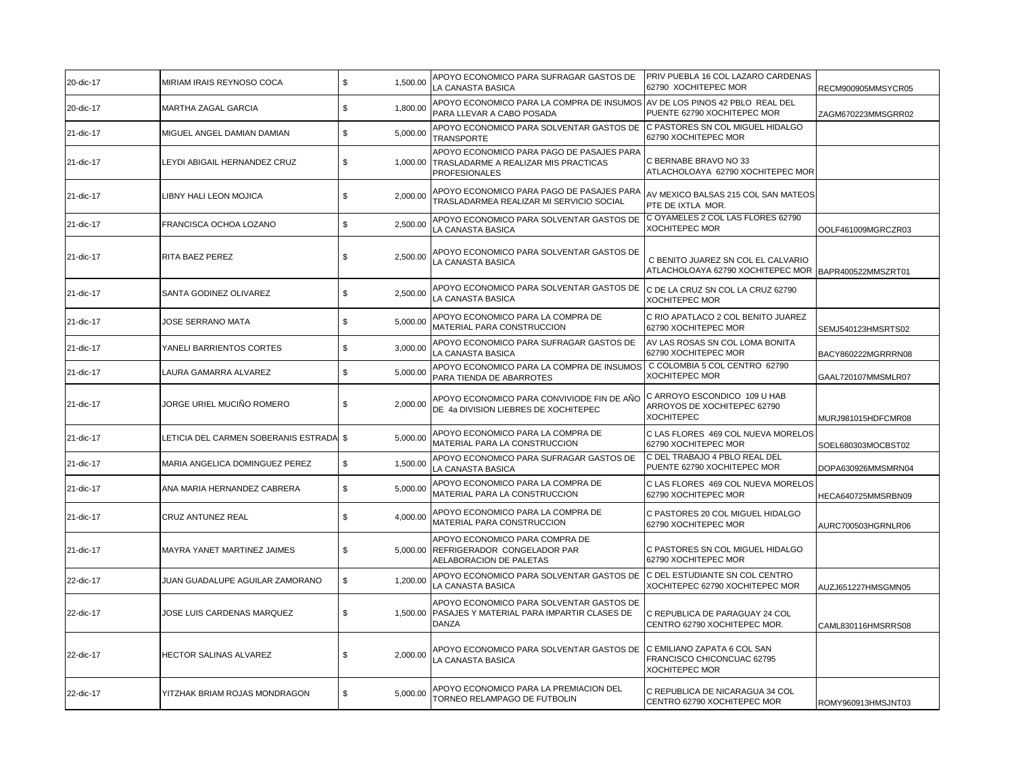| 20-dic-17 | MIRIAM IRAIS REYNOSO COCA               | \$<br>1,500.00 | APOYO ECONOMICO PARA SUFRAGAR GASTOS DE<br>LA CANASTA BASICA                                              | PRIV PUEBLA 16 COL LAZARO CARDENAS<br>62790 XOCHITEPEC MOR                                 | RECM900905MMSYCR05 |
|-----------|-----------------------------------------|----------------|-----------------------------------------------------------------------------------------------------------|--------------------------------------------------------------------------------------------|--------------------|
| 20-dic-17 | <b>MARTHA ZAGAL GARCIA</b>              | \$<br>1.800.00 | APOYO ECONOMICO PARA LA COMPRA DE INSUMOS AV DE LOS PINOS 42 PBLO REAL DEL<br>PARA LLEVAR A CABO POSADA   | PUENTE 62790 XOCHITEPEC MOR                                                                | ZAGM670223MMSGRR02 |
| 21-dic-17 | MIGUEL ANGEL DAMIAN DAMIAN              | \$<br>5,000.00 | APOYO ECONOMICO PARA SOLVENTAR GASTOS DE<br><b>TRANSPORTE</b>                                             | C PASTORES SN COL MIGUEL HIDALGO<br>62790 XOCHITEPEC MOR                                   |                    |
| 21-dic-17 | LEYDI ABIGAIL HERNANDEZ CRUZ            | \$<br>1.000.00 | APOYO ECONOMICO PARA PAGO DE PASAJES PARA<br>TRASLADARME A REALIZAR MIS PRACTICAS<br><b>PROFESIONALES</b> | C BERNABE BRAVO NO 33<br>ATLACHOLOAYA 62790 XOCHITEPEC MOR                                 |                    |
| 21-dic-17 | LIBNY HALI LEON MOJICA                  | \$<br>2,000.00 | APOYO ECONOMICO PARA PAGO DE PASAJES PARA<br>TRASLADARMEA REALIZAR MI SERVICIO SOCIAL                     | AV MEXICO BALSAS 215 COL SAN MATEOS<br>PTE DE IXTLA MOR.                                   |                    |
| 21-dic-17 | FRANCISCA OCHOA LOZANO                  | \$<br>2,500.00 | APOYO ECONOMICO PARA SOLVENTAR GASTOS DE<br>LA CANASTA BASICA                                             | C OYAMELES 2 COL LAS FLORES 62790<br><b>XOCHITEPEC MOR</b>                                 | OOLF461009MGRCZR03 |
| 21-dic-17 | RITA BAEZ PEREZ                         | \$<br>2,500.00 | APOYO ECONOMICO PARA SOLVENTAR GASTOS DE<br>LA CANASTA BASICA                                             | C BENITO JUAREZ SN COL EL CALVARIO<br>ATLACHOLOAYA 62790 XOCHITEPEC MOR BAPR400522MMSZRT01 |                    |
| 21-dic-17 | SANTA GODINEZ OLIVAREZ                  | \$<br>2,500.00 | APOYO ECONOMICO PARA SOLVENTAR GASTOS DE<br>LA CANASTA BASICA                                             | C DE LA CRUZ SN COL LA CRUZ 62790<br><b>XOCHITEPEC MOR</b>                                 |                    |
| 21-dic-17 | <b>JOSE SERRANO MATA</b>                | 5,000.00<br>\$ | APOYO ECONOMICO PARA LA COMPRA DE<br>MATERIAL PARA CONSTRUCCION                                           | C RIO APATLACO 2 COL BENITO JUAREZ<br>62790 XOCHITEPEC MOR                                 | SEMJ540123HMSRTS02 |
| 21-dic-17 | YANELI BARRIENTOS CORTES                | 3,000.00<br>\$ | APOYO ECONOMICO PARA SUFRAGAR GASTOS DE<br>LA CANASTA BASICA                                              | AV LAS ROSAS SN COL LOMA BONITA<br>62790 XOCHITEPEC MOR                                    | BACY860222MGRRRN08 |
| 21-dic-17 | LAURA GAMARRA ALVAREZ                   | \$<br>5,000.00 | APOYO ECONOMICO PARA LA COMPRA DE INSUMOS<br>PARA TIENDA DE ABARROTES                                     | C COLOMBIA 5 COL CENTRO 62790<br><b>XOCHITEPEC MOR</b>                                     | GAAL720107MMSMLR07 |
| 21-dic-17 | JORGE URIEL MUCIÑO ROMERO               | \$<br>2,000.00 | APOYO ECONOMICO PARA CONVIVIODE FIN DE AÑO<br>DE 4a DIVISION LIEBRES DE XOCHITEPEC                        | C ARROYO ESCONDICO 109 U HAB<br>ARROYOS DE XOCHITEPEC 62790<br><b>XOCHITEPEC</b>           | MURJ981015HDFCMR08 |
| 21-dic-17 | LETICIA DEL CARMEN SOBERANIS ESTRADA \$ | 5,000.00       | APOYO ECONOMICO PARA LA COMPRA DE<br>MATERIAL PARA LA CONSTRUCCION                                        | C LAS FLORES 469 COL NUEVA MORELOS<br>62790 XOCHITEPEC MOR                                 | SOEL680303MOCBST02 |
| 21-dic-17 | MARIA ANGELICA DOMINGUEZ PEREZ          | \$<br>1,500.00 | APOYO ECONOMICO PARA SUFRAGAR GASTOS DE<br>LA CANASTA BASICA                                              | C DEL TRABAJO 4 PBLO REAL DEL<br>PUENTE 62790 XOCHITEPEC MOR                               | DOPA630926MMSMRN04 |
| 21-dic-17 | ANA MARIA HERNANDEZ CABRERA             | \$<br>5,000.00 | APOYO ECONOMICO PARA LA COMPRA DE<br>MATERIAL PARA LA CONSTRUCCION                                        | C LAS FLORES 469 COL NUEVA MORELOS<br>62790 XOCHITEPEC MOR                                 | HECA640725MMSRBN09 |
| 21-dic-17 | CRUZ ANTUNEZ REAL                       | \$<br>4,000.00 | APOYO ECONOMICO PARA LA COMPRA DE<br>MATERIAL PARA CONSTRUCCION                                           | C PASTORES 20 COL MIGUEL HIDALGO<br>62790 XOCHITEPEC MOR                                   | AURC700503HGRNLR06 |
| 21-dic-17 | MAYRA YANET MARTINEZ JAIMES             | \$<br>5.000.00 | APOYO ECONOMICO PARA COMPRA DE<br>REFRIGERADOR CONGELADOR PAR<br>AELABORACION DE PALETAS                  | C PASTORES SN COL MIGUEL HIDALGO<br>62790 XOCHITEPEC MOR                                   |                    |
| 22-dic-17 | JUAN GUADALUPE AGUILAR ZAMORANO         | \$<br>1,200.00 | APOYO ECONOMICO PARA SOLVENTAR GASTOS DE<br>LA CANASTA BASICA                                             | C DEL ESTUDIANTE SN COL CENTRO<br>XOCHITEPEC 62790 XOCHITEPEC MOR                          | AUZJ651227HMSGMN05 |
| 22-dic-17 | JOSE LUIS CARDENAS MARQUEZ              | \$<br>1,500.00 | APOYO ECONOMICO PARA SOLVENTAR GASTOS DE<br>PASAJES Y MATERIAL PARA IMPARTIR CLASES DE<br><b>DANZA</b>    | C REPUBLICA DE PARAGUAY 24 COL<br>CENTRO 62790 XOCHITEPEC MOR.                             | CAML830116HMSRRS08 |
| 22-dic-17 | HECTOR SALINAS ALVAREZ                  | 2.000.00<br>\$ | APOYO ECONOMICO PARA SOLVENTAR GASTOS DE<br>LA CANASTA BASICA                                             | C EMILIANO ZAPATA 6 COL SAN<br>FRANCISCO CHICONCUAC 62795<br><b>XOCHITEPEC MOR</b>         |                    |
| 22-dic-17 | YITZHAK BRIAM ROJAS MONDRAGON           | \$<br>5,000.00 | APOYO ECONOMICO PARA LA PREMIACION DEL<br>TORNEO RELAMPAGO DE FUTBOLIN                                    | C REPUBLICA DE NICARAGUA 34 COL<br>CENTRO 62790 XOCHITEPEC MOR                             | ROMY960913HMSJNT03 |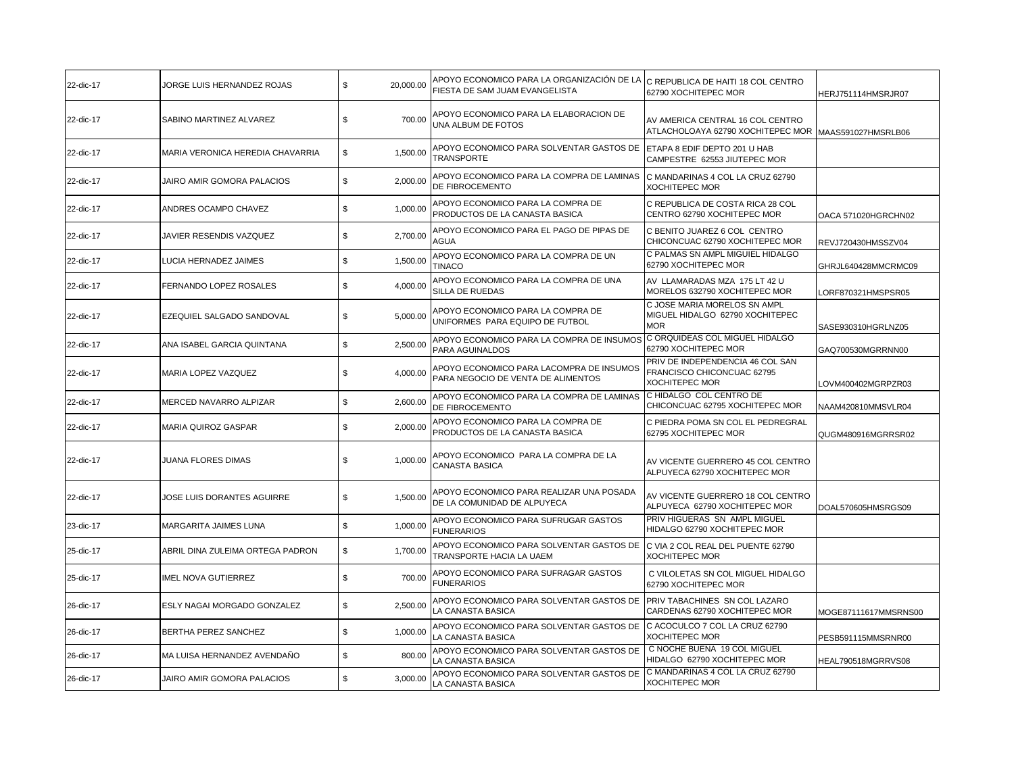| 22-dic-17 | JORGE LUIS HERNANDEZ ROJAS       | \$<br>20,000.00 | APOYO ECONOMICO PARA LA ORGANIZACIÓN DE LA C REPUBLICA DE HAITI 18 COL CENTRO<br>FIESTA DE SAM JUAM EVANGELISTA | 62790 XOCHITEPEC MOR                                                                     | HERJ751114HMSRJR07   |
|-----------|----------------------------------|-----------------|-----------------------------------------------------------------------------------------------------------------|------------------------------------------------------------------------------------------|----------------------|
| 22-dic-17 | SABINO MARTINEZ ALVAREZ          | \$<br>700.00    | APOYO ECONOMICO PARA LA ELABORACION DE<br>UNA ALBUM DE FOTOS                                                    | AV AMERICA CENTRAL 16 COL CENTRO<br>ATLACHOLOAYA 62790 XOCHITEPEC MOR MAAS591027HMSRLB06 |                      |
| 22-dic-17 | MARIA VERONICA HEREDIA CHAVARRIA | \$<br>1,500.00  | APOYO ECONOMICO PARA SOLVENTAR GASTOS DE<br><b>TRANSPORTE</b>                                                   | ETAPA 8 EDIF DEPTO 201 U HAB<br>CAMPESTRE 62553 JIUTEPEC MOR                             |                      |
| 22-dic-17 | JAIRO AMIR GOMORA PALACIOS       | \$<br>2,000.00  | APOYO ECONOMICO PARA LA COMPRA DE LAMINAS<br>DE FIBROCEMENTO                                                    | C MANDARINAS 4 COL LA CRUZ 62790<br><b>XOCHITEPEC MOR</b>                                |                      |
| 22-dic-17 | ANDRES OCAMPO CHAVEZ             | \$<br>1,000.00  | APOYO ECONOMICO PARA LA COMPRA DE<br>PRODUCTOS DE LA CANASTA BASICA                                             | C REPUBLICA DE COSTA RICA 28 COL<br>CENTRO 62790 XOCHITEPEC MOR                          | OACA 571020HGRCHN02  |
| 22-dic-17 | JAVIER RESENDIS VAZQUEZ          | \$<br>2,700.00  | APOYO ECONOMICO PARA EL PAGO DE PIPAS DE<br>AGUA                                                                | C BENITO JUAREZ 6 COL CENTRO<br>CHICONCUAC 62790 XOCHITEPEC MOR                          | REVJ720430HMSSZV04   |
| 22-dic-17 | LUCIA HERNADEZ JAIMES            | \$<br>1,500.00  | APOYO ECONOMICO PARA LA COMPRA DE UN<br><b>TINACO</b>                                                           | C PALMAS SN AMPL MIGUIEL HIDALGO<br>62790 XOCHITEPEC MOR                                 | GHRJL640428MMCRMC09  |
| 22-dic-17 | FERNANDO LOPEZ ROSALES           | \$<br>4,000.00  | APOYO ECONOMICO PARA LA COMPRA DE UNA<br>SILLA DE RUEDAS                                                        | AV LLAMARADAS MZA 175 LT 42 U<br>MORELOS 632790 XOCHITEPEC MOR                           | LORF870321HMSPSR05   |
| 22-dic-17 | EZEQUIEL SALGADO SANDOVAL        | \$<br>5,000.00  | APOYO ECONOMICO PARA LA COMPRA DE<br>UNIFORMES PARA EQUIPO DE FUTBOL                                            | C JOSE MARIA MORELOS SN AMPL<br>MIGUEL HIDALGO 62790 XOCHITEPEC<br><b>MOR</b>            | SASE930310HGRLNZ05   |
| 22-dic-17 | ANA ISABEL GARCIA QUINTANA       | \$<br>2,500.00  | APOYO ECONOMICO PARA LA COMPRA DE INSUMOS<br>PARA AGUINALDOS                                                    | C ORQUIDEAS COL MIGUEL HIDALGO<br>62790 XOCHITEPEC MOR                                   | GAQ700530MGRRNN00    |
| 22-dic-17 | MARIA LOPEZ VAZQUEZ              | \$<br>4,000.00  | APOYO ECONOMICO PARA LACOMPRA DE INSUMOS<br>PARA NEGOCIO DE VENTA DE ALIMENTOS                                  | PRIV DE INDEPENDENCIA 46 COL SAN<br>FRANCISCO CHICONCUAC 62795<br><b>XOCHITEPEC MOR</b>  | LOVM400402MGRPZR03   |
| 22-dic-17 | MERCED NAVARRO ALPIZAR           | \$<br>2,600.00  | APOYO ECONOMICO PARA LA COMPRA DE LAMINAS<br>DE FIBROCEMENTO                                                    | C HIDALGO COL CENTRO DE<br>CHICONCUAC 62795 XOCHITEPEC MOR                               | NAAM420810MMSVLR04   |
| 22-dic-17 | <b>MARIA QUIROZ GASPAR</b>       | \$<br>2,000.00  | APOYO ECONOMICO PARA LA COMPRA DE<br>PRODUCTOS DE LA CANASTA BASICA                                             | C PIEDRA POMA SN COL EL PEDREGRAL<br>62795 XOCHITEPEC MOR                                | QUGM480916MGRRSR02   |
| 22-dic-17 | JUANA FLORES DIMAS               | \$<br>1,000.00  | APOYO ECONOMICO PARA LA COMPRA DE LA<br>CANASTA BASICA                                                          | AV VICENTE GUERRERO 45 COL CENTRO<br>ALPUYECA 62790 XOCHITEPEC MOR                       |                      |
| 22-dic-17 | JOSE LUIS DORANTES AGUIRRE       | \$<br>1,500.00  | APOYO ECONOMICO PARA REALIZAR UNA POSADA<br>DE LA COMUNIDAD DE ALPUYECA                                         | AV VICENTE GUERRERO 18 COL CENTRO<br>ALPUYECA 62790 XOCHITEPEC MOR                       | DOAL570605HMSRGS09   |
| 23-dic-17 | MARGARITA JAIMES LUNA            | \$<br>1,000.00  | APOYO ECONOMICO PARA SUFRUGAR GASTOS<br><b>FUNERARIOS</b>                                                       | PRIV HIGUERAS SN AMPL MIGUEL<br>HIDALGO 62790 XOCHITEPEC MOR                             |                      |
| 25-dic-17 | ABRIL DINA ZULEIMA ORTEGA PADRON | \$<br>1,700.00  | APOYO ECONOMICO PARA SOLVENTAR GASTOS DE<br>TRANSPORTE HACIA LA UAEM                                            | C VIA 2 COL REAL DEL PUENTE 62790<br><b>XOCHITEPEC MOR</b>                               |                      |
| 25-dic-17 | <b>IMEL NOVA GUTIERREZ</b>       | \$<br>700.00    | APOYO ECONOMICO PARA SUFRAGAR GASTOS<br><b>FUNERARIOS</b>                                                       | C VILOLETAS SN COL MIGUEL HIDALGO<br>62790 XOCHITEPEC MOR                                |                      |
| 26-dic-17 | ESLY NAGAI MORGADO GONZALEZ      | \$<br>2,500.00  | APOYO ECONOMICO PARA SOLVENTAR GASTOS DE<br>LA CANASTA BASICA                                                   | PRIV TABACHINES SN COL LAZARO<br>CARDENAS 62790 XOCHITEPEC MOR                           | MOGE87111617MMSRNS00 |
| 26-dic-17 | <b>BERTHA PEREZ SANCHEZ</b>      | \$<br>1,000.00  | APOYO ECONOMICO PARA SOLVENTAR GASTOS DE<br>LA CANASTA BASICA                                                   | C ACOCULCO 7 COL LA CRUZ 62790<br><b>XOCHITEPEC MOR</b>                                  | PESB591115MMSRNR00   |
| 26-dic-17 | MA LUISA HERNANDEZ AVENDAÑO      | \$<br>800.00    | APOYO ECONOMICO PARA SOLVENTAR GASTOS DE<br>LA CANASTA BASICA                                                   | C NOCHE BUENA 19 COL MIGUEL<br>HIDALGO 62790 XOCHITEPEC MOR                              | HEAL790518MGRRVS08   |
| 26-dic-17 | JAIRO AMIR GOMORA PALACIOS       | \$<br>3,000.00  | APOYO ECONOMICO PARA SOLVENTAR GASTOS DE<br>LA CANASTA BASICA                                                   | C MANDARINAS 4 COL LA CRUZ 62790<br><b>XOCHITEPEC MOR</b>                                |                      |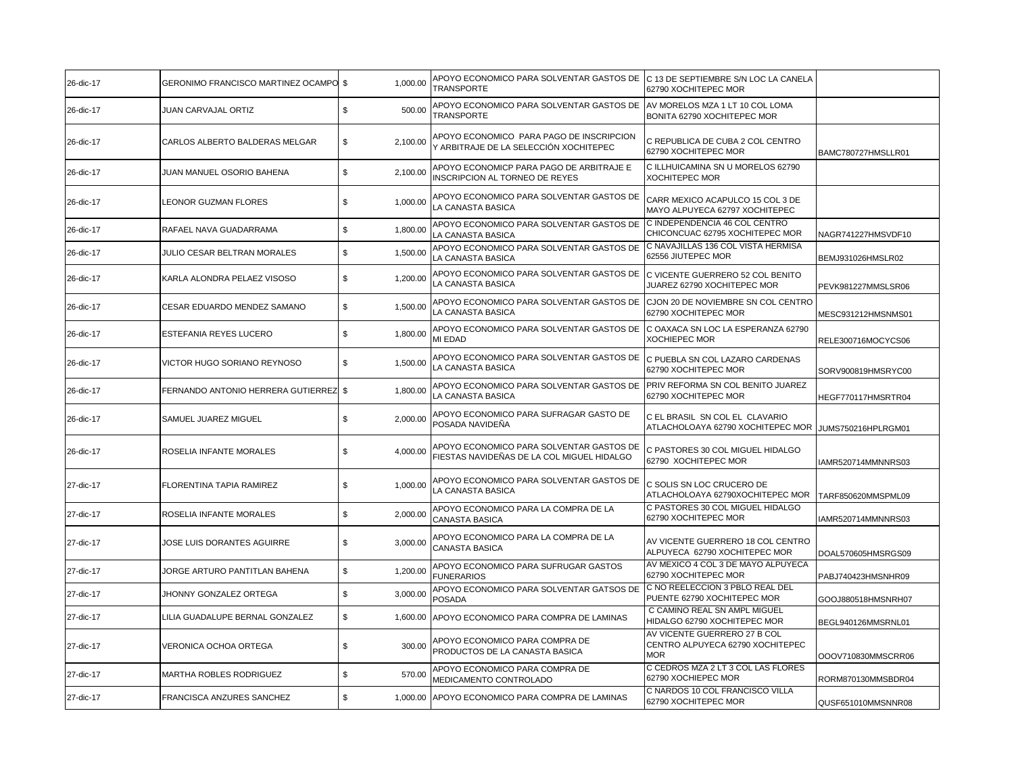| 26-dic-17 | <b>GERONIMO FRANCISCO MARTINEZ OCAMPO \$</b> | 1,000.00       | APOYO ECONOMICO PARA SOLVENTAR GASTOS DE C 13 DE SEPTIEMBRE S/N LOC LA CANELA<br><b>TRANSPORTE</b> | 62790 XOCHITEPEC MOR                                                           |                    |
|-----------|----------------------------------------------|----------------|----------------------------------------------------------------------------------------------------|--------------------------------------------------------------------------------|--------------------|
| 26-dic-17 | JUAN CARVAJAL ORTIZ                          | \$<br>500.00   | APOYO ECONOMICO PARA SOLVENTAR GASTOS DE<br>TRANSPORTE                                             | AV MORELOS MZA 1 LT 10 COL LOMA<br>BONITA 62790 XOCHITEPEC MOR                 |                    |
| 26-dic-17 | CARLOS ALBERTO BALDERAS MELGAR               | \$<br>2,100.00 | APOYO ECONOMICO PARA PAGO DE INSCRIPCION<br>Y ARBITRAJE DE LA SELECCIÓN XOCHITEPEC                 | C REPUBLICA DE CUBA 2 COL CENTRO<br>62790 XOCHITEPEC MOR                       | BAMC780727HMSLLR01 |
| 26-dic-17 | JUAN MANUEL OSORIO BAHENA                    | \$<br>2,100.00 | APOYO ECONOMICP PARA PAGO DE ARBITRAJE E<br><b>INSCRIPCION AL TORNEO DE REYES</b>                  | C ILLHUICAMINA SN U MORELOS 62790<br><b>XOCHITEPEC MOR</b>                     |                    |
| 26-dic-17 | <b>LEONOR GUZMAN FLORES</b>                  | \$<br>1,000.00 | APOYO ECONOMICO PARA SOLVENTAR GASTOS DE<br>LA CANASTA BASICA                                      | CARR MEXICO ACAPULCO 15 COL 3 DE<br>MAYO ALPUYECA 62797 XOCHITEPEC             |                    |
| 26-dic-17 | RAFAEL NAVA GUADARRAMA                       | \$<br>1,800.00 | APOYO ECONOMICO PARA SOLVENTAR GASTOS DE<br>LA CANASTA BASICA                                      | C INDEPENDENCIA 46 COL CENTRO<br>CHICONCUAC 62795 XOCHITEPEC MOR               | NAGR741227HMSVDF10 |
| 26-dic-17 | JULIO CESAR BELTRAN MORALES                  | \$<br>1,500.00 | APOYO ECONOMICO PARA SOLVENTAR GASTOS DE<br>LA CANASTA BASICA                                      | C NAVAJILLAS 136 COL VISTA HERMISA<br>62556 JIUTEPEC MOR                       | BEMJ931026HMSLR02  |
| 26-dic-17 | KARLA ALONDRA PELAEZ VISOSO                  | \$<br>1,200.00 | APOYO ECONOMICO PARA SOLVENTAR GASTOS DE<br>LA CANASTA BASICA                                      | C VICENTE GUERRERO 52 COL BENITO<br>JUAREZ 62790 XOCHITEPEC MOR                | PEVK981227MMSLSR06 |
| 26-dic-17 | CESAR EDUARDO MENDEZ SAMANO                  | \$<br>1,500.00 | APOYO ECONOMICO PARA SOLVENTAR GASTOS DE<br>LA CANASTA BASICA                                      | CJON 20 DE NOVIEMBRE SN COL CENTRO<br>62790 XOCHITEPEC MOR                     | MESC931212HMSNMS01 |
| 26-dic-17 | ESTEFANIA REYES LUCERO                       | \$<br>1,800.00 | APOYO ECONOMICO PARA SOLVENTAR GASTOS DE<br>MI EDAD                                                | C OAXACA SN LOC LA ESPERANZA 62790<br><b>XOCHIEPEC MOR</b>                     | RELE300716MOCYCS06 |
| 26-dic-17 | VICTOR HUGO SORIANO REYNOSO                  | \$<br>1,500.00 | APOYO ECONOMICO PARA SOLVENTAR GASTOS DE<br>LA CANASTA BASICA                                      | C PUEBLA SN COL LAZARO CARDENAS<br>62790 XOCHITEPEC MOR                        | SORV900819HMSRYC00 |
| 26-dic-17 | FERNANDO ANTONIO HERRERA GUTIERREZ \$        | 1,800.00       | APOYO ECONOMICO PARA SOLVENTAR GASTOS DE<br>LA CANASTA BASICA                                      | PRIV REFORMA SN COL BENITO JUAREZ<br>62790 XOCHITEPEC MOR                      | HEGF770117HMSRTR04 |
| 26-dic-17 | SAMUEL JUAREZ MIGUEL                         | 2,000.00<br>\$ | APOYO ECONOMICO PARA SUFRAGAR GASTO DE<br>POSADA NAVIDEÑA                                          | C EL BRASIL SN COL EL CLAVARIO<br>ATLACHOLOAYA 62790 XOCHITEPEC MOR            | JUMS750216HPLRGM01 |
| 26-dic-17 | ROSELIA INFANTE MORALES                      | \$<br>4,000.00 | APOYO ECONOMICO PARA SOLVENTAR GASTOS DE<br>FIESTAS NAVIDEÑAS DE LA COL MIGUEL HIDALGO             | C PASTORES 30 COL MIGUEL HIDALGO<br>62790 XOCHITEPEC MOR                       | IAMR520714MMNNRS03 |
| 27-dic-17 | <b>FLORENTINA TAPIA RAMIREZ</b>              | \$<br>1,000.00 | APOYO ECONOMICO PARA SOLVENTAR GASTOS DE<br>LA CANASTA BASICA                                      | C SOLIS SN LOC CRUCERO DE<br>ATLACHOLOAYA 62790XOCHITEPEC MOR                  | TARF850620MMSPML09 |
| 27-dic-17 | ROSELIA INFANTE MORALES                      | \$<br>2,000.00 | APOYO ECONOMICO PARA LA COMPRA DE LA<br><b>CANASTA BASICA</b>                                      | C PASTORES 30 COL MIGUEL HIDALGO<br>62790 XOCHITEPEC MOR                       | IAMR520714MMNNRS03 |
| 27-dic-17 | JOSE LUIS DORANTES AGUIRRE                   | \$<br>3,000.00 | APOYO ECONOMICO PARA LA COMPRA DE LA<br><b>CANASTA BASICA</b>                                      | AV VICENTE GUERRERO 18 COL CENTRO<br>ALPUYECA 62790 XOCHITEPEC MOR             | DOAL570605HMSRGS09 |
| 27-dic-17 | JORGE ARTURO PANTITLAN BAHENA                | 1,200.00<br>\$ | APOYO ECONOMICO PARA SUFRUGAR GASTOS<br><b>FUNERARIOS</b>                                          | AV MEXICO 4 COL 3 DE MAYO ALPUYECA<br>62790 XOCHITEPEC MOR                     | PABJ740423HMSNHR09 |
| 27-dic-17 | JHONNY GONZALEZ ORTEGA                       | 3,000.00<br>\$ | APOYO ECONOMICO PARA SOLVENTAR GATSOS DE<br><b>POSADA</b>                                          | C NO REELECCION 3 PBLO REAL DEL<br>PUENTE 62790 XOCHITEPEC MOR                 | GOOJ880518HMSNRH07 |
| 27-dic-17 | LILIA GUADALUPE BERNAL GONZALEZ              | \$             | 1,600.00 APOYO ECONOMICO PARA COMPRA DE LAMINAS                                                    | C CAMINO REAL SN AMPL MIGUEL<br>HIDALGO 62790 XOCHITEPEC MOR                   | BEGL940126MMSRNL01 |
| 27-dic-17 | VERONICA OCHOA ORTEGA                        | S.<br>300.00   | APOYO ECONOMICO PARA COMPRA DE<br>PRODUCTOS DE LA CANASTA BASICA                                   | AV VICENTE GUERRERO 27 B COL<br>CENTRO ALPUYECA 62790 XOCHITEPEC<br><b>MOR</b> | OOOV710830MMSCRR06 |
| 27-dic-17 | MARTHA ROBLES RODRIGUEZ                      | \$<br>570.00   | APOYO ECONOMICO PARA COMPRA DE<br>MEDICAMENTO CONTROLADO                                           | C CEDROS MZA 2 LT 3 COL LAS FLORES<br>62790 XOCHIEPEC MOR                      | RORM870130MMSBDR04 |
| 27-dic-17 | <b>FRANCISCA ANZURES SANCHEZ</b>             | \$             | 1,000.00 APOYO ECONOMICO PARA COMPRA DE LAMINAS                                                    | C NARDOS 10 COL FRANCISCO VILLA<br>62790 XOCHITEPEC MOR                        | QUSF651010MMSNNR08 |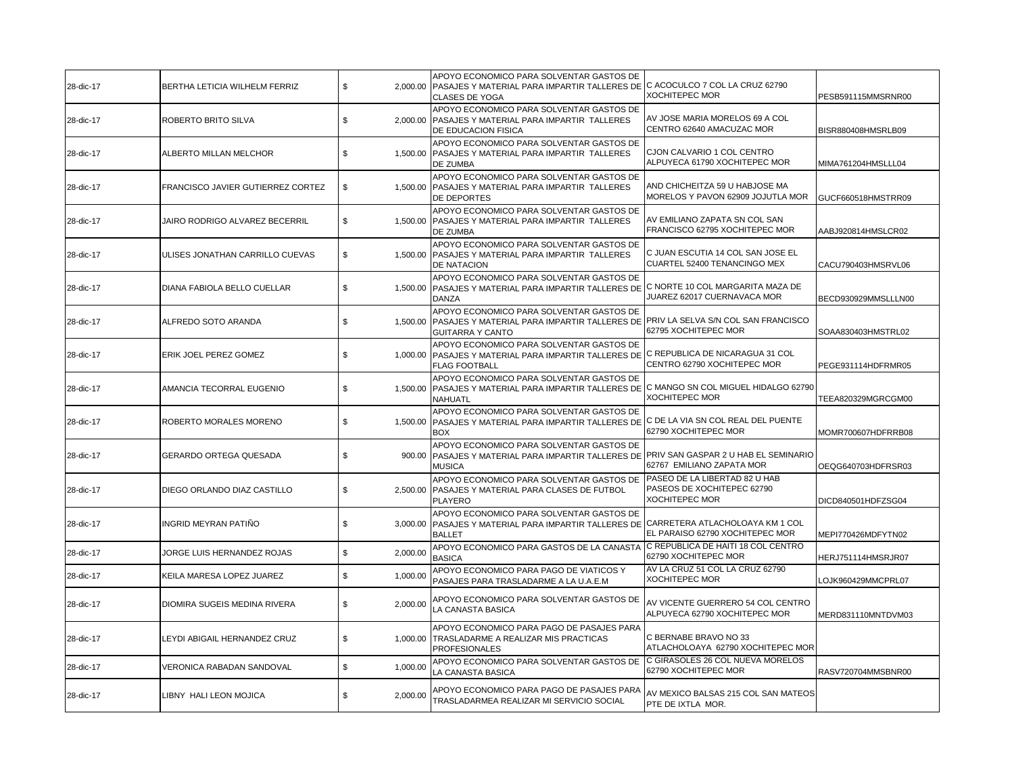| 28-dic-17 | BERTHA LETICIA WILHELM FERRIZ     | \$             | APOYO ECONOMICO PARA SOLVENTAR GASTOS DE<br>2,000.00 PASAJES Y MATERIAL PARA IMPARTIR TALLERES DE C ACOCULCO 7 COL LA CRUZ 62790<br>CLASES DE YOGA      | XOCHITEPEC MOR                                                                       | PESB591115MMSRNR00  |
|-----------|-----------------------------------|----------------|---------------------------------------------------------------------------------------------------------------------------------------------------------|--------------------------------------------------------------------------------------|---------------------|
| 28-dic-17 | ROBERTO BRITO SILVA               | \$<br>2.000.00 | APOYO ECONOMICO PARA SOLVENTAR GASTOS DE<br>PASAJES Y MATERIAL PARA IMPARTIR TALLERES<br>DE EDUCACION FISICA                                            | AV JOSE MARIA MORELOS 69 A COL<br>CENTRO 62640 AMACUZAC MOR                          | BISR880408HMSRLB09  |
| 28-dic-17 | ALBERTO MILLAN MELCHOR            | \$<br>1,500.00 | APOYO ECONOMICO PARA SOLVENTAR GASTOS DE<br>PASAJES Y MATERIAL PARA IMPARTIR TALLERES<br>DE ZUMBA                                                       | CJON CALVARIO 1 COL CENTRO<br>ALPUYECA 61790 XOCHITEPEC MOR                          | MIMA761204HMSLLL04  |
| 28-dic-17 | FRANCISCO JAVIER GUTIERREZ CORTEZ | \$<br>1,500.00 | APOYO ECONOMICO PARA SOLVENTAR GASTOS DE<br>PASAJES Y MATERIAL PARA IMPARTIR TALLERES<br>DE DEPORTES                                                    | AND CHICHEITZA 59 U HABJOSE MA<br>MORELOS Y PAVON 62909 JOJUTLA MOR                  | GUCF660518HMSTRR09  |
| 28-dic-17 | JAIRO RODRIGO ALVAREZ BECERRIL    | \$<br>1,500.00 | APOYO ECONOMICO PARA SOLVENTAR GASTOS DE<br>PASAJES Y MATERIAL PARA IMPARTIR TALLERES<br>DE ZUMBA                                                       | AV EMILIANO ZAPATA SN COL SAN<br>FRANCISCO 62795 XOCHITEPEC MOR                      | AABJ920814HMSLCR02  |
| 28-dic-17 | ULISES JONATHAN CARRILLO CUEVAS   | \$<br>1,500.00 | APOYO ECONOMICO PARA SOLVENTAR GASTOS DE<br>PASAJES Y MATERIAL PARA IMPARTIR TALLERES<br>DE NATACION                                                    | C JUAN ESCUTIA 14 COL SAN JOSE EL<br>CUARTEL 52400 TENANCINGO MEX                    | CACU790403HMSRVL06  |
| 28-dic-17 | DIANA FABIOLA BELLO CUELLAR       | \$<br>1,500.00 | APOYO ECONOMICO PARA SOLVENTAR GASTOS DE<br>PASAJES Y MATERIAL PARA IMPARTIR TALLERES DE C NORTE 10 COL MARGARITA MAZA DE<br><b>DANZA</b>               | JUAREZ 62017 CUERNAVACA MOR                                                          | BECD930929MMSLLLN00 |
| 28-dic-17 | ALFREDO SOTO ARANDA               | \$<br>1,500.00 | APOYO ECONOMICO PARA SOLVENTAR GASTOS DE<br>PASAJES Y MATERIAL PARA IMPARTIR TALLERES DE PRIV LA SELVA S/N COL SAN FRANCISCO<br><b>GUITARRA Y CANTO</b> | 62795 XOCHITEPEC MOR                                                                 | SOAA830403HMSTRL02  |
| 28-dic-17 | ERIK JOEL PEREZ GOMEZ             | \$<br>1,000.00 | APOYO ECONOMICO PARA SOLVENTAR GASTOS DE<br>PASAJES Y MATERIAL PARA IMPARTIR TALLERES DE C REPUBLICA DE NICARAGUA 31 COL<br><b>FLAG FOOTBALL</b>        | CENTRO 62790 XOCHITEPEC MOR                                                          | PEGE931114HDFRMR05  |
| 28-dic-17 | AMANCIA TECORRAL EUGENIO          | \$<br>1,500.00 | APOYO ECONOMICO PARA SOLVENTAR GASTOS DE<br>PASAJES Y MATERIAL PARA IMPARTIR TALLERES DE C MANGO SN COL MIGUEL HIDALGO 62790<br>NAHUATL                 | <b>XOCHITEPEC MOR</b>                                                                | TEEA820329MGRCGM00  |
| 28-dic-17 | ROBERTO MORALES MORENO            | \$<br>1,500.00 | APOYO ECONOMICO PARA SOLVENTAR GASTOS DE<br>PASAJES Y MATERIAL PARA IMPARTIR TALLERES DE C DE LA VIA SN COL REAL DEL PUENTE<br><b>BOX</b>               | 62790 XOCHITEPEC MOR                                                                 | MOMR700607HDFRRB08  |
| 28-dic-17 | <b>GERARDO ORTEGA QUESADA</b>     | \$<br>900.00   | APOYO ECONOMICO PARA SOLVENTAR GASTOS DE<br>PASAJES Y MATERIAL PARA IMPARTIR TALLERES DE<br><b>MUSICA</b>                                               | PRIV SAN GASPAR 2 U HAB EL SEMINARIO<br>62767 EMILIANO ZAPATA MOR                    | OEQG640703HDFRSR03  |
| 28-dic-17 | DIEGO ORLANDO DIAZ CASTILLO       | \$<br>2.500.00 | APOYO ECONOMICO PARA SOLVENTAR GASTOS DE<br>PASAJES Y MATERIAL PARA CLASES DE FUTBOL<br>PLAYERO                                                         | PASEO DE LA LIBERTAD 82 U HAB<br>PASEOS DE XOCHITEPEC 62790<br><b>XOCHITEPEC MOR</b> | DICD840501HDFZSG04  |
| 28-dic-17 | INGRID MEYRAN PATIÑO              | \$<br>3,000.00 | APOYO ECONOMICO PARA SOLVENTAR GASTOS DE<br>PASAJES Y MATERIAL PARA IMPARTIR TALLERES DE CARRETERA ATLACHOLOAYA KM 1 COL<br><b>BALLET</b>               | EL PARAISO 62790 XOCHITEPEC MOR                                                      | MEPI770426MDFYTN02  |
| 28-dic-17 | JORGE LUIS HERNANDEZ ROJAS        | \$<br>2.000.00 | APOYO ECONOMICO PARA GASTOS DE LA CANASTA<br><b>BASICA</b>                                                                                              | C REPUBLICA DE HAITI 18 COL CENTRO<br>62790 XOCHITEPEC MOR                           | HERJ751114HMSRJR07  |
| 28-dic-17 | KEILA MARESA LOPEZ JUAREZ         | \$<br>1,000.00 | APOYO ECONOMICO PARA PAGO DE VIATICOS Y<br>PASAJES PARA TRASLADARME A LA U.A.E.M                                                                        | AV LA CRUZ 51 COL LA CRUZ 62790<br><b>XOCHITEPEC MOR</b>                             | LOJK960429MMCPRL07  |
| 28-dic-17 | DIOMIRA SUGEIS MEDINA RIVERA      | \$<br>2,000.00 | APOYO ECONOMICO PARA SOLVENTAR GASTOS DE<br>LA CANASTA BASICA                                                                                           | AV VICENTE GUERRERO 54 COL CENTRO<br>ALPUYECA 62790 XOCHITEPEC MOR                   | MERD831110MNTDVM03  |
| 28-dic-17 | LEYDI ABIGAIL HERNANDEZ CRUZ      | \$<br>1.000.00 | APOYO ECONOMICO PARA PAGO DE PASAJES PARA<br>TRASLADARME A REALIZAR MIS PRACTICAS<br><b>PROFESIONALES</b>                                               | C BERNABE BRAVO NO 33<br>ATLACHOLOAYA 62790 XOCHITEPEC MOR                           |                     |
| 28-dic-17 | VERONICA RABADAN SANDOVAL         | \$<br>1,000.00 | APOYO ECONOMICO PARA SOLVENTAR GASTOS DE<br>LA CANASTA BASICA                                                                                           | C GIRASOLES 26 COL NUEVA MORELOS<br>62790 XOCHITEPEC MOR                             | RASV720704MMSBNR00  |
| 28-dic-17 | LIBNY HALI LEON MOJICA            | \$<br>2,000.00 | APOYO ECONOMICO PARA PAGO DE PASAJES PARA<br>TRASLADARMEA REALIZAR MI SERVICIO SOCIAL                                                                   | AV MEXICO BALSAS 215 COL SAN MATEOS<br>PTE DE IXTLA MOR.                             |                     |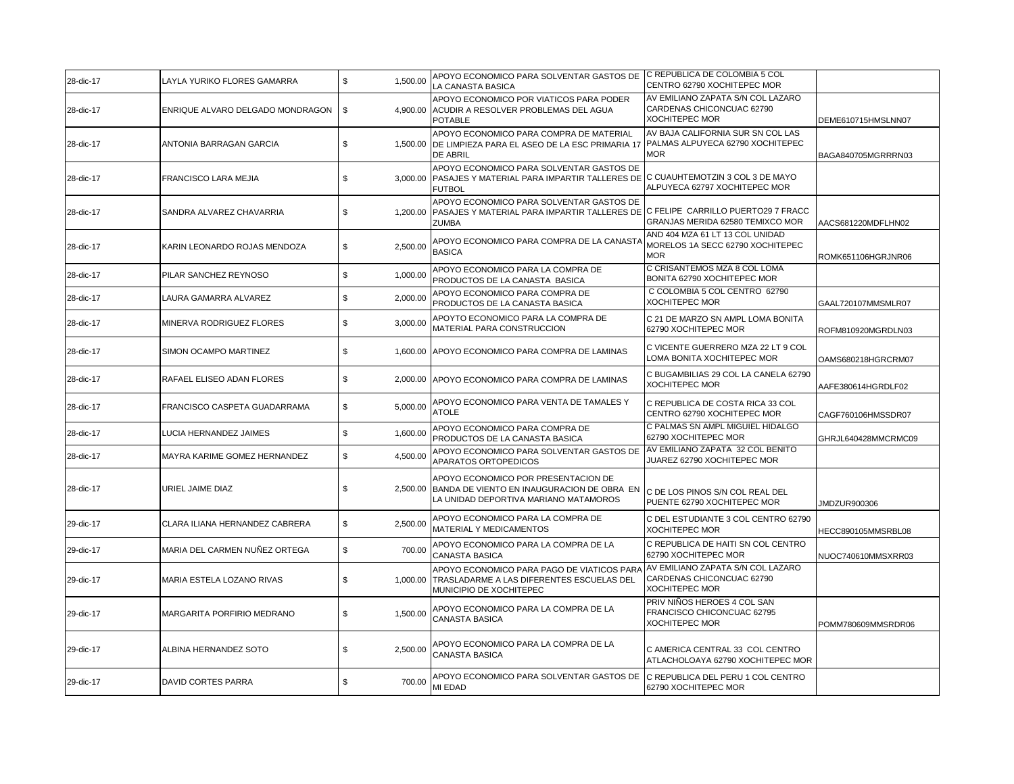| 28-dic-17 | LAYLA YURIKO FLORES GAMARRA         | \$<br>1.500.00         | APOYO ECONOMICO PARA SOLVENTAR GASTOS DE C REPUBLICA DE COLOMBIA 5 COL<br>LA CANASTA BASICA                                                          | CENTRO 62790 XOCHITEPEC MOR                                                             |                     |
|-----------|-------------------------------------|------------------------|------------------------------------------------------------------------------------------------------------------------------------------------------|-----------------------------------------------------------------------------------------|---------------------|
| 28-dic-17 | ENRIQUE ALVARO DELGADO MONDRAGON    | $\sqrt{3}$<br>4,900.00 | APOYO ECONOMICO POR VIATICOS PARA PODER<br>ACUDIR A RESOLVER PROBLEMAS DEL AGUA<br><b>POTABLE</b>                                                    | AV EMILIANO ZAPATA S/N COL LAZARO<br>CARDENAS CHICONCUAC 62790<br><b>XOCHITEPEC MOR</b> | DEME610715HMSLNN07  |
| 28-dic-17 | ANTONIA BARRAGAN GARCIA             | \$                     | APOYO ECONOMICO PARA COMPRA DE MATERIAL<br>1,500.00 DE LIMPIEZA PARA EL ASEO DE LA ESC PRIMARIA 17<br>DE ABRIL                                       | AV BAJA CALIFORNIA SUR SN COL LAS<br>PALMAS ALPUYECA 62790 XOCHITEPEC<br><b>MOR</b>     | BAGA840705MGRRRN03  |
| 28-dic-17 | FRANCISCO LARA MEJIA                | \$                     | APOYO ECONOMICO PARA SOLVENTAR GASTOS DE<br>3,000.00 PASAJES Y MATERIAL PARA IMPARTIR TALLERES DE C CUAUHTEMOTZIN 3 COL 3 DE MAYO<br><b>FUTBOL</b>   | ALPUYECA 62797 XOCHITEPEC MOR                                                           |                     |
| 28-dic-17 | SANDRA ALVAREZ CHAVARRIA            | \$                     | APOYO ECONOMICO PARA SOLVENTAR GASTOS DE<br>1,200.00 PASAJES Y MATERIAL PARA IMPARTIR TALLERES DE C FELIPE CARRILLO PUERTO29 7 FRACC<br><b>ZUMBA</b> | GRANJAS MERIDA 62580 TEMIXCO MOR                                                        | AACS681220MDFLHN02  |
| 28-dic-17 | KARIN LEONARDO ROJAS MENDOZA        | \$<br>2,500.00         | APOYO ECONOMICO PARA COMPRA DE LA CANAST/<br><b>BASICA</b>                                                                                           | AND 404 MZA 61 LT 13 COL UNIDAD<br>MORELOS 1A SECC 62790 XOCHITEPEC<br><b>MOR</b>       | ROMK651106HGRJNR06  |
| 28-dic-17 | PILAR SANCHEZ REYNOSO               | \$<br>1,000.00         | APOYO ECONOMICO PARA LA COMPRA DE<br>PRODUCTOS DE LA CANASTA BASICA                                                                                  | C CRISANTEMOS MZA 8 COL LOMA<br>BONITA 62790 XOCHITEPEC MOR                             |                     |
| 28-dic-17 | LAURA GAMARRA ALVAREZ               | \$<br>2,000.00         | APOYO ECONOMICO PARA COMPRA DE<br>PRODUCTOS DE LA CANASTA BASICA                                                                                     | C COLOMBIA 5 COL CENTRO 62790<br><b>XOCHITEPEC MOR</b>                                  | GAAL720107MMSMLR07  |
| 28-dic-17 | MINERVA RODRIGUEZ FLORES            | \$<br>3,000.00         | APOYTO ECONOMICO PARA LA COMPRA DE<br>MATERIAL PARA CONSTRUCCION                                                                                     | C 21 DE MARZO SN AMPL LOMA BONITA<br>62790 XOCHITEPEC MOR                               | ROFM810920MGRDLN03  |
| 28-dic-17 | SIMON OCAMPO MARTINEZ               | \$                     | 1,600.00 APOYO ECONOMICO PARA COMPRA DE LAMINAS                                                                                                      | C VICENTE GUERRERO MZA 22 LT 9 COL<br>LOMA BONITA XOCHITEPEC MOR                        | OAMS680218HGRCRM07  |
| 28-dic-17 | RAFAEL ELISEO ADAN FLORES           | \$                     | 2,000.00 APOYO ECONOMICO PARA COMPRA DE LAMINAS                                                                                                      | C BUGAMBILIAS 29 COL LA CANELA 62790<br><b>XOCHITEPEC MOR</b>                           | AAFE380614HGRDLF02  |
| 28-dic-17 | <b>FRANCISCO CASPETA GUADARRAMA</b> | \$<br>5,000.00         | APOYO ECONOMICO PARA VENTA DE TAMALES Y<br><b>ATOLE</b>                                                                                              | C REPUBLICA DE COSTA RICA 33 COL<br>CENTRO 62790 XOCHITEPEC MOR                         | CAGF760106HMSSDR07  |
| 28-dic-17 | LUCIA HERNANDEZ JAIMES              | \$<br>1,600.00         | APOYO ECONOMICO PARA COMPRA DE<br>PRODUCTOS DE LA CANASTA BASICA                                                                                     | C PALMAS SN AMPL MIGUIEL HIDALGO<br>62790 XOCHITEPEC MOR                                | GHRJL640428MMCRMC09 |
| 28-dic-17 | MAYRA KARIME GOMEZ HERNANDEZ        | \$<br>4,500.00         | APOYO ECONOMICO PARA SOLVENTAR GASTOS DE<br>APARATOS ORTOPEDICOS                                                                                     | AV EMILIANO ZAPATA 32 COL BENITO<br>JUAREZ 62790 XOCHITEPEC MOR                         |                     |
| 28-dic-17 | URIEL JAIME DIAZ                    | \$                     | APOYO ECONOMICO POR PRESENTACION DE<br>2,500.00 BANDA DE VIENTO EN INAUGURACION DE OBRA EN<br>LA UNIDAD DEPORTIVA MARIANO MATAMOROS                  | C DE LOS PINOS S/N COL REAL DEL<br>PUENTE 62790 XOCHITEPEC MOR                          | JMDZUR900306        |
| 29-dic-17 | CLARA ILIANA HERNANDEZ CABRERA      | \$<br>2,500.00         | APOYO ECONOMICO PARA LA COMPRA DE<br>MATERIAL Y MEDICAMENTOS                                                                                         | C DEL ESTUDIANTE 3 COL CENTRO 62790<br><b>XOCHITEPEC MOR</b>                            | HECC890105MMSRBL08  |
| 29-dic-17 | MARIA DEL CARMEN NUÑEZ ORTEGA       | 700.00<br>\$           | APOYO ECONOMICO PARA LA COMPRA DE LA<br><b>CANASTA BASICA</b>                                                                                        | C REPUBLICA DE HAITI SN COL CENTRO<br>62790 XOCHITEPEC MOR                              | NUOC740610MMSXRR03  |
| 29-dic-17 | MARIA ESTELA LOZANO RIVAS           | \$                     | APOYO ECONOMICO PARA PAGO DE VIATICOS PARA<br>1,000.00 TRASLADARME A LAS DIFERENTES ESCUELAS DEL<br>MUNICIPIO DE XOCHITEPEC                          | AV EMILIANO ZAPATA S/N COL LAZARO<br>CARDENAS CHICONCUAC 62790<br><b>XOCHITEPEC MOR</b> |                     |
| 29-dic-17 | MARGARITA PORFIRIO MEDRANO          | 1,500.00<br>\$         | APOYO ECONOMICO PARA LA COMPRA DE LA<br><b>CANASTA BASICA</b>                                                                                        | PRIV NIÑOS HEROES 4 COL SAN<br>FRANCISCO CHICONCUAC 62795<br><b>XOCHITEPEC MOR</b>      | POMM780609MMSRDR06  |
| 29-dic-17 | ALBINA HERNANDEZ SOTO               | S.<br>2,500.00         | APOYO ECONOMICO PARA LA COMPRA DE LA<br><b>CANASTA BASICA</b>                                                                                        | C AMERICA CENTRAL 33 COL CENTRO<br>ATLACHOLOAYA 62790 XOCHITEPEC MOR                    |                     |
| 29-dic-17 | <b>DAVID CORTES PARRA</b>           | \$<br>700.00           | APOYO ECONOMICO PARA SOLVENTAR GASTOS DE<br>MI EDAD                                                                                                  | C REPUBLICA DEL PERU 1 COL CENTRO<br>62790 XOCHITEPEC MOR                               |                     |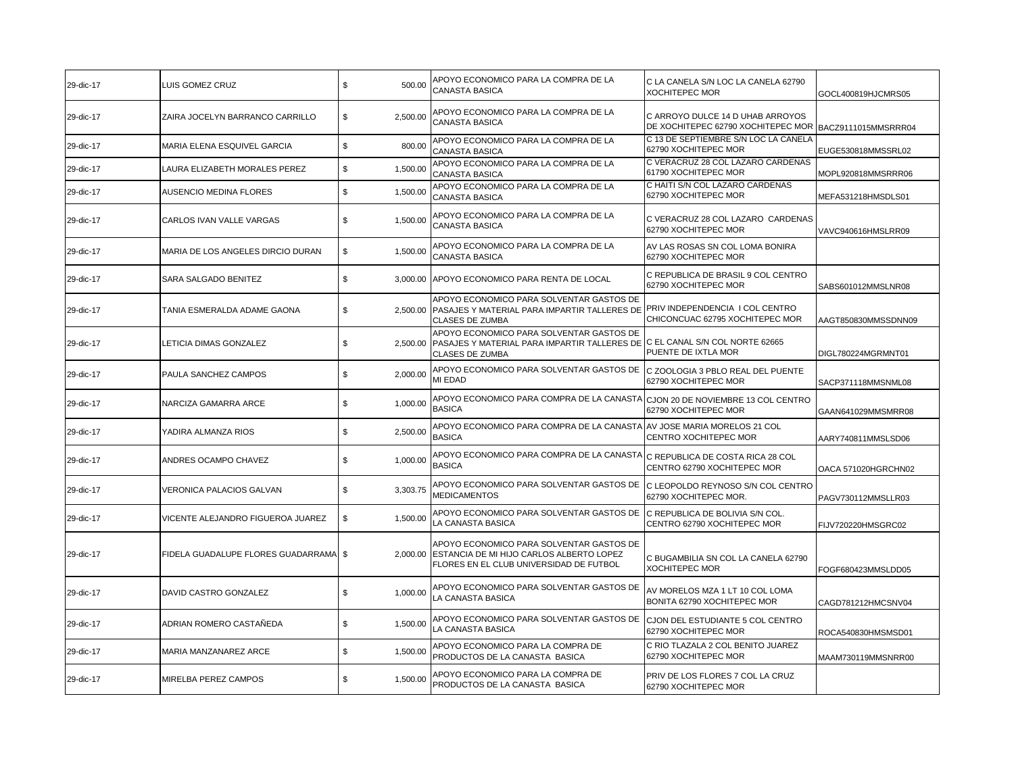| 29-dic-17 | LUIS GOMEZ CRUZ                         | \$<br>500.00   | APOYO ECONOMICO PARA LA COMPRA DE LA<br>CANASTA BASICA                                                                                                      | C LA CANELA S/N LOC LA CANELA 62790<br><b>XOCHITEPEC MOR</b>                               | GOCL400819HJCMRS05  |
|-----------|-----------------------------------------|----------------|-------------------------------------------------------------------------------------------------------------------------------------------------------------|--------------------------------------------------------------------------------------------|---------------------|
| 29-dic-17 | ZAIRA JOCELYN BARRANCO CARRILLO         | \$<br>2,500.00 | APOYO ECONOMICO PARA LA COMPRA DE LA<br><b>CANASTA BASICA</b>                                                                                               | C ARROYO DULCE 14 D UHAB ARROYOS<br>DE XOCHITEPEC 62790 XOCHITEPEC MOR BACZ9111015MMSRRR04 |                     |
| 29-dic-17 | MARIA ELENA ESQUIVEL GARCIA             | \$<br>800.00   | APOYO ECONOMICO PARA LA COMPRA DE LA<br>CANASTA BASICA                                                                                                      | C 13 DE SEPTIEMBRE S/N LOC LA CANELA<br>62790 XOCHITEPEC MOR                               | EUGE530818MMSSRL02  |
| 29-dic-17 | LAURA ELIZABETH MORALES PEREZ           | \$<br>1,500.00 | APOYO ECONOMICO PARA LA COMPRA DE LA<br>CANASTA BASICA                                                                                                      | C VERACRUZ 28 COL LAZARO CARDENAS<br>61790 XOCHITEPEC MOR                                  | MOPL920818MMSRRR06  |
| 29-dic-17 | AUSENCIO MEDINA FLORES                  | \$<br>1,500.00 | APOYO ECONOMICO PARA LA COMPRA DE LA<br>CANASTA BASICA                                                                                                      | C HAITI S/N COL LAZARO CARDENAS<br>62790 XOCHITEPEC MOR                                    | MEFA531218HMSDLS01  |
| 29-dic-17 | CARLOS IVAN VALLE VARGAS                | \$<br>1,500.00 | APOYO ECONOMICO PARA LA COMPRA DE LA<br><b>CANASTA BASICA</b>                                                                                               | C VERACRUZ 28 COL LAZARO CARDENAS<br>62790 XOCHITEPEC MOR                                  | VAVC940616HMSLRR09  |
| 29-dic-17 | MARIA DE LOS ANGELES DIRCIO DURAN       | \$<br>1,500.00 | APOYO ECONOMICO PARA LA COMPRA DE LA<br><b>CANASTA BASICA</b>                                                                                               | AV LAS ROSAS SN COL LOMA BONIRA<br>62790 XOCHITEPEC MOR                                    |                     |
| 29-dic-17 | SARA SALGADO BENITEZ                    | \$<br>3.000.00 | APOYO ECONOMICO PARA RENTA DE LOCAL                                                                                                                         | C REPUBLICA DE BRASIL 9 COL CENTRO<br>62790 XOCHITEPEC MOR                                 | SABS601012MMSLNR08  |
| 29-dic-17 | TANIA ESMERALDA ADAME GAONA             | S.             | APOYO ECONOMICO PARA SOLVENTAR GASTOS DE<br>2,500.00 PASAJES Y MATERIAL PARA IMPARTIR TALLERES DE PRIV INDEPENDENCIA I COL CENTRO<br><b>CLASES DE ZUMBA</b> | CHICONCUAC 62795 XOCHITEPEC MOR                                                            | AAGT850830MMSSDNN09 |
| 29-dic-17 | LETICIA DIMAS GONZALEZ                  | \$             | APOYO ECONOMICO PARA SOLVENTAR GASTOS DE<br>2,500.00 PASAJES Y MATERIAL PARA IMPARTIR TALLERES DE C EL CANAL S/N COL NORTE 62665<br><b>CLASES DE ZUMBA</b>  | PUENTE DE IXTLA MOR                                                                        | DIGL780224MGRMNT01  |
| 29-dic-17 | PAULA SANCHEZ CAMPOS                    | \$<br>2,000.00 | APOYO ECONOMICO PARA SOLVENTAR GASTOS DE<br>MI EDAD                                                                                                         | IC ZOOLOGIA 3 PBLO REAL DEL PUENTE<br>62790 XOCHITEPEC MOR                                 | SACP371118MMSNML08  |
| 29-dic-17 | NARCIZA GAMARRA ARCE                    | 1,000.00<br>\$ | APOYO ECONOMICO PARA COMPRA DE LA CANASTA<br><b>BASICA</b>                                                                                                  | CJON 20 DE NOVIEMBRE 13 COL CENTRO<br>62790 XOCHITEPEC MOR                                 | GAAN641029MMSMRR08  |
| 29-dic-17 | YADIRA ALMANZA RIOS                     | 2,500.00<br>\$ | APOYO ECONOMICO PARA COMPRA DE LA CANASTA<br><b>BASICA</b>                                                                                                  | AV JOSE MARIA MORELOS 21 COL<br>CENTRO XOCHITEPEC MOR                                      | AARY740811MMSLSD06  |
| 29-dic-17 | ANDRES OCAMPO CHAVEZ                    | \$<br>1,000.00 | APOYO ECONOMICO PARA COMPRA DE LA CANASTA<br><b>BASICA</b>                                                                                                  | C REPUBLICA DE COSTA RICA 28 COL<br>CENTRO 62790 XOCHITEPEC MOR                            | OACA 571020HGRCHN02 |
| 29-dic-17 | VERONICA PALACIOS GALVAN                | \$<br>3,303.75 | APOYO ECONOMICO PARA SOLVENTAR GASTOS DE<br><b>MEDICAMENTOS</b>                                                                                             | C LEOPOLDO REYNOSO S/N COL CENTRO<br>62790 XOCHITEPEC MOR.                                 | PAGV730112MMSLLR03  |
| 29-dic-17 | VICENTE ALEJANDRO FIGUEROA JUAREZ       | \$<br>1,500.00 | APOYO ECONOMICO PARA SOLVENTAR GASTOS DE<br>LA CANASTA BASICA                                                                                               | C REPUBLICA DE BOLIVIA S/N COL.<br>CENTRO 62790 XOCHITEPEC MOR                             | FIJV720220HMSGRC02  |
| 29-dic-17 | FIDELA GUADALUPE FLORES GUADARRAMA   \$ | 2.000.00       | APOYO ECONOMICO PARA SOLVENTAR GASTOS DE<br>ESTANCIA DE MI HIJO CARLOS ALBERTO LOPEZ<br>FLORES EN EL CLUB UNIVERSIDAD DE FUTBOL                             | C BUGAMBILIA SN COL LA CANELA 62790<br><b>XOCHITEPEC MOR</b>                               | FOGF680423MMSLDD05  |
| 29-dic-17 | DAVID CASTRO GONZALEZ                   | \$<br>1,000.00 | APOYO ECONOMICO PARA SOLVENTAR GASTOS DE<br>LA CANASTA BASICA                                                                                               | AV MORELOS MZA 1 LT 10 COL LOMA<br>BONITA 62790 XOCHITEPEC MOR                             | CAGD781212HMCSNV04  |
| 29-dic-17 | ADRIAN ROMERO CASTAÑEDA                 | \$<br>1,500.00 | APOYO ECONOMICO PARA SOLVENTAR GASTOS DE<br>LA CANASTA BASICA                                                                                               | CJON DEL ESTUDIANTE 5 COL CENTRO<br>62790 XOCHITEPEC MOR                                   | ROCA540830HMSMSD01  |
| 29-dic-17 | MARIA MANZANAREZ ARCE                   | \$<br>1,500.00 | APOYO ECONOMICO PARA LA COMPRA DE<br>PRODUCTOS DE LA CANASTA BASICA                                                                                         | C RIO TLAZALA 2 COL BENITO JUAREZ<br>62790 XOCHITEPEC MOR                                  | MAAM730119MMSNRR00  |
| 29-dic-17 | MIRELBA PEREZ CAMPOS                    | \$<br>1,500.00 | APOYO ECONOMICO PARA LA COMPRA DE<br>PRODUCTOS DE LA CANASTA BASICA                                                                                         | PRIV DE LOS FLORES 7 COL LA CRUZ<br>62790 XOCHITEPEC MOR                                   |                     |